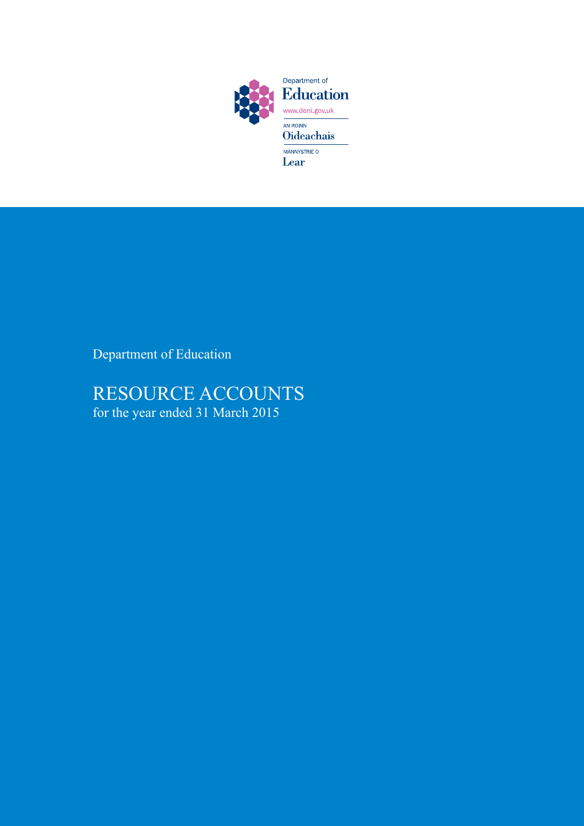

Department of Education

# RESOURCE ACCOUNTS for the year ended 31 March 2015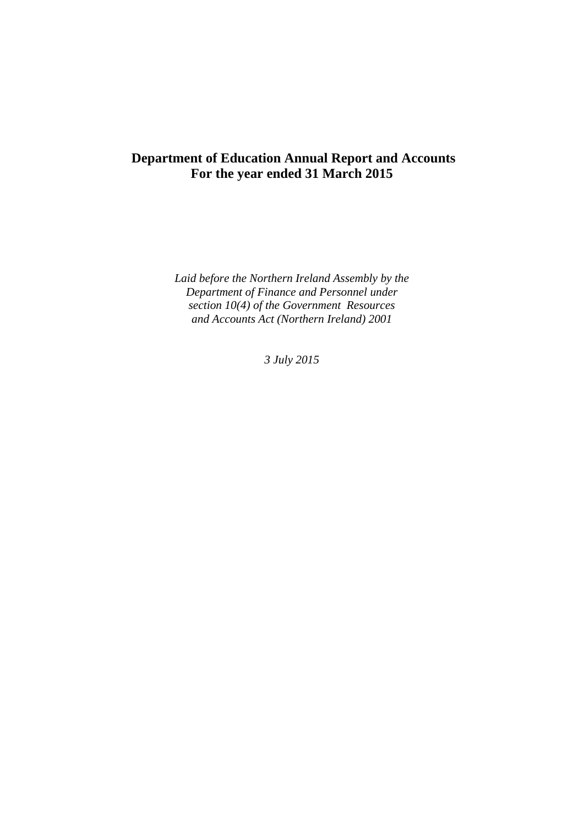## **Department of Education Annual Report and Accounts For the year ended 31 March 2015**

*Laid before the Northern Ireland Assembly by the Department of Finance and Personnel under section 10(4) of the Government Resources and Accounts Act (Northern Ireland) 2001* 

*3 July 2015*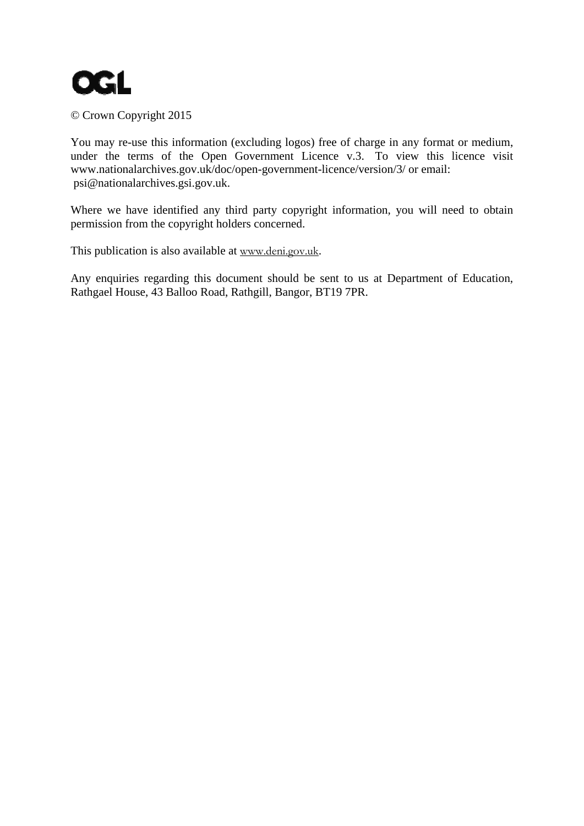

## © Crown Copyright 2015

You may re-use this information (excluding logos) free of charge in any format or medium, under the terms of the Open Government Licence v.3. To view this licence visit www.nationalarchives.gov.uk/doc/open-government-licence/version/3/ or email: psi@nationalarchives.gsi.gov.uk.

Where we have identified any third party copyright information, you will need to obtain permission from the copyright holders concerned.

This publication is also available at www.deni.gov.uk.

Any enquiries regarding this document should be sent to us at Department of Education, Rathgael House, 43 Balloo Road, Rathgill, Bangor, BT19 7PR.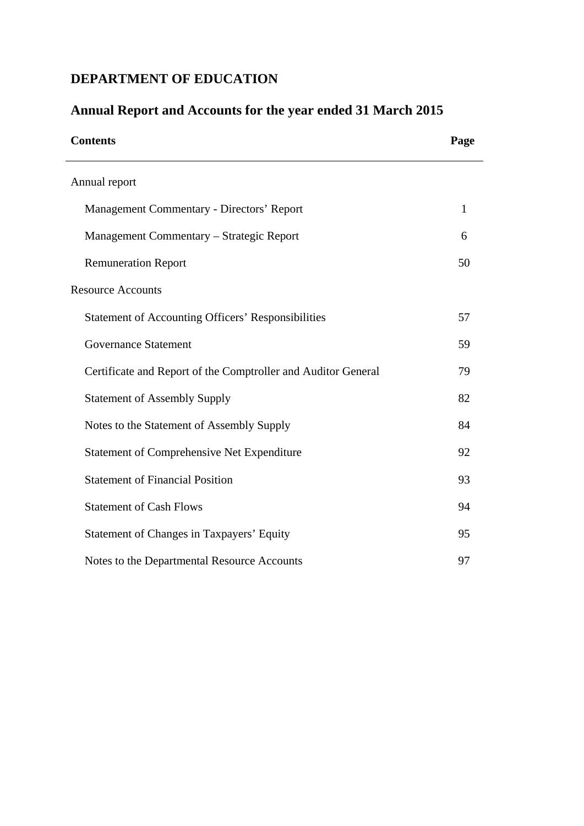## **DEPARTMENT OF EDUCATION**

| <b>Contents</b>                                               | Page         |
|---------------------------------------------------------------|--------------|
| Annual report                                                 |              |
| Management Commentary - Directors' Report                     | $\mathbf{1}$ |
| Management Commentary - Strategic Report                      | 6            |
| <b>Remuneration Report</b>                                    | 50           |
| <b>Resource Accounts</b>                                      |              |
| <b>Statement of Accounting Officers' Responsibilities</b>     | 57           |
| <b>Governance Statement</b>                                   | 59           |
| Certificate and Report of the Comptroller and Auditor General | 79           |
| <b>Statement of Assembly Supply</b>                           | 82           |
| Notes to the Statement of Assembly Supply                     | 84           |
| <b>Statement of Comprehensive Net Expenditure</b>             | 92           |
| <b>Statement of Financial Position</b>                        | 93           |
| <b>Statement of Cash Flows</b>                                | 94           |
| Statement of Changes in Taxpayers' Equity                     | 95           |
| Notes to the Departmental Resource Accounts                   | 97           |

## **Annual Report and Accounts for the year ended 31 March 2015**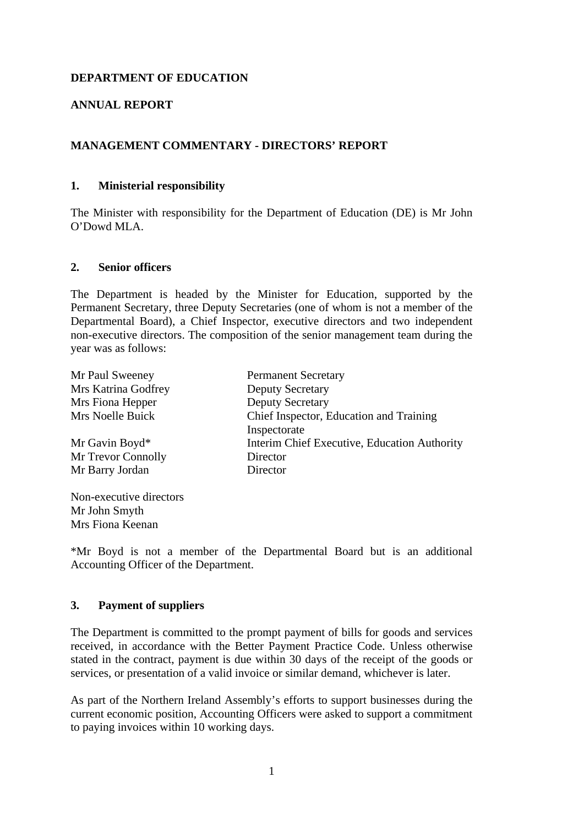## **DEPARTMENT OF EDUCATION**

## **ANNUAL REPORT**

## **MANAGEMENT COMMENTARY - DIRECTORS' REPORT**

#### **1. Ministerial responsibility**

The Minister with responsibility for the Department of Education (DE) is Mr John O'Dowd MLA.

#### **2. Senior officers**

The Department is headed by the Minister for Education, supported by the Permanent Secretary, three Deputy Secretaries (one of whom is not a member of the Departmental Board), a Chief Inspector, executive directors and two independent non-executive directors. The composition of the senior management team during the year was as follows:

| Mr Paul Sweeney         | <b>Permanent Secretary</b>                   |
|-------------------------|----------------------------------------------|
| Mrs Katrina Godfrey     | <b>Deputy Secretary</b>                      |
| Mrs Fiona Hepper        | <b>Deputy Secretary</b>                      |
| Mrs Noelle Buick        | Chief Inspector, Education and Training      |
|                         | Inspectorate                                 |
| Mr Gavin Boyd*          | Interim Chief Executive, Education Authority |
| Mr Trevor Connolly      | Director                                     |
| Mr Barry Jordan         | Director                                     |
| Non-executive directors |                                              |

\*Mr Boyd is not a member of the Departmental Board but is an additional Accounting Officer of the Department.

#### **3. Payment of suppliers**

Mr John Smyth Mrs Fiona Keenan

The Department is committed to the prompt payment of bills for goods and services received, in accordance with the Better Payment Practice Code. Unless otherwise stated in the contract, payment is due within 30 days of the receipt of the goods or services, or presentation of a valid invoice or similar demand, whichever is later.

As part of the Northern Ireland Assembly's efforts to support businesses during the current economic position, Accounting Officers were asked to support a commitment to paying invoices within 10 working days.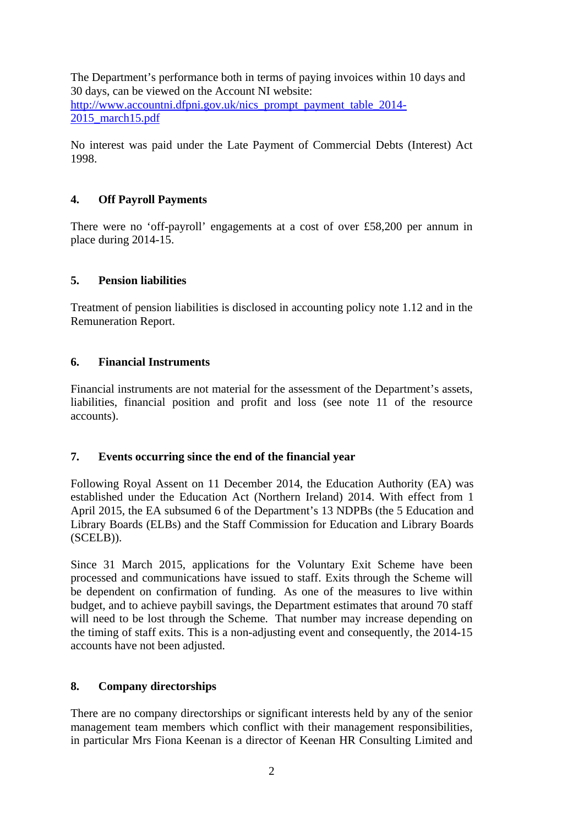The Department's performance both in terms of paying invoices within 10 days and 30 days, can be viewed on the Account NI website: http://www.accountni.dfpni.gov.uk/nics\_prompt\_payment\_table\_2014-2015\_march15.pdf

No interest was paid under the Late Payment of Commercial Debts (Interest) Act 1998.

## **4. Off Payroll Payments**

There were no 'off-payroll' engagements at a cost of over £58,200 per annum in place during 2014-15.

## **5. Pension liabilities**

Treatment of pension liabilities is disclosed in accounting policy note 1.12 and in the Remuneration Report.

## **6. Financial Instruments**

Financial instruments are not material for the assessment of the Department's assets, liabilities, financial position and profit and loss (see note 11 of the resource accounts).

## **7. Events occurring since the end of the financial year**

Following Royal Assent on 11 December 2014, the Education Authority (EA) was established under the Education Act (Northern Ireland) 2014. With effect from 1 April 2015, the EA subsumed 6 of the Department's 13 NDPBs (the 5 Education and Library Boards (ELBs) and the Staff Commission for Education and Library Boards (SCELB)).

Since 31 March 2015, applications for the Voluntary Exit Scheme have been processed and communications have issued to staff. Exits through the Scheme will be dependent on confirmation of funding. As one of the measures to live within budget, and to achieve paybill savings, the Department estimates that around 70 staff will need to be lost through the Scheme. That number may increase depending on the timing of staff exits. This is a non-adjusting event and consequently, the 2014-15 accounts have not been adjusted.

## **8. Company directorships**

There are no company directorships or significant interests held by any of the senior management team members which conflict with their management responsibilities, in particular Mrs Fiona Keenan is a director of Keenan HR Consulting Limited and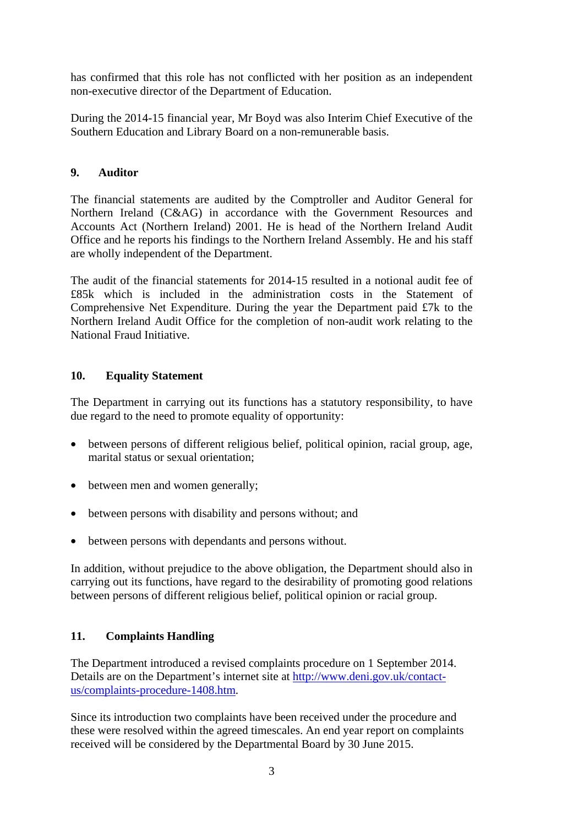has confirmed that this role has not conflicted with her position as an independent non-executive director of the Department of Education.

During the 2014-15 financial year, Mr Boyd was also Interim Chief Executive of the Southern Education and Library Board on a non-remunerable basis.

## **9. Auditor**

The financial statements are audited by the Comptroller and Auditor General for Northern Ireland (C&AG) in accordance with the Government Resources and Accounts Act (Northern Ireland) 2001. He is head of the Northern Ireland Audit Office and he reports his findings to the Northern Ireland Assembly. He and his staff are wholly independent of the Department.

The audit of the financial statements for 2014-15 resulted in a notional audit fee of £85k which is included in the administration costs in the Statement of Comprehensive Net Expenditure. During the year the Department paid £7k to the Northern Ireland Audit Office for the completion of non-audit work relating to the National Fraud Initiative.

## **10. Equality Statement**

The Department in carrying out its functions has a statutory responsibility, to have due regard to the need to promote equality of opportunity:

- between persons of different religious belief, political opinion, racial group, age, marital status or sexual orientation;
- between men and women generally;
- between persons with disability and persons without; and
- between persons with dependants and persons without.

In addition, without prejudice to the above obligation, the Department should also in carrying out its functions, have regard to the desirability of promoting good relations between persons of different religious belief, political opinion or racial group.

## **11. Complaints Handling**

The Department introduced a revised complaints procedure on 1 September 2014. Details are on the Department's internet site at http://www.deni.gov.uk/contactus/complaints-procedure-1408.htm.

Since its introduction two complaints have been received under the procedure and these were resolved within the agreed timescales. An end year report on complaints received will be considered by the Departmental Board by 30 June 2015.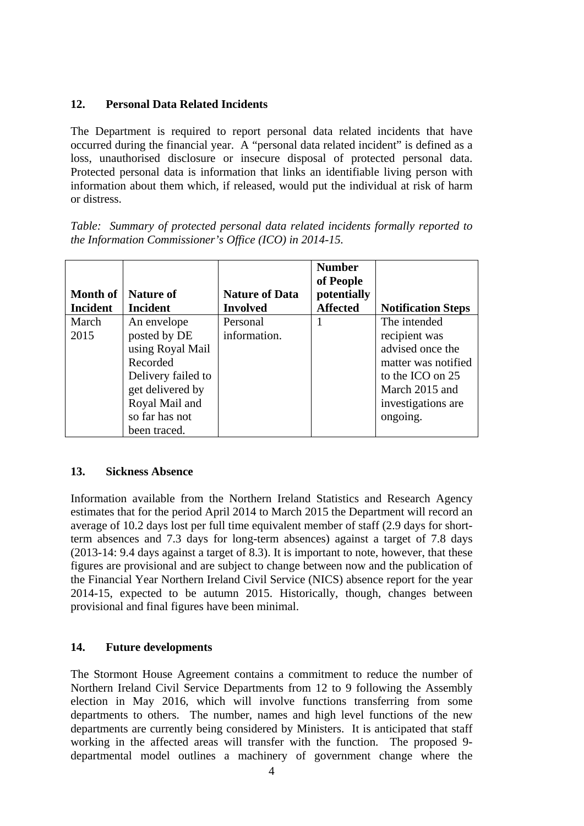## **12. Personal Data Related Incidents**

The Department is required to report personal data related incidents that have occurred during the financial year. A "personal data related incident" is defined as a loss, unauthorised disclosure or insecure disposal of protected personal data. Protected personal data is information that links an identifiable living person with information about them which, if released, would put the individual at risk of harm or distress.

*Table: Summary of protected personal data related incidents formally reported to the Information Commissioner's Office (ICO) in 2014-15.* 

| <b>Month of</b><br><b>Incident</b> | <b>Nature of</b><br><b>Incident</b> | <b>Nature of Data</b><br><b>Involved</b> | <b>Number</b><br>of People<br>potentially<br><b>Affected</b> | <b>Notification Steps</b> |
|------------------------------------|-------------------------------------|------------------------------------------|--------------------------------------------------------------|---------------------------|
| March                              | An envelope                         | Personal                                 |                                                              | The intended              |
| 2015                               | posted by DE                        | information.                             |                                                              | recipient was             |
|                                    | using Royal Mail                    |                                          |                                                              | advised once the          |
|                                    | Recorded                            |                                          |                                                              | matter was notified       |
|                                    | Delivery failed to                  |                                          |                                                              | to the ICO on 25          |
|                                    | get delivered by                    |                                          |                                                              | March 2015 and            |
|                                    | Royal Mail and                      |                                          |                                                              | investigations are        |
|                                    | so far has not                      |                                          |                                                              | ongoing.                  |
|                                    | been traced.                        |                                          |                                                              |                           |

## **13. Sickness Absence**

Information available from the Northern Ireland Statistics and Research Agency estimates that for the period April 2014 to March 2015 the Department will record an average of 10.2 days lost per full time equivalent member of staff (2.9 days for shortterm absences and 7.3 days for long-term absences) against a target of 7.8 days (2013-14: 9.4 days against a target of 8.3). It is important to note, however, that these figures are provisional and are subject to change between now and the publication of the Financial Year Northern Ireland Civil Service (NICS) absence report for the year 2014-15, expected to be autumn 2015. Historically, though, changes between provisional and final figures have been minimal.

## **14. Future developments**

The Stormont House Agreement contains a commitment to reduce the number of Northern Ireland Civil Service Departments from 12 to 9 following the Assembly election in May 2016, which will involve functions transferring from some departments to others. The number, names and high level functions of the new departments are currently being considered by Ministers. It is anticipated that staff working in the affected areas will transfer with the function. The proposed 9 departmental model outlines a machinery of government change where the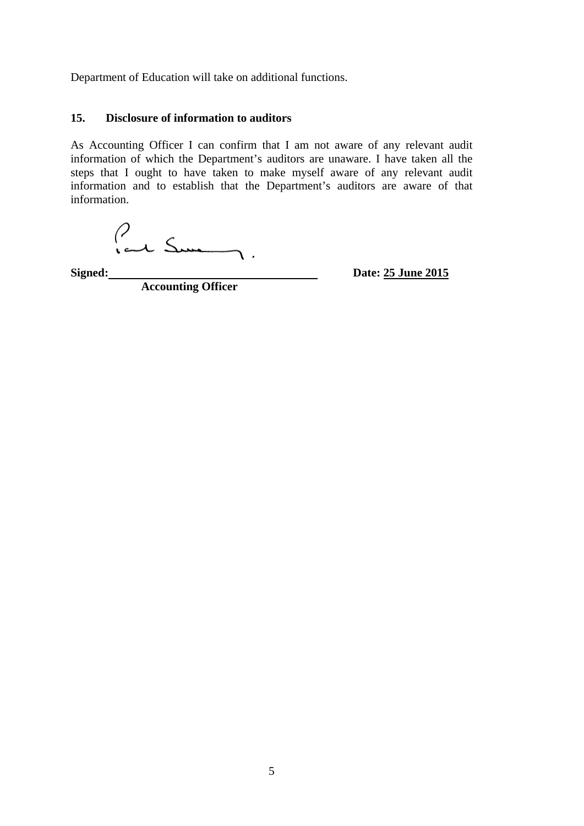Department of Education will take on additional functions.

#### **15. Disclosure of information to auditors**

As Accounting Officer I can confirm that I am not aware of any relevant audit information of which the Department's auditors are unaware. I have taken all the steps that I ought to have taken to make myself aware of any relevant audit information and to establish that the Department's auditors are aware of that information.

Signed: **Sime 2015** 

**Accounting Officer**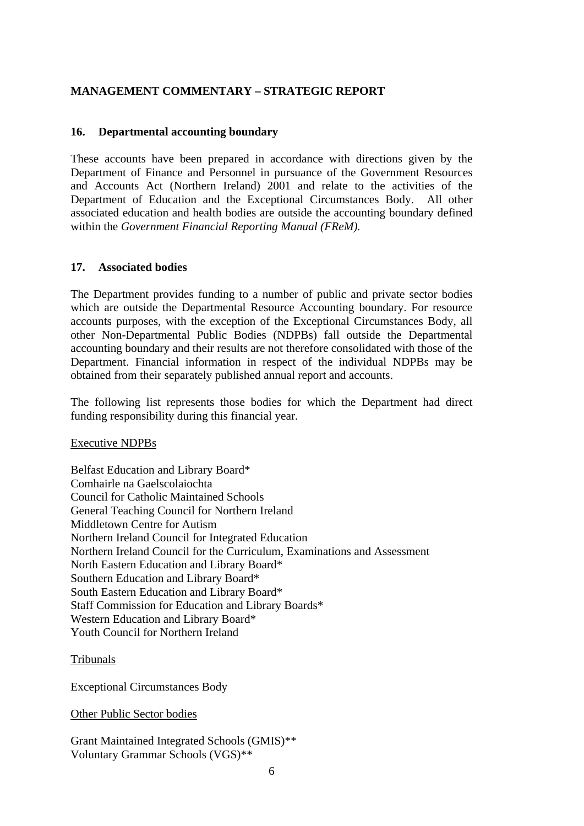## **MANAGEMENT COMMENTARY – STRATEGIC REPORT**

#### **16. Departmental accounting boundary**

These accounts have been prepared in accordance with directions given by the Department of Finance and Personnel in pursuance of the Government Resources and Accounts Act (Northern Ireland) 2001 and relate to the activities of the Department of Education and the Exceptional Circumstances Body. All other associated education and health bodies are outside the accounting boundary defined within the *Government Financial Reporting Manual (FReM).* 

#### **17. Associated bodies**

The Department provides funding to a number of public and private sector bodies which are outside the Departmental Resource Accounting boundary. For resource accounts purposes, with the exception of the Exceptional Circumstances Body, all other Non-Departmental Public Bodies (NDPBs) fall outside the Departmental accounting boundary and their results are not therefore consolidated with those of the Department. Financial information in respect of the individual NDPBs may be obtained from their separately published annual report and accounts.

The following list represents those bodies for which the Department had direct funding responsibility during this financial year.

Executive NDPBs

Belfast Education and Library Board\* Comhairle na Gaelscolaiochta Council for Catholic Maintained Schools General Teaching Council for Northern Ireland Middletown Centre for Autism Northern Ireland Council for Integrated Education Northern Ireland Council for the Curriculum, Examinations and Assessment North Eastern Education and Library Board\* Southern Education and Library Board\* South Eastern Education and Library Board\* Staff Commission for Education and Library Boards\* Western Education and Library Board\* Youth Council for Northern Ireland

#### Tribunals

Exceptional Circumstances Body

Other Public Sector bodies

Grant Maintained Integrated Schools (GMIS)\*\* Voluntary Grammar Schools (VGS)\*\*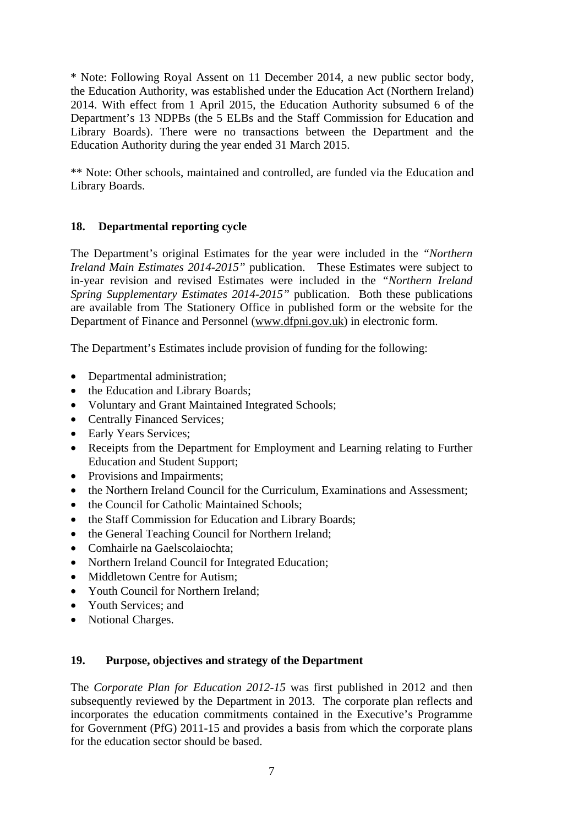\* Note: Following Royal Assent on 11 December 2014, a new public sector body, the Education Authority, was established under the Education Act (Northern Ireland) 2014. With effect from 1 April 2015, the Education Authority subsumed 6 of the Department's 13 NDPBs (the 5 ELBs and the Staff Commission for Education and Library Boards). There were no transactions between the Department and the Education Authority during the year ended 31 March 2015.

\*\* Note: Other schools, maintained and controlled, are funded via the Education and Library Boards.

## **18. Departmental reporting cycle**

The Department's original Estimates for the year were included in the *"Northern Ireland Main Estimates 2014-2015"* publication. These Estimates were subject to in-year revision and revised Estimates were included in the *"Northern Ireland Spring Supplementary Estimates 2014-2015"* publication. Both these publications are available from The Stationery Office in published form or the website for the Department of Finance and Personnel (www.dfpni.gov.uk) in electronic form.

The Department's Estimates include provision of funding for the following:

- Departmental administration;
- the Education and Library Boards;
- Voluntary and Grant Maintained Integrated Schools;
- Centrally Financed Services;
- Early Years Services;
- Receipts from the Department for Employment and Learning relating to Further Education and Student Support;
- Provisions and Impairments;
- the Northern Ireland Council for the Curriculum, Examinations and Assessment;
- the Council for Catholic Maintained Schools;
- the Staff Commission for Education and Library Boards;
- the General Teaching Council for Northern Ireland;
- Comhairle na Gaelscolaiochta;
- Northern Ireland Council for Integrated Education;
- Middletown Centre for Autism:
- Youth Council for Northern Ireland;
- Youth Services; and
- Notional Charges.

## **19. Purpose, objectives and strategy of the Department**

The *Corporate Plan for Education 2012-15* was first published in 2012 and then subsequently reviewed by the Department in 2013. The corporate plan reflects and incorporates the education commitments contained in the Executive's Programme for Government (PfG) 2011-15 and provides a basis from which the corporate plans for the education sector should be based.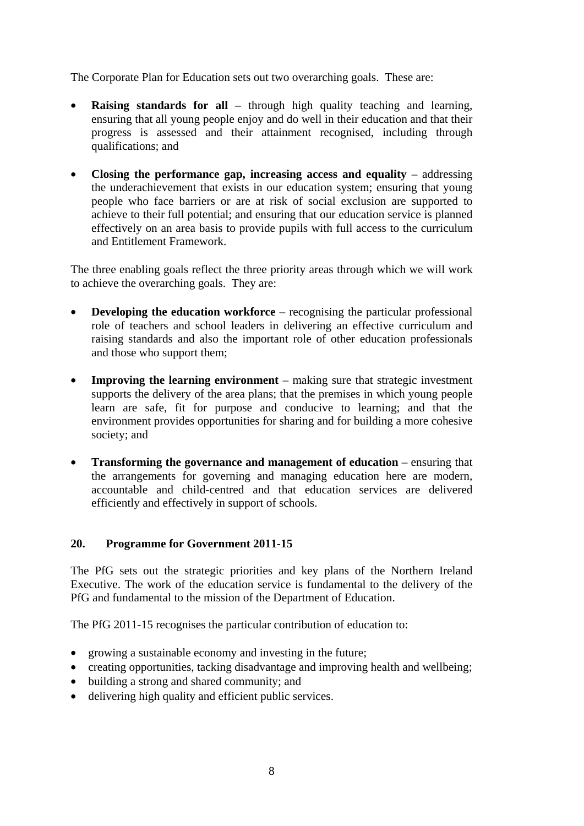The Corporate Plan for Education sets out two overarching goals. These are:

- **Raising standards for all** through high quality teaching and learning, ensuring that all young people enjoy and do well in their education and that their progress is assessed and their attainment recognised, including through qualifications; and
- **Closing the performance gap, increasing access and equality addressing** the underachievement that exists in our education system; ensuring that young people who face barriers or are at risk of social exclusion are supported to achieve to their full potential; and ensuring that our education service is planned effectively on an area basis to provide pupils with full access to the curriculum and Entitlement Framework.

The three enabling goals reflect the three priority areas through which we will work to achieve the overarching goals. They are:

- **Developing the education workforce** recognising the particular professional role of teachers and school leaders in delivering an effective curriculum and raising standards and also the important role of other education professionals and those who support them;
- **Improving the learning environment** making sure that strategic investment supports the delivery of the area plans; that the premises in which young people learn are safe, fit for purpose and conducive to learning; and that the environment provides opportunities for sharing and for building a more cohesive society; and
- **Transforming the governance and management of education** ensuring that the arrangements for governing and managing education here are modern, accountable and child-centred and that education services are delivered efficiently and effectively in support of schools.

## **20. Programme for Government 2011-15**

The PfG sets out the strategic priorities and key plans of the Northern Ireland Executive. The work of the education service is fundamental to the delivery of the PfG and fundamental to the mission of the Department of Education.

The PfG 2011-15 recognises the particular contribution of education to:

- growing a sustainable economy and investing in the future;
- creating opportunities, tacking disadvantage and improving health and wellbeing;
- building a strong and shared community; and
- delivering high quality and efficient public services.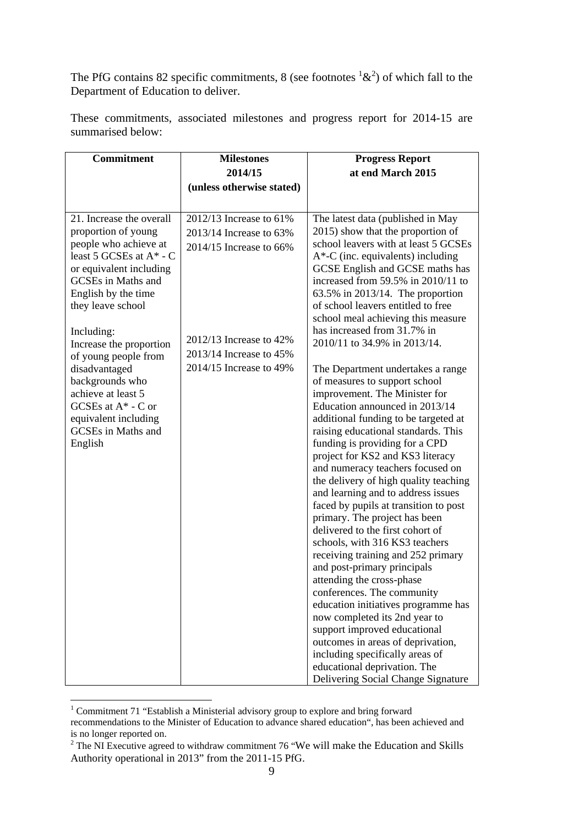The PfG contains 82 specific commitments, 8 (see footnotes  ${}^{1}x^{2}$ ) of which fall to the Department of Education to deliver.

| <b>Commitment</b>                                                                                                                                                                                                                            | <b>Milestones</b>                                                                                          | <b>Progress Report</b>                                                                                                                                                                                                                                                                                                                                                                                                                                                                                                                                                                                                                                                                                                                                                                                                                                                                                                                              |
|----------------------------------------------------------------------------------------------------------------------------------------------------------------------------------------------------------------------------------------------|------------------------------------------------------------------------------------------------------------|-----------------------------------------------------------------------------------------------------------------------------------------------------------------------------------------------------------------------------------------------------------------------------------------------------------------------------------------------------------------------------------------------------------------------------------------------------------------------------------------------------------------------------------------------------------------------------------------------------------------------------------------------------------------------------------------------------------------------------------------------------------------------------------------------------------------------------------------------------------------------------------------------------------------------------------------------------|
|                                                                                                                                                                                                                                              | 2014/15                                                                                                    | at end March 2015                                                                                                                                                                                                                                                                                                                                                                                                                                                                                                                                                                                                                                                                                                                                                                                                                                                                                                                                   |
|                                                                                                                                                                                                                                              | (unless otherwise stated)                                                                                  |                                                                                                                                                                                                                                                                                                                                                                                                                                                                                                                                                                                                                                                                                                                                                                                                                                                                                                                                                     |
|                                                                                                                                                                                                                                              |                                                                                                            |                                                                                                                                                                                                                                                                                                                                                                                                                                                                                                                                                                                                                                                                                                                                                                                                                                                                                                                                                     |
| 21. Increase the overall<br>proportion of young<br>people who achieve at<br>least 5 GCSEs at $A^*$ - C<br>or equivalent including<br>GCSEs in Maths and<br>English by the time<br>they leave school<br>Including:<br>Increase the proportion | $2012/13$ Increase to 61%<br>2013/14 Increase to 63%<br>2014/15 Increase to 66%<br>2012/13 Increase to 42% | The latest data (published in May<br>2015) show that the proportion of<br>school leavers with at least 5 GCSEs<br>$A^*$ -C (inc. equivalents) including<br>GCSE English and GCSE maths has<br>increased from $59.5\%$ in $2010/11$ to<br>$63.5\%$ in 2013/14. The proportion<br>of school leavers entitled to free<br>school meal achieving this measure<br>has increased from 31.7% in<br>2010/11 to 34.9% in 2013/14.                                                                                                                                                                                                                                                                                                                                                                                                                                                                                                                             |
| of young people from<br>disadvantaged<br>backgrounds who<br>achieve at least 5<br>GCSEs at $A^*$ - C or<br>equivalent including<br>GCSEs in Maths and<br>English                                                                             | 2013/14 Increase to 45%<br>2014/15 Increase to 49%                                                         | The Department undertakes a range<br>of measures to support school<br>improvement. The Minister for<br>Education announced in 2013/14<br>additional funding to be targeted at<br>raising educational standards. This<br>funding is providing for a CPD<br>project for KS2 and KS3 literacy<br>and numeracy teachers focused on<br>the delivery of high quality teaching<br>and learning and to address issues<br>faced by pupils at transition to post<br>primary. The project has been<br>delivered to the first cohort of<br>schools, with 316 KS3 teachers<br>receiving training and 252 primary<br>and post-primary principals<br>attending the cross-phase<br>conferences. The community<br>education initiatives programme has<br>now completed its 2nd year to<br>support improved educational<br>outcomes in areas of deprivation,<br>including specifically areas of<br>educational deprivation. The<br>Delivering Social Change Signature |

These commitments, associated milestones and progress report for 2014-15 are summarised below:

 1 Commitment 71 "Establish a Ministerial advisory group to explore and bring forward recommendations to the Minister of Education to advance shared education", has been achieved and is no longer reported on.

 $2$  The NI Executive agreed to withdraw commitment 76 "We will make the Education and Skills Authority operational in 2013" from the 2011-15 PfG.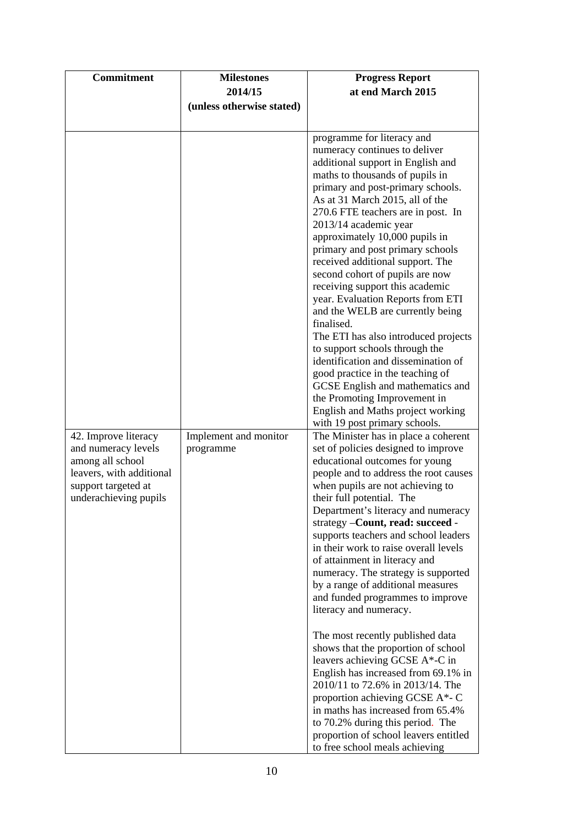| <b>Commitment</b>                                                                                                                           | <b>Milestones</b>                  | <b>Progress Report</b>                                                                                                                                                                                                                                                                                                                                                                                                                                                                                                                                                                                                                                                                                                                                                                                                                                                                                                                                                                                                                                                                                                                                                                                                                                                                                                                                                                                                                                                                                                                                                                                                                                                                                                |
|---------------------------------------------------------------------------------------------------------------------------------------------|------------------------------------|-----------------------------------------------------------------------------------------------------------------------------------------------------------------------------------------------------------------------------------------------------------------------------------------------------------------------------------------------------------------------------------------------------------------------------------------------------------------------------------------------------------------------------------------------------------------------------------------------------------------------------------------------------------------------------------------------------------------------------------------------------------------------------------------------------------------------------------------------------------------------------------------------------------------------------------------------------------------------------------------------------------------------------------------------------------------------------------------------------------------------------------------------------------------------------------------------------------------------------------------------------------------------------------------------------------------------------------------------------------------------------------------------------------------------------------------------------------------------------------------------------------------------------------------------------------------------------------------------------------------------------------------------------------------------------------------------------------------------|
|                                                                                                                                             | 2014/15                            | at end March 2015                                                                                                                                                                                                                                                                                                                                                                                                                                                                                                                                                                                                                                                                                                                                                                                                                                                                                                                                                                                                                                                                                                                                                                                                                                                                                                                                                                                                                                                                                                                                                                                                                                                                                                     |
|                                                                                                                                             | (unless otherwise stated)          |                                                                                                                                                                                                                                                                                                                                                                                                                                                                                                                                                                                                                                                                                                                                                                                                                                                                                                                                                                                                                                                                                                                                                                                                                                                                                                                                                                                                                                                                                                                                                                                                                                                                                                                       |
|                                                                                                                                             |                                    |                                                                                                                                                                                                                                                                                                                                                                                                                                                                                                                                                                                                                                                                                                                                                                                                                                                                                                                                                                                                                                                                                                                                                                                                                                                                                                                                                                                                                                                                                                                                                                                                                                                                                                                       |
| 42. Improve literacy<br>and numeracy levels<br>among all school<br>leavers, with additional<br>support targeted at<br>underachieving pupils | Implement and monitor<br>programme | programme for literacy and<br>numeracy continues to deliver<br>additional support in English and<br>maths to thousands of pupils in<br>primary and post-primary schools.<br>As at 31 March 2015, all of the<br>270.6 FTE teachers are in post. In<br>2013/14 academic year<br>approximately 10,000 pupils in<br>primary and post primary schools<br>received additional support. The<br>second cohort of pupils are now<br>receiving support this academic<br>year. Evaluation Reports from ETI<br>and the WELB are currently being<br>finalised.<br>The ETI has also introduced projects<br>to support schools through the<br>identification and dissemination of<br>good practice in the teaching of<br>GCSE English and mathematics and<br>the Promoting Improvement in<br>English and Maths project working<br>with 19 post primary schools.<br>The Minister has in place a coherent<br>set of policies designed to improve<br>educational outcomes for young<br>people and to address the root causes<br>when pupils are not achieving to<br>their full potential. The<br>Department's literacy and numeracy<br>strategy -Count, read: succeed -<br>supports teachers and school leaders<br>in their work to raise overall levels<br>of attainment in literacy and<br>numeracy. The strategy is supported<br>by a range of additional measures<br>and funded programmes to improve<br>literacy and numeracy.<br>The most recently published data<br>shows that the proportion of school<br>leavers achieving GCSE A*-C in<br>English has increased from 69.1% in<br>2010/11 to 72.6% in 2013/14. The<br>proportion achieving GCSE A*- C<br>in maths has increased from 65.4%<br>to 70.2% during this period. The |
|                                                                                                                                             |                                    | proportion of school leavers entitled<br>to free school meals achieving                                                                                                                                                                                                                                                                                                                                                                                                                                                                                                                                                                                                                                                                                                                                                                                                                                                                                                                                                                                                                                                                                                                                                                                                                                                                                                                                                                                                                                                                                                                                                                                                                                               |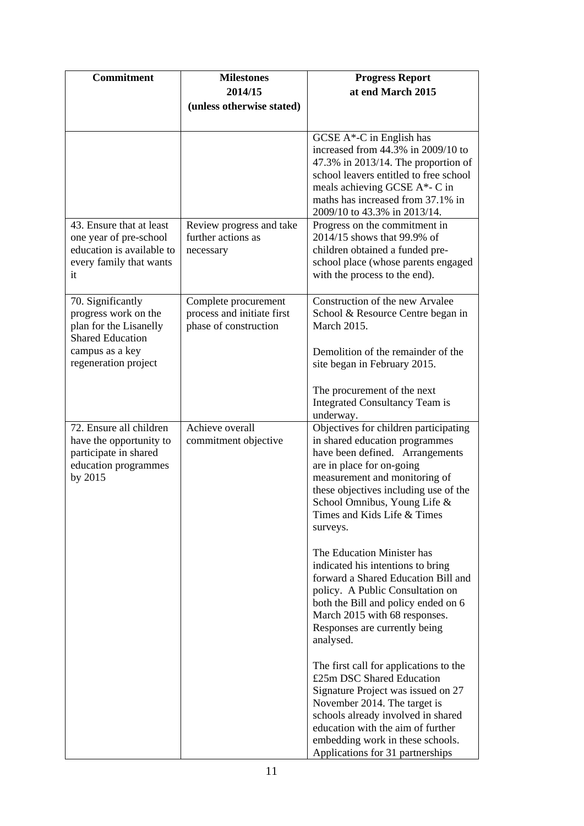| <b>Commitment</b>                                                                                                | <b>Milestones</b><br>2014/15<br>(unless otherwise stated)                   | <b>Progress Report</b><br>at end March 2015                                                                                                                                                                                                                                                  |
|------------------------------------------------------------------------------------------------------------------|-----------------------------------------------------------------------------|----------------------------------------------------------------------------------------------------------------------------------------------------------------------------------------------------------------------------------------------------------------------------------------------|
|                                                                                                                  |                                                                             | GCSE A*-C in English has<br>increased from 44.3% in 2009/10 to<br>47.3% in 2013/14. The proportion of<br>school leavers entitled to free school<br>meals achieving GCSE A*- C in<br>maths has increased from 37.1% in<br>2009/10 to 43.3% in 2013/14.                                        |
| 43. Ensure that at least<br>one year of pre-school<br>education is available to<br>every family that wants<br>it | Review progress and take<br>further actions as<br>necessary                 | Progress on the commitment in<br>2014/15 shows that 99.9% of<br>children obtained a funded pre-<br>school place (whose parents engaged<br>with the process to the end).                                                                                                                      |
| 70. Significantly<br>progress work on the<br>plan for the Lisanelly<br><b>Shared Education</b>                   | Complete procurement<br>process and initiate first<br>phase of construction | Construction of the new Arvalee<br>School & Resource Centre began in<br>March 2015.                                                                                                                                                                                                          |
| campus as a key<br>regeneration project                                                                          |                                                                             | Demolition of the remainder of the<br>site began in February 2015.                                                                                                                                                                                                                           |
|                                                                                                                  |                                                                             | The procurement of the next<br>Integrated Consultancy Team is<br>underway.                                                                                                                                                                                                                   |
| 72. Ensure all children<br>have the opportunity to<br>participate in shared<br>education programmes<br>by 2015   | Achieve overall<br>commitment objective                                     | Objectives for children participating<br>in shared education programmes<br>have been defined. Arrangements<br>are in place for on-going<br>measurement and monitoring of<br>these objectives including use of the<br>School Omnibus, Young Life &<br>Times and Kids Life & Times<br>surveys. |
|                                                                                                                  |                                                                             | The Education Minister has<br>indicated his intentions to bring<br>forward a Shared Education Bill and<br>policy. A Public Consultation on<br>both the Bill and policy ended on 6<br>March 2015 with 68 responses.<br>Responses are currently being<br>analysed.                             |
|                                                                                                                  |                                                                             | The first call for applications to the<br>£25m DSC Shared Education<br>Signature Project was issued on 27<br>November 2014. The target is<br>schools already involved in shared<br>education with the aim of further<br>embedding work in these schools.<br>Applications for 31 partnerships |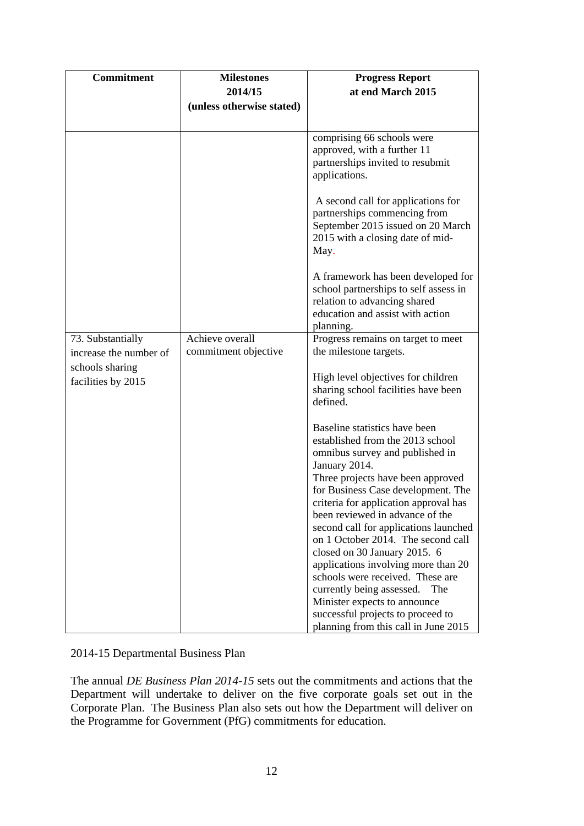| Commitment             | <b>Milestones</b>         | <b>Progress Report</b>                                                                                    |
|------------------------|---------------------------|-----------------------------------------------------------------------------------------------------------|
|                        | 2014/15                   | at end March 2015                                                                                         |
|                        |                           |                                                                                                           |
|                        | (unless otherwise stated) |                                                                                                           |
|                        |                           |                                                                                                           |
|                        |                           | comprising 66 schools were                                                                                |
|                        |                           | approved, with a further 11                                                                               |
|                        |                           | partnerships invited to resubmit                                                                          |
|                        |                           | applications.                                                                                             |
|                        |                           | A second call for applications for                                                                        |
|                        |                           | partnerships commencing from                                                                              |
|                        |                           | September 2015 issued on 20 March                                                                         |
|                        |                           | 2015 with a closing date of mid-                                                                          |
|                        |                           | May.                                                                                                      |
|                        |                           | A framework has been developed for                                                                        |
|                        |                           | school partnerships to self assess in                                                                     |
|                        |                           | relation to advancing shared                                                                              |
|                        |                           | education and assist with action                                                                          |
|                        |                           | planning.                                                                                                 |
| 73. Substantially      | Achieve overall           | Progress remains on target to meet                                                                        |
| increase the number of | commitment objective      | the milestone targets.                                                                                    |
| schools sharing        |                           |                                                                                                           |
| facilities by 2015     |                           | High level objectives for children                                                                        |
|                        |                           | sharing school facilities have been                                                                       |
|                        |                           | defined.                                                                                                  |
|                        |                           | Baseline statistics have been                                                                             |
|                        |                           | established from the 2013 school                                                                          |
|                        |                           | omnibus survey and published in                                                                           |
|                        |                           | January 2014.                                                                                             |
|                        |                           | Three projects have been approved                                                                         |
|                        |                           | for Business Case development. The                                                                        |
|                        |                           | criteria for application approval has                                                                     |
|                        |                           | been reviewed in advance of the                                                                           |
|                        |                           | second call for applications launched                                                                     |
|                        |                           | on 1 October 2014. The second call                                                                        |
|                        |                           | closed on 30 January 2015. 6                                                                              |
|                        |                           | applications involving more than 20                                                                       |
|                        |                           | schools were received. These are                                                                          |
|                        |                           | currently being assessed.<br>The                                                                          |
|                        |                           |                                                                                                           |
|                        |                           |                                                                                                           |
|                        |                           | Minister expects to announce<br>successful projects to proceed to<br>planning from this call in June 2015 |

## 2014-15 Departmental Business Plan

The annual *DE Business Plan 2014-15* sets out the commitments and actions that the Department will undertake to deliver on the five corporate goals set out in the Corporate Plan. The Business Plan also sets out how the Department will deliver on the Programme for Government (PfG) commitments for education.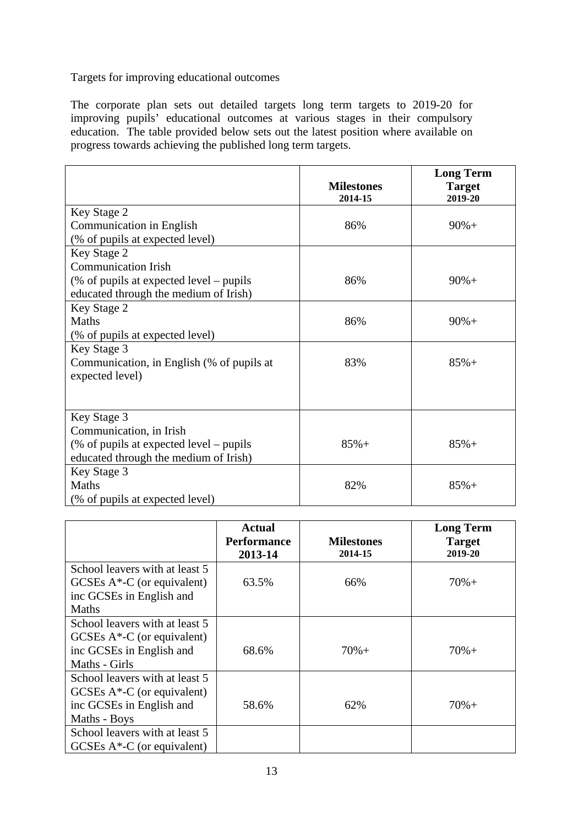Targets for improving educational outcomes

The corporate plan sets out detailed targets long term targets to 2019-20 for improving pupils' educational outcomes at various stages in their compulsory education. The table provided below sets out the latest position where available on progress towards achieving the published long term targets.

|                                           | <b>Milestones</b> | <b>Long Term</b><br><b>Target</b> |
|-------------------------------------------|-------------------|-----------------------------------|
|                                           | 2014-15           | 2019-20                           |
| Key Stage 2                               |                   |                                   |
| Communication in English                  | 86%               | $90% +$                           |
| (% of pupils at expected level)           |                   |                                   |
| Key Stage 2                               |                   |                                   |
| <b>Communication Irish</b>                |                   |                                   |
| (% of pupils at expected level – pupils   | 86%               | $90% +$                           |
| educated through the medium of Irish)     |                   |                                   |
| Key Stage 2                               |                   |                                   |
| Maths                                     | 86%               | $90% +$                           |
| (% of pupils at expected level)           |                   |                                   |
| Key Stage 3                               |                   |                                   |
| Communication, in English (% of pupils at | 83%               | $85%+$                            |
| expected level)                           |                   |                                   |
|                                           |                   |                                   |
|                                           |                   |                                   |
| Key Stage 3                               |                   |                                   |
| Communication, in Irish                   |                   |                                   |
| $%$ of pupils at expected level – pupils  | $85%+$            | $85% +$                           |
| educated through the medium of Irish)     |                   |                                   |
| Key Stage 3                               |                   |                                   |
| <b>Maths</b>                              | 82%               | $85% +$                           |
| (% of pupils at expected level)           |                   |                                   |

|                                | <b>Actual</b>                 |                              | <b>Long Term</b>         |
|--------------------------------|-------------------------------|------------------------------|--------------------------|
|                                | <b>Performance</b><br>2013-14 | <b>Milestones</b><br>2014-15 | <b>Target</b><br>2019-20 |
| School leavers with at least 5 |                               |                              |                          |
| GCSEs $A^*$ -C (or equivalent) | 63.5%                         | 66%                          | $70% +$                  |
| inc GCSEs in English and       |                               |                              |                          |
| Maths                          |                               |                              |                          |
| School leavers with at least 5 |                               |                              |                          |
| GCSEs $A^*$ -C (or equivalent) |                               |                              |                          |
| inc GCSEs in English and       | 68.6%                         | $70% +$                      | $70% +$                  |
| Maths - Girls                  |                               |                              |                          |
| School leavers with at least 5 |                               |                              |                          |
| GCSEs $A^*$ -C (or equivalent) |                               |                              |                          |
| inc GCSEs in English and       | 58.6%                         | 62%                          | $70% +$                  |
| Maths - Boys                   |                               |                              |                          |
| School leavers with at least 5 |                               |                              |                          |
| GCSEs $A^*$ -C (or equivalent) |                               |                              |                          |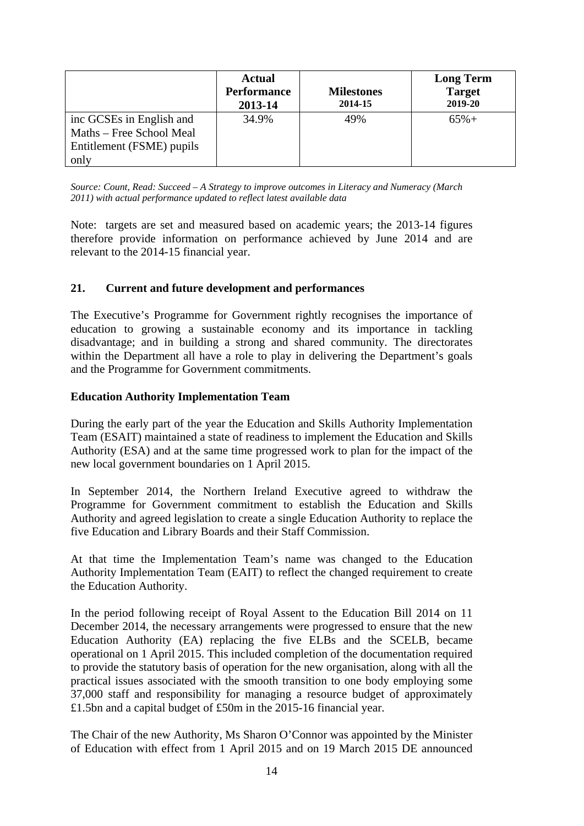|                                                                                   | <b>Actual</b><br><b>Performance</b><br>2013-14 | <b>Milestones</b><br>2014-15 | <b>Long Term</b><br><b>Target</b><br>2019-20 |
|-----------------------------------------------------------------------------------|------------------------------------------------|------------------------------|----------------------------------------------|
| inc GCSEs in English and<br>Maths – Free School Meal<br>Entitlement (FSME) pupils | 34.9%                                          | 49%                          | $65%+$                                       |
| only                                                                              |                                                |                              |                                              |

*Source: Count, Read: Succeed – A Strategy to improve outcomes in Literacy and Numeracy (March 2011) with actual performance updated to reflect latest available data*

Note: targets are set and measured based on academic years; the 2013-14 figures therefore provide information on performance achieved by June 2014 and are relevant to the 2014-15 financial year.

### **21. Current and future development and performances**

The Executive's Programme for Government rightly recognises the importance of education to growing a sustainable economy and its importance in tackling disadvantage; and in building a strong and shared community. The directorates within the Department all have a role to play in delivering the Department's goals and the Programme for Government commitments.

#### **Education Authority Implementation Team**

During the early part of the year the Education and Skills Authority Implementation Team (ESAIT) maintained a state of readiness to implement the Education and Skills Authority (ESA) and at the same time progressed work to plan for the impact of the new local government boundaries on 1 April 2015.

In September 2014, the Northern Ireland Executive agreed to withdraw the Programme for Government commitment to establish the Education and Skills Authority and agreed legislation to create a single Education Authority to replace the five Education and Library Boards and their Staff Commission.

At that time the Implementation Team's name was changed to the Education Authority Implementation Team (EAIT) to reflect the changed requirement to create the Education Authority.

In the period following receipt of Royal Assent to the Education Bill 2014 on 11 December 2014, the necessary arrangements were progressed to ensure that the new Education Authority (EA) replacing the five ELBs and the SCELB, became operational on 1 April 2015. This included completion of the documentation required to provide the statutory basis of operation for the new organisation, along with all the practical issues associated with the smooth transition to one body employing some 37,000 staff and responsibility for managing a resource budget of approximately £1.5bn and a capital budget of £50m in the 2015-16 financial year.

The Chair of the new Authority, Ms Sharon O'Connor was appointed by the Minister of Education with effect from 1 April 2015 and on 19 March 2015 DE announced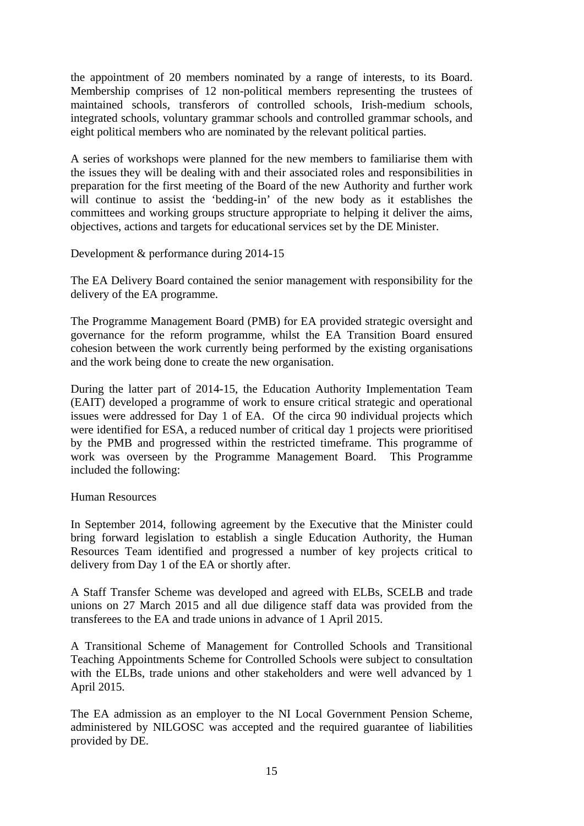the appointment of 20 members nominated by a range of interests, to its Board. Membership comprises of 12 non-political members representing the trustees of maintained schools, transferors of controlled schools, Irish-medium schools, integrated schools, voluntary grammar schools and controlled grammar schools, and eight political members who are nominated by the relevant political parties.

A series of workshops were planned for the new members to familiarise them with the issues they will be dealing with and their associated roles and responsibilities in preparation for the first meeting of the Board of the new Authority and further work will continue to assist the 'bedding-in' of the new body as it establishes the committees and working groups structure appropriate to helping it deliver the aims, objectives, actions and targets for educational services set by the DE Minister.

Development & performance during 2014-15

The EA Delivery Board contained the senior management with responsibility for the delivery of the EA programme.

The Programme Management Board (PMB) for EA provided strategic oversight and governance for the reform programme, whilst the EA Transition Board ensured cohesion between the work currently being performed by the existing organisations and the work being done to create the new organisation.

During the latter part of 2014-15, the Education Authority Implementation Team (EAIT) developed a programme of work to ensure critical strategic and operational issues were addressed for Day 1 of EA. Of the circa 90 individual projects which were identified for ESA, a reduced number of critical day 1 projects were prioritised by the PMB and progressed within the restricted timeframe. This programme of work was overseen by the Programme Management Board. This Programme included the following:

#### Human Resources

In September 2014, following agreement by the Executive that the Minister could bring forward legislation to establish a single Education Authority, the Human Resources Team identified and progressed a number of key projects critical to delivery from Day 1 of the EA or shortly after.

A Staff Transfer Scheme was developed and agreed with ELBs, SCELB and trade unions on 27 March 2015 and all due diligence staff data was provided from the transferees to the EA and trade unions in advance of 1 April 2015.

A Transitional Scheme of Management for Controlled Schools and Transitional Teaching Appointments Scheme for Controlled Schools were subject to consultation with the ELBs, trade unions and other stakeholders and were well advanced by 1 April 2015.

The EA admission as an employer to the NI Local Government Pension Scheme, administered by NILGOSC was accepted and the required guarantee of liabilities provided by DE.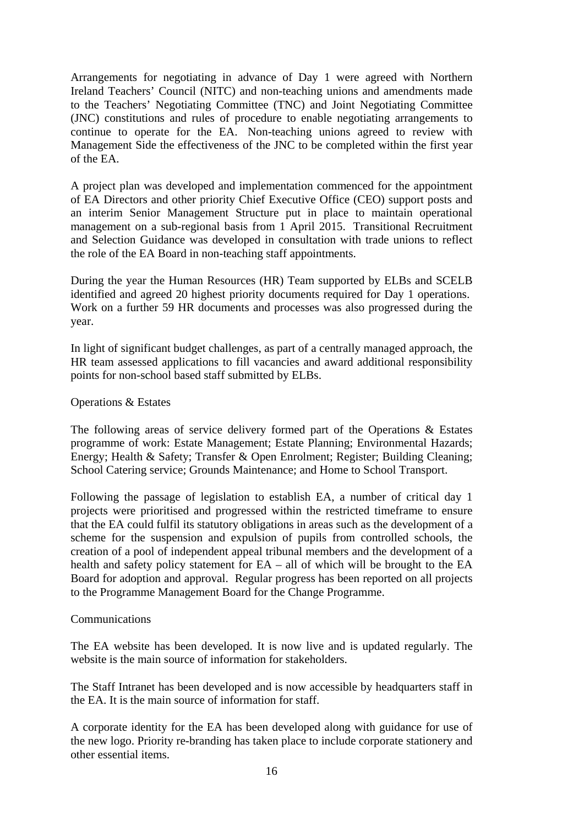Arrangements for negotiating in advance of Day 1 were agreed with Northern Ireland Teachers' Council (NITC) and non-teaching unions and amendments made to the Teachers' Negotiating Committee (TNC) and Joint Negotiating Committee (JNC) constitutions and rules of procedure to enable negotiating arrangements to continue to operate for the EA. Non-teaching unions agreed to review with Management Side the effectiveness of the JNC to be completed within the first year of the EA.

A project plan was developed and implementation commenced for the appointment of EA Directors and other priority Chief Executive Office (CEO) support posts and an interim Senior Management Structure put in place to maintain operational management on a sub-regional basis from 1 April 2015. Transitional Recruitment and Selection Guidance was developed in consultation with trade unions to reflect the role of the EA Board in non-teaching staff appointments.

During the year the Human Resources (HR) Team supported by ELBs and SCELB identified and agreed 20 highest priority documents required for Day 1 operations. Work on a further 59 HR documents and processes was also progressed during the year.

In light of significant budget challenges, as part of a centrally managed approach, the HR team assessed applications to fill vacancies and award additional responsibility points for non-school based staff submitted by ELBs.

#### Operations & Estates

The following areas of service delivery formed part of the Operations & Estates programme of work: Estate Management; Estate Planning; Environmental Hazards; Energy; Health & Safety; Transfer & Open Enrolment; Register; Building Cleaning; School Catering service; Grounds Maintenance; and Home to School Transport.

Following the passage of legislation to establish EA, a number of critical day 1 projects were prioritised and progressed within the restricted timeframe to ensure that the EA could fulfil its statutory obligations in areas such as the development of a scheme for the suspension and expulsion of pupils from controlled schools, the creation of a pool of independent appeal tribunal members and the development of a health and safety policy statement for EA – all of which will be brought to the EA Board for adoption and approval. Regular progress has been reported on all projects to the Programme Management Board for the Change Programme.

#### Communications

The EA website has been developed. It is now live and is updated regularly. The website is the main source of information for stakeholders.

The Staff Intranet has been developed and is now accessible by headquarters staff in the EA. It is the main source of information for staff.

A corporate identity for the EA has been developed along with guidance for use of the new logo. Priority re-branding has taken place to include corporate stationery and other essential items.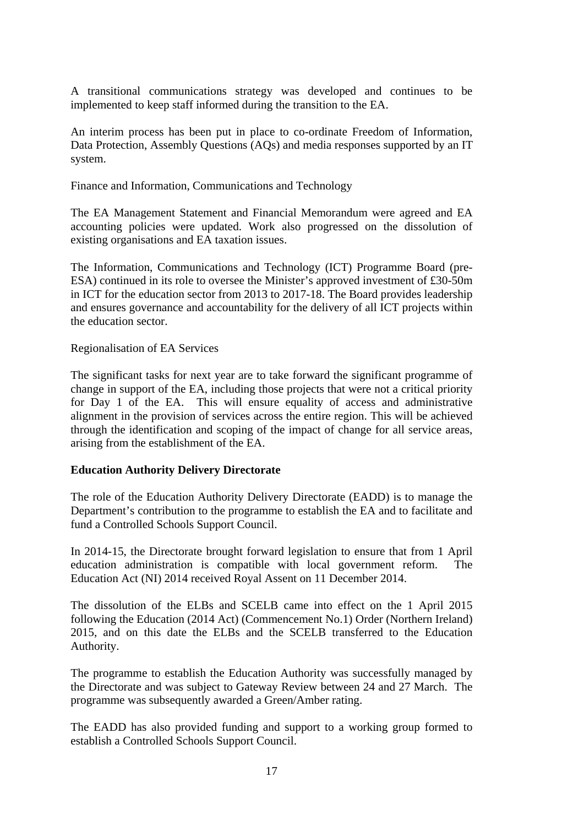A transitional communications strategy was developed and continues to be implemented to keep staff informed during the transition to the EA.

An interim process has been put in place to co-ordinate Freedom of Information, Data Protection, Assembly Questions (AQs) and media responses supported by an IT system.

Finance and Information, Communications and Technology

The EA Management Statement and Financial Memorandum were agreed and EA accounting policies were updated. Work also progressed on the dissolution of existing organisations and EA taxation issues.

The Information, Communications and Technology (ICT) Programme Board (pre-ESA) continued in its role to oversee the Minister's approved investment of £30-50m in ICT for the education sector from 2013 to 2017-18. The Board provides leadership and ensures governance and accountability for the delivery of all ICT projects within the education sector.

Regionalisation of EA Services

The significant tasks for next year are to take forward the significant programme of change in support of the EA, including those projects that were not a critical priority for Day 1 of the EA. This will ensure equality of access and administrative alignment in the provision of services across the entire region. This will be achieved through the identification and scoping of the impact of change for all service areas, arising from the establishment of the EA.

## **Education Authority Delivery Directorate**

The role of the Education Authority Delivery Directorate (EADD) is to manage the Department's contribution to the programme to establish the EA and to facilitate and fund a Controlled Schools Support Council.

In 2014-15, the Directorate brought forward legislation to ensure that from 1 April education administration is compatible with local government reform. The Education Act (NI) 2014 received Royal Assent on 11 December 2014.

The dissolution of the ELBs and SCELB came into effect on the 1 April 2015 following the Education (2014 Act) (Commencement No.1) Order (Northern Ireland) 2015, and on this date the ELBs and the SCELB transferred to the Education Authority.

The programme to establish the Education Authority was successfully managed by the Directorate and was subject to Gateway Review between 24 and 27 March. The programme was subsequently awarded a Green/Amber rating.

The EADD has also provided funding and support to a working group formed to establish a Controlled Schools Support Council.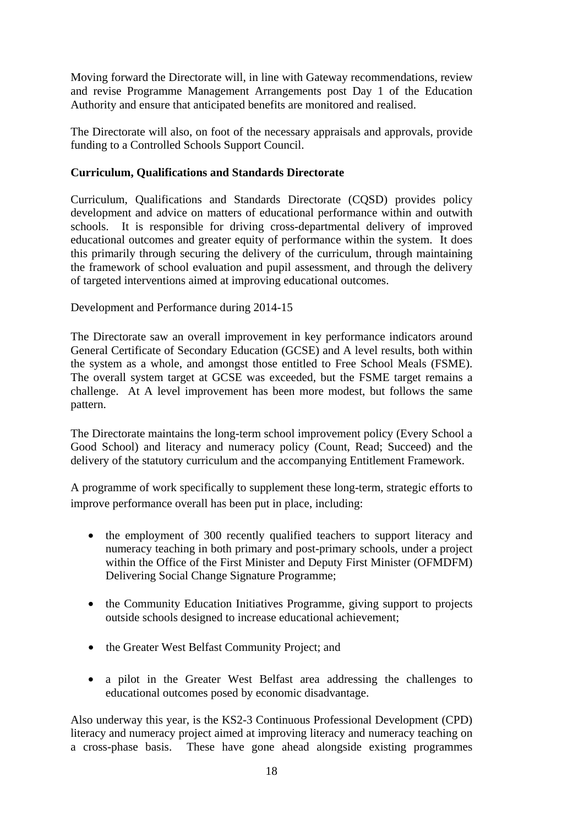Moving forward the Directorate will, in line with Gateway recommendations, review and revise Programme Management Arrangements post Day 1 of the Education Authority and ensure that anticipated benefits are monitored and realised.

The Directorate will also, on foot of the necessary appraisals and approvals, provide funding to a Controlled Schools Support Council.

## **Curriculum, Qualifications and Standards Directorate**

Curriculum, Qualifications and Standards Directorate (CQSD) provides policy development and advice on matters of educational performance within and outwith schools. It is responsible for driving cross-departmental delivery of improved educational outcomes and greater equity of performance within the system. It does this primarily through securing the delivery of the curriculum, through maintaining the framework of school evaluation and pupil assessment, and through the delivery of targeted interventions aimed at improving educational outcomes.

Development and Performance during 2014-15

The Directorate saw an overall improvement in key performance indicators around General Certificate of Secondary Education (GCSE) and A level results, both within the system as a whole, and amongst those entitled to Free School Meals (FSME). The overall system target at GCSE was exceeded, but the FSME target remains a challenge. At A level improvement has been more modest, but follows the same pattern.

The Directorate maintains the long-term school improvement policy (Every School a Good School) and literacy and numeracy policy (Count, Read; Succeed) and the delivery of the statutory curriculum and the accompanying Entitlement Framework.

A programme of work specifically to supplement these long-term, strategic efforts to improve performance overall has been put in place, including:

- the employment of 300 recently qualified teachers to support literacy and numeracy teaching in both primary and post-primary schools, under a project within the Office of the First Minister and Deputy First Minister (OFMDFM) Delivering Social Change Signature Programme;
- the Community Education Initiatives Programme, giving support to projects outside schools designed to increase educational achievement;
- the Greater West Belfast Community Project; and
- a pilot in the Greater West Belfast area addressing the challenges to educational outcomes posed by economic disadvantage.

Also underway this year, is the KS2-3 Continuous Professional Development (CPD) literacy and numeracy project aimed at improving literacy and numeracy teaching on a cross-phase basis. These have gone ahead alongside existing programmes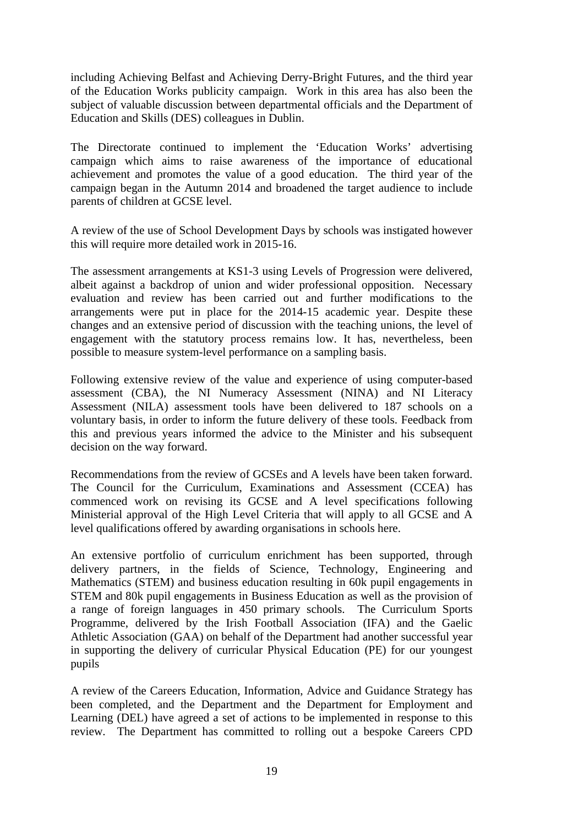including Achieving Belfast and Achieving Derry-Bright Futures, and the third year of the Education Works publicity campaign. Work in this area has also been the subject of valuable discussion between departmental officials and the Department of Education and Skills (DES) colleagues in Dublin.

The Directorate continued to implement the 'Education Works' advertising campaign which aims to raise awareness of the importance of educational achievement and promotes the value of a good education. The third year of the campaign began in the Autumn 2014 and broadened the target audience to include parents of children at GCSE level.

A review of the use of School Development Days by schools was instigated however this will require more detailed work in 2015-16.

The assessment arrangements at KS1-3 using Levels of Progression were delivered, albeit against a backdrop of union and wider professional opposition. Necessary evaluation and review has been carried out and further modifications to the arrangements were put in place for the 2014-15 academic year. Despite these changes and an extensive period of discussion with the teaching unions, the level of engagement with the statutory process remains low. It has, nevertheless, been possible to measure system-level performance on a sampling basis.

Following extensive review of the value and experience of using computer-based assessment (CBA), the NI Numeracy Assessment (NINA) and NI Literacy Assessment (NILA) assessment tools have been delivered to 187 schools on a voluntary basis, in order to inform the future delivery of these tools. Feedback from this and previous years informed the advice to the Minister and his subsequent decision on the way forward.

Recommendations from the review of GCSEs and A levels have been taken forward. The Council for the Curriculum, Examinations and Assessment (CCEA) has commenced work on revising its GCSE and A level specifications following Ministerial approval of the High Level Criteria that will apply to all GCSE and A level qualifications offered by awarding organisations in schools here.

An extensive portfolio of curriculum enrichment has been supported, through delivery partners, in the fields of Science, Technology, Engineering and Mathematics (STEM) and business education resulting in 60k pupil engagements in STEM and 80k pupil engagements in Business Education as well as the provision of a range of foreign languages in 450 primary schools. The Curriculum Sports Programme, delivered by the Irish Football Association (IFA) and the Gaelic Athletic Association (GAA) on behalf of the Department had another successful year in supporting the delivery of curricular Physical Education (PE) for our youngest pupils

A review of the Careers Education, Information, Advice and Guidance Strategy has been completed, and the Department and the Department for Employment and Learning (DEL) have agreed a set of actions to be implemented in response to this review. The Department has committed to rolling out a bespoke Careers CPD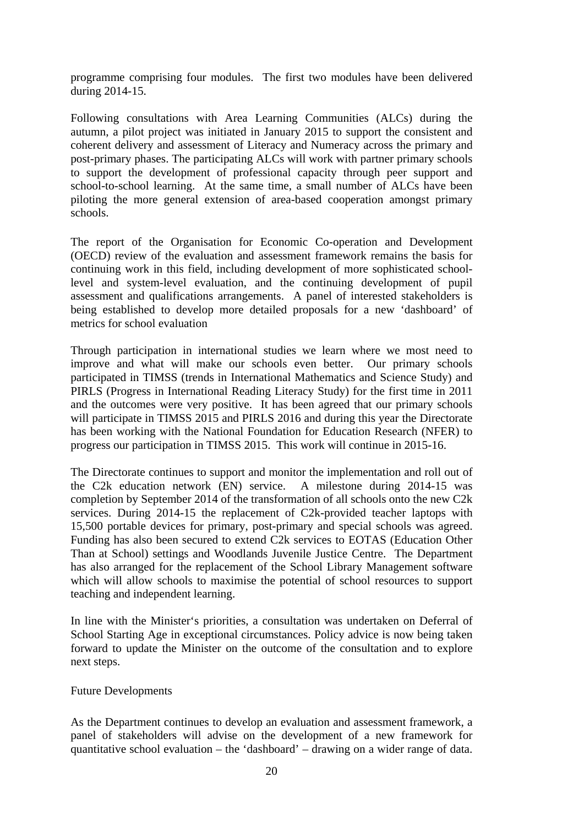programme comprising four modules. The first two modules have been delivered during 2014-15.

Following consultations with Area Learning Communities (ALCs) during the autumn, a pilot project was initiated in January 2015 to support the consistent and coherent delivery and assessment of Literacy and Numeracy across the primary and post-primary phases. The participating ALCs will work with partner primary schools to support the development of professional capacity through peer support and school-to-school learning. At the same time, a small number of ALCs have been piloting the more general extension of area-based cooperation amongst primary schools.

The report of the Organisation for Economic Co-operation and Development (OECD) review of the evaluation and assessment framework remains the basis for continuing work in this field, including development of more sophisticated schoollevel and system-level evaluation, and the continuing development of pupil assessment and qualifications arrangements. A panel of interested stakeholders is being established to develop more detailed proposals for a new 'dashboard' of metrics for school evaluation

Through participation in international studies we learn where we most need to improve and what will make our schools even better. Our primary schools participated in TIMSS (trends in International Mathematics and Science Study) and PIRLS (Progress in International Reading Literacy Study) for the first time in 2011 and the outcomes were very positive. It has been agreed that our primary schools will participate in TIMSS 2015 and PIRLS 2016 and during this year the Directorate has been working with the National Foundation for Education Research (NFER) to progress our participation in TIMSS 2015. This work will continue in 2015-16.

The Directorate continues to support and monitor the implementation and roll out of the C2k education network (EN) service. A milestone during 2014-15 was completion by September 2014 of the transformation of all schools onto the new C2k services. During 2014-15 the replacement of C2k-provided teacher laptops with 15,500 portable devices for primary, post-primary and special schools was agreed. Funding has also been secured to extend C2k services to EOTAS (Education Other Than at School) settings and Woodlands Juvenile Justice Centre. The Department has also arranged for the replacement of the School Library Management software which will allow schools to maximise the potential of school resources to support teaching and independent learning.

In line with the Minister's priorities, a consultation was undertaken on Deferral of School Starting Age in exceptional circumstances. Policy advice is now being taken forward to update the Minister on the outcome of the consultation and to explore next steps.

#### Future Developments

As the Department continues to develop an evaluation and assessment framework, a panel of stakeholders will advise on the development of a new framework for quantitative school evaluation – the 'dashboard' – drawing on a wider range of data.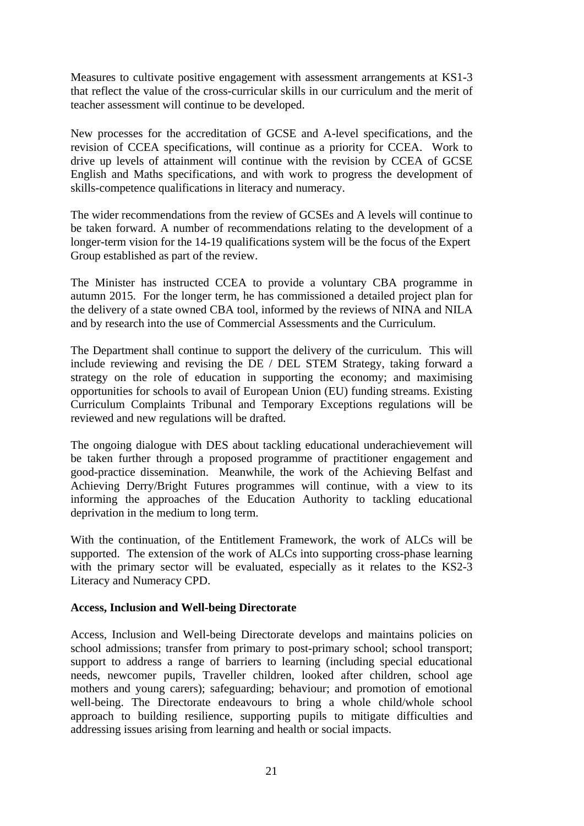Measures to cultivate positive engagement with assessment arrangements at KS1-3 that reflect the value of the cross-curricular skills in our curriculum and the merit of teacher assessment will continue to be developed.

New processes for the accreditation of GCSE and A-level specifications, and the revision of CCEA specifications, will continue as a priority for CCEA. Work to drive up levels of attainment will continue with the revision by CCEA of GCSE English and Maths specifications, and with work to progress the development of skills-competence qualifications in literacy and numeracy.

The wider recommendations from the review of GCSEs and A levels will continue to be taken forward. A number of recommendations relating to the development of a longer-term vision for the 14-19 qualifications system will be the focus of the Expert Group established as part of the review.

The Minister has instructed CCEA to provide a voluntary CBA programme in autumn 2015. For the longer term, he has commissioned a detailed project plan for the delivery of a state owned CBA tool, informed by the reviews of NINA and NILA and by research into the use of Commercial Assessments and the Curriculum.

The Department shall continue to support the delivery of the curriculum. This will include reviewing and revising the DE / DEL STEM Strategy, taking forward a strategy on the role of education in supporting the economy; and maximising opportunities for schools to avail of European Union (EU) funding streams. Existing Curriculum Complaints Tribunal and Temporary Exceptions regulations will be reviewed and new regulations will be drafted.

The ongoing dialogue with DES about tackling educational underachievement will be taken further through a proposed programme of practitioner engagement and good-practice dissemination. Meanwhile, the work of the Achieving Belfast and Achieving Derry/Bright Futures programmes will continue, with a view to its informing the approaches of the Education Authority to tackling educational deprivation in the medium to long term.

With the continuation, of the Entitlement Framework, the work of ALCs will be supported. The extension of the work of ALCs into supporting cross-phase learning with the primary sector will be evaluated, especially as it relates to the KS2-3 Literacy and Numeracy CPD.

#### **Access, Inclusion and Well-being Directorate**

Access, Inclusion and Well-being Directorate develops and maintains policies on school admissions; transfer from primary to post-primary school; school transport; support to address a range of barriers to learning (including special educational needs, newcomer pupils, Traveller children, looked after children, school age mothers and young carers); safeguarding; behaviour; and promotion of emotional well-being. The Directorate endeavours to bring a whole child/whole school approach to building resilience, supporting pupils to mitigate difficulties and addressing issues arising from learning and health or social impacts.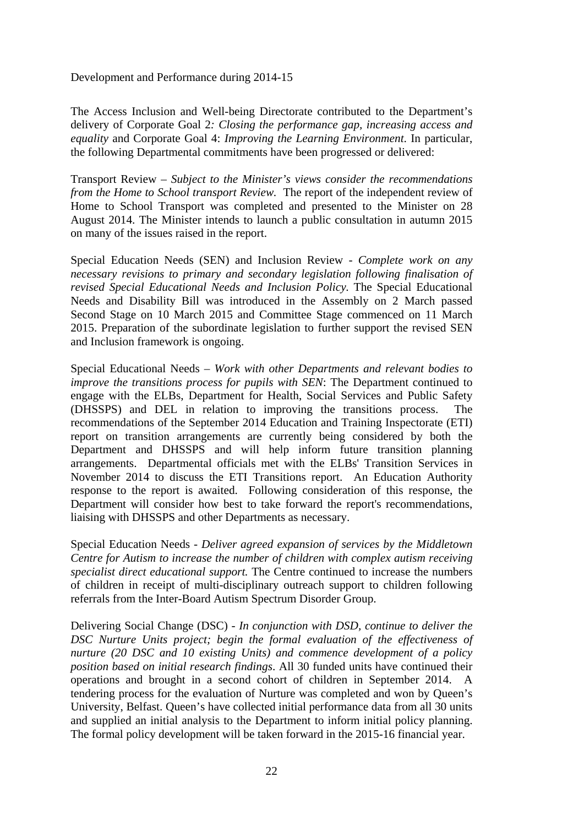Development and Performance during 2014-15

The Access Inclusion and Well-being Directorate contributed to the Department's delivery of Corporate Goal 2*: Closing the performance gap, increasing access and equality* and Corporate Goal 4: *Improving the Learning Environment*. In particular, the following Departmental commitments have been progressed or delivered:

Transport Review – *Subject to the Minister's views consider the recommendations from the Home to School transport Review.* The report of the independent review of Home to School Transport was completed and presented to the Minister on 28 August 2014. The Minister intends to launch a public consultation in autumn 2015 on many of the issues raised in the report.

Special Education Needs (SEN) and Inclusion Review - *Complete work on any necessary revisions to primary and secondary legislation following finalisation of revised Special Educational Needs and Inclusion Policy.* The Special Educational Needs and Disability Bill was introduced in the Assembly on 2 March passed Second Stage on 10 March 2015 and Committee Stage commenced on 11 March 2015. Preparation of the subordinate legislation to further support the revised SEN and Inclusion framework is ongoing.

Special Educational Needs – *Work with other Departments and relevant bodies to improve the transitions process for pupils with SEN*: The Department continued to engage with the ELBs, Department for Health, Social Services and Public Safety (DHSSPS) and DEL in relation to improving the transitions process. The recommendations of the September 2014 Education and Training Inspectorate (ETI) report on transition arrangements are currently being considered by both the Department and DHSSPS and will help inform future transition planning arrangements. Departmental officials met with the ELBs' Transition Services in November 2014 to discuss the ETI Transitions report. An Education Authority response to the report is awaited. Following consideration of this response, the Department will consider how best to take forward the report's recommendations, liaising with DHSSPS and other Departments as necessary.

Special Education Needs - *Deliver agreed expansion of services by the Middletown Centre for Autism to increase the number of children with complex autism receiving specialist direct educational support.* The Centre continued to increase the numbers of children in receipt of multi-disciplinary outreach support to children following referrals from the Inter-Board Autism Spectrum Disorder Group.

Delivering Social Change (DSC) - *In conjunction with DSD, continue to deliver the DSC Nurture Units project; begin the formal evaluation of the effectiveness of nurture (20 DSC and 10 existing Units) and commence development of a policy position based on initial research findings*. All 30 funded units have continued their operations and brought in a second cohort of children in September 2014. A tendering process for the evaluation of Nurture was completed and won by Queen's University, Belfast. Queen's have collected initial performance data from all 30 units and supplied an initial analysis to the Department to inform initial policy planning. The formal policy development will be taken forward in the 2015-16 financial year.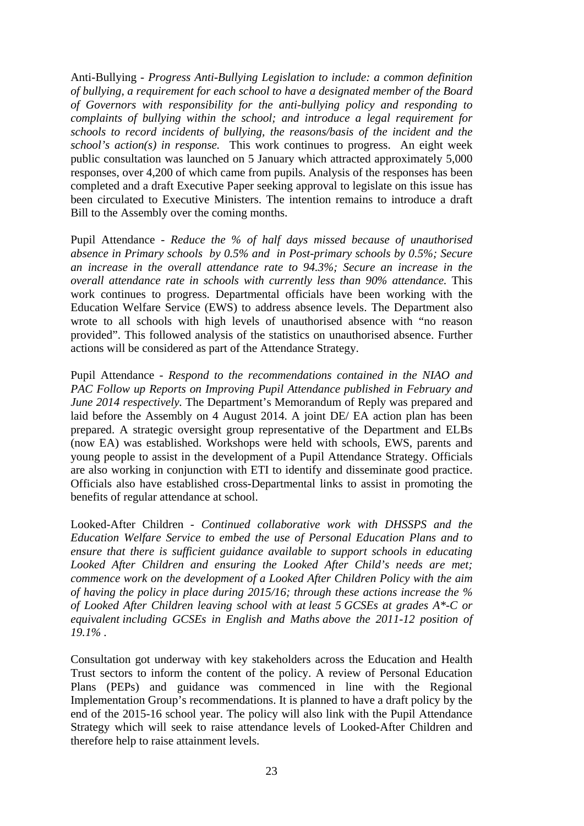Anti-Bullying - *Progress Anti-Bullying Legislation to include: a common definition of bullying, a requirement for each school to have a designated member of the Board of Governors with responsibility for the anti-bullying policy and responding to complaints of bullying within the school; and introduce a legal requirement for schools to record incidents of bullying, the reasons/basis of the incident and the school's action(s) in response.* This work continues to progress. An eight week public consultation was launched on 5 January which attracted approximately 5,000 responses, over 4,200 of which came from pupils. Analysis of the responses has been completed and a draft Executive Paper seeking approval to legislate on this issue has been circulated to Executive Ministers. The intention remains to introduce a draft Bill to the Assembly over the coming months.

Pupil Attendance - *Reduce the % of half days missed because of unauthorised absence in Primary schools by 0.5% and in Post-primary schools by 0.5%; Secure an increase in the overall attendance rate to 94.3%; Secure an increase in the overall attendance rate in schools with currently less than 90% attendance.* This work continues to progress. Departmental officials have been working with the Education Welfare Service (EWS) to address absence levels. The Department also wrote to all schools with high levels of unauthorised absence with "no reason provided". This followed analysis of the statistics on unauthorised absence. Further actions will be considered as part of the Attendance Strategy.

Pupil Attendance *- Respond to the recommendations contained in the NIAO and PAC Follow up Reports on Improving Pupil Attendance published in February and June 2014 respectively.* The Department's Memorandum of Reply was prepared and laid before the Assembly on 4 August 2014. A joint DE/ EA action plan has been prepared. A strategic oversight group representative of the Department and ELBs (now EA) was established. Workshops were held with schools, EWS, parents and young people to assist in the development of a Pupil Attendance Strategy. Officials are also working in conjunction with ETI to identify and disseminate good practice. Officials also have established cross-Departmental links to assist in promoting the benefits of regular attendance at school.

Looked-After Children *- Continued collaborative work with DHSSPS and the Education Welfare Service to embed the use of Personal Education Plans and to ensure that there is sufficient guidance available to support schools in educating*  Looked After Children and ensuring the Looked After Child's needs are met; *commence work on the development of a Looked After Children Policy with the aim of having the policy in place during 2015/16; through these actions increase the % of Looked After Children leaving school with at least 5 GCSEs at grades A\*-C or equivalent including GCSEs in English and Maths above the 2011-12 position of 19.1% .* 

Consultation got underway with key stakeholders across the Education and Health Trust sectors to inform the content of the policy. A review of Personal Education Plans (PEPs) and guidance was commenced in line with the Regional Implementation Group's recommendations. It is planned to have a draft policy by the end of the 2015-16 school year. The policy will also link with the Pupil Attendance Strategy which will seek to raise attendance levels of Looked-After Children and therefore help to raise attainment levels.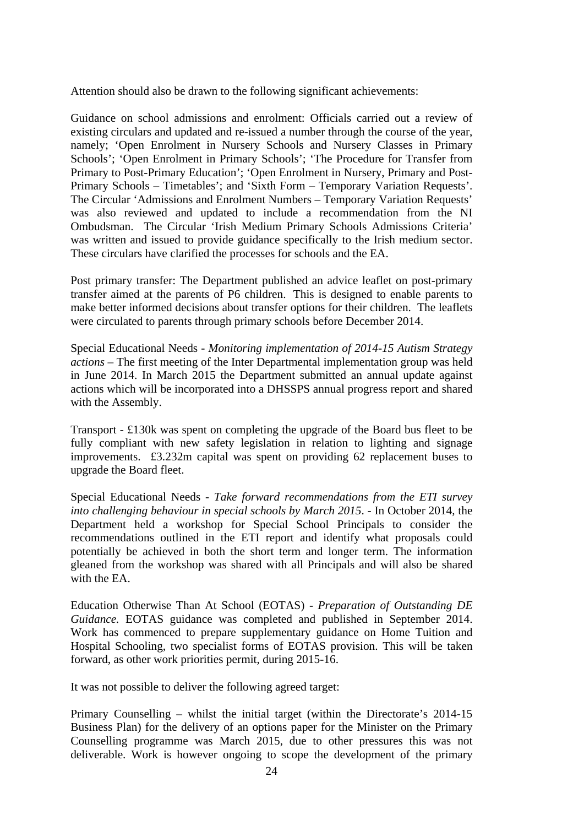Attention should also be drawn to the following significant achievements:

Guidance on school admissions and enrolment: Officials carried out a review of existing circulars and updated and re-issued a number through the course of the year, namely; 'Open Enrolment in Nursery Schools and Nursery Classes in Primary Schools'; 'Open Enrolment in Primary Schools'; 'The Procedure for Transfer from Primary to Post-Primary Education'; 'Open Enrolment in Nursery, Primary and Post-Primary Schools – Timetables'; and 'Sixth Form – Temporary Variation Requests'. The Circular 'Admissions and Enrolment Numbers – Temporary Variation Requests' was also reviewed and updated to include a recommendation from the NI Ombudsman. The Circular 'Irish Medium Primary Schools Admissions Criteria' was written and issued to provide guidance specifically to the Irish medium sector. These circulars have clarified the processes for schools and the EA.

Post primary transfer: The Department published an advice leaflet on post-primary transfer aimed at the parents of P6 children. This is designed to enable parents to make better informed decisions about transfer options for their children. The leaflets were circulated to parents through primary schools before December 2014.

Special Educational Needs - *Monitoring implementation of 2014-15 Autism Strategy actions* – The first meeting of the Inter Departmental implementation group was held in June 2014. In March 2015 the Department submitted an annual update against actions which will be incorporated into a DHSSPS annual progress report and shared with the Assembly.

Transport - £130k was spent on completing the upgrade of the Board bus fleet to be fully compliant with new safety legislation in relation to lighting and signage improvements. £3.232m capital was spent on providing 62 replacement buses to upgrade the Board fleet.

Special Educational Needs - *Take forward recommendations from the ETI survey into challenging behaviour in special schools by March 2015*. - In October 2014, the Department held a workshop for Special School Principals to consider the recommendations outlined in the ETI report and identify what proposals could potentially be achieved in both the short term and longer term. The information gleaned from the workshop was shared with all Principals and will also be shared with the EA.

Education Otherwise Than At School (EOTAS) - *Preparation of Outstanding DE Guidance.* EOTAS guidance was completed and published in September 2014. Work has commenced to prepare supplementary guidance on Home Tuition and Hospital Schooling, two specialist forms of EOTAS provision. This will be taken forward, as other work priorities permit, during 2015-16.

It was not possible to deliver the following agreed target:

Primary Counselling – whilst the initial target (within the Directorate's 2014-15 Business Plan) for the delivery of an options paper for the Minister on the Primary Counselling programme was March 2015, due to other pressures this was not deliverable. Work is however ongoing to scope the development of the primary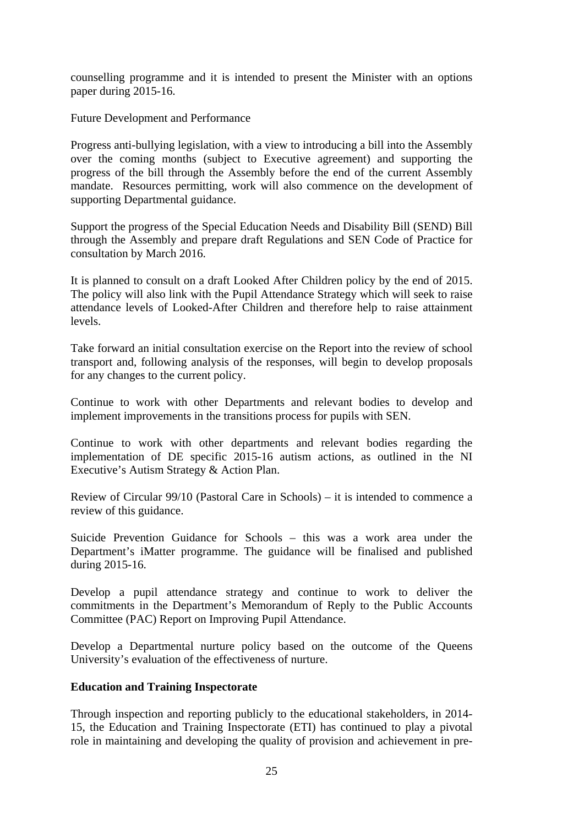counselling programme and it is intended to present the Minister with an options paper during 2015-16.

Future Development and Performance

Progress anti-bullying legislation, with a view to introducing a bill into the Assembly over the coming months (subject to Executive agreement) and supporting the progress of the bill through the Assembly before the end of the current Assembly mandate. Resources permitting, work will also commence on the development of supporting Departmental guidance.

Support the progress of the Special Education Needs and Disability Bill (SEND) Bill through the Assembly and prepare draft Regulations and SEN Code of Practice for consultation by March 2016.

It is planned to consult on a draft Looked After Children policy by the end of 2015. The policy will also link with the Pupil Attendance Strategy which will seek to raise attendance levels of Looked-After Children and therefore help to raise attainment levels.

Take forward an initial consultation exercise on the Report into the review of school transport and, following analysis of the responses, will begin to develop proposals for any changes to the current policy.

Continue to work with other Departments and relevant bodies to develop and implement improvements in the transitions process for pupils with SEN.

Continue to work with other departments and relevant bodies regarding the implementation of DE specific 2015-16 autism actions, as outlined in the NI Executive's Autism Strategy & Action Plan.

Review of Circular 99/10 (Pastoral Care in Schools) – it is intended to commence a review of this guidance.

Suicide Prevention Guidance for Schools – this was a work area under the Department's iMatter programme. The guidance will be finalised and published during 2015-16.

Develop a pupil attendance strategy and continue to work to deliver the commitments in the Department's Memorandum of Reply to the Public Accounts Committee (PAC) Report on Improving Pupil Attendance.

Develop a Departmental nurture policy based on the outcome of the Queens University's evaluation of the effectiveness of nurture.

#### **Education and Training Inspectorate**

Through inspection and reporting publicly to the educational stakeholders, in 2014- 15, the Education and Training Inspectorate (ETI) has continued to play a pivotal role in maintaining and developing the quality of provision and achievement in pre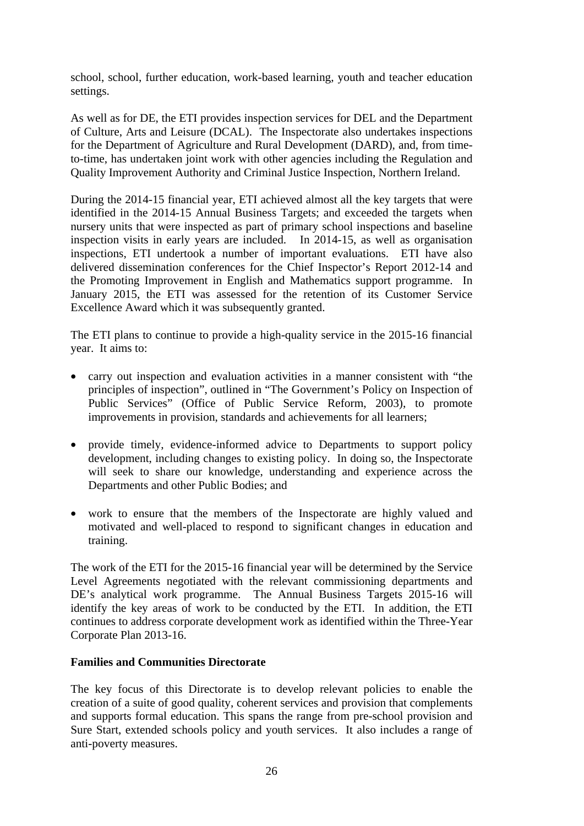school, school, further education, work-based learning, youth and teacher education settings.

As well as for DE, the ETI provides inspection services for DEL and the Department of Culture, Arts and Leisure (DCAL). The Inspectorate also undertakes inspections for the Department of Agriculture and Rural Development (DARD), and, from timeto-time, has undertaken joint work with other agencies including the Regulation and Quality Improvement Authority and Criminal Justice Inspection, Northern Ireland.

During the 2014-15 financial year, ETI achieved almost all the key targets that were identified in the 2014-15 Annual Business Targets; and exceeded the targets when nursery units that were inspected as part of primary school inspections and baseline inspection visits in early years are included. In 2014-15, as well as organisation inspections, ETI undertook a number of important evaluations. ETI have also delivered dissemination conferences for the Chief Inspector's Report 2012-14 and the Promoting Improvement in English and Mathematics support programme. In January 2015, the ETI was assessed for the retention of its Customer Service Excellence Award which it was subsequently granted.

The ETI plans to continue to provide a high-quality service in the 2015-16 financial year. It aims to:

- carry out inspection and evaluation activities in a manner consistent with "the principles of inspection", outlined in "The Government's Policy on Inspection of Public Services" (Office of Public Service Reform, 2003), to promote improvements in provision, standards and achievements for all learners;
- provide timely, evidence-informed advice to Departments to support policy development, including changes to existing policy. In doing so, the Inspectorate will seek to share our knowledge, understanding and experience across the Departments and other Public Bodies; and
- work to ensure that the members of the Inspectorate are highly valued and motivated and well-placed to respond to significant changes in education and training.

The work of the ETI for the 2015-16 financial year will be determined by the Service Level Agreements negotiated with the relevant commissioning departments and DE's analytical work programme. The Annual Business Targets 2015-16 will identify the key areas of work to be conducted by the ETI. In addition, the ETI continues to address corporate development work as identified within the Three-Year Corporate Plan 2013-16.

#### **Families and Communities Directorate**

The key focus of this Directorate is to develop relevant policies to enable the creation of a suite of good quality, coherent services and provision that complements and supports formal education. This spans the range from pre-school provision and Sure Start, extended schools policy and youth services. It also includes a range of anti-poverty measures.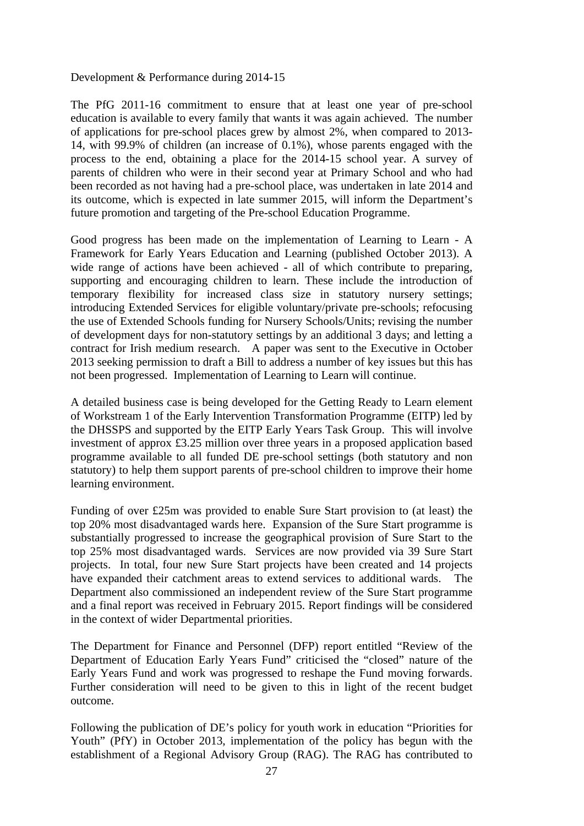#### Development & Performance during 2014-15

The PfG 2011-16 commitment to ensure that at least one year of pre-school education is available to every family that wants it was again achieved. The number of applications for pre-school places grew by almost 2%, when compared to 2013- 14, with 99.9% of children (an increase of 0.1%), whose parents engaged with the process to the end, obtaining a place for the 2014-15 school year. A survey of parents of children who were in their second year at Primary School and who had been recorded as not having had a pre-school place, was undertaken in late 2014 and its outcome, which is expected in late summer 2015, will inform the Department's future promotion and targeting of the Pre-school Education Programme.

Good progress has been made on the implementation of Learning to Learn - A Framework for Early Years Education and Learning (published October 2013). A wide range of actions have been achieved - all of which contribute to preparing, supporting and encouraging children to learn. These include the introduction of temporary flexibility for increased class size in statutory nursery settings; introducing Extended Services for eligible voluntary/private pre-schools; refocusing the use of Extended Schools funding for Nursery Schools/Units; revising the number of development days for non-statutory settings by an additional 3 days; and letting a contract for Irish medium research. A paper was sent to the Executive in October 2013 seeking permission to draft a Bill to address a number of key issues but this has not been progressed. Implementation of Learning to Learn will continue.

A detailed business case is being developed for the Getting Ready to Learn element of Workstream 1 of the Early Intervention Transformation Programme (EITP) led by the DHSSPS and supported by the EITP Early Years Task Group. This will involve investment of approx £3.25 million over three years in a proposed application based programme available to all funded DE pre-school settings (both statutory and non statutory) to help them support parents of pre-school children to improve their home learning environment.

Funding of over £25m was provided to enable Sure Start provision to (at least) the top 20% most disadvantaged wards here. Expansion of the Sure Start programme is substantially progressed to increase the geographical provision of Sure Start to the top 25% most disadvantaged wards. Services are now provided via 39 Sure Start projects. In total, four new Sure Start projects have been created and 14 projects have expanded their catchment areas to extend services to additional wards. The Department also commissioned an independent review of the Sure Start programme and a final report was received in February 2015. Report findings will be considered in the context of wider Departmental priorities.

The Department for Finance and Personnel (DFP) report entitled "Review of the Department of Education Early Years Fund" criticised the "closed" nature of the Early Years Fund and work was progressed to reshape the Fund moving forwards. Further consideration will need to be given to this in light of the recent budget outcome.

Following the publication of DE's policy for youth work in education "Priorities for Youth" (PfY) in October 2013, implementation of the policy has begun with the establishment of a Regional Advisory Group (RAG). The RAG has contributed to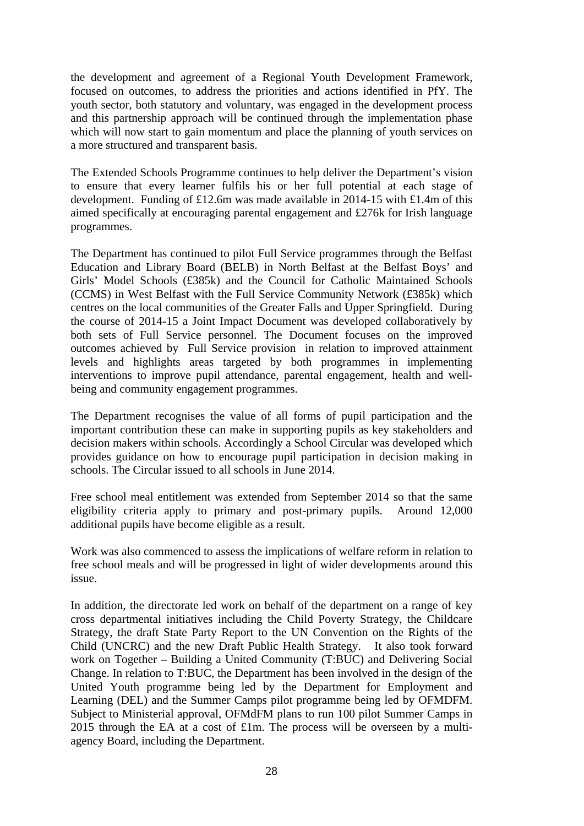the development and agreement of a Regional Youth Development Framework, focused on outcomes, to address the priorities and actions identified in PfY. The youth sector, both statutory and voluntary, was engaged in the development process and this partnership approach will be continued through the implementation phase which will now start to gain momentum and place the planning of youth services on a more structured and transparent basis.

The Extended Schools Programme continues to help deliver the Department's vision to ensure that every learner fulfils his or her full potential at each stage of development. Funding of £12.6m was made available in 2014-15 with £1.4m of this aimed specifically at encouraging parental engagement and £276k for Irish language programmes.

The Department has continued to pilot Full Service programmes through the Belfast Education and Library Board (BELB) in North Belfast at the Belfast Boys' and Girls' Model Schools (£385k) and the Council for Catholic Maintained Schools (CCMS) in West Belfast with the Full Service Community Network (£385k) which centres on the local communities of the Greater Falls and Upper Springfield. During the course of 2014-15 a Joint Impact Document was developed collaboratively by both sets of Full Service personnel. The Document focuses on the improved outcomes achieved by Full Service provision in relation to improved attainment levels and highlights areas targeted by both programmes in implementing interventions to improve pupil attendance, parental engagement, health and wellbeing and community engagement programmes.

The Department recognises the value of all forms of pupil participation and the important contribution these can make in supporting pupils as key stakeholders and decision makers within schools. Accordingly a School Circular was developed which provides guidance on how to encourage pupil participation in decision making in schools. The Circular issued to all schools in June 2014.

Free school meal entitlement was extended from September 2014 so that the same eligibility criteria apply to primary and post-primary pupils. Around 12,000 additional pupils have become eligible as a result.

Work was also commenced to assess the implications of welfare reform in relation to free school meals and will be progressed in light of wider developments around this issue.

In addition, the directorate led work on behalf of the department on a range of key cross departmental initiatives including the Child Poverty Strategy, the Childcare Strategy, the draft State Party Report to the UN Convention on the Rights of the Child (UNCRC) and the new Draft Public Health Strategy. It also took forward work on Together – Building a United Community (T:BUC) and Delivering Social Change. In relation to T:BUC, the Department has been involved in the design of the United Youth programme being led by the Department for Employment and Learning (DEL) and the Summer Camps pilot programme being led by OFMDFM. Subject to Ministerial approval, OFMdFM plans to run 100 pilot Summer Camps in 2015 through the EA at a cost of  $£1m$ . The process will be overseen by a multiagency Board, including the Department.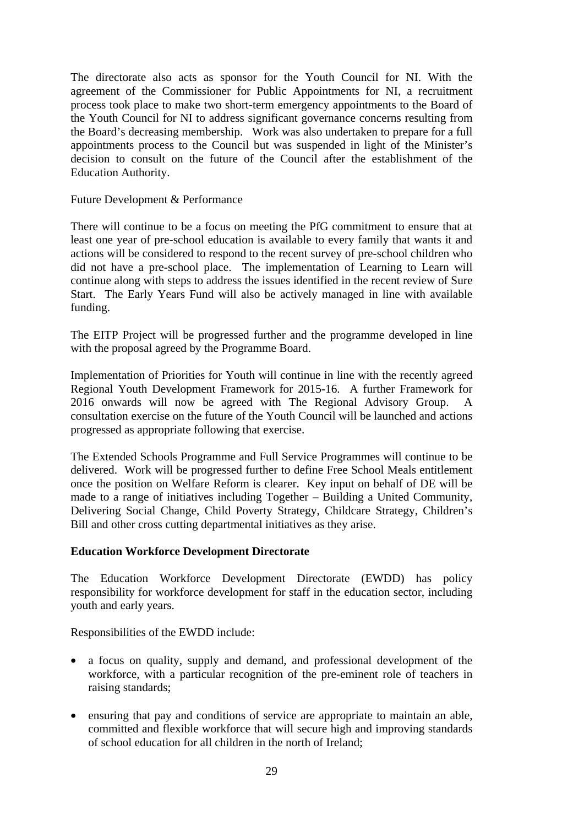The directorate also acts as sponsor for the Youth Council for NI. With the agreement of the Commissioner for Public Appointments for NI, a recruitment process took place to make two short-term emergency appointments to the Board of the Youth Council for NI to address significant governance concerns resulting from the Board's decreasing membership. Work was also undertaken to prepare for a full appointments process to the Council but was suspended in light of the Minister's decision to consult on the future of the Council after the establishment of the Education Authority.

Future Development & Performance

There will continue to be a focus on meeting the PfG commitment to ensure that at least one year of pre-school education is available to every family that wants it and actions will be considered to respond to the recent survey of pre-school children who did not have a pre-school place. The implementation of Learning to Learn will continue along with steps to address the issues identified in the recent review of Sure Start. The Early Years Fund will also be actively managed in line with available funding.

The EITP Project will be progressed further and the programme developed in line with the proposal agreed by the Programme Board.

Implementation of Priorities for Youth will continue in line with the recently agreed Regional Youth Development Framework for 2015-16. A further Framework for 2016 onwards will now be agreed with The Regional Advisory Group. A consultation exercise on the future of the Youth Council will be launched and actions progressed as appropriate following that exercise.

The Extended Schools Programme and Full Service Programmes will continue to be delivered. Work will be progressed further to define Free School Meals entitlement once the position on Welfare Reform is clearer. Key input on behalf of DE will be made to a range of initiatives including Together – Building a United Community, Delivering Social Change, Child Poverty Strategy, Childcare Strategy, Children's Bill and other cross cutting departmental initiatives as they arise.

## **Education Workforce Development Directorate**

The Education Workforce Development Directorate (EWDD) has policy responsibility for workforce development for staff in the education sector, including youth and early years.

Responsibilities of the EWDD include:

- a focus on quality, supply and demand, and professional development of the workforce, with a particular recognition of the pre-eminent role of teachers in raising standards;
- ensuring that pay and conditions of service are appropriate to maintain an able, committed and flexible workforce that will secure high and improving standards of school education for all children in the north of Ireland;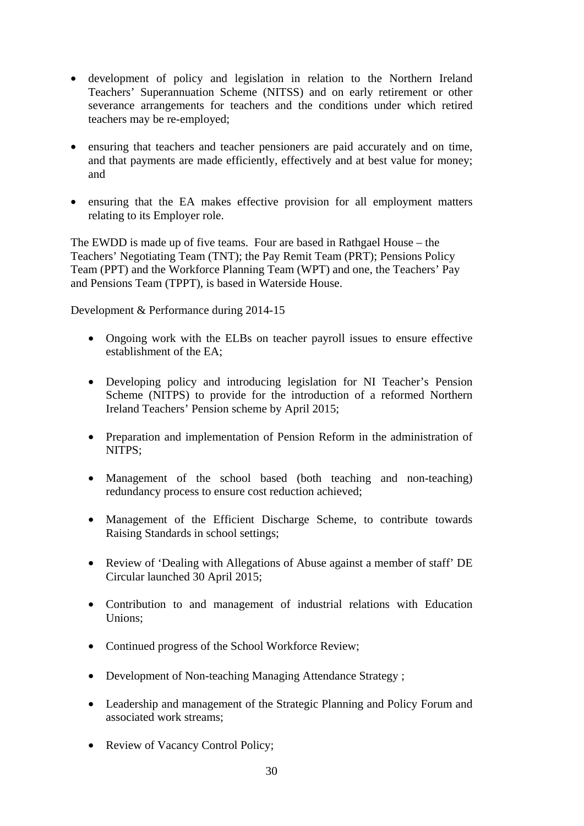- development of policy and legislation in relation to the Northern Ireland Teachers' Superannuation Scheme (NITSS) and on early retirement or other severance arrangements for teachers and the conditions under which retired teachers may be re-employed;
- ensuring that teachers and teacher pensioners are paid accurately and on time, and that payments are made efficiently, effectively and at best value for money; and
- ensuring that the EA makes effective provision for all employment matters relating to its Employer role.

The EWDD is made up of five teams. Four are based in Rathgael House – the Teachers' Negotiating Team (TNT); the Pay Remit Team (PRT); Pensions Policy Team (PPT) and the Workforce Planning Team (WPT) and one, the Teachers' Pay and Pensions Team (TPPT), is based in Waterside House.

Development & Performance during 2014-15

- Ongoing work with the ELBs on teacher payroll issues to ensure effective establishment of the EA;
- Developing policy and introducing legislation for NI Teacher's Pension Scheme (NITPS) to provide for the introduction of a reformed Northern Ireland Teachers' Pension scheme by April 2015;
- Preparation and implementation of Pension Reform in the administration of NITPS;
- Management of the school based (both teaching and non-teaching) redundancy process to ensure cost reduction achieved;
- Management of the Efficient Discharge Scheme, to contribute towards Raising Standards in school settings;
- Review of 'Dealing with Allegations of Abuse against a member of staff' DE Circular launched 30 April 2015;
- Contribution to and management of industrial relations with Education Unions;
- Continued progress of the School Workforce Review;
- Development of Non-teaching Managing Attendance Strategy;
- Leadership and management of the Strategic Planning and Policy Forum and associated work streams;
- Review of Vacancy Control Policy;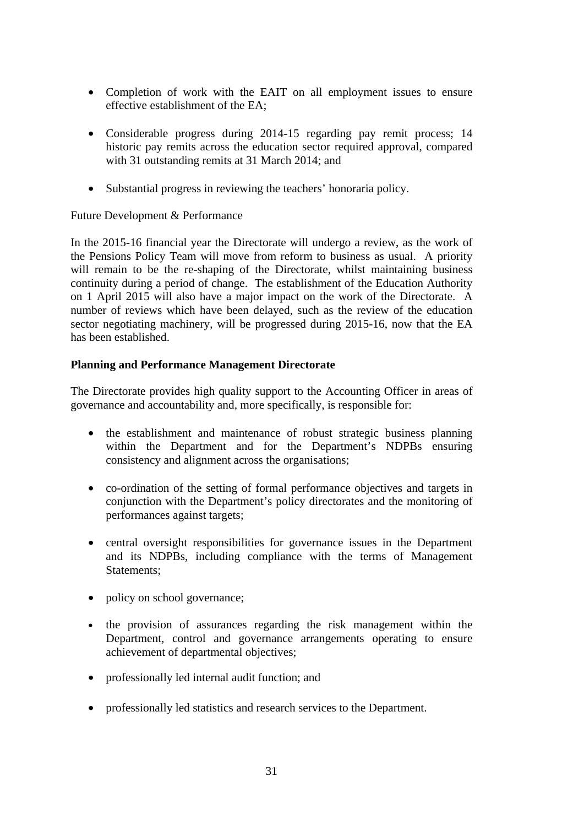- Completion of work with the EAIT on all employment issues to ensure effective establishment of the EA;
- Considerable progress during 2014-15 regarding pay remit process; 14 historic pay remits across the education sector required approval, compared with 31 outstanding remits at 31 March 2014; and
- Substantial progress in reviewing the teachers' honoraria policy.

## Future Development & Performance

In the 2015-16 financial year the Directorate will undergo a review, as the work of the Pensions Policy Team will move from reform to business as usual. A priority will remain to be the re-shaping of the Directorate, whilst maintaining business continuity during a period of change. The establishment of the Education Authority on 1 April 2015 will also have a major impact on the work of the Directorate. A number of reviews which have been delayed, such as the review of the education sector negotiating machinery, will be progressed during 2015-16, now that the EA has been established.

## **Planning and Performance Management Directorate**

The Directorate provides high quality support to the Accounting Officer in areas of governance and accountability and, more specifically, is responsible for:

- the establishment and maintenance of robust strategic business planning within the Department and for the Department's NDPBs ensuring consistency and alignment across the organisations;
- co-ordination of the setting of formal performance objectives and targets in conjunction with the Department's policy directorates and the monitoring of performances against targets;
- central oversight responsibilities for governance issues in the Department and its NDPBs, including compliance with the terms of Management Statements;
- policy on school governance;
- the provision of assurances regarding the risk management within the Department, control and governance arrangements operating to ensure achievement of departmental objectives;
- professionally led internal audit function; and
- professionally led statistics and research services to the Department.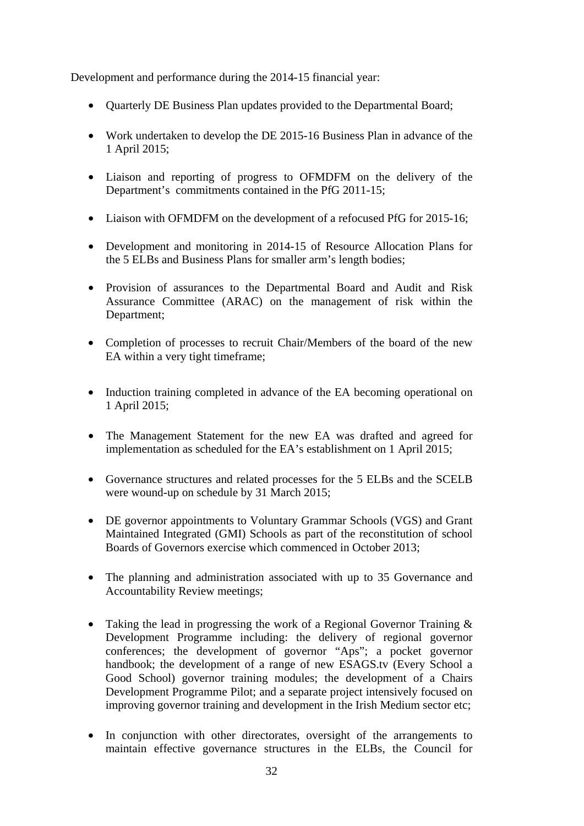Development and performance during the 2014-15 financial year:

- Ouarterly DE Business Plan updates provided to the Departmental Board;
- Work undertaken to develop the DE 2015-16 Business Plan in advance of the 1 April 2015;
- Liaison and reporting of progress to OFMDFM on the delivery of the Department's commitments contained in the PfG 2011-15;
- Liaison with OFMDFM on the development of a refocused PfG for 2015-16;
- Development and monitoring in 2014-15 of Resource Allocation Plans for the 5 ELBs and Business Plans for smaller arm's length bodies;
- Provision of assurances to the Departmental Board and Audit and Risk Assurance Committee (ARAC) on the management of risk within the Department;
- Completion of processes to recruit Chair/Members of the board of the new EA within a very tight timeframe;
- Induction training completed in advance of the EA becoming operational on 1 April 2015;
- The Management Statement for the new EA was drafted and agreed for implementation as scheduled for the EA's establishment on 1 April 2015;
- Governance structures and related processes for the 5 ELBs and the SCELB were wound-up on schedule by 31 March 2015;
- DE governor appointments to Voluntary Grammar Schools (VGS) and Grant Maintained Integrated (GMI) Schools as part of the reconstitution of school Boards of Governors exercise which commenced in October 2013;
- The planning and administration associated with up to 35 Governance and Accountability Review meetings;
- Taking the lead in progressing the work of a Regional Governor Training & Development Programme including: the delivery of regional governor conferences; the development of governor "Aps"; a pocket governor handbook; the development of a range of new ESAGS.tv (Every School a Good School) governor training modules; the development of a Chairs Development Programme Pilot; and a separate project intensively focused on improving governor training and development in the Irish Medium sector etc;
- In conjunction with other directorates, oversight of the arrangements to maintain effective governance structures in the ELBs, the Council for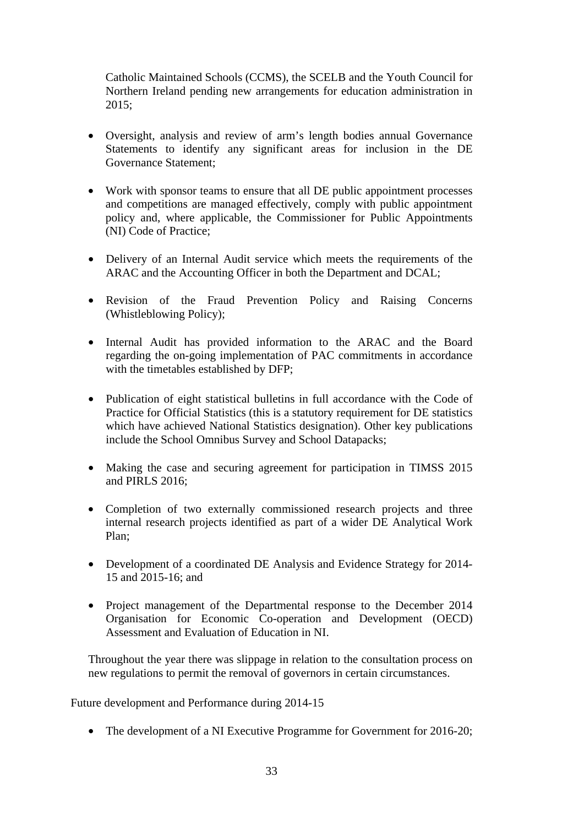Catholic Maintained Schools (CCMS), the SCELB and the Youth Council for Northern Ireland pending new arrangements for education administration in 2015;

- Oversight, analysis and review of arm's length bodies annual Governance Statements to identify any significant areas for inclusion in the DE Governance Statement;
- Work with sponsor teams to ensure that all DE public appointment processes and competitions are managed effectively, comply with public appointment policy and, where applicable, the Commissioner for Public Appointments (NI) Code of Practice;
- Delivery of an Internal Audit service which meets the requirements of the ARAC and the Accounting Officer in both the Department and DCAL;
- Revision of the Fraud Prevention Policy and Raising Concerns (Whistleblowing Policy);
- Internal Audit has provided information to the ARAC and the Board regarding the on-going implementation of PAC commitments in accordance with the timetables established by DFP;
- Publication of eight statistical bulletins in full accordance with the Code of Practice for Official Statistics (this is a statutory requirement for DE statistics which have achieved National Statistics designation). Other key publications include the School Omnibus Survey and School Datapacks;
- Making the case and securing agreement for participation in TIMSS 2015 and PIRLS 2016;
- Completion of two externally commissioned research projects and three internal research projects identified as part of a wider DE Analytical Work Plan;
- Development of a coordinated DE Analysis and Evidence Strategy for 2014-15 and 2015-16; and
- Project management of the Departmental response to the December 2014 Organisation for Economic Co-operation and Development (OECD) Assessment and Evaluation of Education in NI.

Throughout the year there was slippage in relation to the consultation process on new regulations to permit the removal of governors in certain circumstances.

Future development and Performance during 2014-15

• The development of a NI Executive Programme for Government for 2016-20;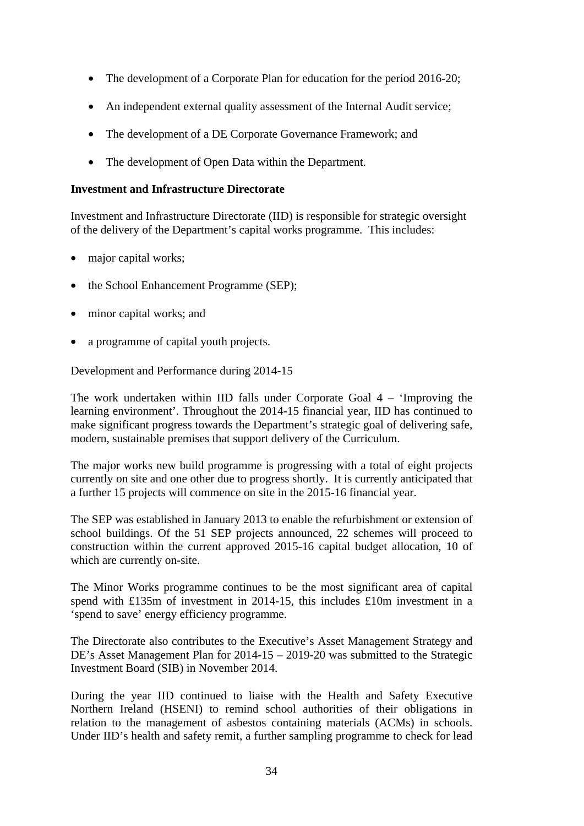- The development of a Corporate Plan for education for the period 2016-20;
- An independent external quality assessment of the Internal Audit service;
- The development of a DE Corporate Governance Framework; and
- The development of Open Data within the Department.

#### **Investment and Infrastructure Directorate**

Investment and Infrastructure Directorate (IID) is responsible for strategic oversight of the delivery of the Department's capital works programme. This includes:

- major capital works;
- the School Enhancement Programme (SEP);
- minor capital works; and
- a programme of capital youth projects.

Development and Performance during 2014-15

The work undertaken within IID falls under Corporate Goal 4 – 'Improving the learning environment'. Throughout the 2014-15 financial year, IID has continued to make significant progress towards the Department's strategic goal of delivering safe, modern, sustainable premises that support delivery of the Curriculum.

The major works new build programme is progressing with a total of eight projects currently on site and one other due to progress shortly. It is currently anticipated that a further 15 projects will commence on site in the 2015-16 financial year.

The SEP was established in January 2013 to enable the refurbishment or extension of school buildings. Of the 51 SEP projects announced, 22 schemes will proceed to construction within the current approved 2015-16 capital budget allocation, 10 of which are currently on-site.

The Minor Works programme continues to be the most significant area of capital spend with £135m of investment in 2014-15, this includes £10m investment in a 'spend to save' energy efficiency programme.

The Directorate also contributes to the Executive's Asset Management Strategy and DE's Asset Management Plan for 2014-15 – 2019-20 was submitted to the Strategic Investment Board (SIB) in November 2014.

During the year IID continued to liaise with the Health and Safety Executive Northern Ireland (HSENI) to remind school authorities of their obligations in relation to the management of asbestos containing materials (ACMs) in schools. Under IID's health and safety remit, a further sampling programme to check for lead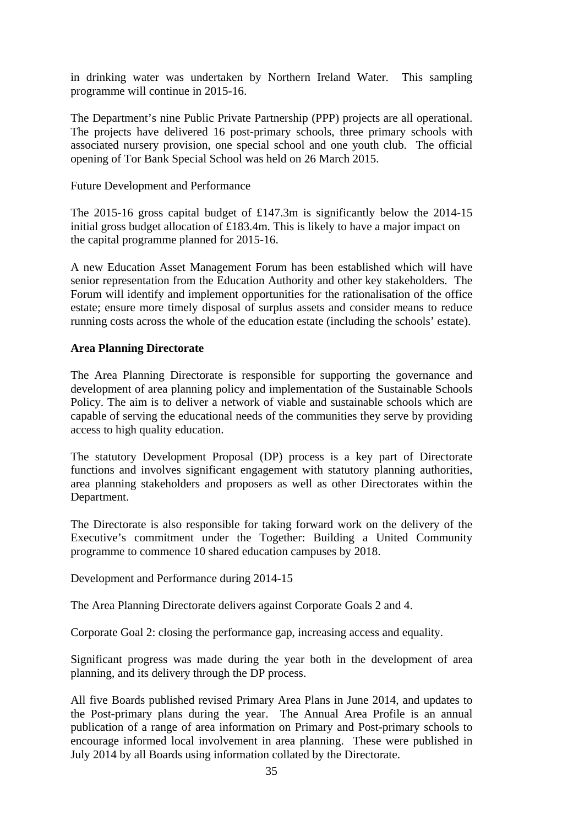in drinking water was undertaken by Northern Ireland Water. This sampling programme will continue in 2015-16.

The Department's nine Public Private Partnership (PPP) projects are all operational. The projects have delivered 16 post-primary schools, three primary schools with associated nursery provision, one special school and one youth club. The official opening of Tor Bank Special School was held on 26 March 2015.

#### Future Development and Performance

The 2015-16 gross capital budget of £147.3m is significantly below the 2014-15 initial gross budget allocation of £183.4m. This is likely to have a major impact on the capital programme planned for 2015-16.

A new Education Asset Management Forum has been established which will have senior representation from the Education Authority and other key stakeholders. The Forum will identify and implement opportunities for the rationalisation of the office estate; ensure more timely disposal of surplus assets and consider means to reduce running costs across the whole of the education estate (including the schools' estate).

## **Area Planning Directorate**

The Area Planning Directorate is responsible for supporting the governance and development of area planning policy and implementation of the Sustainable Schools Policy. The aim is to deliver a network of viable and sustainable schools which are capable of serving the educational needs of the communities they serve by providing access to high quality education.

The statutory Development Proposal (DP) process is a key part of Directorate functions and involves significant engagement with statutory planning authorities, area planning stakeholders and proposers as well as other Directorates within the Department.

The Directorate is also responsible for taking forward work on the delivery of the Executive's commitment under the Together: Building a United Community programme to commence 10 shared education campuses by 2018.

Development and Performance during 2014-15

The Area Planning Directorate delivers against Corporate Goals 2 and 4.

Corporate Goal 2: closing the performance gap, increasing access and equality.

Significant progress was made during the year both in the development of area planning, and its delivery through the DP process.

All five Boards published revised Primary Area Plans in June 2014, and updates to the Post-primary plans during the year. The Annual Area Profile is an annual publication of a range of area information on Primary and Post-primary schools to encourage informed local involvement in area planning. These were published in July 2014 by all Boards using information collated by the Directorate.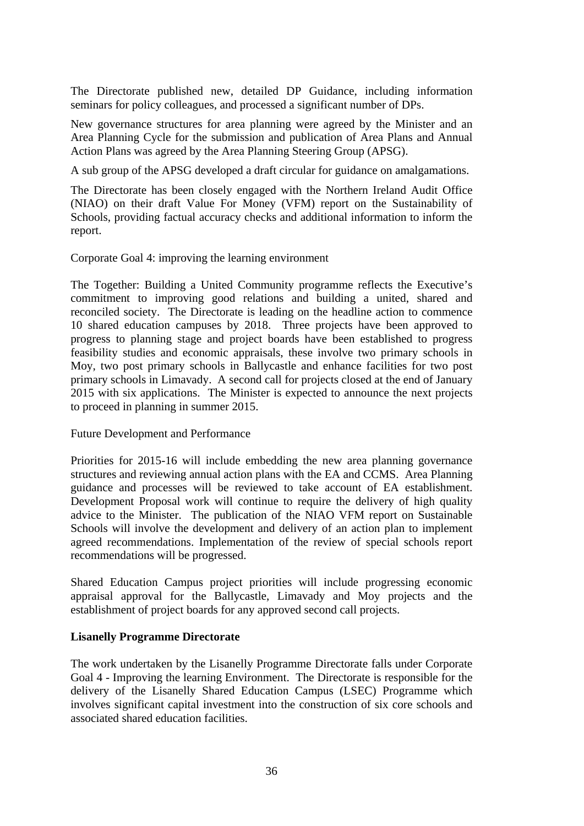The Directorate published new, detailed DP Guidance, including information seminars for policy colleagues, and processed a significant number of DPs.

New governance structures for area planning were agreed by the Minister and an Area Planning Cycle for the submission and publication of Area Plans and Annual Action Plans was agreed by the Area Planning Steering Group (APSG).

A sub group of the APSG developed a draft circular for guidance on amalgamations.

The Directorate has been closely engaged with the Northern Ireland Audit Office (NIAO) on their draft Value For Money (VFM) report on the Sustainability of Schools, providing factual accuracy checks and additional information to inform the report.

Corporate Goal 4: improving the learning environment

The Together: Building a United Community programme reflects the Executive's commitment to improving good relations and building a united, shared and reconciled society. The Directorate is leading on the headline action to commence 10 shared education campuses by 2018. Three projects have been approved to progress to planning stage and project boards have been established to progress feasibility studies and economic appraisals, these involve two primary schools in Moy, two post primary schools in Ballycastle and enhance facilities for two post primary schools in Limavady. A second call for projects closed at the end of January 2015 with six applications. The Minister is expected to announce the next projects to proceed in planning in summer 2015.

Future Development and Performance

Priorities for 2015-16 will include embedding the new area planning governance structures and reviewing annual action plans with the EA and CCMS. Area Planning guidance and processes will be reviewed to take account of EA establishment. Development Proposal work will continue to require the delivery of high quality advice to the Minister. The publication of the NIAO VFM report on Sustainable Schools will involve the development and delivery of an action plan to implement agreed recommendations. Implementation of the review of special schools report recommendations will be progressed.

Shared Education Campus project priorities will include progressing economic appraisal approval for the Ballycastle, Limavady and Moy projects and the establishment of project boards for any approved second call projects.

#### **Lisanelly Programme Directorate**

The work undertaken by the Lisanelly Programme Directorate falls under Corporate Goal 4 - Improving the learning Environment. The Directorate is responsible for the delivery of the Lisanelly Shared Education Campus (LSEC) Programme which involves significant capital investment into the construction of six core schools and associated shared education facilities.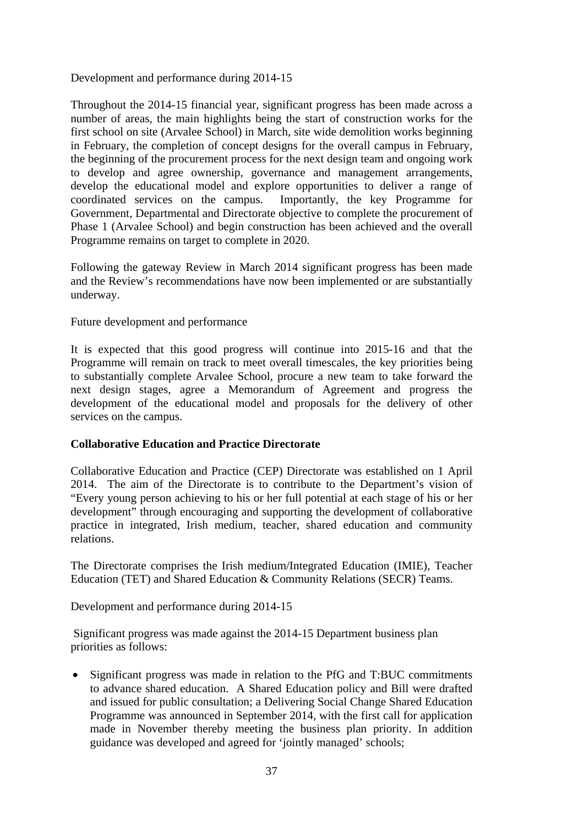Development and performance during 2014-15

Throughout the 2014-15 financial year, significant progress has been made across a number of areas, the main highlights being the start of construction works for the first school on site (Arvalee School) in March, site wide demolition works beginning in February, the completion of concept designs for the overall campus in February, the beginning of the procurement process for the next design team and ongoing work to develop and agree ownership, governance and management arrangements, develop the educational model and explore opportunities to deliver a range of coordinated services on the campus. Importantly, the key Programme for Government, Departmental and Directorate objective to complete the procurement of Phase 1 (Arvalee School) and begin construction has been achieved and the overall Programme remains on target to complete in 2020.

Following the gateway Review in March 2014 significant progress has been made and the Review's recommendations have now been implemented or are substantially underway.

Future development and performance

It is expected that this good progress will continue into 2015-16 and that the Programme will remain on track to meet overall timescales, the key priorities being to substantially complete Arvalee School, procure a new team to take forward the next design stages, agree a Memorandum of Agreement and progress the development of the educational model and proposals for the delivery of other services on the campus.

# **Collaborative Education and Practice Directorate**

Collaborative Education and Practice (CEP) Directorate was established on 1 April 2014. The aim of the Directorate is to contribute to the Department's vision of "Every young person achieving to his or her full potential at each stage of his or her development" through encouraging and supporting the development of collaborative practice in integrated, Irish medium, teacher, shared education and community relations.

The Directorate comprises the Irish medium/Integrated Education (IMIE), Teacher Education (TET) and Shared Education & Community Relations (SECR) Teams.

Development and performance during 2014-15

 Significant progress was made against the 2014-15 Department business plan priorities as follows:

• Significant progress was made in relation to the PfG and T:BUC commitments to advance shared education. A Shared Education policy and Bill were drafted and issued for public consultation; a Delivering Social Change Shared Education Programme was announced in September 2014, with the first call for application made in November thereby meeting the business plan priority. In addition guidance was developed and agreed for 'jointly managed' schools;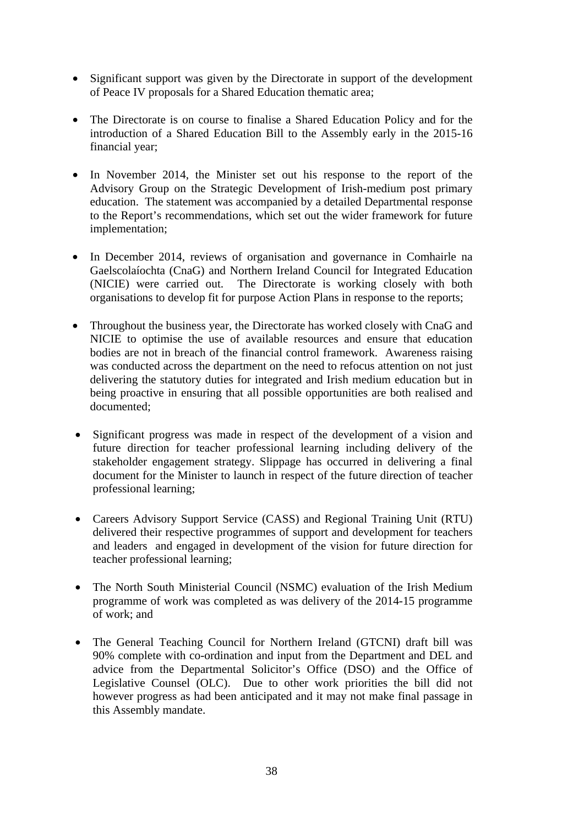- Significant support was given by the Directorate in support of the development of Peace IV proposals for a Shared Education thematic area;
- The Directorate is on course to finalise a Shared Education Policy and for the introduction of a Shared Education Bill to the Assembly early in the 2015-16 financial year;
- In November 2014, the Minister set out his response to the report of the Advisory Group on the Strategic Development of Irish-medium post primary education. The statement was accompanied by a detailed Departmental response to the Report's recommendations, which set out the wider framework for future implementation;
- In December 2014, reviews of organisation and governance in Comhairle na Gaelscolaíochta (CnaG) and Northern Ireland Council for Integrated Education (NICIE) were carried out. The Directorate is working closely with both organisations to develop fit for purpose Action Plans in response to the reports;
- Throughout the business year, the Directorate has worked closely with CnaG and NICIE to optimise the use of available resources and ensure that education bodies are not in breach of the financial control framework. Awareness raising was conducted across the department on the need to refocus attention on not just delivering the statutory duties for integrated and Irish medium education but in being proactive in ensuring that all possible opportunities are both realised and documented;
- Significant progress was made in respect of the development of a vision and future direction for teacher professional learning including delivery of the stakeholder engagement strategy. Slippage has occurred in delivering a final document for the Minister to launch in respect of the future direction of teacher professional learning;
- Careers Advisory Support Service (CASS) and Regional Training Unit (RTU) delivered their respective programmes of support and development for teachers and leaders and engaged in development of the vision for future direction for teacher professional learning;
- The North South Ministerial Council (NSMC) evaluation of the Irish Medium programme of work was completed as was delivery of the 2014-15 programme of work; and
- The General Teaching Council for Northern Ireland (GTCNI) draft bill was 90% complete with co-ordination and input from the Department and DEL and advice from the Departmental Solicitor's Office (DSO) and the Office of Legislative Counsel (OLC). Due to other work priorities the bill did not however progress as had been anticipated and it may not make final passage in this Assembly mandate.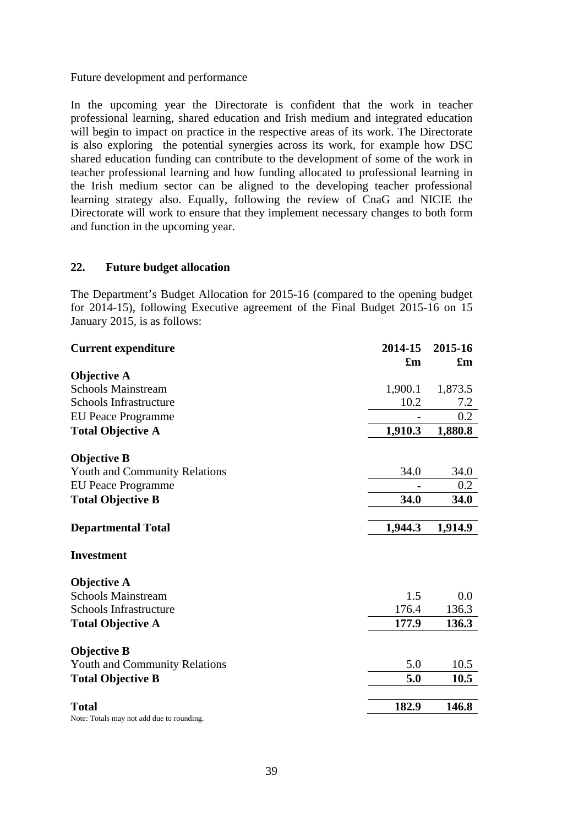#### Future development and performance

In the upcoming year the Directorate is confident that the work in teacher professional learning, shared education and Irish medium and integrated education will begin to impact on practice in the respective areas of its work. The Directorate is also exploring the potential synergies across its work, for example how DSC shared education funding can contribute to the development of some of the work in teacher professional learning and how funding allocated to professional learning in the Irish medium sector can be aligned to the developing teacher professional learning strategy also. Equally, following the review of CnaG and NICIE the Directorate will work to ensure that they implement necessary changes to both form and function in the upcoming year.

#### **22. Future budget allocation**

The Department's Budget Allocation for 2015-16 (compared to the opening budget for 2014-15), following Executive agreement of the Final Budget 2015-16 on 15 January 2015, is as follows:

| <b>Current expenditure</b>                | 2014-15                   | 2015-16                   |
|-------------------------------------------|---------------------------|---------------------------|
|                                           | $\mathbf{f}_{\mathbf{m}}$ | $\mathbf{f}_{\mathbf{m}}$ |
| <b>Objective A</b>                        |                           |                           |
| <b>Schools Mainstream</b>                 | 1,900.1                   | 1,873.5                   |
| <b>Schools Infrastructure</b>             | 10.2                      | 7.2                       |
| <b>EU Peace Programme</b>                 |                           | 0.2                       |
| <b>Total Objective A</b>                  | 1,910.3                   | 1,880.8                   |
| <b>Objective B</b>                        |                           |                           |
| <b>Youth and Community Relations</b>      | 34.0                      | 34.0                      |
| <b>EU Peace Programme</b>                 |                           | 0.2                       |
| <b>Total Objective B</b>                  | 34.0                      | 34.0                      |
| <b>Departmental Total</b>                 | 1,944.3                   | 1,914.9                   |
| <b>Investment</b>                         |                           |                           |
| <b>Objective A</b>                        |                           |                           |
| <b>Schools Mainstream</b>                 | 1.5                       | 0.0                       |
| <b>Schools Infrastructure</b>             | 176.4                     | 136.3                     |
| <b>Total Objective A</b>                  | 177.9                     | 136.3                     |
| <b>Objective B</b>                        |                           |                           |
| <b>Youth and Community Relations</b>      | 5.0                       | 10.5                      |
| <b>Total Objective B</b>                  | 5.0                       | 10.5                      |
| <b>Total</b>                              | 182.9                     | 146.8                     |
| Note: Totals may not add due to rounding. |                           |                           |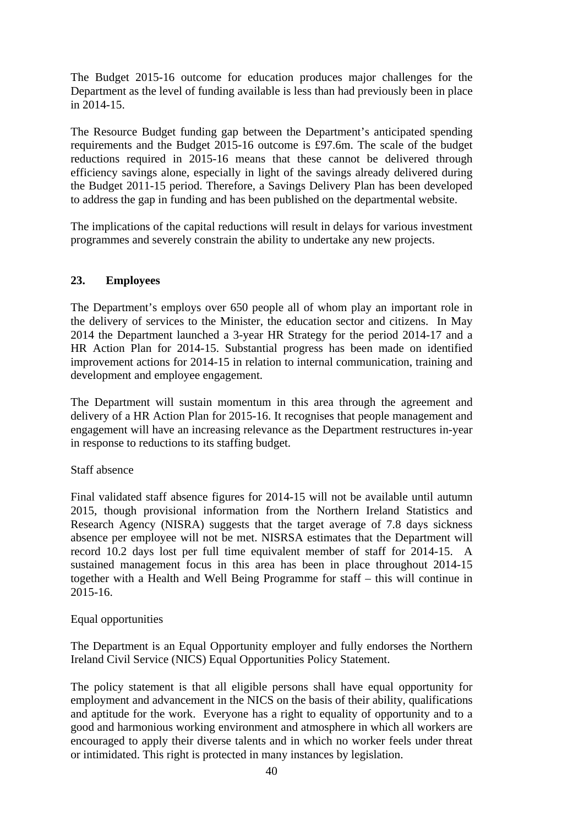The Budget 2015-16 outcome for education produces major challenges for the Department as the level of funding available is less than had previously been in place in 2014-15.

The Resource Budget funding gap between the Department's anticipated spending requirements and the Budget 2015-16 outcome is £97.6m. The scale of the budget reductions required in 2015-16 means that these cannot be delivered through efficiency savings alone, especially in light of the savings already delivered during the Budget 2011-15 period. Therefore, a Savings Delivery Plan has been developed to address the gap in funding and has been published on the departmental website.

The implications of the capital reductions will result in delays for various investment programmes and severely constrain the ability to undertake any new projects.

# **23. Employees**

The Department's employs over 650 people all of whom play an important role in the delivery of services to the Minister, the education sector and citizens. In May 2014 the Department launched a 3-year HR Strategy for the period 2014-17 and a HR Action Plan for 2014-15. Substantial progress has been made on identified improvement actions for 2014-15 in relation to internal communication, training and development and employee engagement.

The Department will sustain momentum in this area through the agreement and delivery of a HR Action Plan for 2015-16. It recognises that people management and engagement will have an increasing relevance as the Department restructures in-year in response to reductions to its staffing budget.

#### Staff absence

Final validated staff absence figures for 2014-15 will not be available until autumn 2015, though provisional information from the Northern Ireland Statistics and Research Agency (NISRA) suggests that the target average of 7.8 days sickness absence per employee will not be met. NISRSA estimates that the Department will record 10.2 days lost per full time equivalent member of staff for 2014-15. A sustained management focus in this area has been in place throughout 2014-15 together with a Health and Well Being Programme for staff – this will continue in 2015-16.

#### Equal opportunities

The Department is an Equal Opportunity employer and fully endorses the Northern Ireland Civil Service (NICS) Equal Opportunities Policy Statement.

The policy statement is that all eligible persons shall have equal opportunity for employment and advancement in the NICS on the basis of their ability, qualifications and aptitude for the work. Everyone has a right to equality of opportunity and to a good and harmonious working environment and atmosphere in which all workers are encouraged to apply their diverse talents and in which no worker feels under threat or intimidated. This right is protected in many instances by legislation.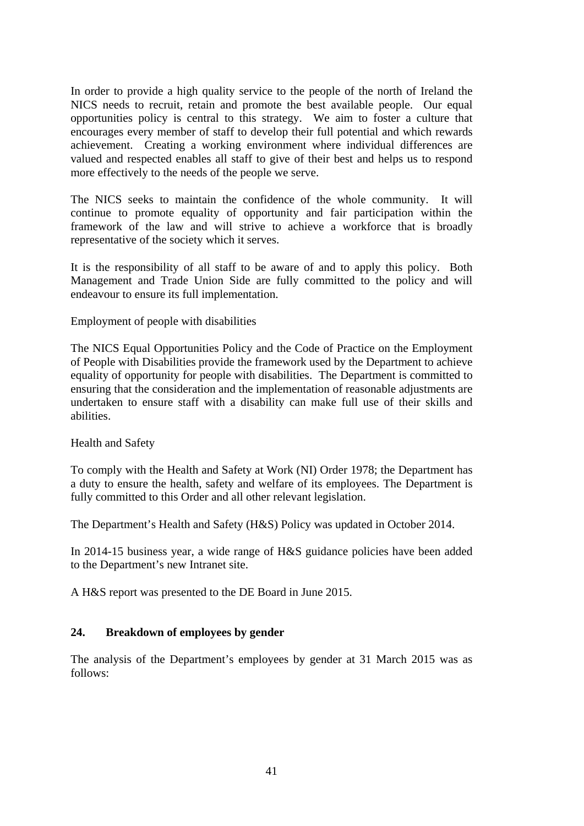In order to provide a high quality service to the people of the north of Ireland the NICS needs to recruit, retain and promote the best available people. Our equal opportunities policy is central to this strategy. We aim to foster a culture that encourages every member of staff to develop their full potential and which rewards achievement. Creating a working environment where individual differences are valued and respected enables all staff to give of their best and helps us to respond more effectively to the needs of the people we serve.

The NICS seeks to maintain the confidence of the whole community. It will continue to promote equality of opportunity and fair participation within the framework of the law and will strive to achieve a workforce that is broadly representative of the society which it serves.

It is the responsibility of all staff to be aware of and to apply this policy. Both Management and Trade Union Side are fully committed to the policy and will endeavour to ensure its full implementation.

Employment of people with disabilities

The NICS Equal Opportunities Policy and the Code of Practice on the Employment of People with Disabilities provide the framework used by the Department to achieve equality of opportunity for people with disabilities. The Department is committed to ensuring that the consideration and the implementation of reasonable adjustments are undertaken to ensure staff with a disability can make full use of their skills and abilities.

Health and Safety

To comply with the Health and Safety at Work (NI) Order 1978; the Department has a duty to ensure the health, safety and welfare of its employees. The Department is fully committed to this Order and all other relevant legislation.

The Department's Health and Safety (H&S) Policy was updated in October 2014.

In 2014-15 business year, a wide range of H&S guidance policies have been added to the Department's new Intranet site.

A H&S report was presented to the DE Board in June 2015.

#### **24. Breakdown of employees by gender**

The analysis of the Department's employees by gender at 31 March 2015 was as follows: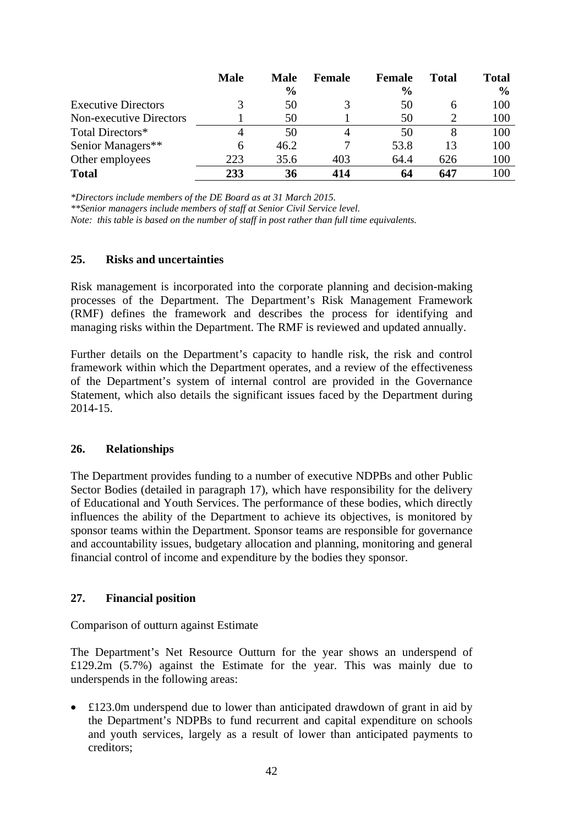|                                | <b>Male</b> | <b>Male</b><br>$\frac{6}{6}$ | <b>Female</b> | <b>Female</b><br>$\frac{6}{9}$ | <b>Total</b> | <b>Total</b><br>$\frac{6}{9}$ |
|--------------------------------|-------------|------------------------------|---------------|--------------------------------|--------------|-------------------------------|
| <b>Executive Directors</b>     | 3           | 50                           | 3             | 50                             | 6            | 100                           |
| <b>Non-executive Directors</b> |             | 50                           |               | 50                             |              | 100                           |
| Total Directors*               | 4           | 50                           | 4             | 50                             | 8            | 100                           |
| Senior Managers**              | 6           | 46.2                         |               | 53.8                           | 13           | 100                           |
| Other employees                | 223         | 35.6                         | 403           | 64.4                           | 626          | 100                           |
| <b>Total</b>                   | 233         | 36                           | 414           | 64                             | 647          | 100                           |

*\*Directors include members of the DE Board as at 31 March 2015.* 

*\*\*Senior managers include members of staff at Senior Civil Service level.* 

*Note: this table is based on the number of staff in post rather than full time equivalents.* 

#### **25. Risks and uncertainties**

Risk management is incorporated into the corporate planning and decision-making processes of the Department. The Department's Risk Management Framework (RMF) defines the framework and describes the process for identifying and managing risks within the Department. The RMF is reviewed and updated annually.

Further details on the Department's capacity to handle risk, the risk and control framework within which the Department operates, and a review of the effectiveness of the Department's system of internal control are provided in the Governance Statement, which also details the significant issues faced by the Department during 2014-15.

#### **26. Relationships**

The Department provides funding to a number of executive NDPBs and other Public Sector Bodies (detailed in paragraph 17), which have responsibility for the delivery of Educational and Youth Services. The performance of these bodies, which directly influences the ability of the Department to achieve its objectives, is monitored by sponsor teams within the Department. Sponsor teams are responsible for governance and accountability issues, budgetary allocation and planning, monitoring and general financial control of income and expenditure by the bodies they sponsor.

#### **27. Financial position**

Comparison of outturn against Estimate

The Department's Net Resource Outturn for the year shows an underspend of £129.2m (5.7%) against the Estimate for the year. This was mainly due to underspends in the following areas:

 $£123.0m$  underspend due to lower than anticipated drawdown of grant in aid by the Department's NDPBs to fund recurrent and capital expenditure on schools and youth services, largely as a result of lower than anticipated payments to creditors;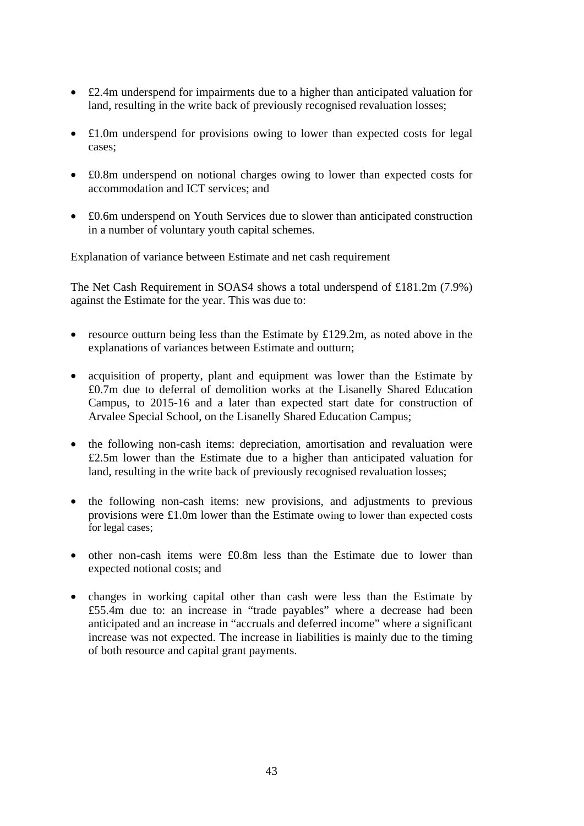- £2.4m underspend for impairments due to a higher than anticipated valuation for land, resulting in the write back of previously recognised revaluation losses;
- £1.0m underspend for provisions owing to lower than expected costs for legal cases;
- £0.8m underspend on notional charges owing to lower than expected costs for accommodation and ICT services; and
- £0.6m underspend on Youth Services due to slower than anticipated construction in a number of voluntary youth capital schemes.

Explanation of variance between Estimate and net cash requirement

The Net Cash Requirement in SOAS4 shows a total underspend of £181.2m (7.9%) against the Estimate for the year. This was due to:

- resource outturn being less than the Estimate by £129.2m, as noted above in the explanations of variances between Estimate and outturn;
- acquisition of property, plant and equipment was lower than the Estimate by £0.7m due to deferral of demolition works at the Lisanelly Shared Education Campus, to 2015-16 and a later than expected start date for construction of Arvalee Special School, on the Lisanelly Shared Education Campus;
- the following non-cash items: depreciation, amortisation and revaluation were £2.5m lower than the Estimate due to a higher than anticipated valuation for land, resulting in the write back of previously recognised revaluation losses;
- the following non-cash items: new provisions, and adjustments to previous provisions were £1.0m lower than the Estimate owing to lower than expected costs for legal cases;
- other non-cash items were £0.8m less than the Estimate due to lower than expected notional costs; and
- changes in working capital other than cash were less than the Estimate by £55.4m due to: an increase in "trade payables" where a decrease had been anticipated and an increase in "accruals and deferred income" where a significant increase was not expected. The increase in liabilities is mainly due to the timing of both resource and capital grant payments.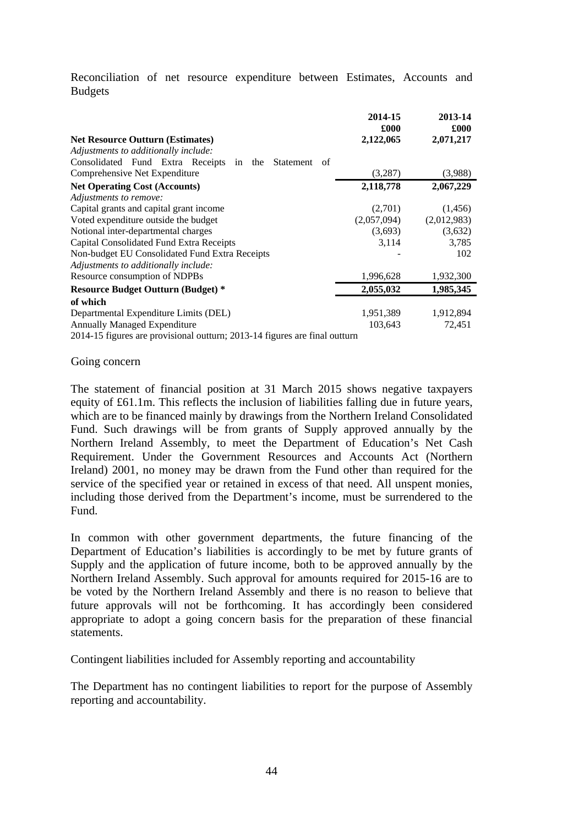Reconciliation of net resource expenditure between Estimates, Accounts and Budgets

|                                                                            | 2014-15<br>£000 | 2013-14<br>£000 |
|----------------------------------------------------------------------------|-----------------|-----------------|
| <b>Net Resource Outturn (Estimates)</b>                                    | 2,122,065       | 2,071,217       |
| Adjustments to additionally include:                                       |                 |                 |
| Consolidated Fund Extra Receipts in<br>the<br>Statement<br>of              |                 |                 |
| Comprehensive Net Expenditure                                              | (3,287)         | (3,988)         |
| <b>Net Operating Cost (Accounts)</b>                                       | 2,118,778       | 2,067,229       |
| Adjustments to remove:                                                     |                 |                 |
| Capital grants and capital grant income                                    | (2,701)         | (1,456)         |
| Voted expenditure outside the budget                                       | (2,057,094)     | (2,012,983)     |
| Notional inter-departmental charges                                        | (3,693)         | (3,632)         |
| Capital Consolidated Fund Extra Receipts                                   | 3,114           | 3,785           |
| Non-budget EU Consolidated Fund Extra Receipts                             |                 | 102             |
| Adjustments to additionally include:                                       |                 |                 |
| Resource consumption of NDPBs                                              | 1,996,628       | 1,932,300       |
| <b>Resource Budget Outturn (Budget) *</b>                                  | 2,055,032       | 1,985,345       |
| of which                                                                   |                 |                 |
| Departmental Expenditure Limits (DEL)                                      | 1,951,389       | 1,912,894       |
| <b>Annually Managed Expenditure</b>                                        | 103,643         | 72,451          |
| 2014-15 figures are provisional outturn; 2013-14 figures are final outturn |                 |                 |

#### Going concern

The statement of financial position at 31 March 2015 shows negative taxpayers equity of £61.1m. This reflects the inclusion of liabilities falling due in future years, which are to be financed mainly by drawings from the Northern Ireland Consolidated Fund. Such drawings will be from grants of Supply approved annually by the Northern Ireland Assembly, to meet the Department of Education's Net Cash Requirement. Under the Government Resources and Accounts Act (Northern Ireland) 2001, no money may be drawn from the Fund other than required for the service of the specified year or retained in excess of that need. All unspent monies, including those derived from the Department's income, must be surrendered to the Fund.

In common with other government departments, the future financing of the Department of Education's liabilities is accordingly to be met by future grants of Supply and the application of future income, both to be approved annually by the Northern Ireland Assembly. Such approval for amounts required for 2015-16 are to be voted by the Northern Ireland Assembly and there is no reason to believe that future approvals will not be forthcoming. It has accordingly been considered appropriate to adopt a going concern basis for the preparation of these financial statements.

Contingent liabilities included for Assembly reporting and accountability

The Department has no contingent liabilities to report for the purpose of Assembly reporting and accountability.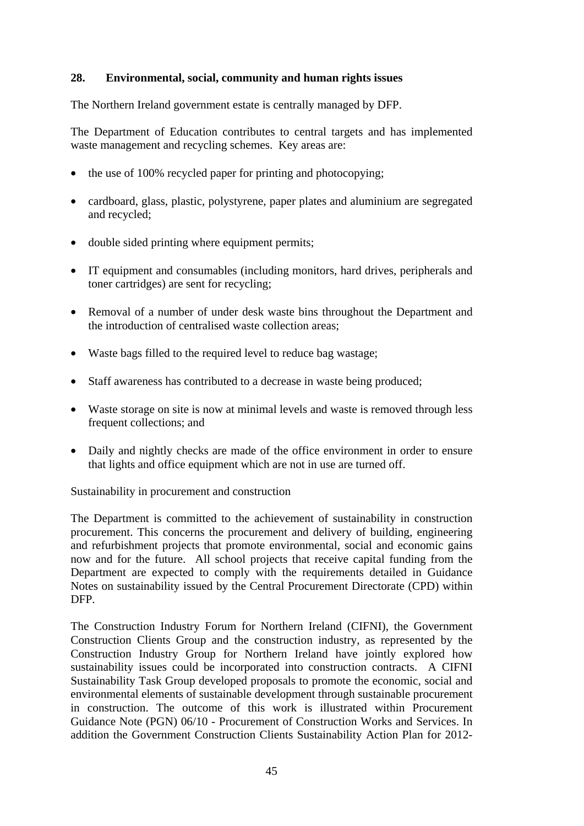# **28. Environmental, social, community and human rights issues**

The Northern Ireland government estate is centrally managed by DFP.

The Department of Education contributes to central targets and has implemented waste management and recycling schemes. Key areas are:

- the use of 100% recycled paper for printing and photocopying;
- cardboard, glass, plastic, polystyrene, paper plates and aluminium are segregated and recycled;
- double sided printing where equipment permits;
- IT equipment and consumables (including monitors, hard drives, peripherals and toner cartridges) are sent for recycling;
- Removal of a number of under desk waste bins throughout the Department and the introduction of centralised waste collection areas;
- Waste bags filled to the required level to reduce bag wastage;
- Staff awareness has contributed to a decrease in waste being produced;
- Waste storage on site is now at minimal levels and waste is removed through less frequent collections; and
- Daily and nightly checks are made of the office environment in order to ensure that lights and office equipment which are not in use are turned off.

Sustainability in procurement and construction

The Department is committed to the achievement of sustainability in construction procurement. This concerns the procurement and delivery of building, engineering and refurbishment projects that promote environmental, social and economic gains now and for the future. All school projects that receive capital funding from the Department are expected to comply with the requirements detailed in Guidance Notes on sustainability issued by the Central Procurement Directorate (CPD) within DFP.

The Construction Industry Forum for Northern Ireland (CIFNI), the Government Construction Clients Group and the construction industry, as represented by the Construction Industry Group for Northern Ireland have jointly explored how sustainability issues could be incorporated into construction contracts. A CIFNI Sustainability Task Group developed proposals to promote the economic, social and environmental elements of sustainable development through sustainable procurement in construction. The outcome of this work is illustrated within Procurement Guidance Note (PGN) 06/10 - Procurement of Construction Works and Services. In addition the Government Construction Clients Sustainability Action Plan for 2012-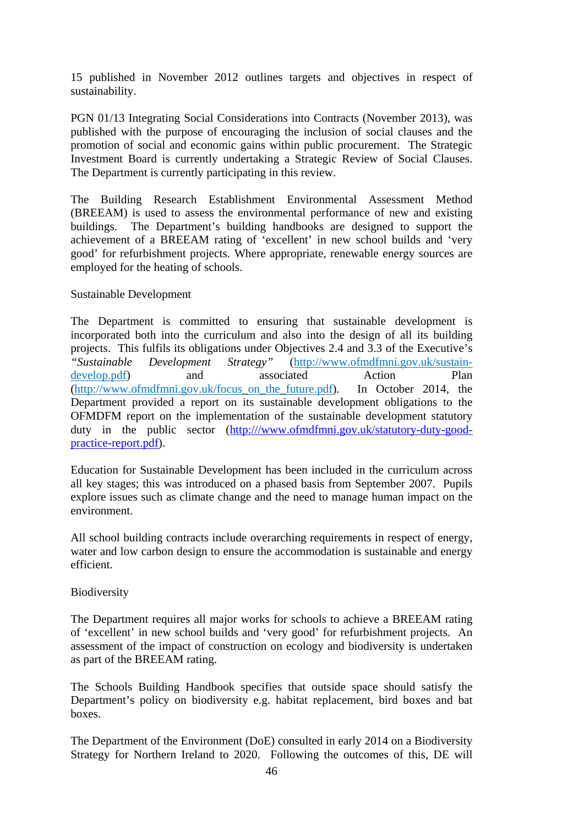15 published in November 2012 outlines targets and objectives in respect of sustainability.

PGN 01/13 Integrating Social Considerations into Contracts (November 2013), was published with the purpose of encouraging the inclusion of social clauses and the promotion of social and economic gains within public procurement. The Strategic Investment Board is currently undertaking a Strategic Review of Social Clauses. The Department is currently participating in this review.

The Building Research Establishment Environmental Assessment Method (BREEAM) is used to assess the environmental performance of new and existing buildings. The Department's building handbooks are designed to support the achievement of a BREEAM rating of 'excellent' in new school builds and 'very good' for refurbishment projects. Where appropriate, renewable energy sources are employed for the heating of schools.

## Sustainable Development

The Department is committed to ensuring that sustainable development is incorporated both into the curriculum and also into the design of all its building projects. This fulfils its obligations under Objectives 2.4 and 3.3 of the Executive's *"Sustainable Development Strategy"* (http://www.ofmdfmni.gov.uk/sustaindevelop.pdf) and associated Action Plan (http://www.ofmdfmni.gov.uk/focus\_on\_the\_future.pdf)*.* In October 2014, the Department provided a report on its sustainable development obligations to the OFMDFM report on the implementation of the sustainable development statutory duty in the public sector (http:///www.ofmdfmni.gov.uk/statutory-duty-goodpractice-report.pdf).

Education for Sustainable Development has been included in the curriculum across all key stages; this was introduced on a phased basis from September 2007. Pupils explore issues such as climate change and the need to manage human impact on the environment.

All school building contracts include overarching requirements in respect of energy, water and low carbon design to ensure the accommodation is sustainable and energy efficient.

# Biodiversity

The Department requires all major works for schools to achieve a BREEAM rating of 'excellent' in new school builds and 'very good' for refurbishment projects. An assessment of the impact of construction on ecology and biodiversity is undertaken as part of the BREEAM rating.

The Schools Building Handbook specifies that outside space should satisfy the Department's policy on biodiversity e.g. habitat replacement, bird boxes and bat boxes.

The Department of the Environment (DoE) consulted in early 2014 on a Biodiversity Strategy for Northern Ireland to 2020. Following the outcomes of this, DE will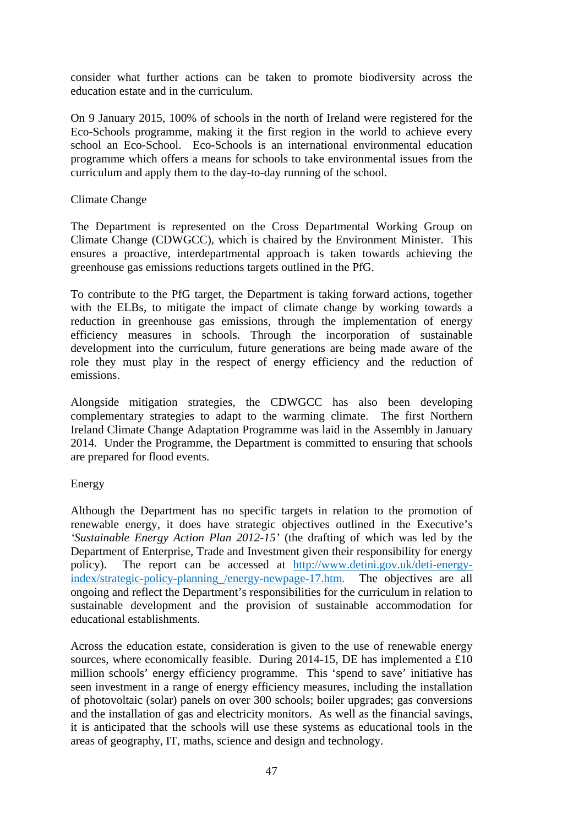consider what further actions can be taken to promote biodiversity across the education estate and in the curriculum.

On 9 January 2015, 100% of schools in the north of Ireland were registered for the Eco-Schools programme, making it the first region in the world to achieve every school an Eco-School. Eco-Schools is an international environmental education programme which offers a means for schools to take environmental issues from the curriculum and apply them to the day-to-day running of the school.

#### Climate Change

The Department is represented on the Cross Departmental Working Group on Climate Change (CDWGCC), which is chaired by the Environment Minister. This ensures a proactive, interdepartmental approach is taken towards achieving the greenhouse gas emissions reductions targets outlined in the PfG.

To contribute to the PfG target, the Department is taking forward actions, together with the ELBs, to mitigate the impact of climate change by working towards a reduction in greenhouse gas emissions, through the implementation of energy efficiency measures in schools. Through the incorporation of sustainable development into the curriculum, future generations are being made aware of the role they must play in the respect of energy efficiency and the reduction of emissions.

Alongside mitigation strategies, the CDWGCC has also been developing complementary strategies to adapt to the warming climate. The first Northern Ireland Climate Change Adaptation Programme was laid in the Assembly in January 2014. Under the Programme, the Department is committed to ensuring that schools are prepared for flood events.

#### Energy

Although the Department has no specific targets in relation to the promotion of renewable energy, it does have strategic objectives outlined in the Executive's *'Sustainable Energy Action Plan 2012-15'* (the drafting of which was led by the Department of Enterprise, Trade and Investment given their responsibility for energy policy). The report can be accessed at http://www.detini.gov.uk/deti-energyindex/strategic-policy-planning /energy-newpage-17.htm. The objectives are all ongoing and reflect the Department's responsibilities for the curriculum in relation to sustainable development and the provision of sustainable accommodation for educational establishments.

Across the education estate, consideration is given to the use of renewable energy sources, where economically feasible. During 2014-15, DE has implemented a £10 million schools' energy efficiency programme. This 'spend to save' initiative has seen investment in a range of energy efficiency measures, including the installation of photovoltaic (solar) panels on over 300 schools; boiler upgrades; gas conversions and the installation of gas and electricity monitors. As well as the financial savings, it is anticipated that the schools will use these systems as educational tools in the areas of geography, IT, maths, science and design and technology.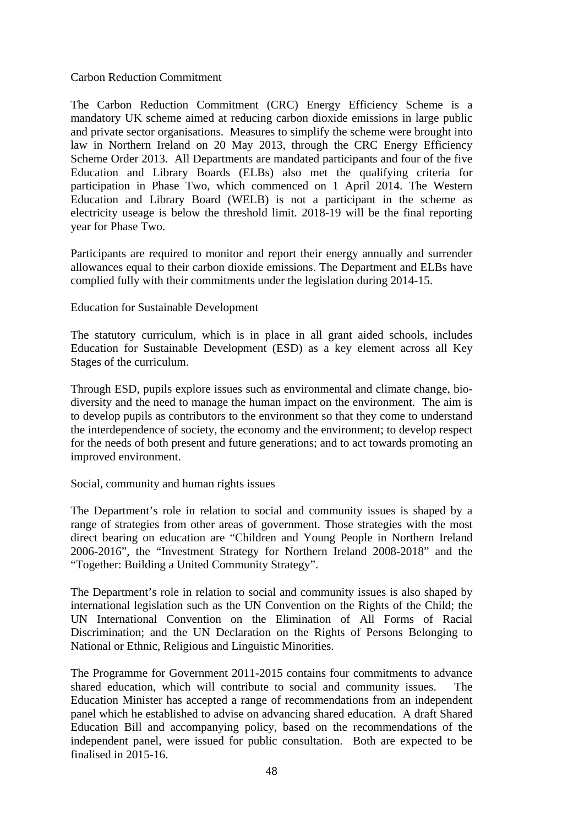#### Carbon Reduction Commitment

The Carbon Reduction Commitment (CRC) Energy Efficiency Scheme is a mandatory UK scheme aimed at reducing carbon dioxide emissions in large public and private sector organisations. Measures to simplify the scheme were brought into law in Northern Ireland on 20 May 2013, through the CRC Energy Efficiency Scheme Order 2013. All Departments are mandated participants and four of the five Education and Library Boards (ELBs) also met the qualifying criteria for participation in Phase Two, which commenced on 1 April 2014. The Western Education and Library Board (WELB) is not a participant in the scheme as electricity useage is below the threshold limit. 2018-19 will be the final reporting year for Phase Two.

Participants are required to monitor and report their energy annually and surrender allowances equal to their carbon dioxide emissions. The Department and ELBs have complied fully with their commitments under the legislation during 2014-15.

#### Education for Sustainable Development

The statutory curriculum, which is in place in all grant aided schools, includes Education for Sustainable Development (ESD) as a key element across all Key Stages of the curriculum.

Through ESD, pupils explore issues such as environmental and climate change, biodiversity and the need to manage the human impact on the environment. The aim is to develop pupils as contributors to the environment so that they come to understand the interdependence of society, the economy and the environment; to develop respect for the needs of both present and future generations; and to act towards promoting an improved environment.

#### Social, community and human rights issues

The Department's role in relation to social and community issues is shaped by a range of strategies from other areas of government. Those strategies with the most direct bearing on education are "Children and Young People in Northern Ireland 2006-2016", the "Investment Strategy for Northern Ireland 2008-2018" and the "Together: Building a United Community Strategy".

The Department's role in relation to social and community issues is also shaped by international legislation such as the UN Convention on the Rights of the Child; the UN International Convention on the Elimination of All Forms of Racial Discrimination; and the UN Declaration on the Rights of Persons Belonging to National or Ethnic, Religious and Linguistic Minorities.

The Programme for Government 2011-2015 contains four commitments to advance shared education, which will contribute to social and community issues. The Education Minister has accepted a range of recommendations from an independent panel which he established to advise on advancing shared education. A draft Shared Education Bill and accompanying policy, based on the recommendations of the independent panel, were issued for public consultation. Both are expected to be finalised in 2015-16.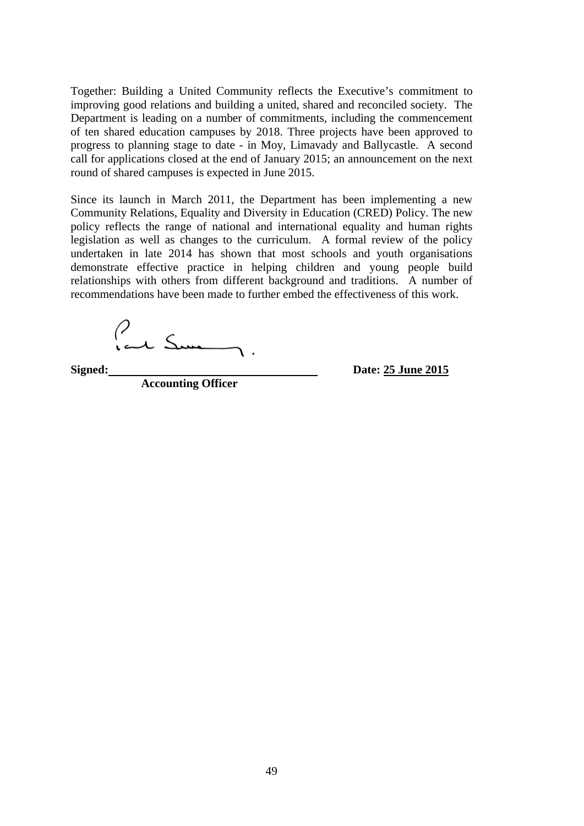Together: Building a United Community reflects the Executive's commitment to improving good relations and building a united, shared and reconciled society. The Department is leading on a number of commitments, including the commencement of ten shared education campuses by 2018. Three projects have been approved to progress to planning stage to date - in Moy, Limavady and Ballycastle. A second call for applications closed at the end of January 2015; an announcement on the next round of shared campuses is expected in June 2015.

Since its launch in March 2011, the Department has been implementing a new Community Relations, Equality and Diversity in Education (CRED) Policy. The new policy reflects the range of national and international equality and human rights legislation as well as changes to the curriculum. A formal review of the policy undertaken in late 2014 has shown that most schools and youth organisations demonstrate effective practice in helping children and young people build relationships with others from different background and traditions. A number of recommendations have been made to further embed the effectiveness of this work.

Park Sum

**Accounting Officer** 

**Signed: Date: 25 June 2015**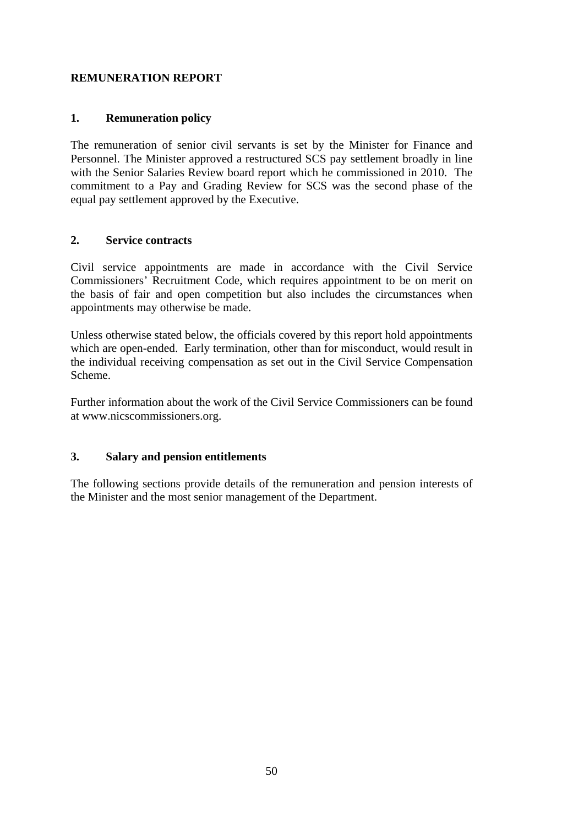# **REMUNERATION REPORT**

## **1. Remuneration policy**

The remuneration of senior civil servants is set by the Minister for Finance and Personnel. The Minister approved a restructured SCS pay settlement broadly in line with the Senior Salaries Review board report which he commissioned in 2010. The commitment to a Pay and Grading Review for SCS was the second phase of the equal pay settlement approved by the Executive.

## **2. Service contracts**

Civil service appointments are made in accordance with the Civil Service Commissioners' Recruitment Code, which requires appointment to be on merit on the basis of fair and open competition but also includes the circumstances when appointments may otherwise be made.

Unless otherwise stated below, the officials covered by this report hold appointments which are open-ended. Early termination, other than for misconduct, would result in the individual receiving compensation as set out in the Civil Service Compensation Scheme.

Further information about the work of the Civil Service Commissioners can be found at www.nicscommissioners.org.

# **3. Salary and pension entitlements**

The following sections provide details of the remuneration and pension interests of the Minister and the most senior management of the Department.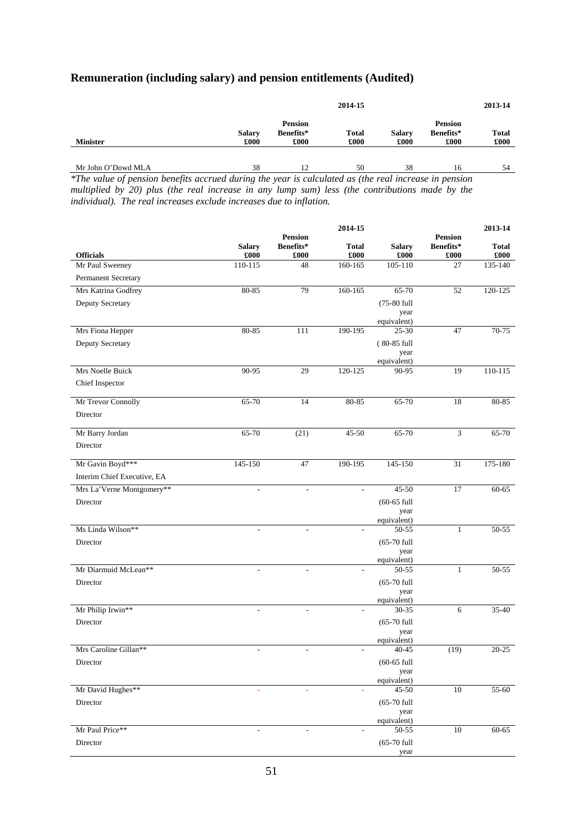#### **Remuneration (including salary) and pension entitlements (Audited)**

|                    | 2014-15               |                                     |                      |                       | 2013-14                             |                      |  |
|--------------------|-----------------------|-------------------------------------|----------------------|-----------------------|-------------------------------------|----------------------|--|
| <b>Minister</b>    | <b>Salary</b><br>£000 | <b>Pension</b><br>Benefits*<br>£000 | <b>Total</b><br>£000 | <b>Salary</b><br>£000 | <b>Pension</b><br>Benefits*<br>£000 | <b>Total</b><br>£000 |  |
| Mr John O'Dowd MLA | 38                    | 12                                  | 50                   | 38                    | 16                                  | 54                   |  |

*\*The value of pension benefits accrued during the year is calculated as (the real increase in pension multiplied by 20) plus (the real increase in any lump sum) less (the contributions made by the individual). The real increases exclude increases due to inflation.* 

|                             |                       |                                     | 2014-15                  |                          |                                     | 2013-14              |
|-----------------------------|-----------------------|-------------------------------------|--------------------------|--------------------------|-------------------------------------|----------------------|
| <b>Officials</b>            | <b>Salary</b><br>£000 | <b>Pension</b><br>Benefits*<br>£000 | <b>Total</b><br>£000     | <b>Salary</b><br>£000    | <b>Pension</b><br>Benefits*<br>£000 | <b>Total</b><br>£000 |
| Mr Paul Sweeney             | 110-115               | 48                                  | 160-165                  | 105-110                  | 27                                  | 135-140              |
| Permanent Secretary         |                       |                                     |                          |                          |                                     |                      |
| Mrs Katrina Godfrey         | 80-85                 | 79                                  | 160-165                  | 65-70                    | 52                                  | 120-125              |
| Deputy Secretary            |                       |                                     |                          | (75-80 full              |                                     |                      |
|                             |                       |                                     |                          | year                     |                                     |                      |
|                             | 80-85                 | 111                                 | 190-195                  | equivalent)<br>$25-30$   | 47                                  | $70 - 75$            |
| Mrs Fiona Hepper            |                       |                                     |                          |                          |                                     |                      |
| Deputy Secretary            |                       |                                     |                          | (80-85 full<br>year      |                                     |                      |
|                             |                       |                                     |                          | equivalent)              |                                     |                      |
| Mrs Noelle Buick            | 90-95                 | 29                                  | 120-125                  | 90-95                    | 19                                  | 110-115              |
| Chief Inspector             |                       |                                     |                          |                          |                                     |                      |
| Mr Trevor Connolly          | 65-70                 | 14                                  | 80-85                    | 65-70                    | 18                                  | 80-85                |
| Director                    |                       |                                     |                          |                          |                                     |                      |
|                             |                       |                                     |                          |                          |                                     |                      |
| Mr Barry Jordan             | 65-70                 | (21)                                | 45-50                    | 65-70                    | 3                                   | 65-70                |
| Director                    |                       |                                     |                          |                          |                                     |                      |
| Mr Gavin Boyd***            | 145-150               | 47                                  | 190-195                  | $145 - 150$              | 31                                  | 175-180              |
| Interim Chief Executive, EA |                       |                                     |                          |                          |                                     |                      |
| Mrs La'Verne Montgomery**   |                       |                                     | $\overline{\phantom{a}}$ | $45 - 50$                | 17                                  | $60 - 65$            |
| Director                    |                       |                                     |                          | $(60-65$ full            |                                     |                      |
|                             |                       |                                     |                          | year                     |                                     |                      |
| Ms Linda Wilson**           |                       |                                     | $\overline{a}$           | equivalent)<br>$50 - 55$ | $\mathbf{1}$                        | 50-55                |
| Director                    |                       |                                     |                          | $(65-70$ full            |                                     |                      |
|                             |                       |                                     |                          | year                     |                                     |                      |
| Mr Diarmuid McLean**        |                       |                                     |                          | equivalent)<br>50-55     | $\mathbf{1}$                        | 50-55                |
| Director                    |                       |                                     |                          | $(65-70$ full            |                                     |                      |
|                             |                       |                                     |                          | year                     |                                     |                      |
|                             |                       |                                     |                          | equivalent)              |                                     |                      |
| Mr Philip Irwin**           | $\frac{1}{2}$         | $\sim$                              | $\overline{\phantom{a}}$ | 30-35                    | 6                                   | 35-40                |
| Director                    |                       |                                     |                          | $(65-70$ full            |                                     |                      |
|                             |                       |                                     |                          | year<br>equivalent)      |                                     |                      |
| Mrs Caroline Gillan**       |                       |                                     | $\overline{\phantom{a}}$ | $40 - 45$                | (19)                                | $20 - 25$            |
| Director                    |                       |                                     |                          | $(60-65$ full            |                                     |                      |
|                             |                       |                                     |                          | year<br>equivalent)      |                                     |                      |
| Mr David Hughes**           |                       |                                     |                          | $45 - 50$                | 10                                  | 55-60                |
| Director                    |                       |                                     |                          | $(65-70$ full            |                                     |                      |
|                             |                       |                                     |                          | year                     |                                     |                      |
| Mr Paul Price**             |                       |                                     |                          | equivalent)<br>50-55     | 10                                  | 60-65                |
| Director                    |                       |                                     |                          | $(65-70$ full            |                                     |                      |
|                             |                       |                                     |                          | year                     |                                     |                      |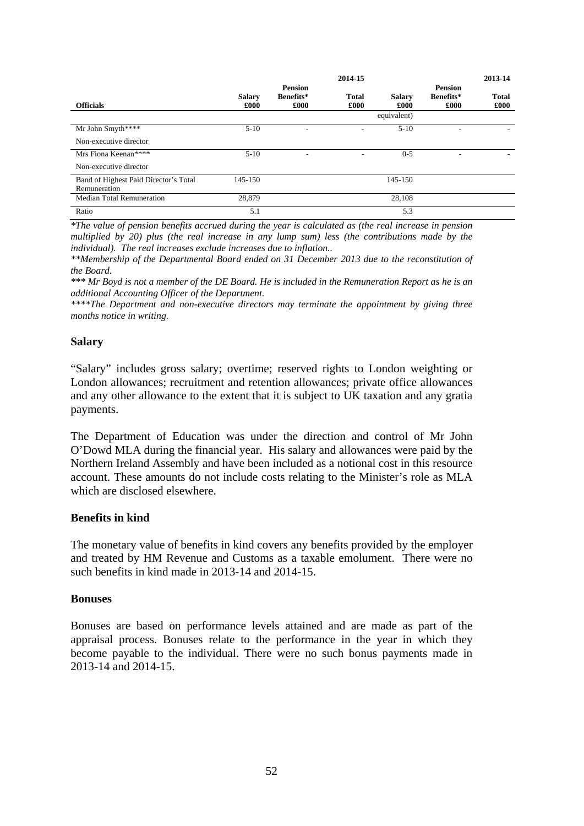|                                                       |               |                | 2014-15      |               |                | 2013-14            |
|-------------------------------------------------------|---------------|----------------|--------------|---------------|----------------|--------------------|
|                                                       |               | <b>Pension</b> |              |               | <b>Pension</b> |                    |
|                                                       | <b>Salary</b> | Benefits*      | <b>Total</b> | <b>Salary</b> | Benefits*      | <b>Total</b>       |
| <b>Officials</b>                                      | £000          | £000           | £000         | £000          | £000           | $\pmb{\pounds}000$ |
|                                                       |               |                |              | equivalent)   |                |                    |
| Mr John Smyth****                                     | $5-10$        | -              | ۰            | $5-10$        |                |                    |
| Non-executive director                                |               |                |              |               |                |                    |
| Mrs Fiona Keenan****                                  | $5-10$        |                | ۰            | $0 - 5$       |                |                    |
| Non-executive director                                |               |                |              |               |                |                    |
| Band of Highest Paid Director's Total<br>Remuneration | 145-150       |                |              | 145-150       |                |                    |
|                                                       |               |                |              |               |                |                    |
| <b>Median Total Remuneration</b>                      | 28,879        |                |              | 28,108        |                |                    |
| Ratio                                                 | 5.1           |                |              | 5.3           |                |                    |

*\*The value of pension benefits accrued during the year is calculated as (the real increase in pension multiplied by 20) plus (the real increase in any lump sum) less (the contributions made by the individual). The real increases exclude increases due to inflation..* 

*\*\*Membership of the Departmental Board ended on 31 December 2013 due to the reconstitution of the Board.* 

*\*\*\* Mr Boyd is not a member of the DE Board. He is included in the Remuneration Report as he is an additional Accounting Officer of the Department.* 

*\*\*\*\*The Department and non-executive directors may terminate the appointment by giving three months notice in writing.* 

#### **Salary**

"Salary" includes gross salary; overtime; reserved rights to London weighting or London allowances; recruitment and retention allowances; private office allowances and any other allowance to the extent that it is subject to UK taxation and any gratia payments.

The Department of Education was under the direction and control of Mr John O'Dowd MLA during the financial year. His salary and allowances were paid by the Northern Ireland Assembly and have been included as a notional cost in this resource account. These amounts do not include costs relating to the Minister's role as MLA which are disclosed elsewhere.

#### **Benefits in kind**

The monetary value of benefits in kind covers any benefits provided by the employer and treated by HM Revenue and Customs as a taxable emolument. There were no such benefits in kind made in 2013-14 and 2014-15.

#### **Bonuses**

Bonuses are based on performance levels attained and are made as part of the appraisal process. Bonuses relate to the performance in the year in which they become payable to the individual. There were no such bonus payments made in 2013-14 and 2014-15.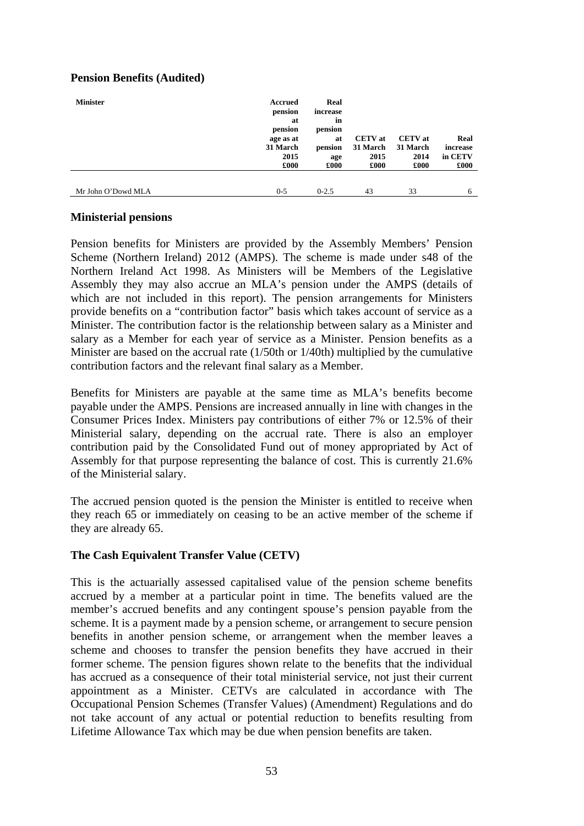# **Pension Benefits (Audited)**

| <b>Minister</b>    | Accrued<br>pension<br>at<br>pension<br>age as at<br>31 March<br>2015<br>£000 | Real<br>increase<br>in<br>pension<br>at<br>pension<br>age<br>£000 | <b>CETV</b> at<br>31 March<br>2015<br>£000 | <b>CETV</b> at<br>31 March<br>2014<br>£000 | Real<br>increase<br>in CETV<br>$\pounds000$ |
|--------------------|------------------------------------------------------------------------------|-------------------------------------------------------------------|--------------------------------------------|--------------------------------------------|---------------------------------------------|
| Mr John O'Dowd MLA | $0 - 5$                                                                      | $0 - 2.5$                                                         | 43                                         | 33                                         | 6                                           |

## **Ministerial pensions**

Pension benefits for Ministers are provided by the Assembly Members' Pension Scheme (Northern Ireland) 2012 (AMPS). The scheme is made under s48 of the Northern Ireland Act 1998. As Ministers will be Members of the Legislative Assembly they may also accrue an MLA's pension under the AMPS (details of which are not included in this report). The pension arrangements for Ministers provide benefits on a "contribution factor" basis which takes account of service as a Minister. The contribution factor is the relationship between salary as a Minister and salary as a Member for each year of service as a Minister. Pension benefits as a Minister are based on the accrual rate (1/50th or 1/40th) multiplied by the cumulative contribution factors and the relevant final salary as a Member.

Benefits for Ministers are payable at the same time as MLA's benefits become payable under the AMPS. Pensions are increased annually in line with changes in the Consumer Prices Index. Ministers pay contributions of either 7% or 12.5% of their Ministerial salary, depending on the accrual rate. There is also an employer contribution paid by the Consolidated Fund out of money appropriated by Act of Assembly for that purpose representing the balance of cost. This is currently 21.6% of the Ministerial salary.

The accrued pension quoted is the pension the Minister is entitled to receive when they reach 65 or immediately on ceasing to be an active member of the scheme if they are already 65.

# **The Cash Equivalent Transfer Value (CETV)**

This is the actuarially assessed capitalised value of the pension scheme benefits accrued by a member at a particular point in time. The benefits valued are the member's accrued benefits and any contingent spouse's pension payable from the scheme. It is a payment made by a pension scheme, or arrangement to secure pension benefits in another pension scheme, or arrangement when the member leaves a scheme and chooses to transfer the pension benefits they have accrued in their former scheme. The pension figures shown relate to the benefits that the individual has accrued as a consequence of their total ministerial service, not just their current appointment as a Minister. CETVs are calculated in accordance with The Occupational Pension Schemes (Transfer Values) (Amendment) Regulations and do not take account of any actual or potential reduction to benefits resulting from Lifetime Allowance Tax which may be due when pension benefits are taken.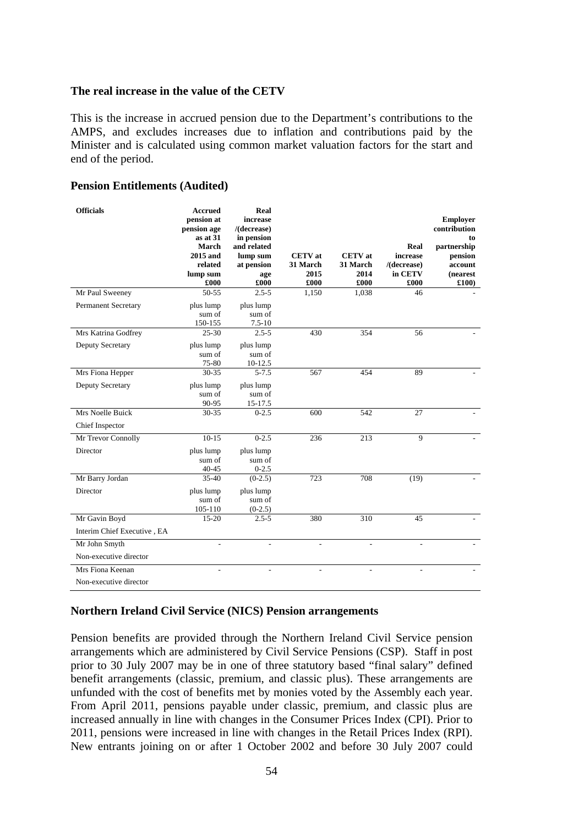#### **The real increase in the value of the CETV**

This is the increase in accrued pension due to the Department's contributions to the AMPS, and excludes increases due to inflation and contributions paid by the Minister and is calculated using common market valuation factors for the start and end of the period.

#### **Pension Entitlements (Audited)**

| <b>Officials</b>            | <b>Accrued</b><br>pension at<br>pension age<br>$as$ at $31$<br>March<br>2015 and<br>related<br>lump sum<br>£000 | Real<br>increase<br>$/$ (decrease)<br>in pension<br>and related<br>lump sum<br>at pension<br>age<br>£000 | <b>CETV</b> at<br>31 March<br>2015<br>£000 | <b>CETV</b> at<br>31 March<br>2014<br>£000 | Real<br>increase<br>$/$ (decrease)<br>in CETV<br>£000 | <b>Employer</b><br>contribution<br>to<br>partnership<br>pension<br>account<br>(nearest<br>£100) |
|-----------------------------|-----------------------------------------------------------------------------------------------------------------|----------------------------------------------------------------------------------------------------------|--------------------------------------------|--------------------------------------------|-------------------------------------------------------|-------------------------------------------------------------------------------------------------|
| Mr Paul Sweeney             | 50-55                                                                                                           | $2.5 - 5$                                                                                                | 1,150                                      | 1,038                                      | 46                                                    |                                                                                                 |
| <b>Permanent Secretary</b>  | plus lump<br>sum of<br>150-155                                                                                  | plus lump<br>sum of<br>$7.5 - 10$                                                                        |                                            |                                            |                                                       |                                                                                                 |
| Mrs Katrina Godfrey         | $25 - 30$                                                                                                       | $2.5 - 5$                                                                                                | 430                                        | 354                                        | 56                                                    |                                                                                                 |
| Deputy Secretary            | plus lump<br>sum of<br>75-80                                                                                    | plus lump<br>sum of<br>10-12.5                                                                           |                                            |                                            |                                                       |                                                                                                 |
| Mrs Fiona Hepper            | $30 - 35$                                                                                                       | $5 - 7.5$                                                                                                | 567                                        | 454                                        | 89                                                    |                                                                                                 |
| Deputy Secretary            | plus lump<br>sum of<br>90-95                                                                                    | plus lump<br>sum of<br>15-17.5                                                                           |                                            |                                            |                                                       |                                                                                                 |
| Mrs Noelle Buick            | $30 - 35$                                                                                                       | $0 - 2.5$                                                                                                | 600                                        | 542                                        | 27                                                    |                                                                                                 |
| Chief Inspector             |                                                                                                                 |                                                                                                          |                                            |                                            |                                                       |                                                                                                 |
| Mr Trevor Connolly          | $10-15$                                                                                                         | $0 - 2.5$                                                                                                | 236                                        | 213                                        | 9                                                     |                                                                                                 |
| Director                    | plus lump<br>sum of<br>$40 - 45$                                                                                | plus lump<br>sum of<br>$0 - 2.5$                                                                         |                                            |                                            |                                                       |                                                                                                 |
| Mr Barry Jordan             | $35-40$                                                                                                         | $(0-2.5)$                                                                                                | 723                                        | 708                                        | (19)                                                  |                                                                                                 |
| Director                    | plus lump<br>sum of<br>105-110                                                                                  | plus lump<br>sum of<br>$(0-2.5)$                                                                         |                                            |                                            |                                                       |                                                                                                 |
| Mr Gavin Boyd               | $15 - 20$                                                                                                       | $2.5 - 5$                                                                                                | 380                                        | 310                                        | 45                                                    |                                                                                                 |
| Interim Chief Executive, EA |                                                                                                                 |                                                                                                          |                                            |                                            |                                                       |                                                                                                 |
| Mr John Smyth               |                                                                                                                 |                                                                                                          | L,                                         | L,                                         |                                                       |                                                                                                 |
| Non-executive director      |                                                                                                                 |                                                                                                          |                                            |                                            |                                                       |                                                                                                 |
| Mrs Fiona Keenan            | $\overline{a}$                                                                                                  | ۰                                                                                                        | ä,                                         |                                            |                                                       |                                                                                                 |
| Non-executive director      |                                                                                                                 |                                                                                                          |                                            |                                            |                                                       |                                                                                                 |

#### **Northern Ireland Civil Service (NICS) Pension arrangements**

Pension benefits are provided through the Northern Ireland Civil Service pension arrangements which are administered by Civil Service Pensions (CSP). Staff in post prior to 30 July 2007 may be in one of three statutory based "final salary" defined benefit arrangements (classic, premium, and classic plus). These arrangements are unfunded with the cost of benefits met by monies voted by the Assembly each year. From April 2011, pensions payable under classic, premium, and classic plus are increased annually in line with changes in the Consumer Prices Index (CPI). Prior to 2011, pensions were increased in line with changes in the Retail Prices Index (RPI). New entrants joining on or after 1 October 2002 and before 30 July 2007 could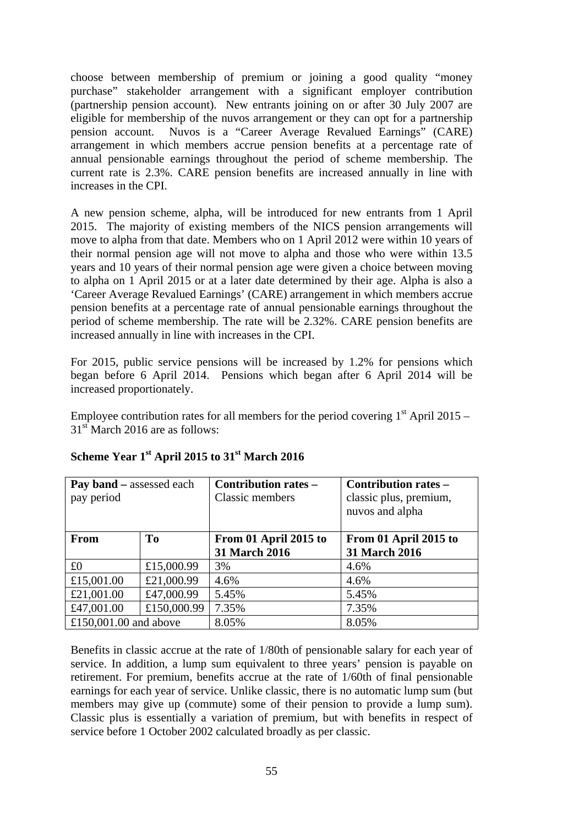choose between membership of premium or joining a good quality "money purchase" stakeholder arrangement with a significant employer contribution (partnership pension account). New entrants joining on or after 30 July 2007 are eligible for membership of the nuvos arrangement or they can opt for a partnership pension account. Nuvos is a "Career Average Revalued Earnings" (CARE) arrangement in which members accrue pension benefits at a percentage rate of annual pensionable earnings throughout the period of scheme membership. The current rate is 2.3%. CARE pension benefits are increased annually in line with increases in the CPI.

A new pension scheme, alpha, will be introduced for new entrants from 1 April 2015. The majority of existing members of the NICS pension arrangements will move to alpha from that date. Members who on 1 April 2012 were within 10 years of their normal pension age will not move to alpha and those who were within 13.5 years and 10 years of their normal pension age were given a choice between moving to alpha on 1 April 2015 or at a later date determined by their age. Alpha is also a 'Career Average Revalued Earnings' (CARE) arrangement in which members accrue pension benefits at a percentage rate of annual pensionable earnings throughout the period of scheme membership. The rate will be 2.32%. CARE pension benefits are increased annually in line with increases in the CPI.

For 2015, public service pensions will be increased by 1.2% for pensions which began before 6 April 2014. Pensions which began after 6 April 2014 will be increased proportionately.

Employee contribution rates for all members for the period covering  $1<sup>st</sup>$  April 2015 – 31<sup>st</sup> March 2016 are as follows:

| <b>Pay band</b> – assessed each<br>pay period |                | Contribution rates -<br>Classic members | Contribution rates –<br>classic plus, premium,<br>nuvos and alpha |
|-----------------------------------------------|----------------|-----------------------------------------|-------------------------------------------------------------------|
| <b>From</b>                                   | T <sub>0</sub> | From 01 April 2015 to                   | From 01 April 2015 to                                             |
|                                               |                | 31 March 2016                           | 31 March 2016                                                     |
| £0                                            | £15,000.99     | 3%                                      | 4.6%                                                              |
| £15,001.00                                    | £21,000.99     | 4.6%                                    | 4.6%                                                              |
| £21,001.00                                    | £47,000.99     | 5.45%                                   | 5.45%                                                             |
| £47,001.00                                    | £150,000.99    | 7.35%                                   | 7.35%                                                             |
| £150,001.00 and above                         |                | 8.05%                                   | 8.05%                                                             |

## **Scheme Year 1st April 2015 to 31st March 2016**

Benefits in classic accrue at the rate of 1/80th of pensionable salary for each year of service. In addition, a lump sum equivalent to three years' pension is payable on retirement. For premium, benefits accrue at the rate of 1/60th of final pensionable earnings for each year of service. Unlike classic, there is no automatic lump sum (but members may give up (commute) some of their pension to provide a lump sum). Classic plus is essentially a variation of premium, but with benefits in respect of service before 1 October 2002 calculated broadly as per classic.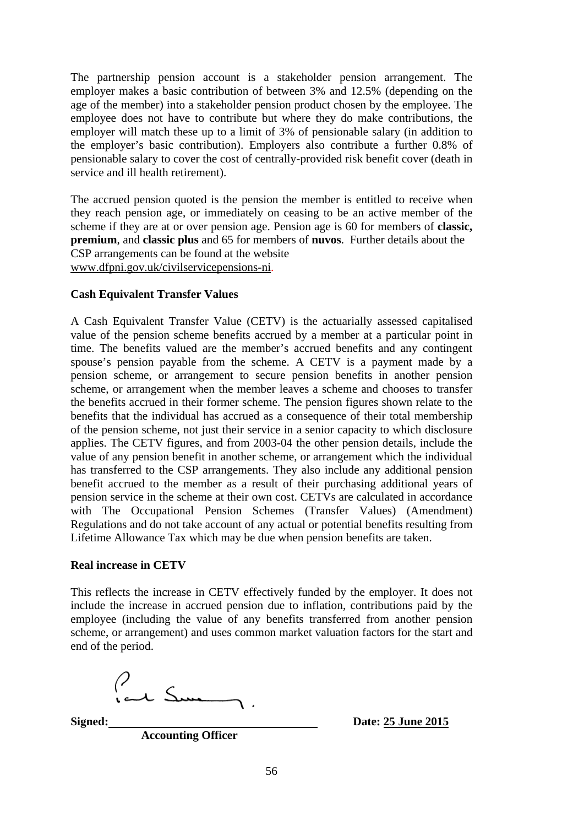The partnership pension account is a stakeholder pension arrangement. The employer makes a basic contribution of between 3% and 12.5% (depending on the age of the member) into a stakeholder pension product chosen by the employee. The employee does not have to contribute but where they do make contributions, the employer will match these up to a limit of 3% of pensionable salary (in addition to the employer's basic contribution). Employers also contribute a further 0.8% of pensionable salary to cover the cost of centrally-provided risk benefit cover (death in service and ill health retirement).

The accrued pension quoted is the pension the member is entitled to receive when they reach pension age, or immediately on ceasing to be an active member of the scheme if they are at or over pension age. Pension age is 60 for members of **classic, premium**, and **classic plus** and 65 for members of **nuvos**. Further details about the CSP arrangements can be found at the website www.dfpni.gov.uk/civilservicepensions-ni.

#### **Cash Equivalent Transfer Values**

A Cash Equivalent Transfer Value (CETV) is the actuarially assessed capitalised value of the pension scheme benefits accrued by a member at a particular point in time. The benefits valued are the member's accrued benefits and any contingent spouse's pension payable from the scheme. A CETV is a payment made by a pension scheme, or arrangement to secure pension benefits in another pension scheme, or arrangement when the member leaves a scheme and chooses to transfer the benefits accrued in their former scheme. The pension figures shown relate to the benefits that the individual has accrued as a consequence of their total membership of the pension scheme, not just their service in a senior capacity to which disclosure applies. The CETV figures, and from 2003-04 the other pension details, include the value of any pension benefit in another scheme, or arrangement which the individual has transferred to the CSP arrangements. They also include any additional pension benefit accrued to the member as a result of their purchasing additional years of pension service in the scheme at their own cost. CETVs are calculated in accordance with The Occupational Pension Schemes (Transfer Values) (Amendment) Regulations and do not take account of any actual or potential benefits resulting from Lifetime Allowance Tax which may be due when pension benefits are taken.

#### **Real increase in CETV**

This reflects the increase in CETV effectively funded by the employer. It does not include the increase in accrued pension due to inflation, contributions paid by the employee (including the value of any benefits transferred from another pension scheme, or arrangement) and uses common market valuation factors for the start and end of the period.

Peur Sum

**Signed:** Date: 25 June 2015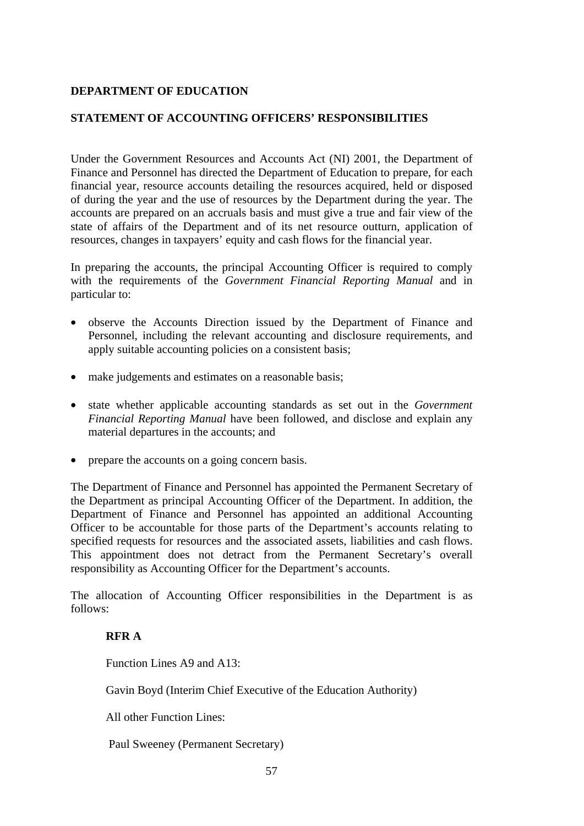## **DEPARTMENT OF EDUCATION**

## **STATEMENT OF ACCOUNTING OFFICERS' RESPONSIBILITIES**

Under the Government Resources and Accounts Act (NI) 2001, the Department of Finance and Personnel has directed the Department of Education to prepare, for each financial year, resource accounts detailing the resources acquired, held or disposed of during the year and the use of resources by the Department during the year. The accounts are prepared on an accruals basis and must give a true and fair view of the state of affairs of the Department and of its net resource outturn, application of resources, changes in taxpayers' equity and cash flows for the financial year.

In preparing the accounts, the principal Accounting Officer is required to comply with the requirements of the *Government Financial Reporting Manual* and in particular to:

- observe the Accounts Direction issued by the Department of Finance and Personnel, including the relevant accounting and disclosure requirements, and apply suitable accounting policies on a consistent basis;
- make judgements and estimates on a reasonable basis;
- state whether applicable accounting standards as set out in the *Government Financial Reporting Manual* have been followed, and disclose and explain any material departures in the accounts; and
- prepare the accounts on a going concern basis.

The Department of Finance and Personnel has appointed the Permanent Secretary of the Department as principal Accounting Officer of the Department. In addition, the Department of Finance and Personnel has appointed an additional Accounting Officer to be accountable for those parts of the Department's accounts relating to specified requests for resources and the associated assets, liabilities and cash flows. This appointment does not detract from the Permanent Secretary's overall responsibility as Accounting Officer for the Department's accounts.

The allocation of Accounting Officer responsibilities in the Department is as follows:

#### **RFR A**

Function Lines A9 and A13:

Gavin Boyd (Interim Chief Executive of the Education Authority)

All other Function Lines:

Paul Sweeney (Permanent Secretary)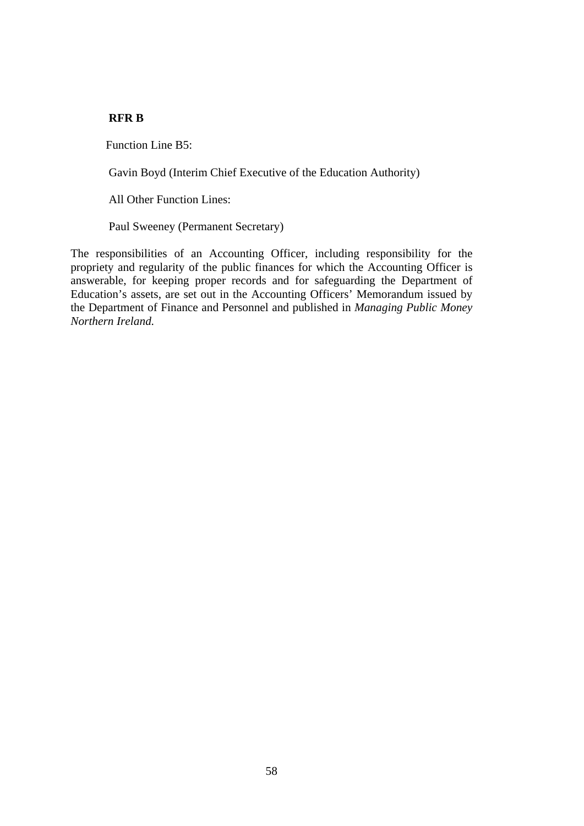# **RFR B**

Function Line B5:

Gavin Boyd (Interim Chief Executive of the Education Authority)

All Other Function Lines:

Paul Sweeney (Permanent Secretary)

The responsibilities of an Accounting Officer, including responsibility for the propriety and regularity of the public finances for which the Accounting Officer is answerable, for keeping proper records and for safeguarding the Department of Education's assets, are set out in the Accounting Officers' Memorandum issued by the Department of Finance and Personnel and published in *Managing Public Money Northern Ireland.*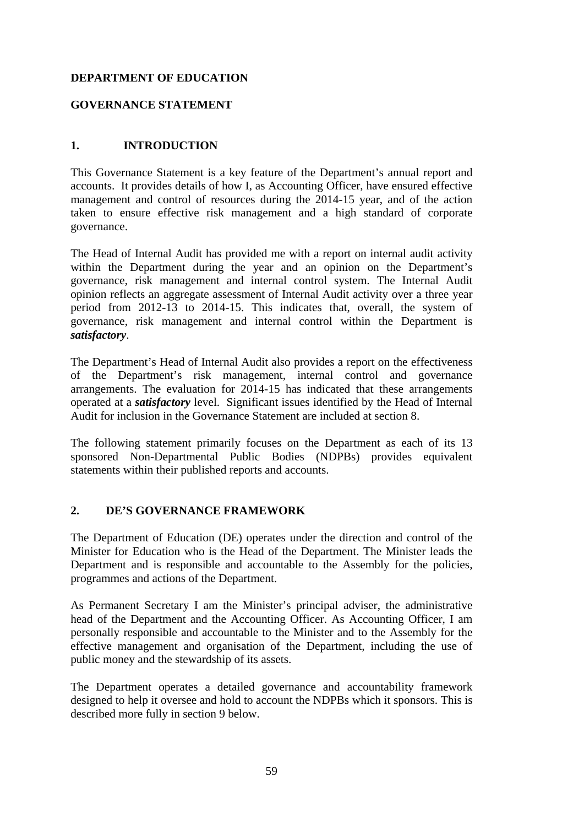# **DEPARTMENT OF EDUCATION**

# **GOVERNANCE STATEMENT**

# **1. INTRODUCTION**

This Governance Statement is a key feature of the Department's annual report and accounts. It provides details of how I, as Accounting Officer, have ensured effective management and control of resources during the 2014-15 year, and of the action taken to ensure effective risk management and a high standard of corporate governance.

The Head of Internal Audit has provided me with a report on internal audit activity within the Department during the year and an opinion on the Department's governance, risk management and internal control system. The Internal Audit opinion reflects an aggregate assessment of Internal Audit activity over a three year period from 2012-13 to 2014-15. This indicates that, overall, the system of governance, risk management and internal control within the Department is *satisfactory*.

The Department's Head of Internal Audit also provides a report on the effectiveness of the Department's risk management, internal control and governance arrangements. The evaluation for 2014-15 has indicated that these arrangements operated at a *satisfactory* level. Significant issues identified by the Head of Internal Audit for inclusion in the Governance Statement are included at section 8.

The following statement primarily focuses on the Department as each of its 13 sponsored Non-Departmental Public Bodies (NDPBs) provides equivalent statements within their published reports and accounts.

#### **2. DE'S GOVERNANCE FRAMEWORK**

The Department of Education (DE) operates under the direction and control of the Minister for Education who is the Head of the Department. The Minister leads the Department and is responsible and accountable to the Assembly for the policies, programmes and actions of the Department.

As Permanent Secretary I am the Minister's principal adviser, the administrative head of the Department and the Accounting Officer. As Accounting Officer, I am personally responsible and accountable to the Minister and to the Assembly for the effective management and organisation of the Department, including the use of public money and the stewardship of its assets.

The Department operates a detailed governance and accountability framework designed to help it oversee and hold to account the NDPBs which it sponsors. This is described more fully in section 9 below.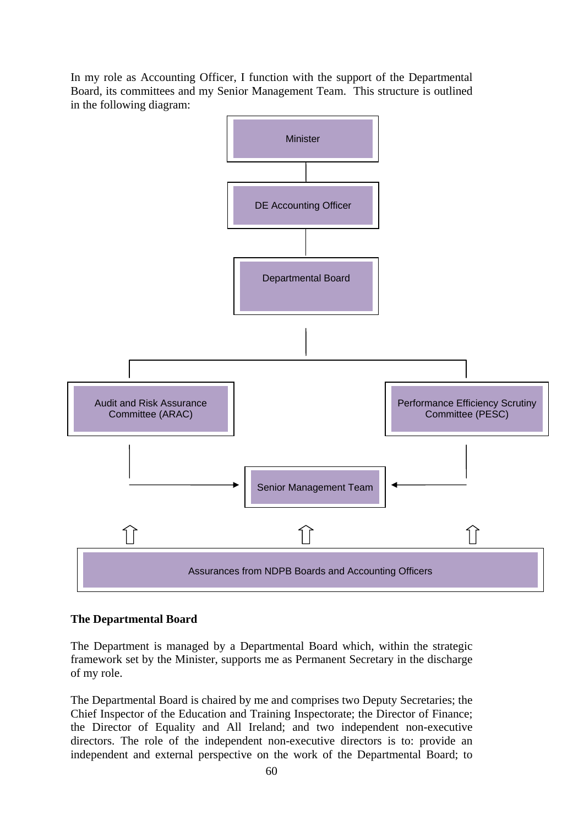In my role as Accounting Officer, I function with the support of the Departmental Board, its committees and my Senior Management Team. This structure is outlined in the following diagram:



#### **The Departmental Board**

The Department is managed by a Departmental Board which, within the strategic framework set by the Minister, supports me as Permanent Secretary in the discharge of my role.

The Departmental Board is chaired by me and comprises two Deputy Secretaries; the Chief Inspector of the Education and Training Inspectorate; the Director of Finance; the Director of Equality and All Ireland; and two independent non-executive directors. The role of the independent non-executive directors is to: provide an independent and external perspective on the work of the Departmental Board; to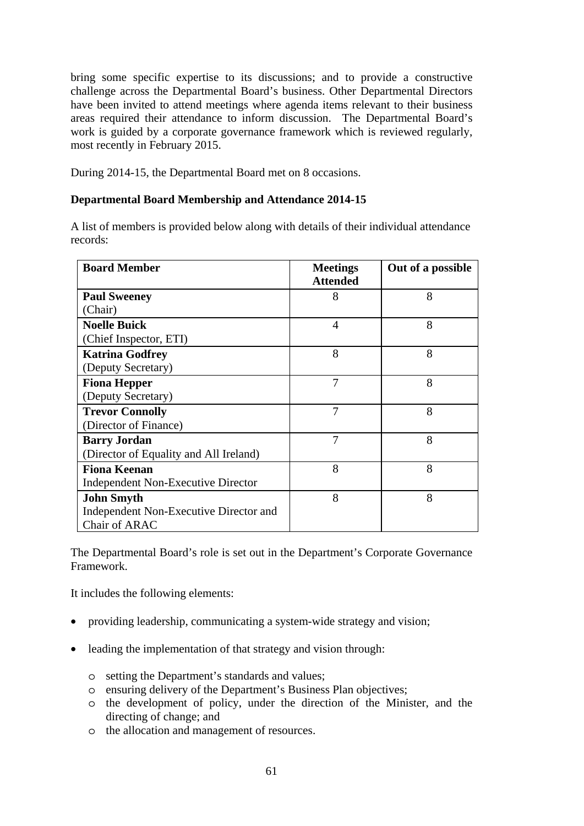bring some specific expertise to its discussions; and to provide a constructive challenge across the Departmental Board's business. Other Departmental Directors have been invited to attend meetings where agenda items relevant to their business areas required their attendance to inform discussion. The Departmental Board's work is guided by a corporate governance framework which is reviewed regularly, most recently in February 2015.

During 2014-15, the Departmental Board met on 8 occasions.

## **Departmental Board Membership and Attendance 2014-15**

A list of members is provided below along with details of their individual attendance records:

| <b>Board Member</b>                    | <b>Meetings</b> | Out of a possible |
|----------------------------------------|-----------------|-------------------|
|                                        | <b>Attended</b> |                   |
| <b>Paul Sweeney</b>                    | 8               | 8                 |
| (Chair)                                |                 |                   |
| <b>Noelle Buick</b>                    | 4               | 8                 |
| (Chief Inspector, ETI)                 |                 |                   |
| <b>Katrina Godfrey</b>                 | 8               | 8                 |
| (Deputy Secretary)                     |                 |                   |
| <b>Fiona Hepper</b>                    | 7               | 8                 |
| (Deputy Secretary)                     |                 |                   |
| <b>Trevor Connolly</b>                 | 7               | 8                 |
| (Director of Finance)                  |                 |                   |
| <b>Barry Jordan</b>                    | 7               | 8                 |
| (Director of Equality and All Ireland) |                 |                   |
| <b>Fiona Keenan</b>                    | 8               | 8                 |
| Independent Non-Executive Director     |                 |                   |
| <b>John Smyth</b>                      | 8               | 8                 |
| Independent Non-Executive Director and |                 |                   |
| Chair of ARAC                          |                 |                   |

The Departmental Board's role is set out in the Department's Corporate Governance Framework.

It includes the following elements:

- providing leadership, communicating a system-wide strategy and vision;
- leading the implementation of that strategy and vision through:
	- o setting the Department's standards and values;
	- o ensuring delivery of the Department's Business Plan objectives;
	- o the development of policy, under the direction of the Minister, and the directing of change; and
	- o the allocation and management of resources.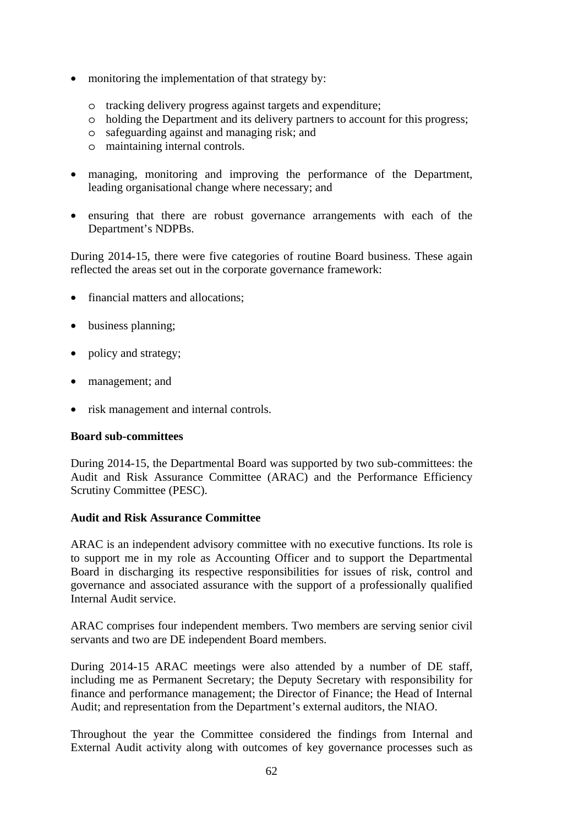- monitoring the implementation of that strategy by:
	- o tracking delivery progress against targets and expenditure;
	- o holding the Department and its delivery partners to account for this progress;
	- o safeguarding against and managing risk; and
	- o maintaining internal controls.
- managing, monitoring and improving the performance of the Department, leading organisational change where necessary; and
- ensuring that there are robust governance arrangements with each of the Department's NDPBs.

During 2014-15, there were five categories of routine Board business. These again reflected the areas set out in the corporate governance framework:

- financial matters and allocations:
- business planning;
- policy and strategy;
- management; and
- risk management and internal controls.

#### **Board sub-committees**

During 2014-15, the Departmental Board was supported by two sub-committees: the Audit and Risk Assurance Committee (ARAC) and the Performance Efficiency Scrutiny Committee (PESC).

#### **Audit and Risk Assurance Committee**

ARAC is an independent advisory committee with no executive functions. Its role is to support me in my role as Accounting Officer and to support the Departmental Board in discharging its respective responsibilities for issues of risk, control and governance and associated assurance with the support of a professionally qualified Internal Audit service.

ARAC comprises four independent members. Two members are serving senior civil servants and two are DE independent Board members.

During 2014-15 ARAC meetings were also attended by a number of DE staff, including me as Permanent Secretary; the Deputy Secretary with responsibility for finance and performance management; the Director of Finance; the Head of Internal Audit; and representation from the Department's external auditors, the NIAO.

Throughout the year the Committee considered the findings from Internal and External Audit activity along with outcomes of key governance processes such as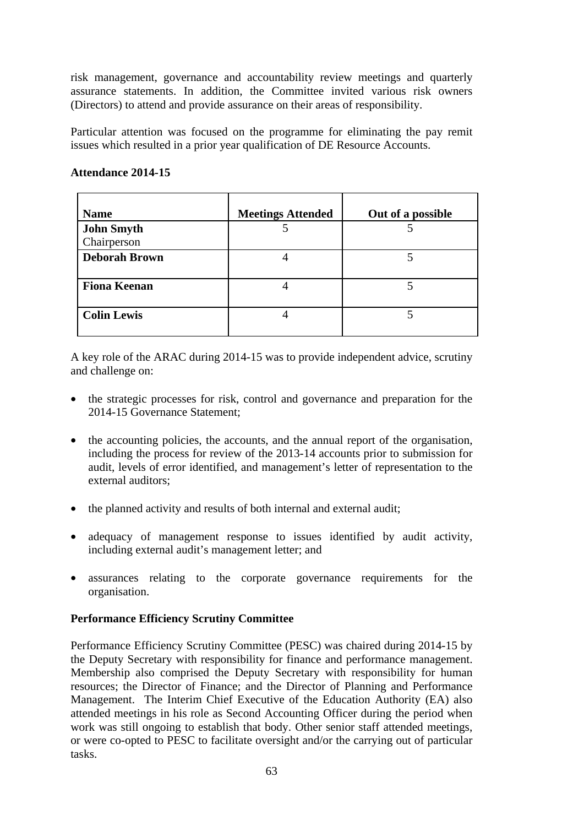risk management, governance and accountability review meetings and quarterly assurance statements. In addition, the Committee invited various risk owners (Directors) to attend and provide assurance on their areas of responsibility.

Particular attention was focused on the programme for eliminating the pay remit issues which resulted in a prior year qualification of DE Resource Accounts.

#### **Attendance 2014-15**

| <b>Name</b>          | <b>Meetings Attended</b> | Out of a possible |
|----------------------|--------------------------|-------------------|
| <b>John Smyth</b>    |                          |                   |
| Chairperson          |                          |                   |
| <b>Deborah Brown</b> |                          |                   |
| <b>Fiona Keenan</b>  |                          |                   |
| <b>Colin Lewis</b>   |                          |                   |

A key role of the ARAC during 2014-15 was to provide independent advice, scrutiny and challenge on:

- the strategic processes for risk, control and governance and preparation for the 2014-15 Governance Statement;
- the accounting policies, the accounts, and the annual report of the organisation, including the process for review of the 2013-14 accounts prior to submission for audit, levels of error identified, and management's letter of representation to the external auditors;
- the planned activity and results of both internal and external audit;
- adequacy of management response to issues identified by audit activity, including external audit's management letter; and
- assurances relating to the corporate governance requirements for the organisation.

# **Performance Efficiency Scrutiny Committee**

Performance Efficiency Scrutiny Committee (PESC) was chaired during 2014-15 by the Deputy Secretary with responsibility for finance and performance management. Membership also comprised the Deputy Secretary with responsibility for human resources; the Director of Finance; and the Director of Planning and Performance Management. The Interim Chief Executive of the Education Authority (EA) also attended meetings in his role as Second Accounting Officer during the period when work was still ongoing to establish that body. Other senior staff attended meetings, or were co-opted to PESC to facilitate oversight and/or the carrying out of particular tasks.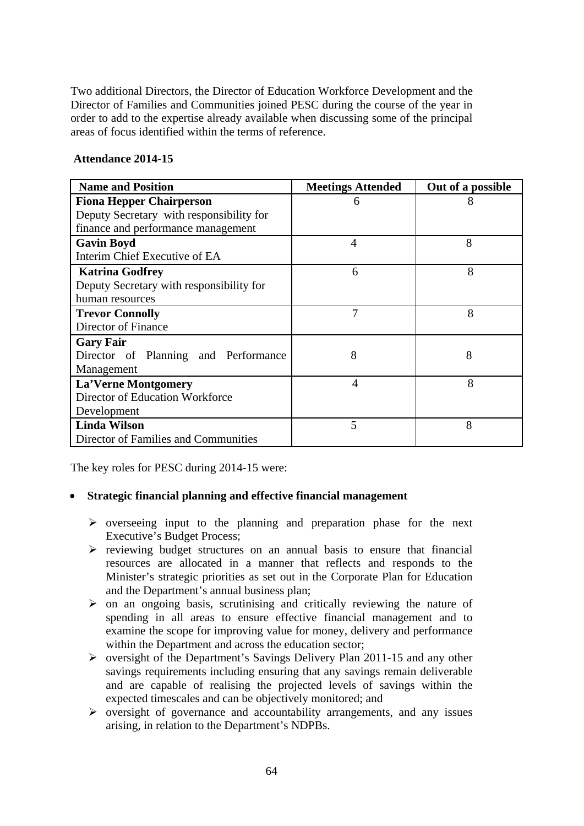Two additional Directors, the Director of Education Workforce Development and the Director of Families and Communities joined PESC during the course of the year in order to add to the expertise already available when discussing some of the principal areas of focus identified within the terms of reference.

#### **Attendance 2014-15**

| <b>Name and Position</b>                 | <b>Meetings Attended</b> | Out of a possible |
|------------------------------------------|--------------------------|-------------------|
| <b>Fiona Hepper Chairperson</b>          | 6                        | 8                 |
| Deputy Secretary with responsibility for |                          |                   |
| finance and performance management       |                          |                   |
| <b>Gavin Boyd</b>                        | 4                        | 8                 |
| Interim Chief Executive of EA            |                          |                   |
| <b>Katrina Godfrey</b>                   | 6                        | 8                 |
| Deputy Secretary with responsibility for |                          |                   |
| human resources                          |                          |                   |
| <b>Trevor Connolly</b>                   | 7                        | 8                 |
| Director of Finance                      |                          |                   |
| <b>Gary Fair</b>                         |                          |                   |
| Director of Planning and Performance     | 8                        | 8                 |
| Management                               |                          |                   |
| <b>La'Verne Montgomery</b>               | $\overline{4}$           | 8                 |
| Director of Education Workforce          |                          |                   |
| Development                              |                          |                   |
| <b>Linda Wilson</b>                      | 5                        | 8                 |
| Director of Families and Communities     |                          |                   |

The key roles for PESC during 2014-15 were:

# • **Strategic financial planning and effective financial management**

- $\triangleright$  overseeing input to the planning and preparation phase for the next Executive's Budget Process;
- $\triangleright$  reviewing budget structures on an annual basis to ensure that financial resources are allocated in a manner that reflects and responds to the Minister's strategic priorities as set out in the Corporate Plan for Education and the Department's annual business plan;
- $\triangleright$  on an ongoing basis, scrutinising and critically reviewing the nature of spending in all areas to ensure effective financial management and to examine the scope for improving value for money, delivery and performance within the Department and across the education sector;
- $\triangleright$  oversight of the Department's Savings Delivery Plan 2011-15 and any other savings requirements including ensuring that any savings remain deliverable and are capable of realising the projected levels of savings within the expected timescales and can be objectively monitored; and
- $\triangleright$  oversight of governance and accountability arrangements, and any issues arising, in relation to the Department's NDPBs.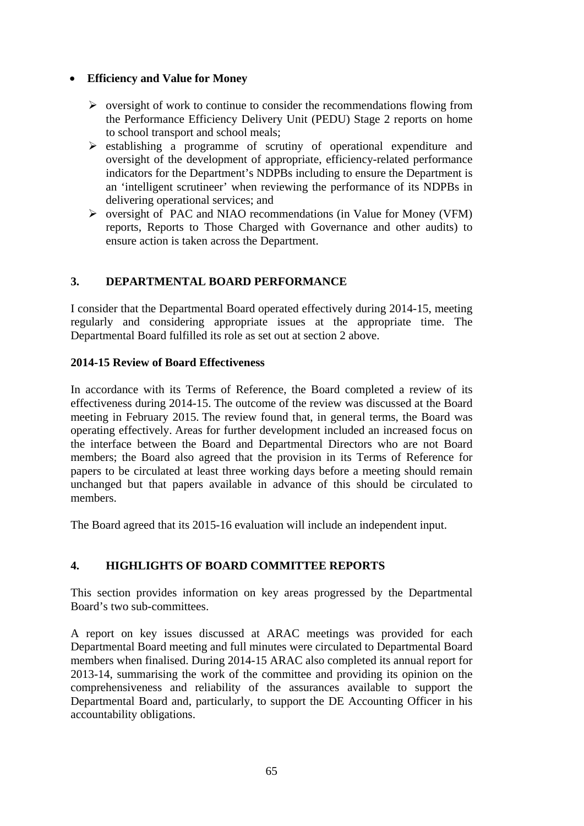# • **Efficiency and Value for Money**

- $\triangleright$  oversight of work to continue to consider the recommendations flowing from the Performance Efficiency Delivery Unit (PEDU) Stage 2 reports on home to school transport and school meals;
- $\triangleright$  establishing a programme of scrutiny of operational expenditure and oversight of the development of appropriate, efficiency-related performance indicators for the Department's NDPBs including to ensure the Department is an 'intelligent scrutineer' when reviewing the performance of its NDPBs in delivering operational services; and
- oversight of PAC and NIAO recommendations (in Value for Money (VFM) reports, Reports to Those Charged with Governance and other audits) to ensure action is taken across the Department.

# **3. DEPARTMENTAL BOARD PERFORMANCE**

I consider that the Departmental Board operated effectively during 2014-15, meeting regularly and considering appropriate issues at the appropriate time. The Departmental Board fulfilled its role as set out at section 2 above.

## **2014-15 Review of Board Effectiveness**

In accordance with its Terms of Reference, the Board completed a review of its effectiveness during 2014-15. The outcome of the review was discussed at the Board meeting in February 2015. The review found that, in general terms, the Board was operating effectively. Areas for further development included an increased focus on the interface between the Board and Departmental Directors who are not Board members; the Board also agreed that the provision in its Terms of Reference for papers to be circulated at least three working days before a meeting should remain unchanged but that papers available in advance of this should be circulated to members.

The Board agreed that its 2015-16 evaluation will include an independent input.

# **4. HIGHLIGHTS OF BOARD COMMITTEE REPORTS**

This section provides information on key areas progressed by the Departmental Board's two sub-committees.

A report on key issues discussed at ARAC meetings was provided for each Departmental Board meeting and full minutes were circulated to Departmental Board members when finalised. During 2014-15 ARAC also completed its annual report for 2013-14, summarising the work of the committee and providing its opinion on the comprehensiveness and reliability of the assurances available to support the Departmental Board and, particularly, to support the DE Accounting Officer in his accountability obligations.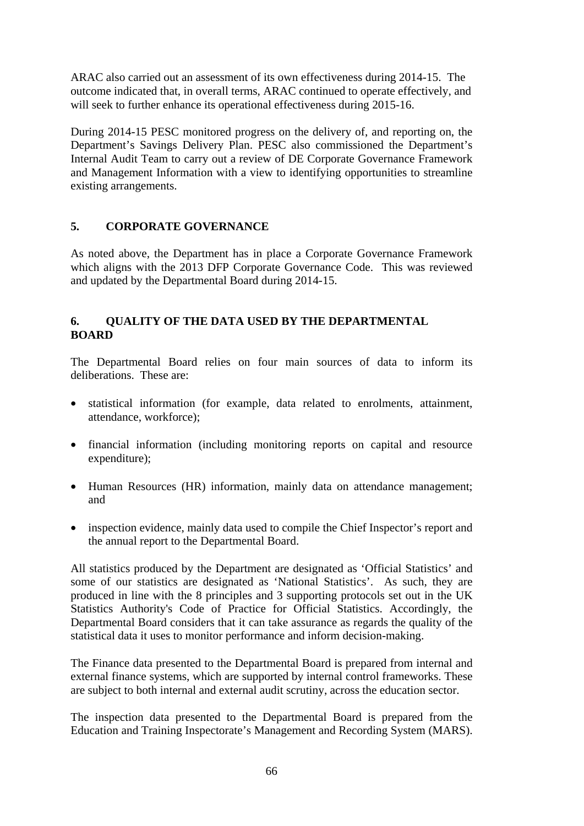ARAC also carried out an assessment of its own effectiveness during 2014-15. The outcome indicated that, in overall terms, ARAC continued to operate effectively, and will seek to further enhance its operational effectiveness during 2015-16.

During 2014-15 PESC monitored progress on the delivery of, and reporting on, the Department's Savings Delivery Plan. PESC also commissioned the Department's Internal Audit Team to carry out a review of DE Corporate Governance Framework and Management Information with a view to identifying opportunities to streamline existing arrangements.

# **5. CORPORATE GOVERNANCE**

As noted above, the Department has in place a Corporate Governance Framework which aligns with the 2013 DFP Corporate Governance Code. This was reviewed and updated by the Departmental Board during 2014-15.

# **6. QUALITY OF THE DATA USED BY THE DEPARTMENTAL BOARD**

The Departmental Board relies on four main sources of data to inform its deliberations. These are:

- statistical information (for example, data related to enrolments, attainment, attendance, workforce);
- financial information (including monitoring reports on capital and resource expenditure);
- Human Resources (HR) information, mainly data on attendance management; and
- inspection evidence, mainly data used to compile the Chief Inspector's report and the annual report to the Departmental Board.

All statistics produced by the Department are designated as 'Official Statistics' and some of our statistics are designated as 'National Statistics'. As such, they are produced in line with the 8 principles and 3 supporting protocols set out in the UK Statistics Authority's Code of Practice for Official Statistics. Accordingly, the Departmental Board considers that it can take assurance as regards the quality of the statistical data it uses to monitor performance and inform decision-making.

The Finance data presented to the Departmental Board is prepared from internal and external finance systems, which are supported by internal control frameworks. These are subject to both internal and external audit scrutiny, across the education sector.

The inspection data presented to the Departmental Board is prepared from the Education and Training Inspectorate's Management and Recording System (MARS).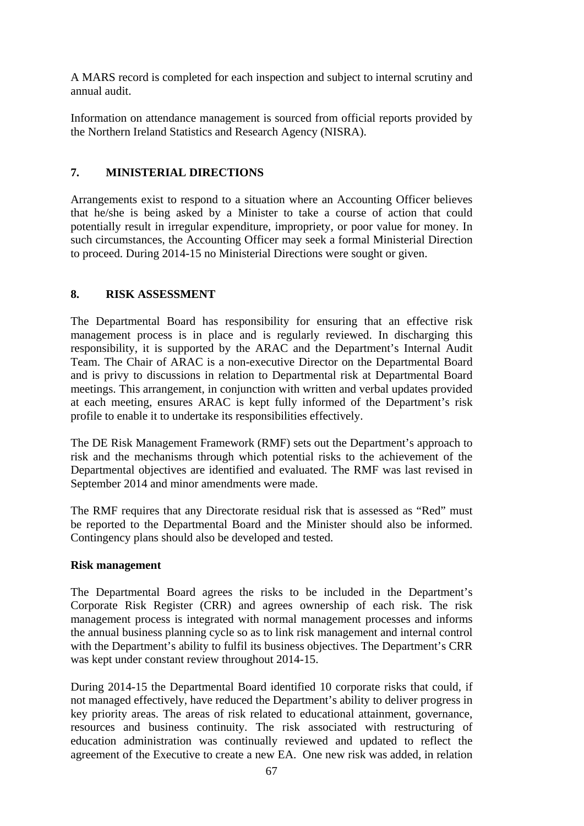A MARS record is completed for each inspection and subject to internal scrutiny and annual audit.

Information on attendance management is sourced from official reports provided by the Northern Ireland Statistics and Research Agency (NISRA).

# **7. MINISTERIAL DIRECTIONS**

Arrangements exist to respond to a situation where an Accounting Officer believes that he/she is being asked by a Minister to take a course of action that could potentially result in irregular expenditure, impropriety, or poor value for money. In such circumstances, the Accounting Officer may seek a formal Ministerial Direction to proceed. During 2014-15 no Ministerial Directions were sought or given.

# **8. RISK ASSESSMENT**

The Departmental Board has responsibility for ensuring that an effective risk management process is in place and is regularly reviewed. In discharging this responsibility, it is supported by the ARAC and the Department's Internal Audit Team. The Chair of ARAC is a non-executive Director on the Departmental Board and is privy to discussions in relation to Departmental risk at Departmental Board meetings. This arrangement, in conjunction with written and verbal updates provided at each meeting, ensures ARAC is kept fully informed of the Department's risk profile to enable it to undertake its responsibilities effectively.

The DE Risk Management Framework (RMF) sets out the Department's approach to risk and the mechanisms through which potential risks to the achievement of the Departmental objectives are identified and evaluated. The RMF was last revised in September 2014 and minor amendments were made.

The RMF requires that any Directorate residual risk that is assessed as "Red" must be reported to the Departmental Board and the Minister should also be informed. Contingency plans should also be developed and tested.

# **Risk management**

The Departmental Board agrees the risks to be included in the Department's Corporate Risk Register (CRR) and agrees ownership of each risk. The risk management process is integrated with normal management processes and informs the annual business planning cycle so as to link risk management and internal control with the Department's ability to fulfil its business objectives. The Department's CRR was kept under constant review throughout 2014-15.

During 2014-15 the Departmental Board identified 10 corporate risks that could, if not managed effectively, have reduced the Department's ability to deliver progress in key priority areas. The areas of risk related to educational attainment, governance, resources and business continuity. The risk associated with restructuring of education administration was continually reviewed and updated to reflect the agreement of the Executive to create a new EA. One new risk was added, in relation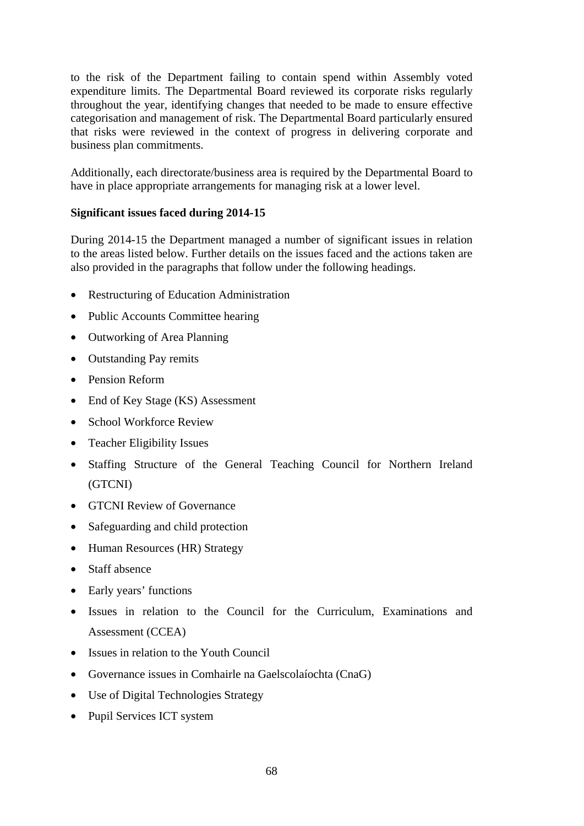to the risk of the Department failing to contain spend within Assembly voted expenditure limits. The Departmental Board reviewed its corporate risks regularly throughout the year, identifying changes that needed to be made to ensure effective categorisation and management of risk. The Departmental Board particularly ensured that risks were reviewed in the context of progress in delivering corporate and business plan commitments.

Additionally, each directorate/business area is required by the Departmental Board to have in place appropriate arrangements for managing risk at a lower level.

# **Significant issues faced during 2014-15**

During 2014-15 the Department managed a number of significant issues in relation to the areas listed below. Further details on the issues faced and the actions taken are also provided in the paragraphs that follow under the following headings.

- Restructuring of Education Administration
- Public Accounts Committee hearing
- Outworking of Area Planning
- Outstanding Pay remits
- Pension Reform
- End of Key Stage (KS) Assessment
- School Workforce Review
- Teacher Eligibility Issues
- Staffing Structure of the General Teaching Council for Northern Ireland (GTCNI)
- GTCNI Review of Governance
- Safeguarding and child protection
- Human Resources (HR) Strategy
- Staff absence
- Early years' functions
- Issues in relation to the Council for the Curriculum, Examinations and Assessment (CCEA)
- Issues in relation to the Youth Council
- Governance issues in Comhairle na Gaelscolaíochta (CnaG)
- Use of Digital Technologies Strategy
- Pupil Services ICT system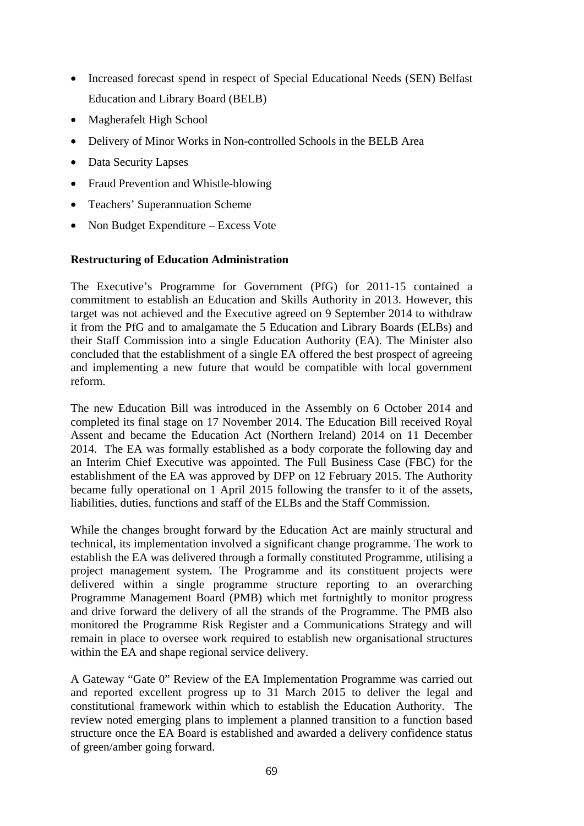- Increased forecast spend in respect of Special Educational Needs (SEN) Belfast Education and Library Board (BELB)
- Magherafelt High School
- Delivery of Minor Works in Non-controlled Schools in the BELB Area
- Data Security Lapses
- Fraud Prevention and Whistle-blowing
- Teachers' Superannuation Scheme
- Non Budget Expenditure Excess Vote

### **Restructuring of Education Administration**

The Executive's Programme for Government (PfG) for 2011-15 contained a commitment to establish an Education and Skills Authority in 2013. However, this target was not achieved and the Executive agreed on 9 September 2014 to withdraw it from the PfG and to amalgamate the 5 Education and Library Boards (ELBs) and their Staff Commission into a single Education Authority (EA). The Minister also concluded that the establishment of a single EA offered the best prospect of agreeing and implementing a new future that would be compatible with local government reform.

The new Education Bill was introduced in the Assembly on 6 October 2014 and completed its final stage on 17 November 2014. The Education Bill received Royal Assent and became the Education Act (Northern Ireland) 2014 on 11 December 2014. The EA was formally established as a body corporate the following day and an Interim Chief Executive was appointed. The Full Business Case (FBC) for the establishment of the EA was approved by DFP on 12 February 2015. The Authority became fully operational on 1 April 2015 following the transfer to it of the assets, liabilities, duties, functions and staff of the ELBs and the Staff Commission.

While the changes brought forward by the Education Act are mainly structural and technical, its implementation involved a significant change programme. The work to establish the EA was delivered through a formally constituted Programme, utilising a project management system. The Programme and its constituent projects were delivered within a single programme structure reporting to an overarching Programme Management Board (PMB) which met fortnightly to monitor progress and drive forward the delivery of all the strands of the Programme. The PMB also monitored the Programme Risk Register and a Communications Strategy and will remain in place to oversee work required to establish new organisational structures within the EA and shape regional service delivery.

A Gateway "Gate 0" Review of the EA Implementation Programme was carried out and reported excellent progress up to 31 March 2015 to deliver the legal and constitutional framework within which to establish the Education Authority. The review noted emerging plans to implement a planned transition to a function based structure once the EA Board is established and awarded a delivery confidence status of green/amber going forward.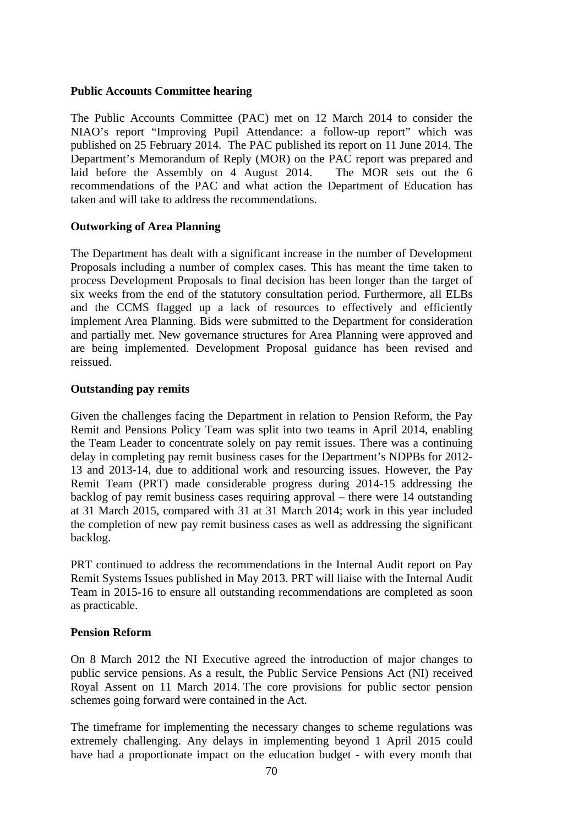#### **Public Accounts Committee hearing**

The Public Accounts Committee (PAC) met on 12 March 2014 to consider the NIAO's report "Improving Pupil Attendance: a follow-up report" which was published on 25 February 2014. The PAC published its report on 11 June 2014. The Department's Memorandum of Reply (MOR) on the PAC report was prepared and laid before the Assembly on 4 August 2014. The MOR sets out the 6 recommendations of the PAC and what action the Department of Education has taken and will take to address the recommendations.

## **Outworking of Area Planning**

The Department has dealt with a significant increase in the number of Development Proposals including a number of complex cases. This has meant the time taken to process Development Proposals to final decision has been longer than the target of six weeks from the end of the statutory consultation period. Furthermore, all ELBs and the CCMS flagged up a lack of resources to effectively and efficiently implement Area Planning. Bids were submitted to the Department for consideration and partially met. New governance structures for Area Planning were approved and are being implemented. Development Proposal guidance has been revised and reissued.

### **Outstanding pay remits**

Given the challenges facing the Department in relation to Pension Reform, the Pay Remit and Pensions Policy Team was split into two teams in April 2014, enabling the Team Leader to concentrate solely on pay remit issues. There was a continuing delay in completing pay remit business cases for the Department's NDPBs for 2012- 13 and 2013-14, due to additional work and resourcing issues. However, the Pay Remit Team (PRT) made considerable progress during 2014-15 addressing the backlog of pay remit business cases requiring approval – there were 14 outstanding at 31 March 2015, compared with 31 at 31 March 2014; work in this year included the completion of new pay remit business cases as well as addressing the significant backlog.

PRT continued to address the recommendations in the Internal Audit report on Pay Remit Systems Issues published in May 2013. PRT will liaise with the Internal Audit Team in 2015-16 to ensure all outstanding recommendations are completed as soon as practicable.

## **Pension Reform**

On 8 March 2012 the NI Executive agreed the introduction of major changes to public service pensions. As a result, the Public Service Pensions Act (NI) received Royal Assent on 11 March 2014. The core provisions for public sector pension schemes going forward were contained in the Act.

The timeframe for implementing the necessary changes to scheme regulations was extremely challenging. Any delays in implementing beyond 1 April 2015 could have had a proportionate impact on the education budget - with every month that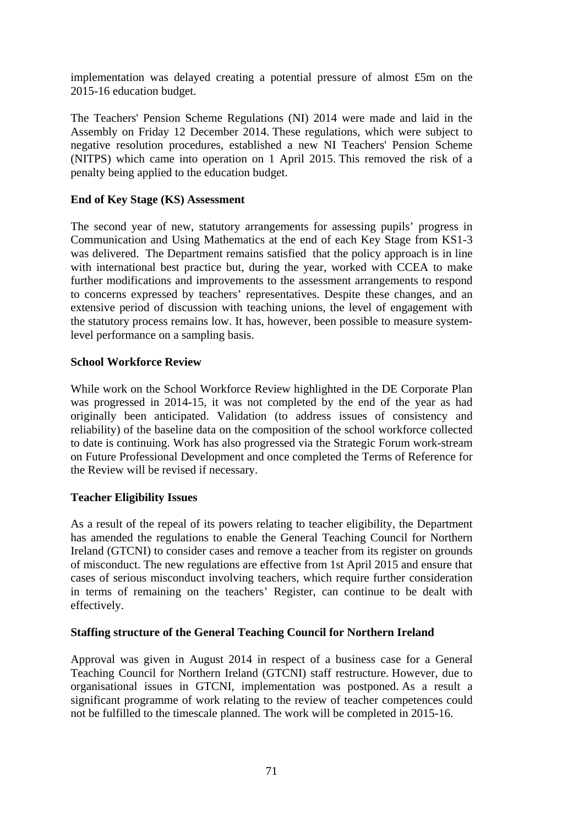implementation was delayed creating a potential pressure of almost £5m on the 2015-16 education budget.

The Teachers' Pension Scheme Regulations (NI) 2014 were made and laid in the Assembly on Friday 12 December 2014. These regulations, which were subject to negative resolution procedures, established a new NI Teachers' Pension Scheme (NITPS) which came into operation on 1 April 2015. This removed the risk of a penalty being applied to the education budget.

## **End of Key Stage (KS) Assessment**

The second year of new, statutory arrangements for assessing pupils' progress in Communication and Using Mathematics at the end of each Key Stage from KS1-3 was delivered. The Department remains satisfied that the policy approach is in line with international best practice but, during the year, worked with CCEA to make further modifications and improvements to the assessment arrangements to respond to concerns expressed by teachers' representatives. Despite these changes, and an extensive period of discussion with teaching unions, the level of engagement with the statutory process remains low. It has, however, been possible to measure systemlevel performance on a sampling basis.

### **School Workforce Review**

While work on the School Workforce Review highlighted in the DE Corporate Plan was progressed in 2014-15, it was not completed by the end of the year as had originally been anticipated. Validation (to address issues of consistency and reliability) of the baseline data on the composition of the school workforce collected to date is continuing. Work has also progressed via the Strategic Forum work-stream on Future Professional Development and once completed the Terms of Reference for the Review will be revised if necessary.

## **Teacher Eligibility Issues**

As a result of the repeal of its powers relating to teacher eligibility, the Department has amended the regulations to enable the General Teaching Council for Northern Ireland (GTCNI) to consider cases and remove a teacher from its register on grounds of misconduct. The new regulations are effective from 1st April 2015 and ensure that cases of serious misconduct involving teachers, which require further consideration in terms of remaining on the teachers' Register, can continue to be dealt with effectively.

## **Staffing structure of the General Teaching Council for Northern Ireland**

Approval was given in August 2014 in respect of a business case for a General Teaching Council for Northern Ireland (GTCNI) staff restructure. However, due to organisational issues in GTCNI, implementation was postponed. As a result a significant programme of work relating to the review of teacher competences could not be fulfilled to the timescale planned. The work will be completed in 2015-16.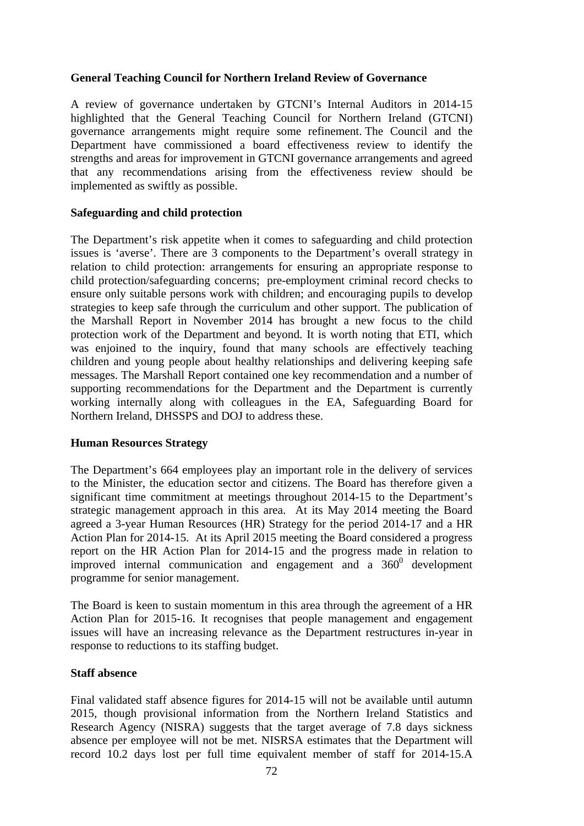### **General Teaching Council for Northern Ireland Review of Governance**

A review of governance undertaken by GTCNI's Internal Auditors in 2014-15 highlighted that the General Teaching Council for Northern Ireland (GTCNI) governance arrangements might require some refinement. The Council and the Department have commissioned a board effectiveness review to identify the strengths and areas for improvement in GTCNI governance arrangements and agreed that any recommendations arising from the effectiveness review should be implemented as swiftly as possible.

### **Safeguarding and child protection**

The Department's risk appetite when it comes to safeguarding and child protection issues is 'averse'. There are 3 components to the Department's overall strategy in relation to child protection: arrangements for ensuring an appropriate response to child protection/safeguarding concerns; pre-employment criminal record checks to ensure only suitable persons work with children; and encouraging pupils to develop strategies to keep safe through the curriculum and other support. The publication of the Marshall Report in November 2014 has brought a new focus to the child protection work of the Department and beyond. It is worth noting that ETI, which was enjoined to the inquiry, found that many schools are effectively teaching children and young people about healthy relationships and delivering keeping safe messages. The Marshall Report contained one key recommendation and a number of supporting recommendations for the Department and the Department is currently working internally along with colleagues in the EA, Safeguarding Board for Northern Ireland, DHSSPS and DOJ to address these.

#### **Human Resources Strategy**

The Department's 664 employees play an important role in the delivery of services to the Minister, the education sector and citizens. The Board has therefore given a significant time commitment at meetings throughout 2014-15 to the Department's strategic management approach in this area. At its May 2014 meeting the Board agreed a 3-year Human Resources (HR) Strategy for the period 2014-17 and a HR Action Plan for 2014-15. At its April 2015 meeting the Board considered a progress report on the HR Action Plan for 2014-15 and the progress made in relation to improved internal communication and engagement and a  $360^{\circ}$  development programme for senior management.

The Board is keen to sustain momentum in this area through the agreement of a HR Action Plan for 2015-16. It recognises that people management and engagement issues will have an increasing relevance as the Department restructures in-year in response to reductions to its staffing budget.

#### **Staff absence**

Final validated staff absence figures for 2014-15 will not be available until autumn 2015, though provisional information from the Northern Ireland Statistics and Research Agency (NISRA) suggests that the target average of 7.8 days sickness absence per employee will not be met. NISRSA estimates that the Department will record 10.2 days lost per full time equivalent member of staff for 2014-15.A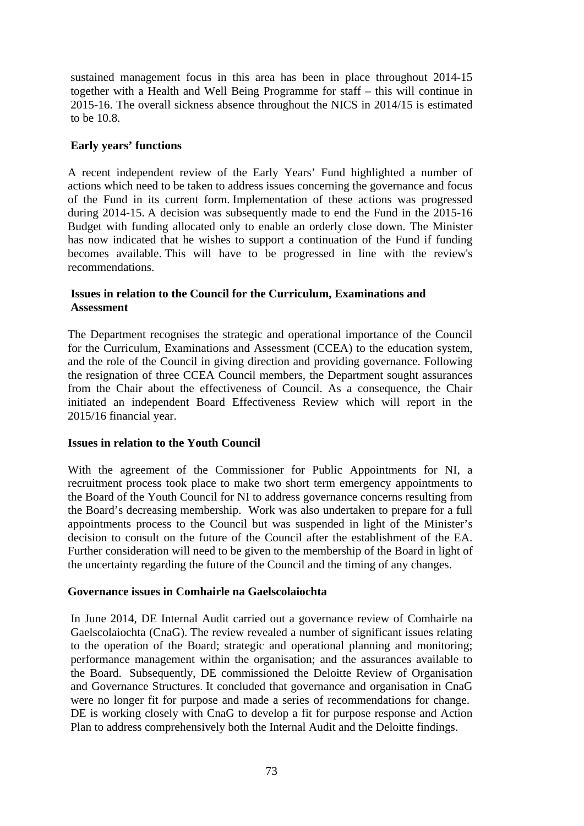sustained management focus in this area has been in place throughout 2014-15 together with a Health and Well Being Programme for staff – this will continue in 2015-16. The overall sickness absence throughout the NICS in 2014/15 is estimated to be 10.8.

## **Early years' functions**

A recent independent review of the Early Years' Fund highlighted a number of actions which need to be taken to address issues concerning the governance and focus of the Fund in its current form. Implementation of these actions was progressed during 2014-15. A decision was subsequently made to end the Fund in the 2015-16 Budget with funding allocated only to enable an orderly close down. The Minister has now indicated that he wishes to support a continuation of the Fund if funding becomes available. This will have to be progressed in line with the review's recommendations.

#### **Issues in relation to the Council for the Curriculum, Examinations and Assessment**

The Department recognises the strategic and operational importance of the Council for the Curriculum, Examinations and Assessment (CCEA) to the education system, and the role of the Council in giving direction and providing governance. Following the resignation of three CCEA Council members, the Department sought assurances from the Chair about the effectiveness of Council. As a consequence, the Chair initiated an independent Board Effectiveness Review which will report in the 2015/16 financial year.

#### **Issues in relation to the Youth Council**

With the agreement of the Commissioner for Public Appointments for NI, a recruitment process took place to make two short term emergency appointments to the Board of the Youth Council for NI to address governance concerns resulting from the Board's decreasing membership. Work was also undertaken to prepare for a full appointments process to the Council but was suspended in light of the Minister's decision to consult on the future of the Council after the establishment of the EA. Further consideration will need to be given to the membership of the Board in light of the uncertainty regarding the future of the Council and the timing of any changes.

#### **Governance issues in Comhairle na Gaelscolaiochta**

In June 2014, DE Internal Audit carried out a governance review of Comhairle na Gaelscolaiochta (CnaG). The review revealed a number of significant issues relating to the operation of the Board; strategic and operational planning and monitoring; performance management within the organisation; and the assurances available to the Board. Subsequently, DE commissioned the Deloitte Review of Organisation and Governance Structures. It concluded that governance and organisation in CnaG were no longer fit for purpose and made a series of recommendations for change. DE is working closely with CnaG to develop a fit for purpose response and Action Plan to address comprehensively both the Internal Audit and the Deloitte findings.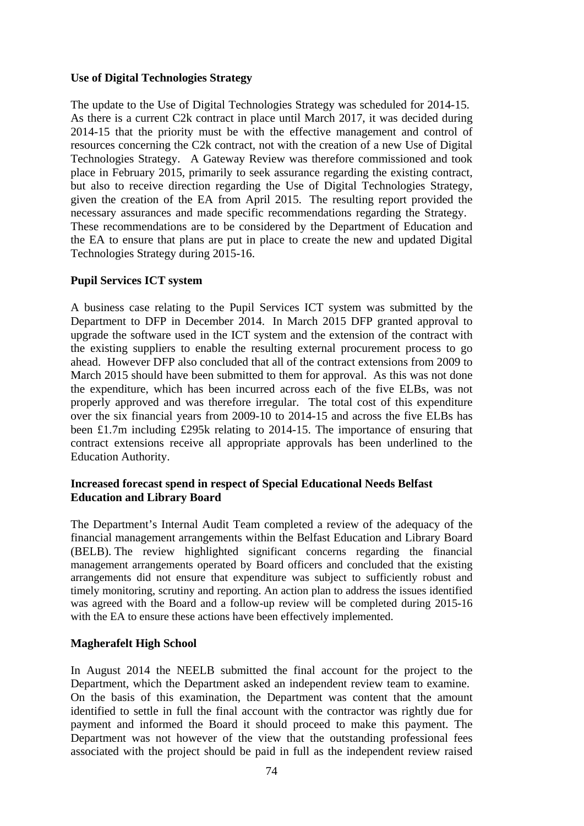#### **Use of Digital Technologies Strategy**

The update to the Use of Digital Technologies Strategy was scheduled for 2014-15. As there is a current C2k contract in place until March 2017, it was decided during 2014-15 that the priority must be with the effective management and control of resources concerning the C2k contract, not with the creation of a new Use of Digital Technologies Strategy. A Gateway Review was therefore commissioned and took place in February 2015, primarily to seek assurance regarding the existing contract, but also to receive direction regarding the Use of Digital Technologies Strategy, given the creation of the EA from April 2015. The resulting report provided the necessary assurances and made specific recommendations regarding the Strategy. These recommendations are to be considered by the Department of Education and the EA to ensure that plans are put in place to create the new and updated Digital Technologies Strategy during 2015-16.

### **Pupil Services ICT system**

A business case relating to the Pupil Services ICT system was submitted by the Department to DFP in December 2014. In March 2015 DFP granted approval to upgrade the software used in the ICT system and the extension of the contract with the existing suppliers to enable the resulting external procurement process to go ahead. However DFP also concluded that all of the contract extensions from 2009 to March 2015 should have been submitted to them for approval. As this was not done the expenditure, which has been incurred across each of the five ELBs, was not properly approved and was therefore irregular. The total cost of this expenditure over the six financial years from 2009-10 to 2014-15 and across the five ELBs has been £1.7m including £295k relating to 2014-15. The importance of ensuring that contract extensions receive all appropriate approvals has been underlined to the Education Authority.

### **Increased forecast spend in respect of Special Educational Needs Belfast Education and Library Board**

The Department's Internal Audit Team completed a review of the adequacy of the financial management arrangements within the Belfast Education and Library Board (BELB). The review highlighted significant concerns regarding the financial management arrangements operated by Board officers and concluded that the existing arrangements did not ensure that expenditure was subject to sufficiently robust and timely monitoring, scrutiny and reporting. An action plan to address the issues identified was agreed with the Board and a follow-up review will be completed during 2015-16 with the EA to ensure these actions have been effectively implemented.

## **Magherafelt High School**

In August 2014 the NEELB submitted the final account for the project to the Department, which the Department asked an independent review team to examine. On the basis of this examination, the Department was content that the amount identified to settle in full the final account with the contractor was rightly due for payment and informed the Board it should proceed to make this payment. The Department was not however of the view that the outstanding professional fees associated with the project should be paid in full as the independent review raised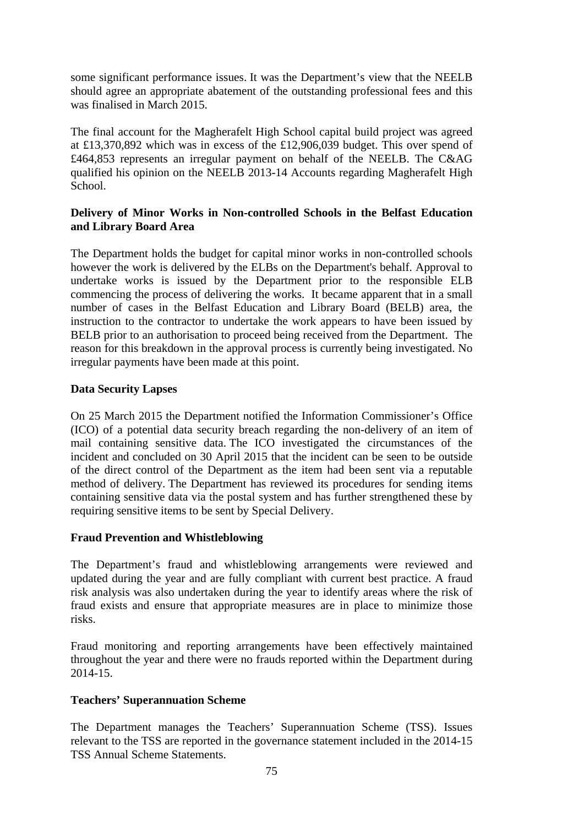some significant performance issues. It was the Department's view that the NEELB should agree an appropriate abatement of the outstanding professional fees and this was finalised in March 2015.

The final account for the Magherafelt High School capital build project was agreed at £13,370,892 which was in excess of the £12,906,039 budget. This over spend of £464,853 represents an irregular payment on behalf of the NEELB. The C&AG qualified his opinion on the NEELB 2013-14 Accounts regarding Magherafelt High School.

## **Delivery of Minor Works in Non-controlled Schools in the Belfast Education and Library Board Area**

The Department holds the budget for capital minor works in non-controlled schools however the work is delivered by the ELBs on the Department's behalf. Approval to undertake works is issued by the Department prior to the responsible ELB commencing the process of delivering the works. It became apparent that in a small number of cases in the Belfast Education and Library Board (BELB) area, the instruction to the contractor to undertake the work appears to have been issued by BELB prior to an authorisation to proceed being received from the Department. The reason for this breakdown in the approval process is currently being investigated. No irregular payments have been made at this point.

## **Data Security Lapses**

On 25 March 2015 the Department notified the Information Commissioner's Office (ICO) of a potential data security breach regarding the non-delivery of an item of mail containing sensitive data. The ICO investigated the circumstances of the incident and concluded on 30 April 2015 that the incident can be seen to be outside of the direct control of the Department as the item had been sent via a reputable method of delivery. The Department has reviewed its procedures for sending items containing sensitive data via the postal system and has further strengthened these by requiring sensitive items to be sent by Special Delivery.

## **Fraud Prevention and Whistleblowing**

The Department's fraud and whistleblowing arrangements were reviewed and updated during the year and are fully compliant with current best practice. A fraud risk analysis was also undertaken during the year to identify areas where the risk of fraud exists and ensure that appropriate measures are in place to minimize those risks.

Fraud monitoring and reporting arrangements have been effectively maintained throughout the year and there were no frauds reported within the Department during 2014-15.

## **Teachers' Superannuation Scheme**

The Department manages the Teachers' Superannuation Scheme (TSS). Issues relevant to the TSS are reported in the governance statement included in the 2014-15 TSS Annual Scheme Statements.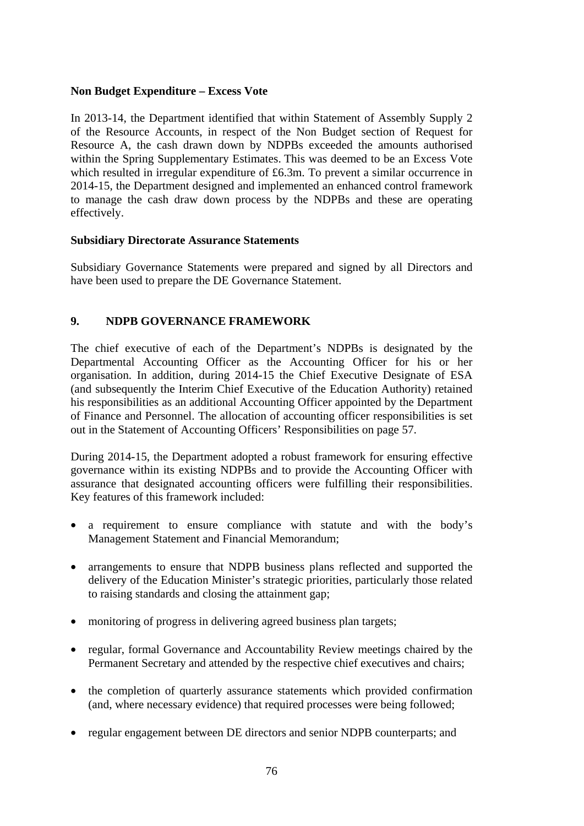### **Non Budget Expenditure – Excess Vote**

In 2013-14, the Department identified that within Statement of Assembly Supply 2 of the Resource Accounts, in respect of the Non Budget section of Request for Resource A, the cash drawn down by NDPBs exceeded the amounts authorised within the Spring Supplementary Estimates. This was deemed to be an Excess Vote which resulted in irregular expenditure of £6.3m. To prevent a similar occurrence in 2014-15, the Department designed and implemented an enhanced control framework to manage the cash draw down process by the NDPBs and these are operating effectively.

#### **Subsidiary Directorate Assurance Statements**

Subsidiary Governance Statements were prepared and signed by all Directors and have been used to prepare the DE Governance Statement.

## **9. NDPB GOVERNANCE FRAMEWORK**

The chief executive of each of the Department's NDPBs is designated by the Departmental Accounting Officer as the Accounting Officer for his or her organisation. In addition, during 2014-15 the Chief Executive Designate of ESA (and subsequently the Interim Chief Executive of the Education Authority) retained his responsibilities as an additional Accounting Officer appointed by the Department of Finance and Personnel. The allocation of accounting officer responsibilities is set out in the Statement of Accounting Officers' Responsibilities on page 57.

During 2014-15, the Department adopted a robust framework for ensuring effective governance within its existing NDPBs and to provide the Accounting Officer with assurance that designated accounting officers were fulfilling their responsibilities. Key features of this framework included:

- a requirement to ensure compliance with statute and with the body's Management Statement and Financial Memorandum;
- arrangements to ensure that NDPB business plans reflected and supported the delivery of the Education Minister's strategic priorities, particularly those related to raising standards and closing the attainment gap;
- monitoring of progress in delivering agreed business plan targets;
- regular, formal Governance and Accountability Review meetings chaired by the Permanent Secretary and attended by the respective chief executives and chairs;
- the completion of quarterly assurance statements which provided confirmation (and, where necessary evidence) that required processes were being followed;
- regular engagement between DE directors and senior NDPB counterparts; and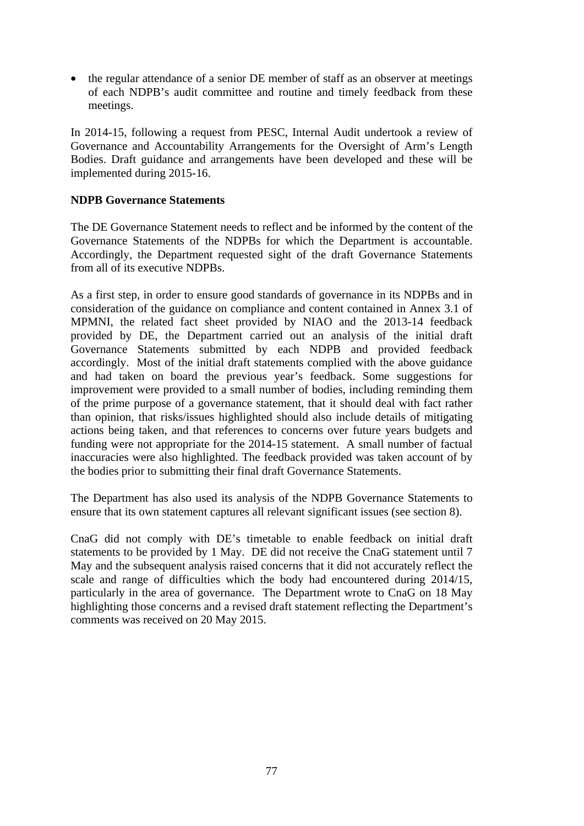• the regular attendance of a senior DE member of staff as an observer at meetings of each NDPB's audit committee and routine and timely feedback from these meetings.

In 2014-15, following a request from PESC, Internal Audit undertook a review of Governance and Accountability Arrangements for the Oversight of Arm's Length Bodies. Draft guidance and arrangements have been developed and these will be implemented during 2015-16.

## **NDPB Governance Statements**

The DE Governance Statement needs to reflect and be informed by the content of the Governance Statements of the NDPBs for which the Department is accountable. Accordingly, the Department requested sight of the draft Governance Statements from all of its executive NDPBs.

As a first step, in order to ensure good standards of governance in its NDPBs and in consideration of the guidance on compliance and content contained in Annex 3.1 of MPMNI, the related fact sheet provided by NIAO and the 2013-14 feedback provided by DE, the Department carried out an analysis of the initial draft Governance Statements submitted by each NDPB and provided feedback accordingly. Most of the initial draft statements complied with the above guidance and had taken on board the previous year's feedback. Some suggestions for improvement were provided to a small number of bodies, including reminding them of the prime purpose of a governance statement, that it should deal with fact rather than opinion, that risks/issues highlighted should also include details of mitigating actions being taken, and that references to concerns over future years budgets and funding were not appropriate for the 2014-15 statement. A small number of factual inaccuracies were also highlighted. The feedback provided was taken account of by the bodies prior to submitting their final draft Governance Statements.

The Department has also used its analysis of the NDPB Governance Statements to ensure that its own statement captures all relevant significant issues (see section 8).

CnaG did not comply with DE's timetable to enable feedback on initial draft statements to be provided by 1 May. DE did not receive the CnaG statement until 7 May and the subsequent analysis raised concerns that it did not accurately reflect the scale and range of difficulties which the body had encountered during 2014/15, particularly in the area of governance. The Department wrote to CnaG on 18 May highlighting those concerns and a revised draft statement reflecting the Department's comments was received on 20 May 2015.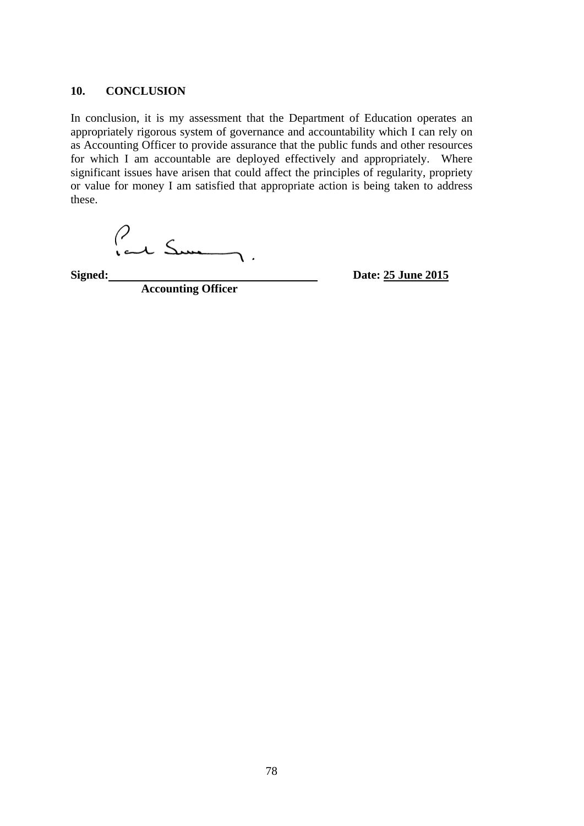#### **10. CONCLUSION**

In conclusion, it is my assessment that the Department of Education operates an appropriately rigorous system of governance and accountability which I can rely on as Accounting Officer to provide assurance that the public funds and other resources for which I am accountable are deployed effectively and appropriately. Where significant issues have arisen that could affect the principles of regularity, propriety or value for money I am satisfied that appropriate action is being taken to address these.

Paul Sum  $\overline{ }$ 

Signed:

**Accounting Officer**

**Signed:** Date: 25 June 2015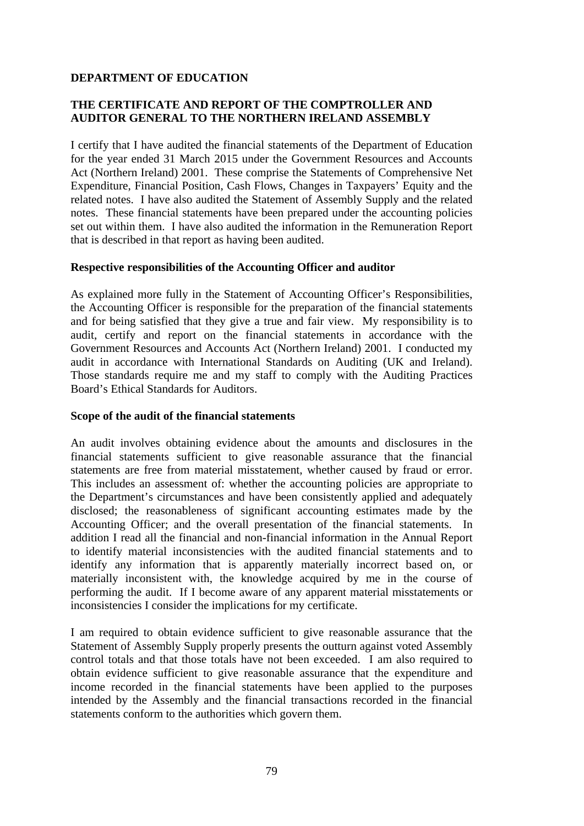## **THE CERTIFICATE AND REPORT OF THE COMPTROLLER AND AUDITOR GENERAL TO THE NORTHERN IRELAND ASSEMBLY**

I certify that I have audited the financial statements of the Department of Education for the year ended 31 March 2015 under the Government Resources and Accounts Act (Northern Ireland) 2001. These comprise the Statements of Comprehensive Net Expenditure, Financial Position, Cash Flows, Changes in Taxpayers' Equity and the related notes. I have also audited the Statement of Assembly Supply and the related notes. These financial statements have been prepared under the accounting policies set out within them. I have also audited the information in the Remuneration Report that is described in that report as having been audited.

#### **Respective responsibilities of the Accounting Officer and auditor**

As explained more fully in the Statement of Accounting Officer's Responsibilities, the Accounting Officer is responsible for the preparation of the financial statements and for being satisfied that they give a true and fair view. My responsibility is to audit, certify and report on the financial statements in accordance with the Government Resources and Accounts Act (Northern Ireland) 2001. I conducted my audit in accordance with International Standards on Auditing (UK and Ireland). Those standards require me and my staff to comply with the Auditing Practices Board's Ethical Standards for Auditors.

#### **Scope of the audit of the financial statements**

An audit involves obtaining evidence about the amounts and disclosures in the financial statements sufficient to give reasonable assurance that the financial statements are free from material misstatement, whether caused by fraud or error. This includes an assessment of: whether the accounting policies are appropriate to the Department's circumstances and have been consistently applied and adequately disclosed; the reasonableness of significant accounting estimates made by the Accounting Officer; and the overall presentation of the financial statements. In addition I read all the financial and non-financial information in the Annual Report to identify material inconsistencies with the audited financial statements and to identify any information that is apparently materially incorrect based on, or materially inconsistent with, the knowledge acquired by me in the course of performing the audit. If I become aware of any apparent material misstatements or inconsistencies I consider the implications for my certificate.

I am required to obtain evidence sufficient to give reasonable assurance that the Statement of Assembly Supply properly presents the outturn against voted Assembly control totals and that those totals have not been exceeded. I am also required to obtain evidence sufficient to give reasonable assurance that the expenditure and income recorded in the financial statements have been applied to the purposes intended by the Assembly and the financial transactions recorded in the financial statements conform to the authorities which govern them.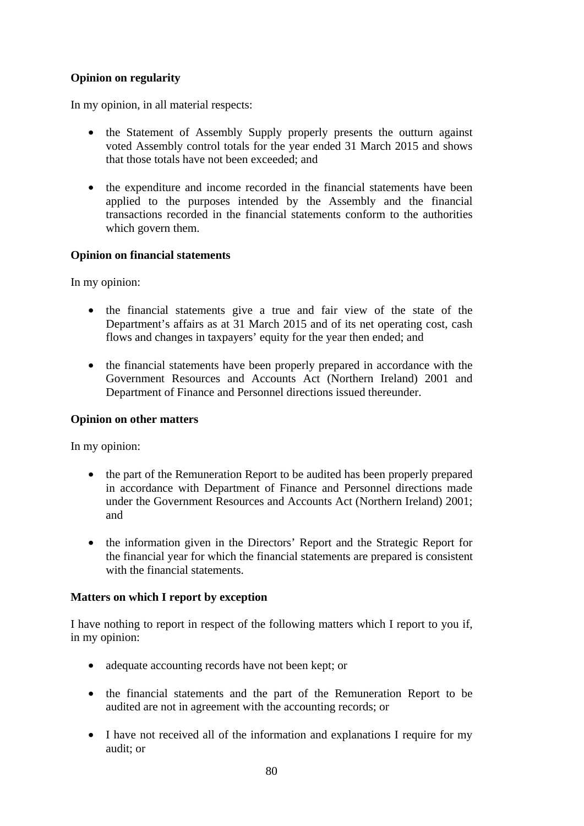## **Opinion on regularity**

In my opinion, in all material respects:

- the Statement of Assembly Supply properly presents the outturn against voted Assembly control totals for the year ended 31 March 2015 and shows that those totals have not been exceeded; and
- the expenditure and income recorded in the financial statements have been applied to the purposes intended by the Assembly and the financial transactions recorded in the financial statements conform to the authorities which govern them.

## **Opinion on financial statements**

In my opinion:

- the financial statements give a true and fair view of the state of the Department's affairs as at 31 March 2015 and of its net operating cost, cash flows and changes in taxpayers' equity for the year then ended; and
- the financial statements have been properly prepared in accordance with the Government Resources and Accounts Act (Northern Ireland) 2001 and Department of Finance and Personnel directions issued thereunder.

#### **Opinion on other matters**

In my opinion:

- the part of the Remuneration Report to be audited has been properly prepared in accordance with Department of Finance and Personnel directions made under the Government Resources and Accounts Act (Northern Ireland) 2001; and
- the information given in the Directors' Report and the Strategic Report for the financial year for which the financial statements are prepared is consistent with the financial statements.

## **Matters on which I report by exception**

I have nothing to report in respect of the following matters which I report to you if, in my opinion:

- adequate accounting records have not been kept; or
- the financial statements and the part of the Remuneration Report to be audited are not in agreement with the accounting records; or
- I have not received all of the information and explanations I require for my audit; or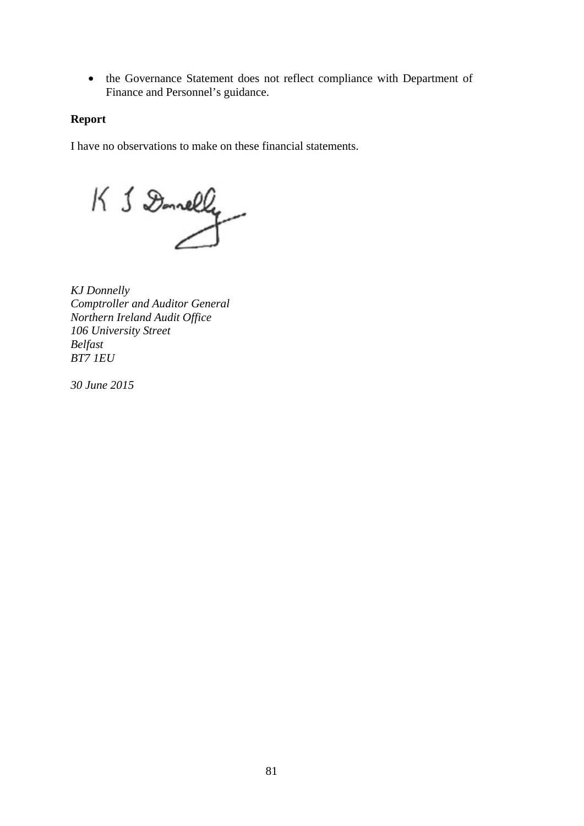• the Governance Statement does not reflect compliance with Department of Finance and Personnel's guidance.

## **Report**

I have no observations to make on these financial statements.

 $K 1$  Donnelly

*KJ Donnelly Comptroller and Auditor General Northern Ireland Audit Office 106 University Street Belfast BT7 1EU* 

*30 June 2015*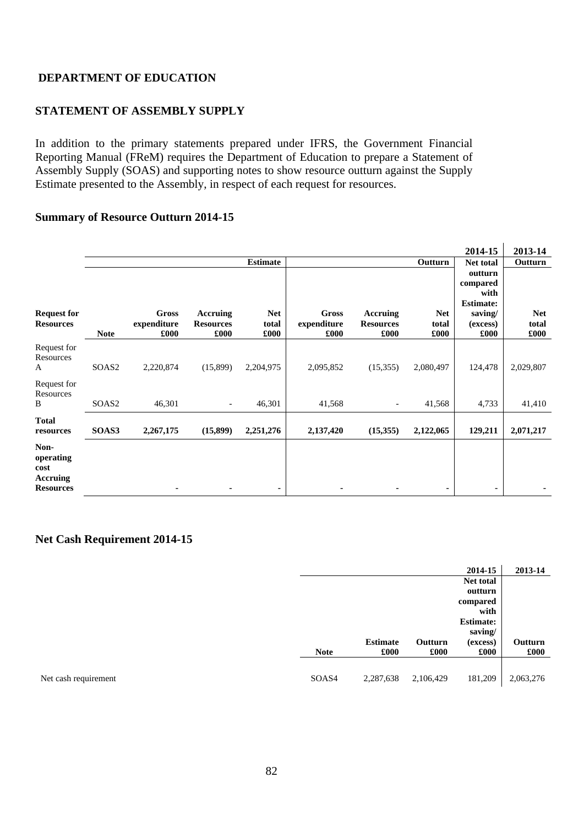## **STATEMENT OF ASSEMBLY SUPPLY**

In addition to the primary statements prepared under IFRS, the Government Financial Reporting Manual (FReM) requires the Department of Education to prepare a Statement of Assembly Supply (SOAS) and supporting notes to show resource outturn against the Supply Estimate presented to the Assembly, in respect of each request for resources.

#### **Summary of Resource Outturn 2014-15**

|                                                           |                   |                              |                                      |                             |                              |                                      |                             | 2014-15                                         | 2013-14                     |
|-----------------------------------------------------------|-------------------|------------------------------|--------------------------------------|-----------------------------|------------------------------|--------------------------------------|-----------------------------|-------------------------------------------------|-----------------------------|
|                                                           |                   |                              |                                      | <b>Estimate</b>             |                              |                                      | Outturn                     | <b>Net total</b>                                | Outturn                     |
|                                                           |                   |                              |                                      |                             |                              |                                      |                             | outturn<br>compared<br>with<br><b>Estimate:</b> |                             |
| <b>Request for</b><br><b>Resources</b>                    | <b>Note</b>       | Gross<br>expenditure<br>£000 | Accruing<br><b>Resources</b><br>£000 | <b>Net</b><br>total<br>£000 | Gross<br>expenditure<br>£000 | Accruing<br><b>Resources</b><br>£000 | <b>Net</b><br>total<br>£000 | saving/<br>(excess)<br>£000                     | <b>Net</b><br>total<br>£000 |
| Request for<br>Resources<br>A                             | SOAS <sub>2</sub> | 2,220,874                    | (15,899)                             | 2,204,975                   | 2,095,852                    | (15,355)                             | 2,080,497                   | 124,478                                         | 2,029,807                   |
| Request for<br>Resources<br>B                             | SOAS <sub>2</sub> | 46,301                       | $\overline{\phantom{a}}$             | 46,301                      | 41,568                       | $\overline{\phantom{a}}$             | 41,568                      | 4,733                                           | 41,410                      |
| <b>Total</b><br>resources                                 | SOAS3             | 2,267,175                    | (15,899)                             | 2,251,276                   | 2,137,420                    | (15,355)                             | 2,122,065                   | 129,211                                         | 2,071,217                   |
| Non-<br>operating<br>cost<br>Accruing<br><b>Resources</b> |                   | $\blacksquare$               | ۰                                    | ٠                           | ۰                            | ۰                                    | ٠                           | ۰                                               | ۰                           |

#### **Net Cash Requirement 2014-15**

|             |                 |           | 2014-15          | 2013-14   |  |
|-------------|-----------------|-----------|------------------|-----------|--|
|             |                 |           | Net total        |           |  |
|             |                 |           | outturn          |           |  |
|             |                 |           | compared         |           |  |
|             |                 |           | with             |           |  |
|             |                 |           | <b>Estimate:</b> |           |  |
|             |                 |           | saving/          |           |  |
|             | <b>Estimate</b> | Outturn   | (excess)         | Outturn   |  |
| <b>Note</b> | £000            | £000      | £000             | £000      |  |
|             |                 |           |                  |           |  |
| SOAS4       | 2,287,638       | 2,106,429 | 181,209          | 2,063,276 |  |
|             |                 |           |                  |           |  |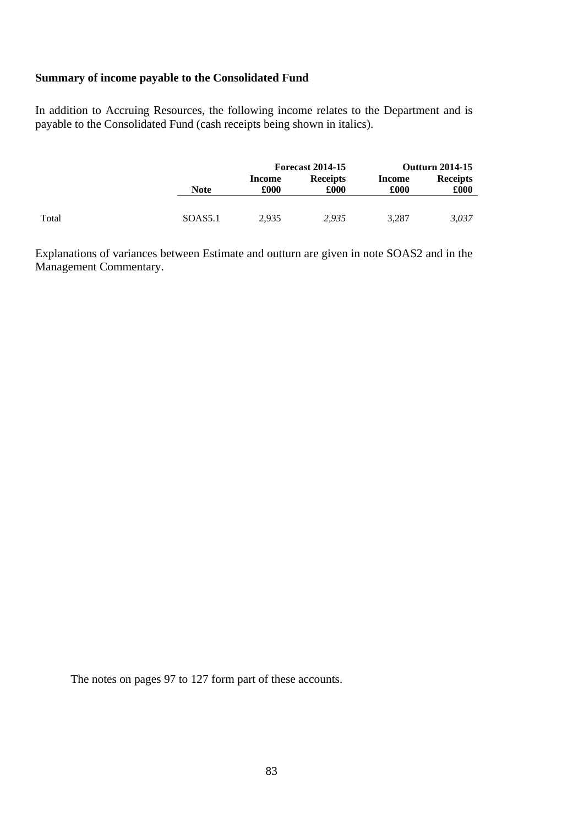#### **Summary of income payable to the Consolidated Fund**

In addition to Accruing Resources, the following income relates to the Department and is payable to the Consolidated Fund (cash receipts being shown in italics).

|       |                     |                | <b>Forecast 2014-15</b> |                | <b>Outturn 2014-15</b>  |
|-------|---------------------|----------------|-------------------------|----------------|-------------------------|
|       | <b>Note</b>         | Income<br>£000 | <b>Receipts</b><br>£000 | Income<br>£000 | <b>Receipts</b><br>£000 |
|       |                     |                |                         |                |                         |
| Total | SOAS <sub>5.1</sub> | 2,935          | 2,935                   | 3,287          | 3,037                   |

Explanations of variances between Estimate and outturn are given in note SOAS2 and in the Management Commentary.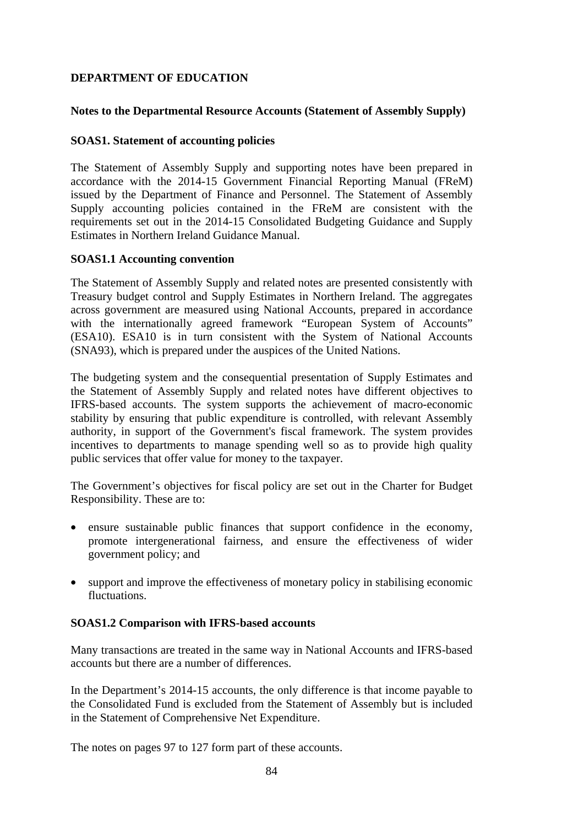## **Notes to the Departmental Resource Accounts (Statement of Assembly Supply)**

### **SOAS1. Statement of accounting policies**

The Statement of Assembly Supply and supporting notes have been prepared in accordance with the 2014-15 Government Financial Reporting Manual (FReM) issued by the Department of Finance and Personnel. The Statement of Assembly Supply accounting policies contained in the FReM are consistent with the requirements set out in the 2014-15 Consolidated Budgeting Guidance and Supply Estimates in Northern Ireland Guidance Manual.

### **SOAS1.1 Accounting convention**

The Statement of Assembly Supply and related notes are presented consistently with Treasury budget control and Supply Estimates in Northern Ireland. The aggregates across government are measured using National Accounts, prepared in accordance with the internationally agreed framework "European System of Accounts" (ESA10). ESA10 is in turn consistent with the System of National Accounts (SNA93), which is prepared under the auspices of the United Nations.

The budgeting system and the consequential presentation of Supply Estimates and the Statement of Assembly Supply and related notes have different objectives to IFRS-based accounts. The system supports the achievement of macro-economic stability by ensuring that public expenditure is controlled, with relevant Assembly authority, in support of the Government's fiscal framework. The system provides incentives to departments to manage spending well so as to provide high quality public services that offer value for money to the taxpayer.

The Government's objectives for fiscal policy are set out in the Charter for Budget Responsibility. These are to:

- ensure sustainable public finances that support confidence in the economy, promote intergenerational fairness, and ensure the effectiveness of wider government policy; and
- support and improve the effectiveness of monetary policy in stabilising economic fluctuations.

#### **SOAS1.2 Comparison with IFRS-based accounts**

Many transactions are treated in the same way in National Accounts and IFRS-based accounts but there are a number of differences.

In the Department's 2014-15 accounts, the only difference is that income payable to the Consolidated Fund is excluded from the Statement of Assembly but is included in the Statement of Comprehensive Net Expenditure.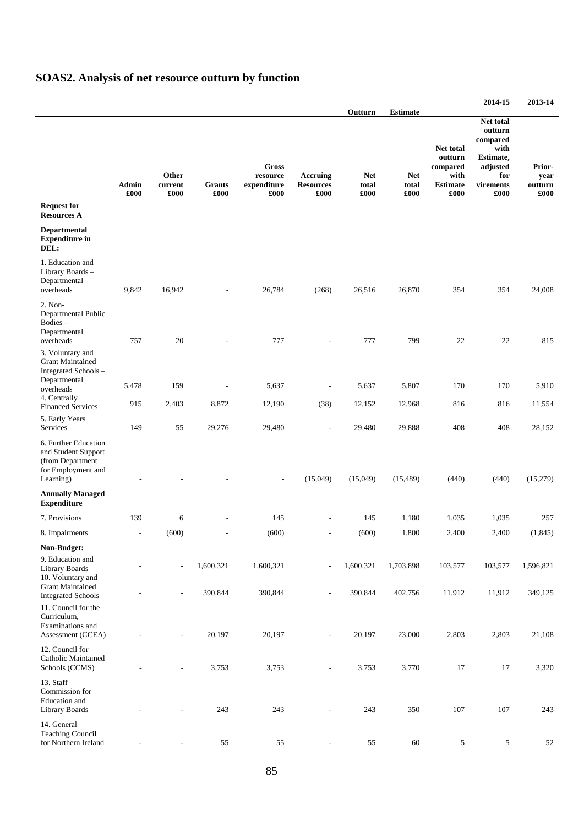# **SOAS2. Analysis of net resource outturn by function**

|                                                                                                    |               |                          |                |                                                 |                                      |                             |                             |                                                                     | 2014-15                                                                                       | 2013-14                                         |
|----------------------------------------------------------------------------------------------------|---------------|--------------------------|----------------|-------------------------------------------------|--------------------------------------|-----------------------------|-----------------------------|---------------------------------------------------------------------|-----------------------------------------------------------------------------------------------|-------------------------------------------------|
|                                                                                                    |               |                          |                |                                                 |                                      | Outturn                     | <b>Estimate</b>             |                                                                     |                                                                                               |                                                 |
|                                                                                                    | Admin<br>£000 | Other<br>current<br>£000 | Grants<br>£000 | <b>Gross</b><br>resource<br>expenditure<br>£000 | Accruing<br><b>Resources</b><br>£000 | <b>Net</b><br>total<br>£000 | <b>Net</b><br>total<br>£000 | Net total<br>outturn<br>compared<br>with<br><b>Estimate</b><br>£000 | Net total<br>outturn<br>compared<br>with<br>Estimate,<br>adjusted<br>for<br>virements<br>£000 | Prior-<br>year<br>outturn<br>$\pmb{\pounds}000$ |
| <b>Request for</b><br><b>Resources A</b>                                                           |               |                          |                |                                                 |                                      |                             |                             |                                                                     |                                                                                               |                                                 |
| <b>Departmental</b><br><b>Expenditure in</b><br>DEL:                                               |               |                          |                |                                                 |                                      |                             |                             |                                                                     |                                                                                               |                                                 |
| 1. Education and<br>Library Boards -<br>Departmental<br>overheads                                  | 9,842         | 16,942                   |                | 26,784                                          | (268)                                | 26,516                      | 26,870                      | 354                                                                 | 354                                                                                           | 24,008                                          |
| 2. Non-<br>Departmental Public<br>Bodies-<br>Departmental<br>overheads                             | 757           | 20                       |                | 777                                             |                                      | 777                         | 799                         | 22                                                                  | 22                                                                                            | 815                                             |
| 3. Voluntary and<br><b>Grant Maintained</b><br>Integrated Schools-                                 |               |                          |                |                                                 |                                      |                             |                             |                                                                     |                                                                                               |                                                 |
| Departmental<br>overheads                                                                          | 5,478         | 159                      |                | 5,637                                           |                                      | 5,637                       | 5,807                       | 170                                                                 | 170                                                                                           | 5,910                                           |
| 4. Centrally<br><b>Financed Services</b>                                                           | 915           | 2,403                    | 8,872          | 12,190                                          | (38)                                 | 12,152                      | 12,968                      | 816                                                                 | 816                                                                                           | 11,554                                          |
| 5. Early Years<br>Services                                                                         | 149           | 55                       | 29,276         | 29,480                                          |                                      | 29,480                      | 29,888                      | 408                                                                 | 408                                                                                           | 28,152                                          |
| 6. Further Education<br>and Student Support<br>(from Department<br>for Employment and<br>Learning) |               |                          |                |                                                 | (15,049)                             | (15,049)                    | (15, 489)                   | (440)                                                               | (440)                                                                                         | (15,279)                                        |
| <b>Annually Managed</b><br><b>Expenditure</b>                                                      |               |                          |                |                                                 |                                      |                             |                             |                                                                     |                                                                                               |                                                 |
| 7. Provisions                                                                                      | 139           | 6                        |                | 145                                             |                                      | 145                         | 1,180                       | 1,035                                                               | 1,035                                                                                         | 257                                             |
| 8. Impairments                                                                                     | L.            | (600)                    |                | (600)                                           |                                      | (600)                       | 1,800                       | 2,400                                                               | 2,400                                                                                         | (1, 845)                                        |
| Non-Budget:                                                                                        |               |                          |                |                                                 |                                      |                             |                             |                                                                     |                                                                                               |                                                 |
| 9. Education and<br>Library Boards<br>10. Voluntary and<br><b>Grant Maintained</b>                 |               | $\overline{\phantom{a}}$ | 1,600,321      | 1,600,321                                       |                                      | 1,600,321                   | 1,703,898                   | 103,577                                                             | 103,577                                                                                       | 1,596,821                                       |
| <b>Integrated Schools</b><br>11. Council for the<br>Curriculum,                                    |               |                          | 390,844        | 390,844                                         |                                      | 390,844                     | 402,756                     | 11,912                                                              | 11,912                                                                                        | 349,125                                         |
| Examinations and<br>Assessment (CCEA)                                                              |               |                          | 20,197         | 20,197                                          |                                      | 20,197                      | 23,000                      | 2,803                                                               | 2,803                                                                                         | 21,108                                          |
| 12. Council for<br>Catholic Maintained<br>Schools (CCMS)                                           |               |                          | 3,753          | 3,753                                           |                                      | 3,753                       | 3,770                       | 17                                                                  | 17                                                                                            | 3,320                                           |
| 13. Staff<br>Commission for<br>Education and<br>Library Boards                                     |               |                          | 243            | 243                                             |                                      | 243                         | 350                         | 107                                                                 | 107                                                                                           | 243                                             |
| 14. General<br><b>Teaching Council</b><br>for Northern Ireland                                     |               |                          | 55             | 55                                              |                                      | 55                          | 60                          | 5                                                                   | 5                                                                                             | 52                                              |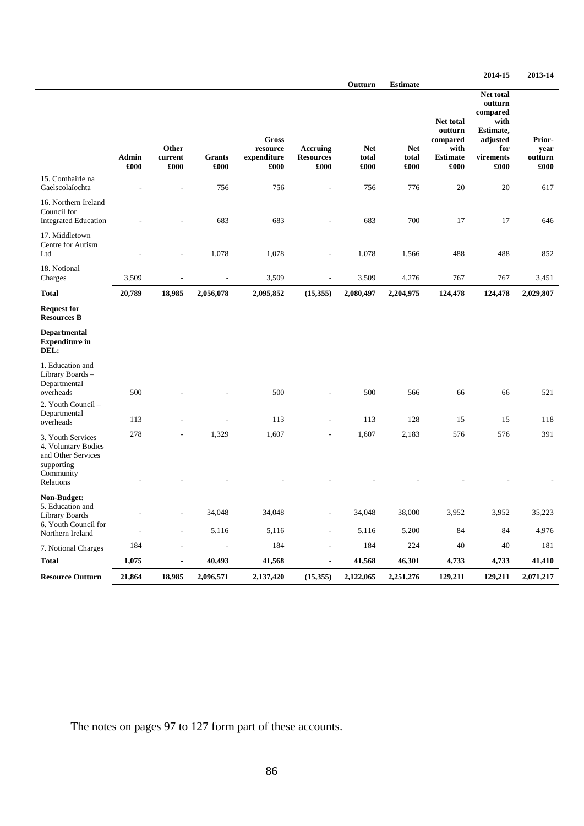|                                                                                               |                                            |                          |                 |                                                         |                                                      |                                        |                                                |                                                                     | 2014-15                                                                                       | 2013-14                           |
|-----------------------------------------------------------------------------------------------|--------------------------------------------|--------------------------|-----------------|---------------------------------------------------------|------------------------------------------------------|----------------------------------------|------------------------------------------------|---------------------------------------------------------------------|-----------------------------------------------------------------------------------------------|-----------------------------------|
|                                                                                               | <b>Admin</b><br>£000                       | Other<br>current<br>£000 | Grants<br>£000  | <b>Gross</b><br>${\bf resource}$<br>expenditure<br>£000 | Accruing<br><b>Resources</b><br>£000                 | Outturn<br><b>Net</b><br>total<br>£000 | <b>Estimate</b><br><b>Net</b><br>total<br>£000 | Net total<br>outturn<br>compared<br>with<br><b>Estimate</b><br>£000 | Net total<br>outturn<br>compared<br>with<br>Estimate,<br>adjusted<br>for<br>virements<br>£000 | Prior-<br>year<br>outturn<br>£000 |
| 15. Comhairle na<br>Gaelscolaíochta                                                           |                                            |                          | 756             | 756                                                     |                                                      | 756                                    | 776                                            | 20                                                                  | 20                                                                                            | 617                               |
| 16. Northern Ireland<br>Council for<br><b>Integrated Education</b>                            |                                            |                          | 683             | 683                                                     |                                                      | 683                                    | 700                                            | 17                                                                  | 17                                                                                            | 646                               |
| 17. Middletown<br>Centre for Autism<br>Ltd                                                    |                                            | $\overline{a}$           | 1,078           | 1,078                                                   | $\overline{a}$                                       | 1,078                                  | 1,566                                          | 488                                                                 | 488                                                                                           | 852                               |
| 18. Notional<br>Charges                                                                       | 3,509                                      | L,                       |                 | 3,509                                                   | $\overline{a}$                                       | 3,509                                  | 4,276                                          | 767                                                                 | 767                                                                                           | 3,451                             |
| <b>Total</b>                                                                                  | 20,789                                     | 18,985                   | 2,056,078       | 2,095,852                                               | (15,355)                                             | 2,080,497                              | 2,204,975                                      | 124,478                                                             | 124,478                                                                                       | 2,029,807                         |
| <b>Request for</b><br><b>Resources B</b>                                                      |                                            |                          |                 |                                                         |                                                      |                                        |                                                |                                                                     |                                                                                               |                                   |
| Departmental<br><b>Expenditure in</b><br>DEL:                                                 |                                            |                          |                 |                                                         |                                                      |                                        |                                                |                                                                     |                                                                                               |                                   |
| 1. Education and<br>Library Boards -<br>Departmental<br>overheads                             | 500                                        |                          |                 | 500                                                     |                                                      | 500                                    | 566                                            | 66                                                                  | 66                                                                                            | 521                               |
| 2. Youth Council -<br>Departmental<br>overheads                                               | 113                                        |                          |                 | 113                                                     | $\overline{a}$                                       | 113                                    | 128                                            | 15                                                                  | 15                                                                                            | 118                               |
| 3. Youth Services<br>4. Voluntary Bodies<br>and Other Services                                | 278                                        |                          | 1,329           | 1,607                                                   |                                                      | 1,607                                  | 2,183                                          | 576                                                                 | 576                                                                                           | 391                               |
| supporting<br>Community<br>Relations                                                          |                                            |                          |                 |                                                         |                                                      |                                        |                                                |                                                                     |                                                                                               |                                   |
| Non-Budget:<br>5. Education and<br>Library Boards<br>6. Youth Council for<br>Northern Ireland | $\overline{\phantom{a}}$<br>$\overline{a}$ | ۰<br>$\frac{1}{2}$       | 34,048<br>5,116 | 34,048<br>5,116                                         | $\overline{\phantom{a}}$<br>$\overline{\phantom{a}}$ | 34,048<br>5,116                        | 38,000<br>5,200                                | 3,952<br>84                                                         | 3,952<br>84                                                                                   | 35,223<br>4,976                   |
| 7. Notional Charges                                                                           | 184                                        | $\overline{\phantom{a}}$ | $\blacksquare$  | 184                                                     | $\overline{\phantom{a}}$                             | 184                                    | 224                                            | 40                                                                  | 40                                                                                            | 181                               |
| <b>Total</b>                                                                                  | 1,075                                      | $\blacksquare$           | 40,493          | 41,568                                                  | $\overline{\phantom{a}}$                             | 41,568                                 | 46,301                                         | 4,733                                                               | 4,733                                                                                         | 41,410                            |
| <b>Resource Outturn</b>                                                                       | 21,864                                     | 18,985                   | 2,096,571       | 2,137,420                                               | (15, 355)                                            | 2,122,065                              | 2,251,276                                      | 129,211                                                             | 129,211                                                                                       | 2,071,217                         |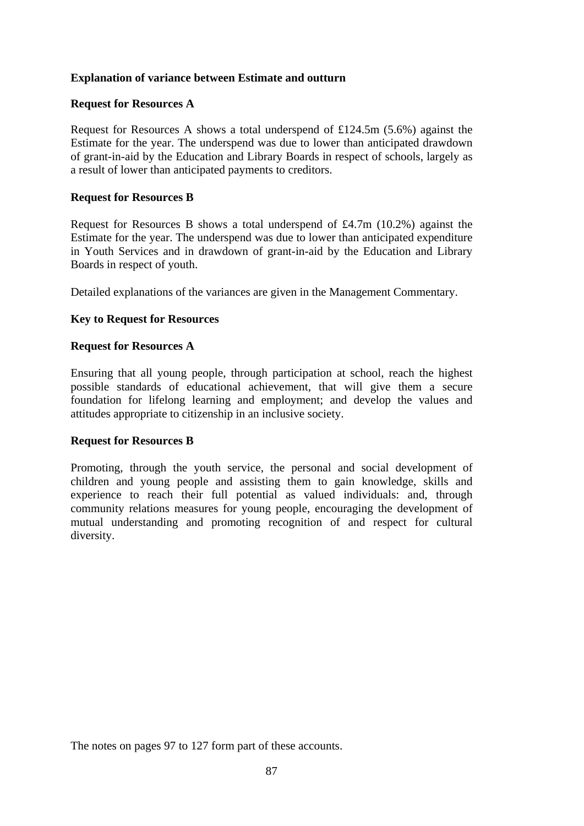## **Explanation of variance between Estimate and outturn**

#### **Request for Resources A**

Request for Resources A shows a total underspend of £124.5m (5.6%) against the Estimate for the year. The underspend was due to lower than anticipated drawdown of grant-in-aid by the Education and Library Boards in respect of schools, largely as a result of lower than anticipated payments to creditors.

#### **Request for Resources B**

Request for Resources B shows a total underspend of £4.7m (10.2%) against the Estimate for the year. The underspend was due to lower than anticipated expenditure in Youth Services and in drawdown of grant-in-aid by the Education and Library Boards in respect of youth.

Detailed explanations of the variances are given in the Management Commentary.

### **Key to Request for Resources**

#### **Request for Resources A**

Ensuring that all young people, through participation at school, reach the highest possible standards of educational achievement, that will give them a secure foundation for lifelong learning and employment; and develop the values and attitudes appropriate to citizenship in an inclusive society.

#### **Request for Resources B**

Promoting, through the youth service, the personal and social development of children and young people and assisting them to gain knowledge, skills and experience to reach their full potential as valued individuals: and, through community relations measures for young people, encouraging the development of mutual understanding and promoting recognition of and respect for cultural diversity.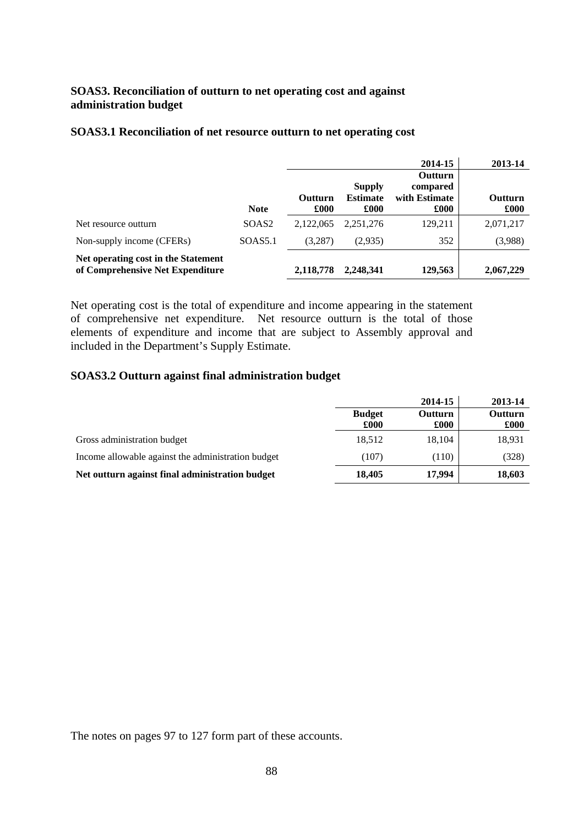## **SOAS3. Reconciliation of outturn to net operating cost and against administration budget**

|                                                                         |                   |                 |                                          | 2014-15                                             | 2013-14                |
|-------------------------------------------------------------------------|-------------------|-----------------|------------------------------------------|-----------------------------------------------------|------------------------|
|                                                                         | <b>Note</b>       | Outturn<br>£000 | <b>Supply</b><br><b>Estimate</b><br>£000 | <b>Outturn</b><br>compared<br>with Estimate<br>£000 | <b>Outturn</b><br>£000 |
| Net resource outturn                                                    | SOAS <sub>2</sub> | 2.122,065       | 2.251.276                                | 129,211                                             | 2,071,217              |
| Non-supply income (CFERs)                                               | SOAS5.1           | (3,287)         | (2,935)                                  | 352                                                 | (3,988)                |
| Net operating cost in the Statement<br>of Comprehensive Net Expenditure |                   | 2,118,778       | 2,248,341                                | 129,563                                             | 2,067,229              |

#### **SOAS3.1 Reconciliation of net resource outturn to net operating cost**

Net operating cost is the total of expenditure and income appearing in the statement of comprehensive net expenditure. Net resource outturn is the total of those elements of expenditure and income that are subject to Assembly approval and included in the Department's Supply Estimate.

#### **SOAS3.2 Outturn against final administration budget**

|                                                    |                       | 2014-15                | 2013-14                |
|----------------------------------------------------|-----------------------|------------------------|------------------------|
|                                                    | <b>Budget</b><br>£000 | <b>Outturn</b><br>£000 | <b>Outturn</b><br>£000 |
| Gross administration budget                        | 18,512                | 18,104                 | 18,931                 |
| Income allowable against the administration budget | (107)                 | (110)                  | (328)                  |
| Net outturn against final administration budget    | 18,405                | 17.994                 | 18,603                 |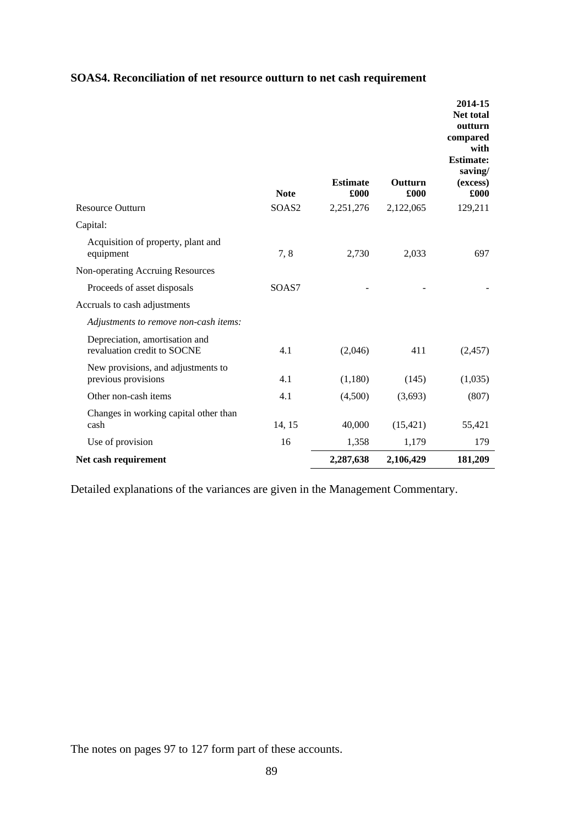| SOAS4. Reconciliation of net resource outturn to net cash requirement |
|-----------------------------------------------------------------------|
|-----------------------------------------------------------------------|

| <b>Resource Outturn</b>                                       | <b>Note</b><br>SOAS <sub>2</sub> | <b>Estimate</b><br>£000<br>2,251,276 | Outturn<br>£000<br>2,122,065 | 2014-15<br><b>Net total</b><br>outturn<br>compared<br>with<br><b>Estimate:</b><br>saving/<br>(excess)<br>£000<br>129,211 |
|---------------------------------------------------------------|----------------------------------|--------------------------------------|------------------------------|--------------------------------------------------------------------------------------------------------------------------|
|                                                               |                                  |                                      |                              |                                                                                                                          |
| Capital:<br>Acquisition of property, plant and<br>equipment   | 7,8                              | 2,730                                | 2,033                        | 697                                                                                                                      |
| Non-operating Accruing Resources                              |                                  |                                      |                              |                                                                                                                          |
| Proceeds of asset disposals                                   | SOAS7                            |                                      |                              |                                                                                                                          |
| Accruals to cash adjustments                                  |                                  |                                      |                              |                                                                                                                          |
| Adjustments to remove non-cash items:                         |                                  |                                      |                              |                                                                                                                          |
| Depreciation, amortisation and<br>revaluation credit to SOCNE | 4.1                              | (2,046)                              | 411                          | (2, 457)                                                                                                                 |
| New provisions, and adjustments to<br>previous provisions     | 4.1                              | (1,180)                              | (145)                        | (1,035)                                                                                                                  |
| Other non-cash items                                          | 4.1                              | (4,500)                              | (3,693)                      | (807)                                                                                                                    |
| Changes in working capital other than<br>cash                 | 14, 15                           | 40,000                               | (15, 421)                    | 55,421                                                                                                                   |
| Use of provision                                              | 16                               | 1,358                                | 1,179                        | 179                                                                                                                      |
| Net cash requirement                                          |                                  | 2,287,638                            | 2,106,429                    | 181,209                                                                                                                  |

Detailed explanations of the variances are given in the Management Commentary.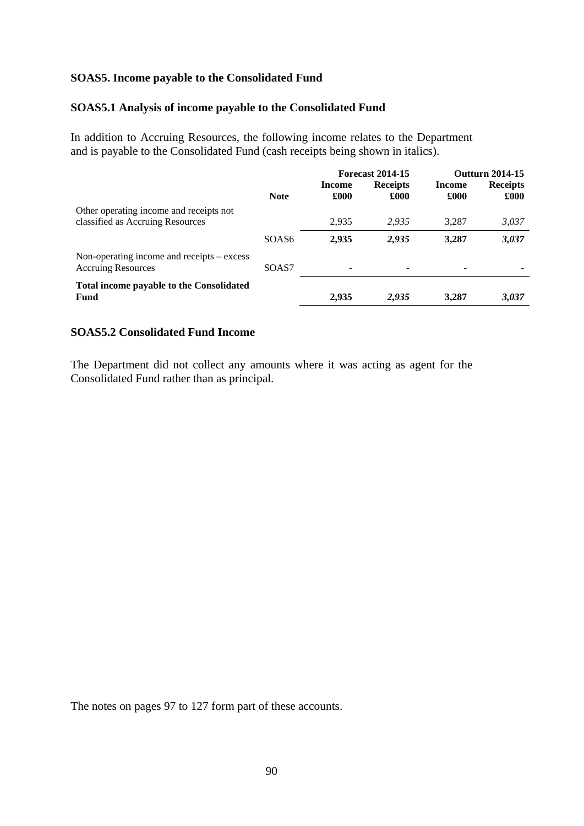### **SOAS5. Income payable to the Consolidated Fund**

#### **SOAS5.1 Analysis of income payable to the Consolidated Fund**

In addition to Accruing Resources, the following income relates to the Department and is payable to the Consolidated Fund (cash receipts being shown in italics).

|                                                                                 |             | <b>Forecast 2014-15</b> |                         | <b>Outfurn 2014-15</b> |                         |
|---------------------------------------------------------------------------------|-------------|-------------------------|-------------------------|------------------------|-------------------------|
|                                                                                 | <b>Note</b> | Income<br>£000          | <b>Receipts</b><br>£000 | Income<br>£000         | <b>Receipts</b><br>£000 |
| Other operating income and receipts not<br>classified as Accruing Resources     |             | 2,935                   | 2.935                   | 3.287                  | 3,037                   |
|                                                                                 | SOAS6       | 2,935                   | 2,935                   | 3,287                  | 3,037                   |
| Non-operating income and receipts $-\text{excess}$<br><b>Accruing Resources</b> | SOAS7       | ۰                       |                         |                        |                         |
| <b>Total income payable to the Consolidated</b><br><b>Fund</b>                  |             | 2,935                   | 2,935                   | 3,287                  | 3,037                   |

## **SOAS5.2 Consolidated Fund Income**

The Department did not collect any amounts where it was acting as agent for the Consolidated Fund rather than as principal.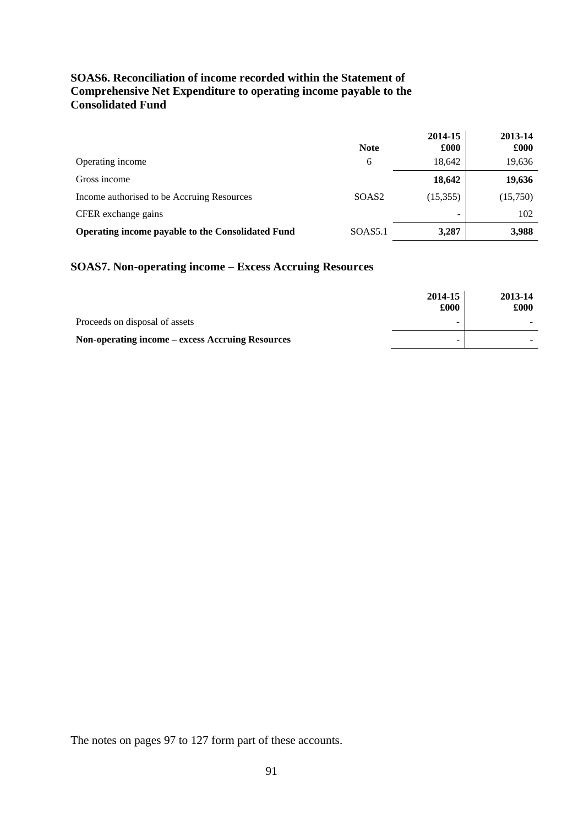## **SOAS6. Reconciliation of income recorded within the Statement of Comprehensive Net Expenditure to operating income payable to the Consolidated Fund**

|                                                   | <b>Note</b>         | 2014-15<br>£000 | 2013-14<br>£000 |
|---------------------------------------------------|---------------------|-----------------|-----------------|
| Operating income                                  | 6                   | 18,642          | 19,636          |
| Gross income                                      |                     | 18,642          | 19,636          |
| Income authorised to be Accruing Resources        | SOAS <sub>2</sub>   | (15,355)        | (15,750)        |
| CFER exchange gains                               |                     | -               | 102             |
| Operating income payable to the Consolidated Fund | SOAS <sub>5.1</sub> | 3,287           | 3,988           |

## **SOAS7. Non-operating income – Excess Accruing Resources**

|                                                  | 2014-15<br>£000          | 2013-14<br>£000 |
|--------------------------------------------------|--------------------------|-----------------|
| Proceeds on disposal of assets                   | $\overline{\phantom{a}}$ |                 |
| Non-operating income – excess Accruing Resources | ۰                        |                 |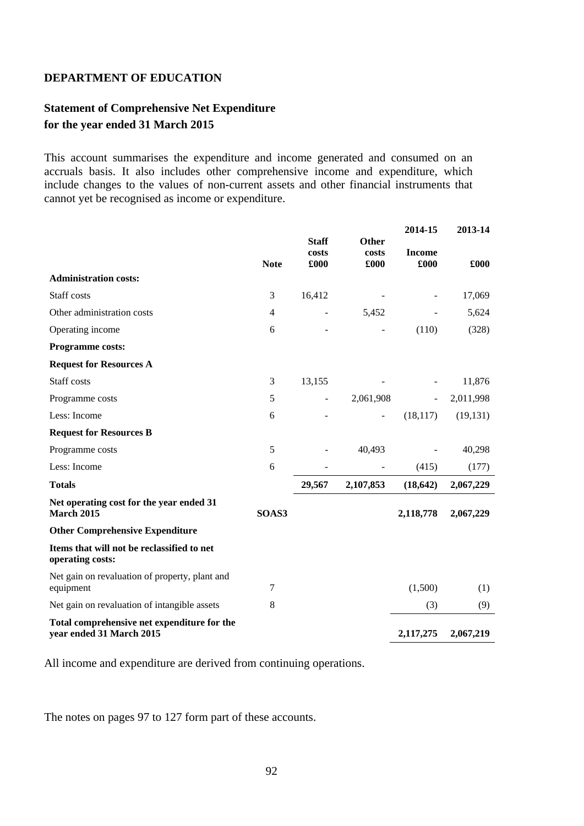## **Statement of Comprehensive Net Expenditure for the year ended 31 March 2015**

This account summarises the expenditure and income generated and consumed on an accruals basis. It also includes other comprehensive income and expenditure, which include changes to the values of non-current assets and other financial instruments that cannot yet be recognised as income or expenditure.

|                                                                         |                |                               |                               | 2014-15               | 2013-14   |
|-------------------------------------------------------------------------|----------------|-------------------------------|-------------------------------|-----------------------|-----------|
|                                                                         | <b>Note</b>    | <b>Staff</b><br>costs<br>£000 | <b>Other</b><br>costs<br>£000 | <b>Income</b><br>£000 | £000      |
| <b>Administration costs:</b>                                            |                |                               |                               |                       |           |
| Staff costs                                                             | 3              | 16,412                        |                               |                       | 17,069    |
| Other administration costs                                              | $\overline{4}$ |                               | 5,452                         |                       | 5,624     |
| Operating income                                                        | 6              |                               |                               | (110)                 | (328)     |
| <b>Programme costs:</b>                                                 |                |                               |                               |                       |           |
| <b>Request for Resources A</b>                                          |                |                               |                               |                       |           |
| Staff costs                                                             | 3              | 13,155                        |                               |                       | 11,876    |
| Programme costs                                                         | 5              |                               | 2,061,908                     |                       | 2,011,998 |
| Less: Income                                                            | 6              |                               | $\overline{a}$                | (18, 117)             | (19, 131) |
| <b>Request for Resources B</b>                                          |                |                               |                               |                       |           |
| Programme costs                                                         | 5              |                               | 40,493                        |                       | 40,298    |
| Less: Income                                                            | 6              |                               |                               | (415)                 | (177)     |
| <b>Totals</b>                                                           |                | 29,567                        | 2,107,853                     | (18, 642)             | 2,067,229 |
| Net operating cost for the year ended 31<br><b>March 2015</b>           | SOAS3          |                               |                               | 2,118,778             | 2,067,229 |
| <b>Other Comprehensive Expenditure</b>                                  |                |                               |                               |                       |           |
| Items that will not be reclassified to net<br>operating costs:          |                |                               |                               |                       |           |
| Net gain on revaluation of property, plant and<br>equipment             | 7              |                               |                               | (1,500)               | (1)       |
| Net gain on revaluation of intangible assets                            | 8              |                               |                               | (3)                   | (9)       |
| Total comprehensive net expenditure for the<br>year ended 31 March 2015 |                |                               |                               | 2,117,275             | 2,067,219 |

All income and expenditure are derived from continuing operations.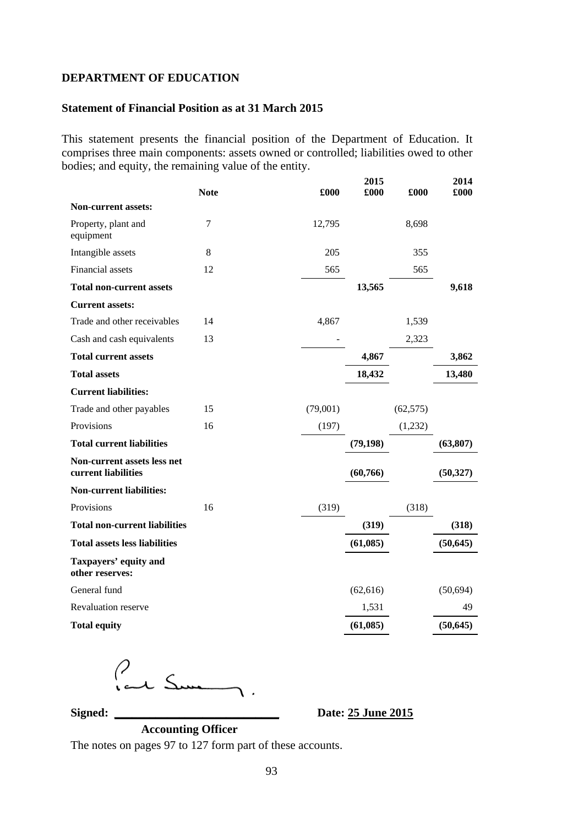#### **Statement of Financial Position as at 31 March 2015**

This statement presents the financial position of the Department of Education. It comprises three main components: assets owned or controlled; liabilities owed to other bodies; and equity, the remaining value of the entity.

|                                                    | <b>Note</b> | £000     | 2015<br>£000 | £000      | 2014<br>£000 |
|----------------------------------------------------|-------------|----------|--------------|-----------|--------------|
| <b>Non-current assets:</b>                         |             |          |              |           |              |
| Property, plant and<br>equipment                   | 7           | 12,795   |              | 8,698     |              |
| Intangible assets                                  | 8           | 205      |              | 355       |              |
| <b>Financial</b> assets                            | 12          | 565      |              | 565       |              |
| <b>Total non-current assets</b>                    |             |          | 13,565       |           | 9,618        |
| <b>Current assets:</b>                             |             |          |              |           |              |
| Trade and other receivables                        | 14          | 4,867    |              | 1,539     |              |
| Cash and cash equivalents                          | 13          |          |              | 2,323     |              |
| <b>Total current assets</b>                        |             |          | 4,867        |           | 3,862        |
| <b>Total assets</b>                                |             |          | 18,432       |           | 13,480       |
| <b>Current liabilities:</b>                        |             |          |              |           |              |
| Trade and other payables                           | 15          | (79,001) |              | (62, 575) |              |
| Provisions                                         | 16          | (197)    |              | (1,232)   |              |
| <b>Total current liabilities</b>                   |             |          | (79, 198)    |           | (63, 807)    |
| Non-current assets less net<br>current liabilities |             |          | (60, 766)    |           | (50, 327)    |
| <b>Non-current liabilities:</b>                    |             |          |              |           |              |
| Provisions                                         | 16          | (319)    |              | (318)     |              |
| <b>Total non-current liabilities</b>               |             |          | (319)        |           | (318)        |
| <b>Total assets less liabilities</b>               |             |          | (61,085)     |           | (50, 645)    |
| Taxpayers' equity and<br>other reserves:           |             |          |              |           |              |
| General fund                                       |             |          | (62, 616)    |           | (50, 694)    |
| Revaluation reserve                                |             |          | 1,531        |           | 49           |
| <b>Total equity</b>                                |             |          | (61,085)     |           | (50, 645)    |

Peux Summer

**Signed: \_\_\_\_\_\_\_\_\_\_\_\_\_\_\_\_\_\_\_\_\_\_\_\_\_\_\_\_ Date: 25 June 2015** 

**Accounting Officer**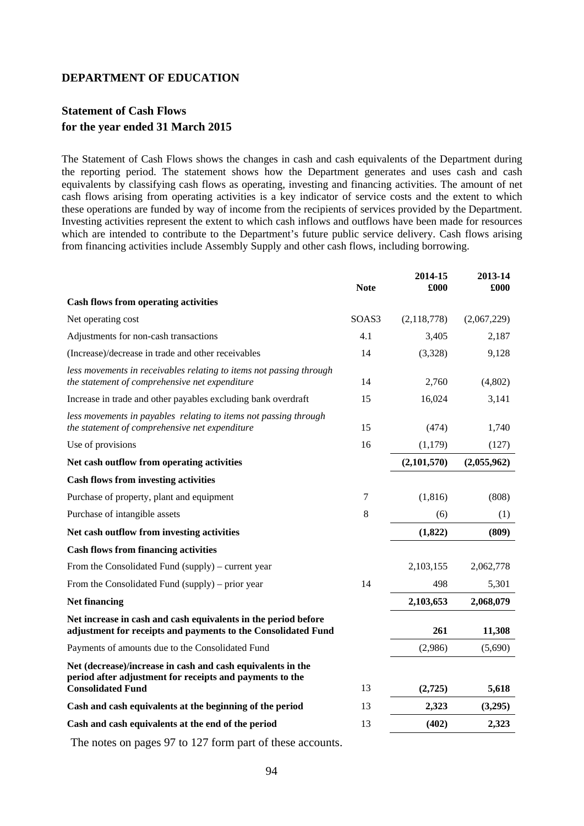## **Statement of Cash Flows for the year ended 31 March 2015**

The Statement of Cash Flows shows the changes in cash and cash equivalents of the Department during the reporting period. The statement shows how the Department generates and uses cash and cash equivalents by classifying cash flows as operating, investing and financing activities. The amount of net cash flows arising from operating activities is a key indicator of service costs and the extent to which these operations are funded by way of income from the recipients of services provided by the Department. Investing activities represent the extent to which cash inflows and outflows have been made for resources which are intended to contribute to the Department's future public service delivery. Cash flows arising from financing activities include Assembly Supply and other cash flows, including borrowing.

|                                                                                                                                 | <b>Note</b> | 2014-15<br>£000 | 2013-14<br>£000 |
|---------------------------------------------------------------------------------------------------------------------------------|-------------|-----------------|-----------------|
| <b>Cash flows from operating activities</b>                                                                                     |             |                 |                 |
| Net operating cost                                                                                                              | SOAS3       | (2,118,778)     | (2,067,229)     |
| Adjustments for non-cash transactions                                                                                           | 4.1         | 3,405           | 2,187           |
| (Increase)/decrease in trade and other receivables                                                                              | 14          | (3,328)         | 9,128           |
| less movements in receivables relating to items not passing through<br>the statement of comprehensive net expenditure           | 14          | 2,760           | (4,802)         |
| Increase in trade and other payables excluding bank overdraft                                                                   | 15          | 16,024          | 3,141           |
| less movements in payables relating to items not passing through<br>the statement of comprehensive net expenditure              | 15          | (474)           | 1,740           |
| Use of provisions                                                                                                               | 16          | (1,179)         | (127)           |
| Net cash outflow from operating activities                                                                                      |             | (2,101,570)     | (2,055,962)     |
| <b>Cash flows from investing activities</b>                                                                                     |             |                 |                 |
| Purchase of property, plant and equipment                                                                                       | 7           | (1, 816)        | (808)           |
| Purchase of intangible assets                                                                                                   | 8           | (6)             | (1)             |
| Net cash outflow from investing activities                                                                                      |             | (1,822)         | (809)           |
| <b>Cash flows from financing activities</b>                                                                                     |             |                 |                 |
| From the Consolidated Fund (supply) – current year                                                                              |             | 2,103,155       | 2,062,778       |
| From the Consolidated Fund (supply) – prior year                                                                                | 14          | 498             | 5,301           |
| <b>Net financing</b>                                                                                                            |             | 2,103,653       | 2,068,079       |
| Net increase in cash and cash equivalents in the period before<br>adjustment for receipts and payments to the Consolidated Fund |             | 261             | 11,308          |
| Payments of amounts due to the Consolidated Fund                                                                                |             | (2,986)         | (5,690)         |
| Net (decrease)/increase in cash and cash equivalents in the<br>period after adjustment for receipts and payments to the         |             |                 |                 |
| <b>Consolidated Fund</b>                                                                                                        | 13          | (2,725)         | 5,618           |
| Cash and cash equivalents at the beginning of the period                                                                        | 13          | 2,323           | (3,295)         |
| Cash and cash equivalents at the end of the period                                                                              | 13          | (402)           | 2,323           |
| The notes on pages 97 to 127 form part of these accounts.                                                                       |             |                 |                 |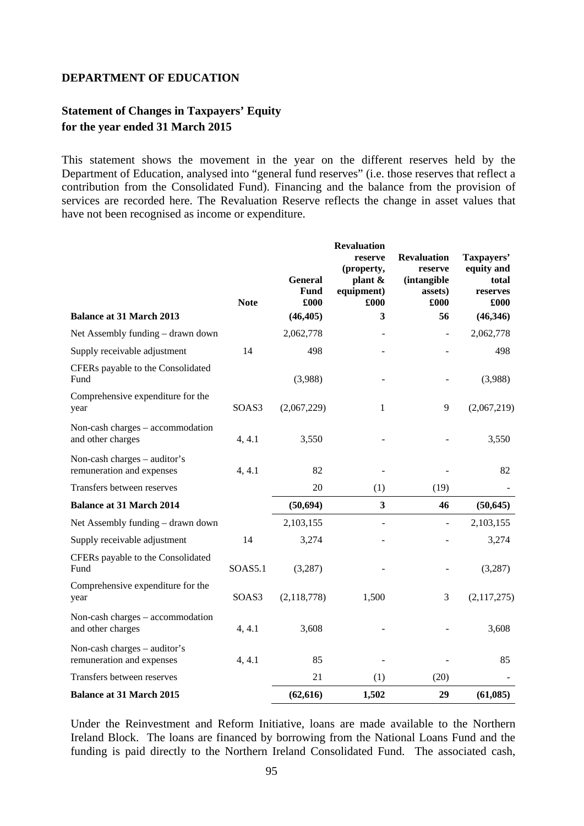## **Statement of Changes in Taxpayers' Equity for the year ended 31 March 2015**

This statement shows the movement in the year on the different reserves held by the Department of Education, analysed into "general fund reserves" (i.e. those reserves that reflect a contribution from the Consolidated Fund). Financing and the balance from the provision of services are recorded here. The Revaluation Reserve reflects the change in asset values that have not been recognised as income or expenditure.

|                                                           | <b>Note</b> | <b>General</b><br><b>Fund</b><br>£000 | <b>Revaluation</b><br>reserve<br>(property,<br>plant &<br>equipment)<br>£000 | <b>Revaluation</b><br>reserve<br><i>(intangible)</i><br>assets)<br>£000 | Taxpayers'<br>equity and<br>total<br>reserves<br>£000 |
|-----------------------------------------------------------|-------------|---------------------------------------|------------------------------------------------------------------------------|-------------------------------------------------------------------------|-------------------------------------------------------|
| <b>Balance at 31 March 2013</b>                           |             | (46, 405)                             | 3                                                                            | 56                                                                      | (46, 346)                                             |
| Net Assembly funding - drawn down                         |             | 2,062,778                             |                                                                              | $\overline{\phantom{a}}$                                                | 2,062,778                                             |
| Supply receivable adjustment                              | 14          | 498                                   |                                                                              |                                                                         | 498                                                   |
| CFERs payable to the Consolidated<br>Fund                 |             | (3,988)                               |                                                                              |                                                                         | (3,988)                                               |
| Comprehensive expenditure for the<br>year                 | SOAS3       | (2,067,229)                           | 1                                                                            | 9                                                                       | (2,067,219)                                           |
| Non-cash charges – accommodation<br>and other charges     | 4, 4.1      | 3,550                                 |                                                                              |                                                                         | 3,550                                                 |
| Non-cash charges – auditor's<br>remuneration and expenses | 4, 4.1      | 82                                    |                                                                              |                                                                         | 82                                                    |
| Transfers between reserves                                |             | 20                                    | (1)                                                                          | (19)                                                                    |                                                       |
| <b>Balance at 31 March 2014</b>                           |             | (50, 694)                             | 3                                                                            | 46                                                                      | (50, 645)                                             |
| Net Assembly funding - drawn down                         |             | 2,103,155                             | $\overline{\phantom{m}}$                                                     | $\overline{a}$                                                          | 2,103,155                                             |
| Supply receivable adjustment                              | 14          | 3,274                                 |                                                                              |                                                                         | 3,274                                                 |
| CFERs payable to the Consolidated<br>Fund                 | SOAS5.1     | (3,287)                               |                                                                              |                                                                         | (3,287)                                               |
| Comprehensive expenditure for the<br>year                 | SOAS3       | (2,118,778)                           | 1,500                                                                        | 3                                                                       | (2,117,275)                                           |
| Non-cash charges $-$ accommodation<br>and other charges   | 4, 4.1      | 3,608                                 |                                                                              |                                                                         | 3,608                                                 |
| Non-cash charges - auditor's<br>remuneration and expenses | 4, 4.1      | 85                                    |                                                                              |                                                                         | 85                                                    |
| Transfers between reserves                                |             | 21                                    | (1)                                                                          | (20)                                                                    |                                                       |
| <b>Balance at 31 March 2015</b>                           |             | (62, 616)                             | 1,502                                                                        | 29                                                                      | (61,085)                                              |

Under the Reinvestment and Reform Initiative, loans are made available to the Northern Ireland Block. The loans are financed by borrowing from the National Loans Fund and the funding is paid directly to the Northern Ireland Consolidated Fund. The associated cash,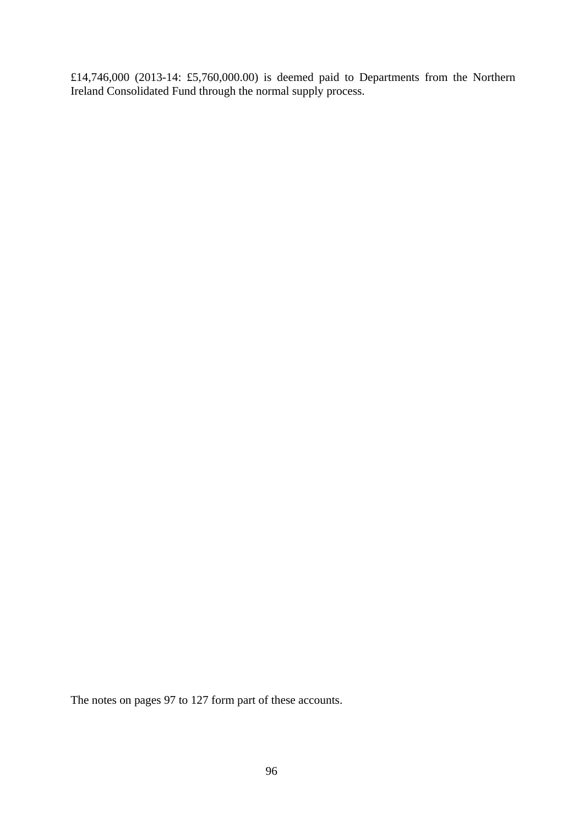£14,746,000 (2013-14: £5,760,000.00) is deemed paid to Departments from the Northern Ireland Consolidated Fund through the normal supply process.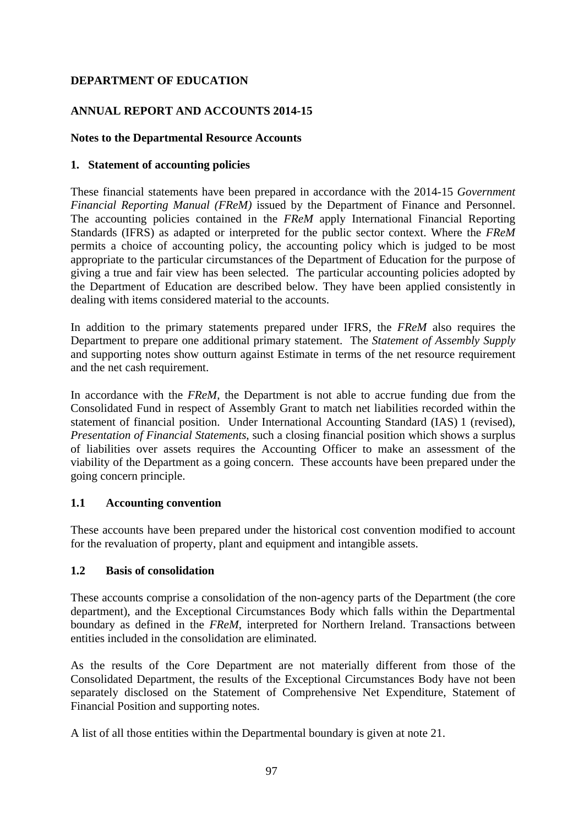## **ANNUAL REPORT AND ACCOUNTS 2014-15**

## **Notes to the Departmental Resource Accounts**

## **1. Statement of accounting policies**

These financial statements have been prepared in accordance with the 2014-15 *Government Financial Reporting Manual (FReM)* issued by the Department of Finance and Personnel. The accounting policies contained in the *FReM* apply International Financial Reporting Standards (IFRS) as adapted or interpreted for the public sector context. Where the *FReM* permits a choice of accounting policy, the accounting policy which is judged to be most appropriate to the particular circumstances of the Department of Education for the purpose of giving a true and fair view has been selected. The particular accounting policies adopted by the Department of Education are described below. They have been applied consistently in dealing with items considered material to the accounts.

In addition to the primary statements prepared under IFRS, the *FReM* also requires the Department to prepare one additional primary statement. The *Statement of Assembly Supply* and supporting notes show outturn against Estimate in terms of the net resource requirement and the net cash requirement.

In accordance with the *FReM*, the Department is not able to accrue funding due from the Consolidated Fund in respect of Assembly Grant to match net liabilities recorded within the statement of financial position. Under International Accounting Standard (IAS) 1 (revised), *Presentation of Financial Statements*, such a closing financial position which shows a surplus of liabilities over assets requires the Accounting Officer to make an assessment of the viability of the Department as a going concern. These accounts have been prepared under the going concern principle.

## **1.1 Accounting convention**

These accounts have been prepared under the historical cost convention modified to account for the revaluation of property, plant and equipment and intangible assets.

## **1.2 Basis of consolidation**

These accounts comprise a consolidation of the non-agency parts of the Department (the core department), and the Exceptional Circumstances Body which falls within the Departmental boundary as defined in the *FReM*, interpreted for Northern Ireland. Transactions between entities included in the consolidation are eliminated.

As the results of the Core Department are not materially different from those of the Consolidated Department, the results of the Exceptional Circumstances Body have not been separately disclosed on the Statement of Comprehensive Net Expenditure, Statement of Financial Position and supporting notes.

A list of all those entities within the Departmental boundary is given at note 21.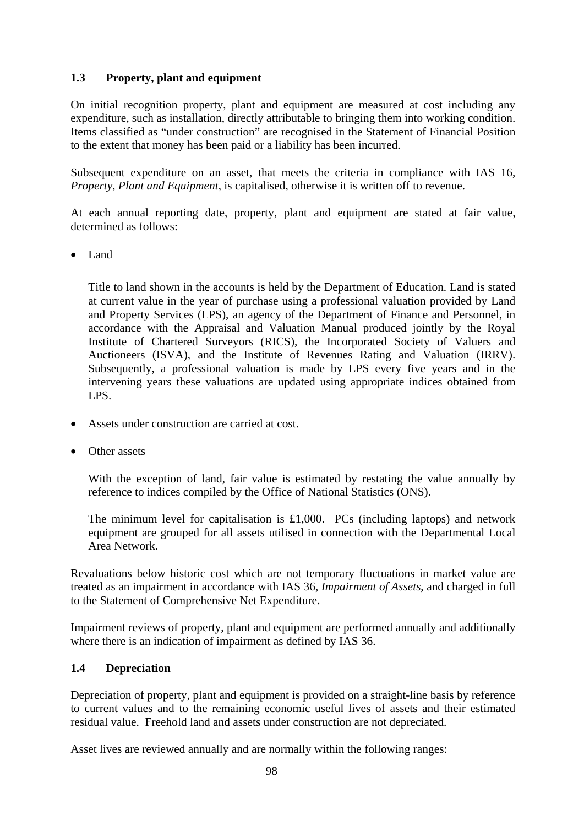## **1.3 Property, plant and equipment**

On initial recognition property, plant and equipment are measured at cost including any expenditure, such as installation, directly attributable to bringing them into working condition. Items classified as "under construction" are recognised in the Statement of Financial Position to the extent that money has been paid or a liability has been incurred.

Subsequent expenditure on an asset, that meets the criteria in compliance with IAS 16, *Property, Plant and Equipment*, is capitalised, otherwise it is written off to revenue.

At each annual reporting date, property, plant and equipment are stated at fair value, determined as follows:

• Land

Title to land shown in the accounts is held by the Department of Education. Land is stated at current value in the year of purchase using a professional valuation provided by Land and Property Services (LPS), an agency of the Department of Finance and Personnel, in accordance with the Appraisal and Valuation Manual produced jointly by the Royal Institute of Chartered Surveyors (RICS), the Incorporated Society of Valuers and Auctioneers (ISVA), and the Institute of Revenues Rating and Valuation (IRRV). Subsequently, a professional valuation is made by LPS every five years and in the intervening years these valuations are updated using appropriate indices obtained from LPS.

- Assets under construction are carried at cost.
- Other assets

With the exception of land, fair value is estimated by restating the value annually by reference to indices compiled by the Office of National Statistics (ONS).

The minimum level for capitalisation is £1,000. PCs (including laptops) and network equipment are grouped for all assets utilised in connection with the Departmental Local Area Network.

Revaluations below historic cost which are not temporary fluctuations in market value are treated as an impairment in accordance with IAS 36, *Impairment of Assets*, and charged in full to the Statement of Comprehensive Net Expenditure.

Impairment reviews of property, plant and equipment are performed annually and additionally where there is an indication of impairment as defined by IAS 36.

## **1.4 Depreciation**

Depreciation of property, plant and equipment is provided on a straight-line basis by reference to current values and to the remaining economic useful lives of assets and their estimated residual value. Freehold land and assets under construction are not depreciated.

Asset lives are reviewed annually and are normally within the following ranges: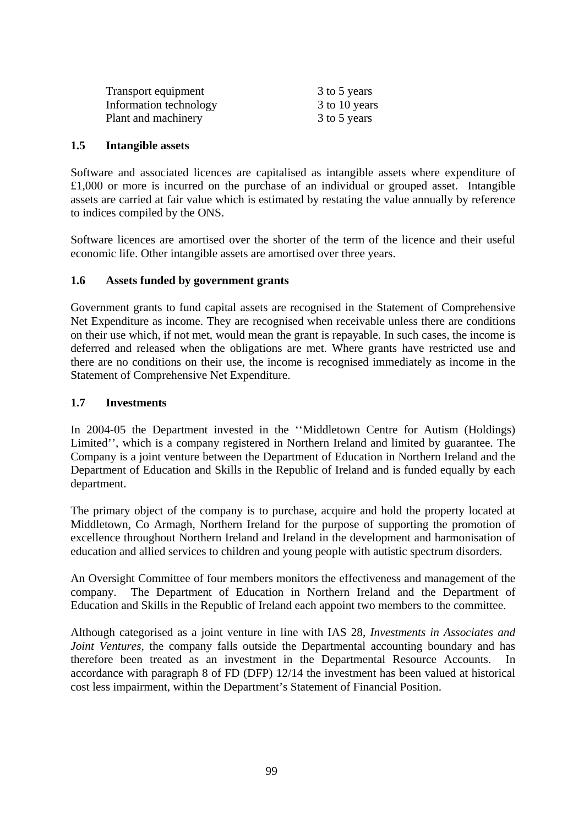| Transport equipment    | 3 to 5 years  |
|------------------------|---------------|
| Information technology | 3 to 10 years |
| Plant and machinery    | 3 to 5 years  |

#### **1.5 Intangible assets**

Software and associated licences are capitalised as intangible assets where expenditure of £1,000 or more is incurred on the purchase of an individual or grouped asset. Intangible assets are carried at fair value which is estimated by restating the value annually by reference to indices compiled by the ONS.

Software licences are amortised over the shorter of the term of the licence and their useful economic life. Other intangible assets are amortised over three years.

## **1.6 Assets funded by government grants**

Government grants to fund capital assets are recognised in the Statement of Comprehensive Net Expenditure as income. They are recognised when receivable unless there are conditions on their use which, if not met, would mean the grant is repayable. In such cases, the income is deferred and released when the obligations are met. Where grants have restricted use and there are no conditions on their use, the income is recognised immediately as income in the Statement of Comprehensive Net Expenditure.

### **1.7 Investments**

In 2004-05 the Department invested in the ''Middletown Centre for Autism (Holdings) Limited'', which is a company registered in Northern Ireland and limited by guarantee. The Company is a joint venture between the Department of Education in Northern Ireland and the Department of Education and Skills in the Republic of Ireland and is funded equally by each department.

The primary object of the company is to purchase, acquire and hold the property located at Middletown, Co Armagh, Northern Ireland for the purpose of supporting the promotion of excellence throughout Northern Ireland and Ireland in the development and harmonisation of education and allied services to children and young people with autistic spectrum disorders.

An Oversight Committee of four members monitors the effectiveness and management of the company. The Department of Education in Northern Ireland and the Department of Education and Skills in the Republic of Ireland each appoint two members to the committee.

Although categorised as a joint venture in line with IAS 28, *Investments in Associates and Joint Ventures*, the company falls outside the Departmental accounting boundary and has therefore been treated as an investment in the Departmental Resource Accounts. In accordance with paragraph 8 of FD (DFP) 12/14 the investment has been valued at historical cost less impairment, within the Department's Statement of Financial Position.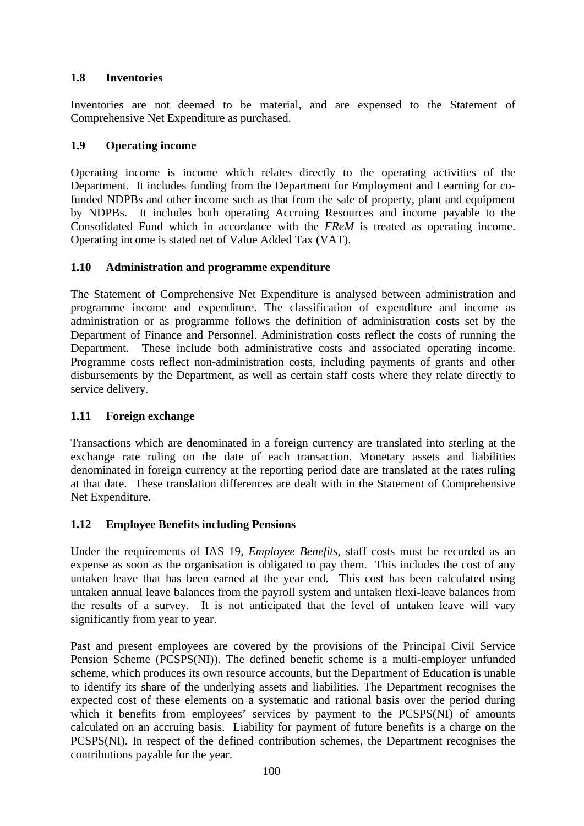## **1.8 Inventories**

Inventories are not deemed to be material, and are expensed to the Statement of Comprehensive Net Expenditure as purchased.

## **1.9 Operating income**

Operating income is income which relates directly to the operating activities of the Department. It includes funding from the Department for Employment and Learning for cofunded NDPBs and other income such as that from the sale of property, plant and equipment by NDPBs. It includes both operating Accruing Resources and income payable to the Consolidated Fund which in accordance with the *FReM* is treated as operating income. Operating income is stated net of Value Added Tax (VAT).

## **1.10 Administration and programme expenditure**

The Statement of Comprehensive Net Expenditure is analysed between administration and programme income and expenditure. The classification of expenditure and income as administration or as programme follows the definition of administration costs set by the Department of Finance and Personnel. Administration costs reflect the costs of running the Department. These include both administrative costs and associated operating income. Programme costs reflect non-administration costs, including payments of grants and other disbursements by the Department, as well as certain staff costs where they relate directly to service delivery.

## **1.11 Foreign exchange**

Transactions which are denominated in a foreign currency are translated into sterling at the exchange rate ruling on the date of each transaction. Monetary assets and liabilities denominated in foreign currency at the reporting period date are translated at the rates ruling at that date. These translation differences are dealt with in the Statement of Comprehensive Net Expenditure.

## **1.12 Employee Benefits including Pensions**

Under the requirements of IAS 19, *Employee Benefits*, staff costs must be recorded as an expense as soon as the organisation is obligated to pay them. This includes the cost of any untaken leave that has been earned at the year end. This cost has been calculated using untaken annual leave balances from the payroll system and untaken flexi-leave balances from the results of a survey. It is not anticipated that the level of untaken leave will vary significantly from year to year.

Past and present employees are covered by the provisions of the Principal Civil Service Pension Scheme (PCSPS(NI)). The defined benefit scheme is a multi-employer unfunded scheme, which produces its own resource accounts, but the Department of Education is unable to identify its share of the underlying assets and liabilities. The Department recognises the expected cost of these elements on a systematic and rational basis over the period during which it benefits from employees' services by payment to the PCSPS(NI) of amounts calculated on an accruing basis. Liability for payment of future benefits is a charge on the PCSPS(NI). In respect of the defined contribution schemes, the Department recognises the contributions payable for the year.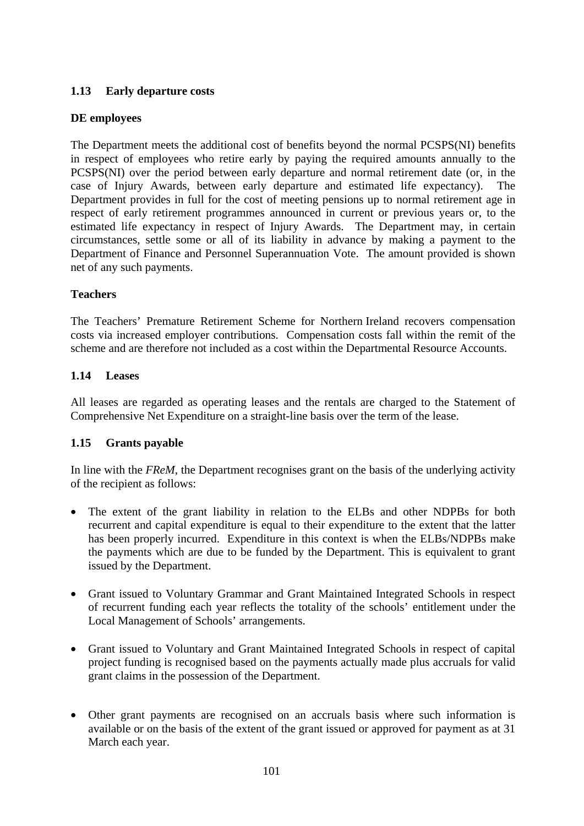## **1.13 Early departure costs**

## **DE employees**

The Department meets the additional cost of benefits beyond the normal PCSPS(NI) benefits in respect of employees who retire early by paying the required amounts annually to the PCSPS(NI) over the period between early departure and normal retirement date (or, in the case of Injury Awards, between early departure and estimated life expectancy). The Department provides in full for the cost of meeting pensions up to normal retirement age in respect of early retirement programmes announced in current or previous years or, to the estimated life expectancy in respect of Injury Awards. The Department may, in certain circumstances, settle some or all of its liability in advance by making a payment to the Department of Finance and Personnel Superannuation Vote. The amount provided is shown net of any such payments.

## **Teachers**

The Teachers' Premature Retirement Scheme for Northern Ireland recovers compensation costs via increased employer contributions. Compensation costs fall within the remit of the scheme and are therefore not included as a cost within the Departmental Resource Accounts.

## **1.14 Leases**

All leases are regarded as operating leases and the rentals are charged to the Statement of Comprehensive Net Expenditure on a straight-line basis over the term of the lease.

## **1.15 Grants payable**

In line with the *FReM*, the Department recognises grant on the basis of the underlying activity of the recipient as follows:

- The extent of the grant liability in relation to the ELBs and other NDPBs for both recurrent and capital expenditure is equal to their expenditure to the extent that the latter has been properly incurred. Expenditure in this context is when the ELBs/NDPBs make the payments which are due to be funded by the Department. This is equivalent to grant issued by the Department.
- Grant issued to Voluntary Grammar and Grant Maintained Integrated Schools in respect of recurrent funding each year reflects the totality of the schools' entitlement under the Local Management of Schools' arrangements.
- Grant issued to Voluntary and Grant Maintained Integrated Schools in respect of capital project funding is recognised based on the payments actually made plus accruals for valid grant claims in the possession of the Department.
- Other grant payments are recognised on an accruals basis where such information is available or on the basis of the extent of the grant issued or approved for payment as at 31 March each year.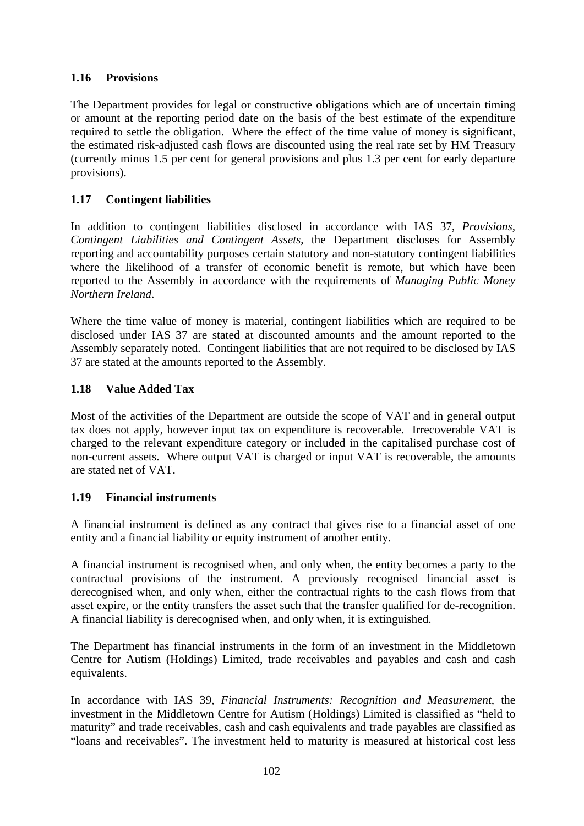## **1.16 Provisions**

The Department provides for legal or constructive obligations which are of uncertain timing or amount at the reporting period date on the basis of the best estimate of the expenditure required to settle the obligation. Where the effect of the time value of money is significant, the estimated risk-adjusted cash flows are discounted using the real rate set by HM Treasury (currently minus 1.5 per cent for general provisions and plus 1.3 per cent for early departure provisions).

## **1.17 Contingent liabilities**

In addition to contingent liabilities disclosed in accordance with IAS 37, *Provisions, Contingent Liabilities and Contingent Assets*, the Department discloses for Assembly reporting and accountability purposes certain statutory and non-statutory contingent liabilities where the likelihood of a transfer of economic benefit is remote, but which have been reported to the Assembly in accordance with the requirements of *Managing Public Money Northern Ireland*.

Where the time value of money is material, contingent liabilities which are required to be disclosed under IAS 37 are stated at discounted amounts and the amount reported to the Assembly separately noted. Contingent liabilities that are not required to be disclosed by IAS 37 are stated at the amounts reported to the Assembly.

## **1.18 Value Added Tax**

Most of the activities of the Department are outside the scope of VAT and in general output tax does not apply, however input tax on expenditure is recoverable. Irrecoverable VAT is charged to the relevant expenditure category or included in the capitalised purchase cost of non-current assets. Where output VAT is charged or input VAT is recoverable, the amounts are stated net of VAT.

## **1.19 Financial instruments**

A financial instrument is defined as any contract that gives rise to a financial asset of one entity and a financial liability or equity instrument of another entity.

A financial instrument is recognised when, and only when, the entity becomes a party to the contractual provisions of the instrument. A previously recognised financial asset is derecognised when, and only when, either the contractual rights to the cash flows from that asset expire, or the entity transfers the asset such that the transfer qualified for de-recognition. A financial liability is derecognised when, and only when, it is extinguished.

The Department has financial instruments in the form of an investment in the Middletown Centre for Autism (Holdings) Limited, trade receivables and payables and cash and cash equivalents.

In accordance with IAS 39, *Financial Instruments: Recognition and Measurement*, the investment in the Middletown Centre for Autism (Holdings) Limited is classified as "held to maturity" and trade receivables, cash and cash equivalents and trade payables are classified as "loans and receivables". The investment held to maturity is measured at historical cost less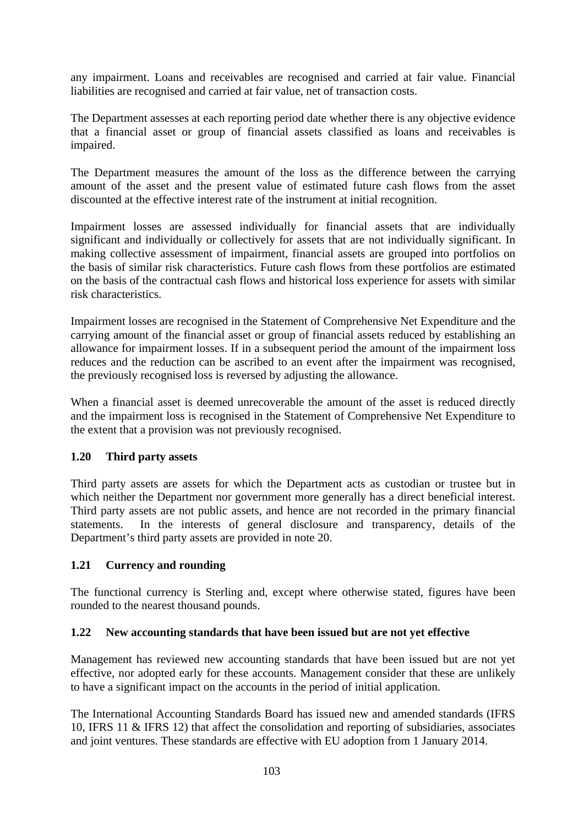any impairment. Loans and receivables are recognised and carried at fair value. Financial liabilities are recognised and carried at fair value, net of transaction costs.

The Department assesses at each reporting period date whether there is any objective evidence that a financial asset or group of financial assets classified as loans and receivables is impaired.

The Department measures the amount of the loss as the difference between the carrying amount of the asset and the present value of estimated future cash flows from the asset discounted at the effective interest rate of the instrument at initial recognition.

Impairment losses are assessed individually for financial assets that are individually significant and individually or collectively for assets that are not individually significant. In making collective assessment of impairment, financial assets are grouped into portfolios on the basis of similar risk characteristics. Future cash flows from these portfolios are estimated on the basis of the contractual cash flows and historical loss experience for assets with similar risk characteristics.

Impairment losses are recognised in the Statement of Comprehensive Net Expenditure and the carrying amount of the financial asset or group of financial assets reduced by establishing an allowance for impairment losses. If in a subsequent period the amount of the impairment loss reduces and the reduction can be ascribed to an event after the impairment was recognised, the previously recognised loss is reversed by adjusting the allowance.

When a financial asset is deemed unrecoverable the amount of the asset is reduced directly and the impairment loss is recognised in the Statement of Comprehensive Net Expenditure to the extent that a provision was not previously recognised.

## **1.20 Third party assets**

Third party assets are assets for which the Department acts as custodian or trustee but in which neither the Department nor government more generally has a direct beneficial interest. Third party assets are not public assets, and hence are not recorded in the primary financial statements. In the interests of general disclosure and transparency, details of the Department's third party assets are provided in note 20.

## **1.21 Currency and rounding**

The functional currency is Sterling and, except where otherwise stated, figures have been rounded to the nearest thousand pounds.

## **1.22 New accounting standards that have been issued but are not yet effective**

Management has reviewed new accounting standards that have been issued but are not yet effective, nor adopted early for these accounts. Management consider that these are unlikely to have a significant impact on the accounts in the period of initial application.

The International Accounting Standards Board has issued new and amended standards (IFRS 10, IFRS 11 & IFRS 12) that affect the consolidation and reporting of subsidiaries, associates and joint ventures. These standards are effective with EU adoption from 1 January 2014.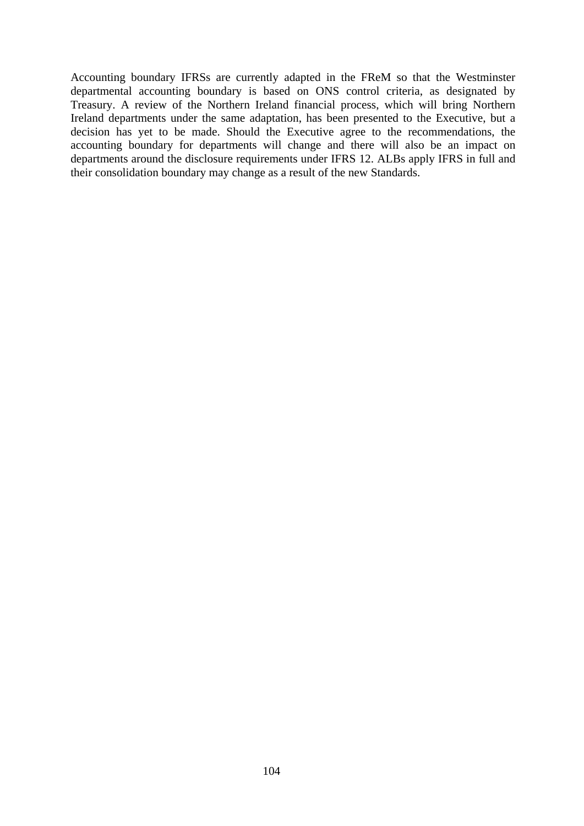Accounting boundary IFRSs are currently adapted in the FReM so that the Westminster departmental accounting boundary is based on ONS control criteria, as designated by Treasury. A review of the Northern Ireland financial process, which will bring Northern Ireland departments under the same adaptation, has been presented to the Executive, but a decision has yet to be made. Should the Executive agree to the recommendations, the accounting boundary for departments will change and there will also be an impact on departments around the disclosure requirements under IFRS 12. ALBs apply IFRS in full and their consolidation boundary may change as a result of the new Standards.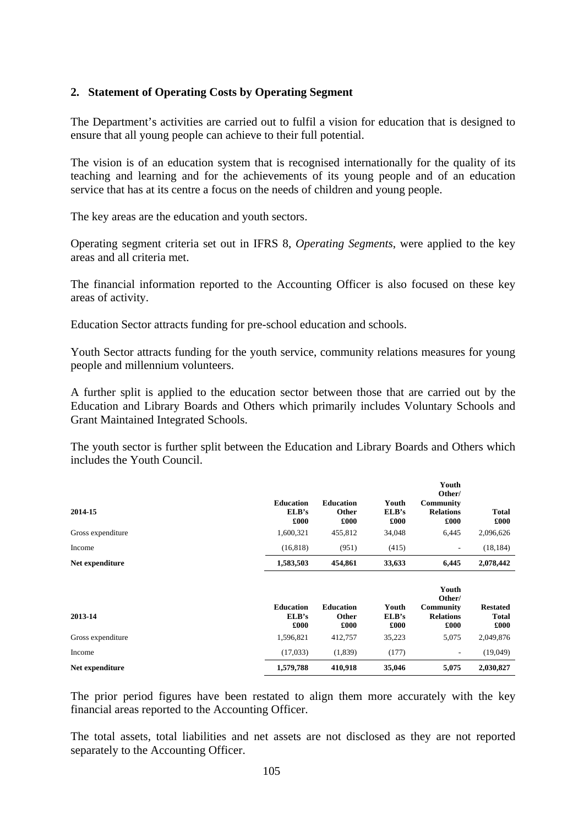### **2. Statement of Operating Costs by Operating Segment**

The Department's activities are carried out to fulfil a vision for education that is designed to ensure that all young people can achieve to their full potential.

The vision is of an education system that is recognised internationally for the quality of its teaching and learning and for the achievements of its young people and of an education service that has at its centre a focus on the needs of children and young people.

The key areas are the education and youth sectors.

Operating segment criteria set out in IFRS 8, *Operating Segments*, were applied to the key areas and all criteria met.

The financial information reported to the Accounting Officer is also focused on these key areas of activity.

Education Sector attracts funding for pre-school education and schools.

Youth Sector attracts funding for the youth service, community relations measures for young people and millennium volunteers.

A further split is applied to the education sector between those that are carried out by the Education and Library Boards and Others which primarily includes Voluntary Schools and Grant Maintained Integrated Schools.

The youth sector is further split between the Education and Library Boards and Others which includes the Youth Council.

| 2014-15<br>Gross expenditure | <b>Education</b><br>ELB's<br>£000<br>1,600,321 | <b>Education</b><br>Other<br>£000<br>455,812 | Youth<br>ELB's<br>£000<br>34,048 | Youth<br>Other/<br><b>Community</b><br><b>Relations</b><br>£000<br>6,445 | <b>Total</b><br>£000<br>2,096,626                    |
|------------------------------|------------------------------------------------|----------------------------------------------|----------------------------------|--------------------------------------------------------------------------|------------------------------------------------------|
| Income                       | (16, 818)                                      | (951)                                        | (415)                            | ۰                                                                        | (18, 184)                                            |
| Net expenditure              | 1,583,503                                      | 454,861                                      | 33,633                           | 6,445                                                                    | 2,078,442                                            |
| 2013-14<br>Gross expenditure | <b>Education</b><br>ELB's<br>£000<br>1,596,821 | <b>Education</b><br>Other<br>£000<br>412,757 | Youth<br>ELB's<br>£000<br>35,223 | Youth<br>Other/<br>Community<br><b>Relations</b><br>£000<br>5,075        | <b>Restated</b><br><b>Total</b><br>£000<br>2,049,876 |
| Income                       | (17,033)                                       | (1,839)                                      | (177)                            | ٠                                                                        | (19,049)                                             |
| Net expenditure              | 1,579,788                                      | 410,918                                      | 35,046                           | 5,075                                                                    | 2,030,827                                            |

The prior period figures have been restated to align them more accurately with the key financial areas reported to the Accounting Officer.

The total assets, total liabilities and net assets are not disclosed as they are not reported separately to the Accounting Officer.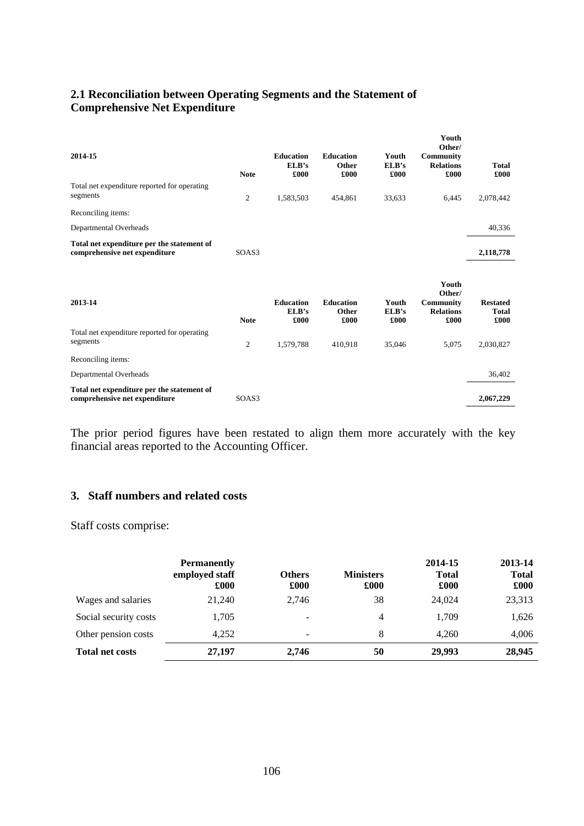# **2.1 Reconciliation between Operating Segments and the Statement of Comprehensive Net Expenditure**

| 2014-15                                                                     | <b>Note</b>    | <b>Education</b><br>ELB's<br>£000 | <b>Education</b><br>Other<br>£000 | Youth<br>ELB's<br>£000 | Youth<br>Other/<br>Community<br><b>Relations</b><br>£000 | <b>Total</b><br>£000                    |
|-----------------------------------------------------------------------------|----------------|-----------------------------------|-----------------------------------|------------------------|----------------------------------------------------------|-----------------------------------------|
| Total net expenditure reported for operating<br>segments                    | $\overline{c}$ | 1,583,503                         | 454,861                           | 33,633                 | 6,445                                                    | 2,078,442                               |
| Reconciling items:                                                          |                |                                   |                                   |                        |                                                          |                                         |
| Departmental Overheads                                                      |                |                                   |                                   |                        |                                                          | 40,336                                  |
| Total net expenditure per the statement of<br>comprehensive net expenditure | SOAS3          |                                   |                                   |                        |                                                          | 2,118,778                               |
| 2013-14                                                                     | <b>Note</b>    | <b>Education</b><br>ELB's<br>£000 | <b>Education</b><br>Other<br>£000 | Youth<br>ELB's<br>£000 | Youth<br>Other/<br>Community<br><b>Relations</b><br>£000 | <b>Restated</b><br><b>Total</b><br>£000 |
| Total net expenditure reported for operating<br>segments                    | $\mathfrak{2}$ | 1,579,788                         | 410,918                           | 35,046                 | 5,075                                                    | 2,030,827                               |
| Reconciling items:                                                          |                |                                   |                                   |                        |                                                          |                                         |
| Departmental Overheads                                                      |                |                                   |                                   |                        |                                                          | 36,402                                  |
| Total net expenditure per the statement of<br>comprehensive net expenditure | SOAS3          |                                   |                                   |                        |                                                          | 2,067,229                               |
|                                                                             |                |                                   |                                   |                        |                                                          |                                         |

The prior period figures have been restated to align them more accurately with the key financial areas reported to the Accounting Officer.

### **3. Staff numbers and related costs**

Staff costs comprise:

|                        | <b>Permanently</b><br>employed staff<br>£000 | <b>Others</b><br>£000    | <b>Ministers</b><br>£000 | 2014-15<br><b>Total</b><br>£000 | 2013-14<br><b>Total</b><br>£000 |
|------------------------|----------------------------------------------|--------------------------|--------------------------|---------------------------------|---------------------------------|
| Wages and salaries     | 21,240                                       | 2,746                    | 38                       | 24,024                          | 23,313                          |
| Social security costs  | 1,705                                        | $\overline{\phantom{a}}$ | 4                        | 1,709                           | 1,626                           |
| Other pension costs    | 4,252                                        | $\overline{\phantom{a}}$ | 8                        | 4,260                           | 4,006                           |
| <b>Total net costs</b> | 27,197                                       | 2,746                    | 50                       | 29,993                          | 28,945                          |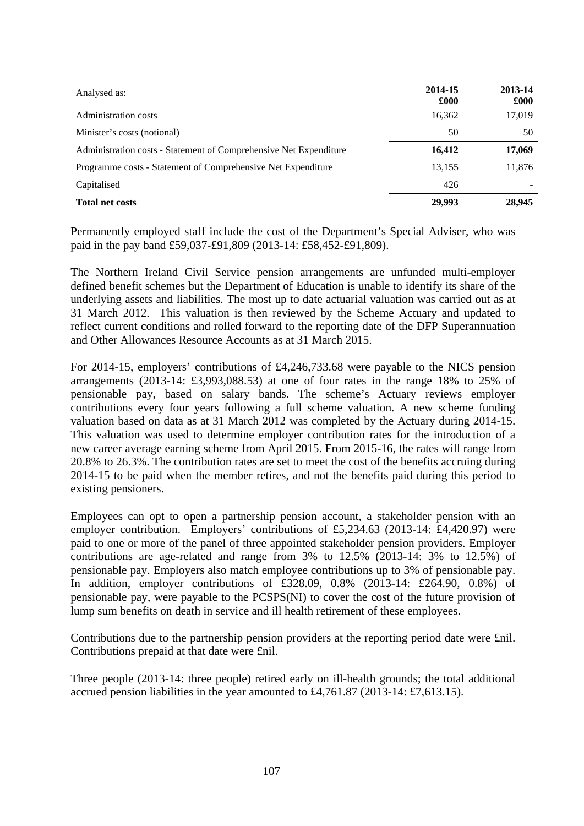| Analysed as:                                                      | 2014-15<br>£000 | 2013-14<br>£000 |
|-------------------------------------------------------------------|-----------------|-----------------|
| <b>Administration costs</b>                                       | 16,362          | 17,019          |
| Minister's costs (notional)                                       | 50              | 50              |
| Administration costs - Statement of Comprehensive Net Expenditure | 16,412          | 17,069          |
| Programme costs - Statement of Comprehensive Net Expenditure      | 13,155          | 11,876          |
| Capitalised                                                       | 426             |                 |
| <b>Total net costs</b>                                            | 29.993          | 28,945          |

Permanently employed staff include the cost of the Department's Special Adviser, who was paid in the pay band £59,037-£91,809 (2013-14: £58,452-£91,809).

The Northern Ireland Civil Service pension arrangements are unfunded multi-employer defined benefit schemes but the Department of Education is unable to identify its share of the underlying assets and liabilities. The most up to date actuarial valuation was carried out as at 31 March 2012. This valuation is then reviewed by the Scheme Actuary and updated to reflect current conditions and rolled forward to the reporting date of the DFP Superannuation and Other Allowances Resource Accounts as at 31 March 2015.

For 2014-15, employers' contributions of £4,246,733.68 were payable to the NICS pension arrangements (2013-14: £3,993,088.53) at one of four rates in the range 18% to 25% of pensionable pay, based on salary bands. The scheme's Actuary reviews employer contributions every four years following a full scheme valuation. A new scheme funding valuation based on data as at 31 March 2012 was completed by the Actuary during 2014-15. This valuation was used to determine employer contribution rates for the introduction of a new career average earning scheme from April 2015. From 2015-16, the rates will range from 20.8% to 26.3%. The contribution rates are set to meet the cost of the benefits accruing during 2014-15 to be paid when the member retires, and not the benefits paid during this period to existing pensioners.

Employees can opt to open a partnership pension account, a stakeholder pension with an employer contribution. Employers' contributions of £5,234.63 (2013-14: £4,420.97) were paid to one or more of the panel of three appointed stakeholder pension providers. Employer contributions are age-related and range from 3% to 12.5% (2013-14: 3% to 12.5%) of pensionable pay. Employers also match employee contributions up to 3% of pensionable pay. In addition, employer contributions of £328.09, 0.8% (2013-14: £264.90, 0.8%) of pensionable pay, were payable to the PCSPS(NI) to cover the cost of the future provision of lump sum benefits on death in service and ill health retirement of these employees.

Contributions due to the partnership pension providers at the reporting period date were £nil. Contributions prepaid at that date were £nil.

Three people (2013-14: three people) retired early on ill-health grounds; the total additional accrued pension liabilities in the year amounted to £4,761.87 (2013-14: £7,613.15).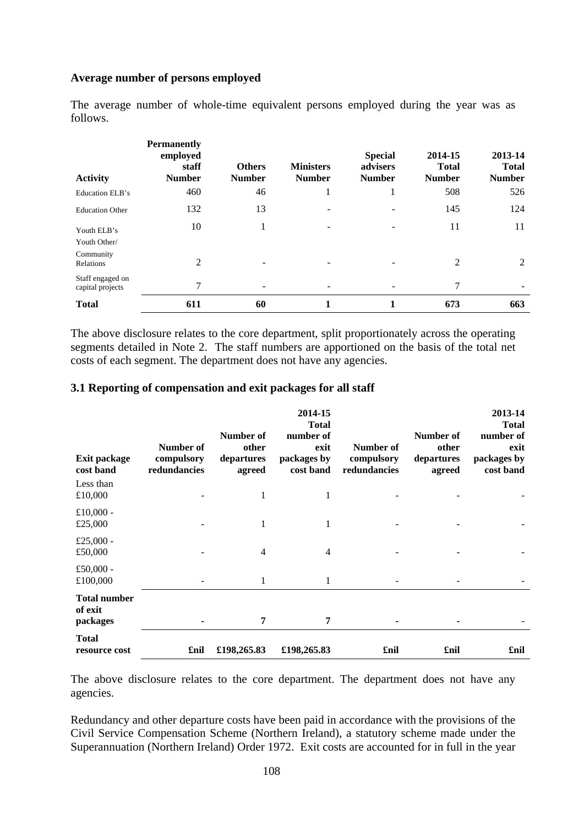### **Average number of persons employed**

The average number of whole-time equivalent persons employed during the year was as follows.

| <b>Activity</b>                      | <b>Permanently</b><br>employed<br>staff<br><b>Number</b> | <b>Others</b><br><b>Number</b> | <b>Ministers</b><br><b>Number</b> | <b>Special</b><br>advisers<br><b>Number</b> | 2014-15<br><b>Total</b><br><b>Number</b> | 2013-14<br><b>Total</b><br><b>Number</b> |
|--------------------------------------|----------------------------------------------------------|--------------------------------|-----------------------------------|---------------------------------------------|------------------------------------------|------------------------------------------|
| Education ELB's                      | 460                                                      | 46                             |                                   |                                             | 508                                      | 526                                      |
| <b>Education Other</b>               | 132                                                      | 13                             |                                   | ۰                                           | 145                                      | 124                                      |
| Youth ELB's<br>Youth Other/          | 10                                                       |                                |                                   |                                             | 11                                       | 11                                       |
| Community<br>Relations               | 2                                                        |                                |                                   |                                             | 2                                        | 2                                        |
| Staff engaged on<br>capital projects | 7                                                        |                                |                                   |                                             | 7                                        |                                          |
| <b>Total</b>                         | 611                                                      | 60                             |                                   | 1                                           | 673                                      | 663                                      |

The above disclosure relates to the core department, split proportionately across the operating segments detailed in Note 2. The staff numbers are apportioned on the basis of the total net costs of each segment. The department does not have any agencies.

#### **3.1 Reporting of compensation and exit packages for all staff**

| <b>Exit package</b><br>cost band<br>Less than | Number of<br>compulsory<br>redundancies | Number of<br>other<br>departures<br>agreed | 2014-15<br><b>Total</b><br>number of<br>exit<br>packages by<br>cost band | Number of<br>compulsory<br>redundancies | Number of<br>other<br>departures<br>agreed | 2013-14<br><b>Total</b><br>number of<br>exit<br>packages by<br>cost band |
|-----------------------------------------------|-----------------------------------------|--------------------------------------------|--------------------------------------------------------------------------|-----------------------------------------|--------------------------------------------|--------------------------------------------------------------------------|
| £10,000                                       |                                         | 1                                          | 1                                                                        |                                         |                                            |                                                                          |
| £10,000 -<br>£25,000                          |                                         | 1                                          | 1                                                                        |                                         |                                            |                                                                          |
| £25,000 -<br>£50,000                          |                                         | $\overline{4}$                             | $\overline{4}$                                                           |                                         |                                            |                                                                          |
| £50,000 -<br>£100,000                         |                                         | 1                                          | 1                                                                        |                                         |                                            |                                                                          |
| <b>Total number</b><br>of exit<br>packages    |                                         | 7                                          | 7                                                                        |                                         |                                            |                                                                          |
| <b>Total</b><br>resource cost                 | £nil                                    | £198,265.83                                | £198,265.83                                                              | £nil                                    | £nil                                       | £nil                                                                     |

The above disclosure relates to the core department. The department does not have any agencies.

Redundancy and other departure costs have been paid in accordance with the provisions of the Civil Service Compensation Scheme (Northern Ireland), a statutory scheme made under the Superannuation (Northern Ireland) Order 1972. Exit costs are accounted for in full in the year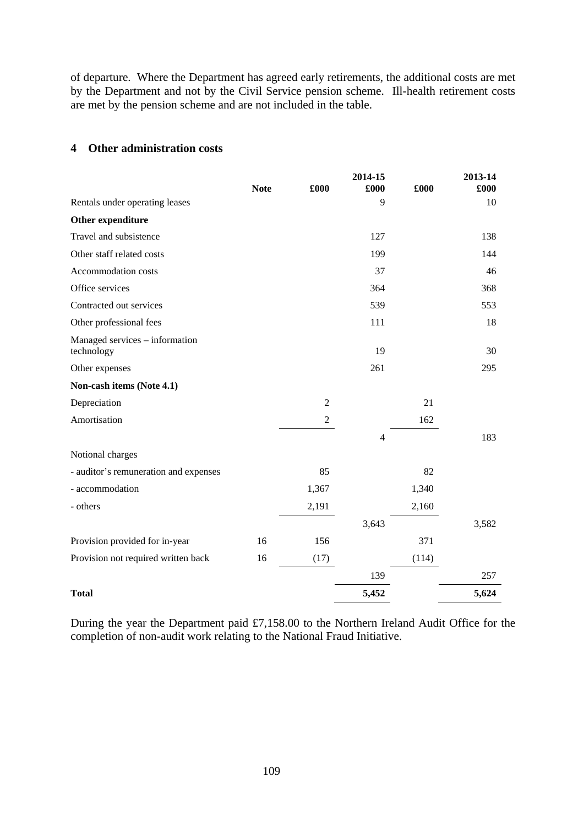of departure. Where the Department has agreed early retirements, the additional costs are met by the Department and not by the Civil Service pension scheme. Ill-health retirement costs are met by the pension scheme and are not included in the table.

### **4 Other administration costs**

|                                              | <b>Note</b> | £000           | 2014-15<br>£000 | £000  | 2013-14<br>£000 |
|----------------------------------------------|-------------|----------------|-----------------|-------|-----------------|
| Rentals under operating leases               |             |                | 9               |       | 10              |
| Other expenditure                            |             |                |                 |       |                 |
| Travel and subsistence                       |             |                | 127             |       | 138             |
| Other staff related costs                    |             |                | 199             |       | 144             |
| Accommodation costs                          |             |                | 37              |       | 46              |
| Office services                              |             |                | 364             |       | 368             |
| Contracted out services                      |             |                | 539             |       | 553             |
| Other professional fees                      |             |                | 111             |       | 18              |
| Managed services – information<br>technology |             |                | 19              |       | 30              |
| Other expenses                               |             |                | 261             |       | 295             |
| Non-cash items (Note 4.1)                    |             |                |                 |       |                 |
| Depreciation                                 |             | $\overline{2}$ |                 | 21    |                 |
| Amortisation                                 |             | $\overline{2}$ |                 | 162   |                 |
|                                              |             |                | $\overline{4}$  |       | 183             |
| Notional charges                             |             |                |                 |       |                 |
| - auditor's remuneration and expenses        |             | 85             |                 | 82    |                 |
| - accommodation                              |             | 1,367          |                 | 1,340 |                 |
| - others                                     |             | 2,191          |                 | 2,160 |                 |
|                                              |             |                | 3,643           |       | 3,582           |
| Provision provided for in-year               | 16          | 156            |                 | 371   |                 |
| Provision not required written back          | 16          | (17)           |                 | (114) |                 |
|                                              |             |                | 139             |       | 257             |
| <b>Total</b>                                 |             |                | 5,452           |       | 5,624           |

During the year the Department paid £7,158.00 to the Northern Ireland Audit Office for the completion of non-audit work relating to the National Fraud Initiative.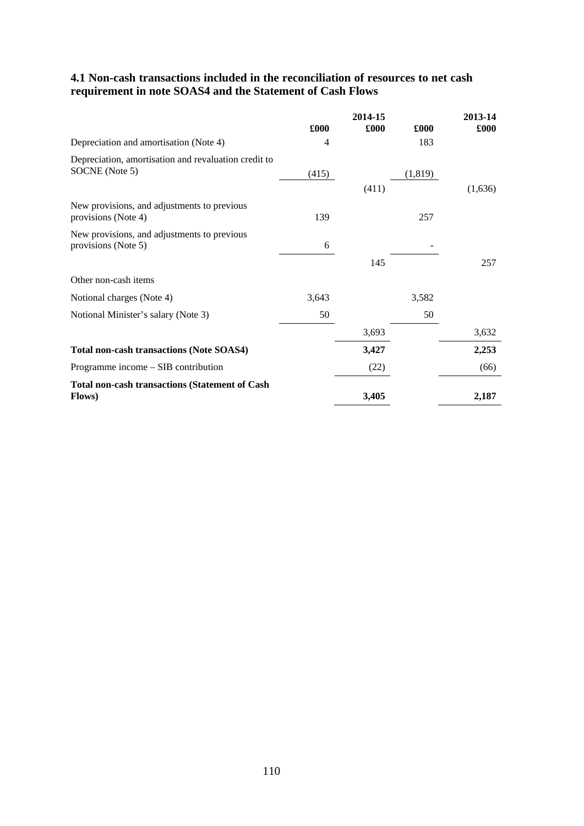## **4.1 Non-cash transactions included in the reconciliation of resources to net cash requirement in note SOAS4 and the Statement of Cash Flows**

|                                                                         |                | 2014-15 |          | 2013-14 |
|-------------------------------------------------------------------------|----------------|---------|----------|---------|
|                                                                         | £000           | £000    | £000     | £000    |
| Depreciation and amortisation (Note 4)                                  | $\overline{4}$ |         | 183      |         |
| Depreciation, amortisation and revaluation credit to<br>SOCNE (Note 5)  |                |         |          |         |
|                                                                         | (415)          |         | (1, 819) |         |
|                                                                         |                | (411)   |          | (1,636) |
| New provisions, and adjustments to previous                             |                |         |          |         |
| provisions (Note 4)                                                     | 139            |         | 257      |         |
| New provisions, and adjustments to previous<br>provisions (Note 5)      | 6              |         |          |         |
|                                                                         |                |         |          | 257     |
|                                                                         |                | 145     |          |         |
| Other non-cash items                                                    |                |         |          |         |
| Notional charges (Note 4)                                               | 3,643          |         | 3,582    |         |
| Notional Minister's salary (Note 3)                                     | 50             |         | 50       |         |
|                                                                         |                | 3,693   |          | 3,632   |
| <b>Total non-cash transactions (Note SOAS4)</b>                         |                | 3,427   |          | 2,253   |
| Programme income – SIB contribution                                     |                | (22)    |          | (66)    |
| <b>Total non-cash transactions (Statement of Cash</b><br><b>Flows</b> ) |                | 3,405   |          | 2,187   |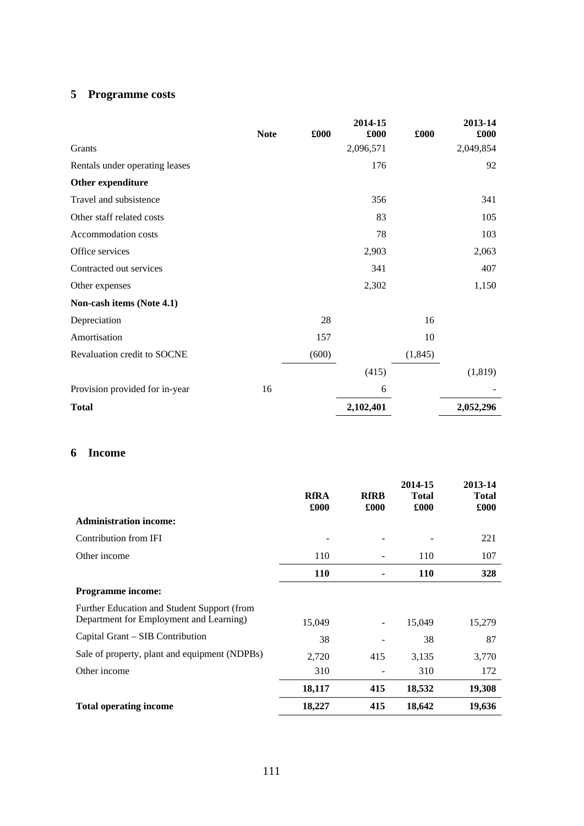# **5 Programme costs**

|                                |             |       | 2014-15   |          | 2013-14   |
|--------------------------------|-------------|-------|-----------|----------|-----------|
|                                | <b>Note</b> | £000  | £000      | £000     | £000      |
| Grants                         |             |       | 2,096,571 |          | 2,049,854 |
| Rentals under operating leases |             |       | 176       |          | 92        |
| Other expenditure              |             |       |           |          |           |
| Travel and subsistence         |             |       | 356       |          | 341       |
| Other staff related costs      |             |       | 83        |          | 105       |
| Accommodation costs            |             |       | 78        |          | 103       |
| Office services                |             |       | 2,903     |          | 2,063     |
| Contracted out services        |             |       | 341       |          | 407       |
| Other expenses                 |             |       | 2,302     |          | 1,150     |
| Non-cash items (Note 4.1)      |             |       |           |          |           |
| Depreciation                   |             | 28    |           | 16       |           |
| Amortisation                   |             | 157   |           | 10       |           |
| Revaluation credit to SOCNE    |             | (600) |           | (1, 845) |           |
|                                |             |       | (415)     |          | (1,819)   |
| Provision provided for in-year | 16          |       | 6         |          |           |
| <b>Total</b>                   |             |       | 2,102,401 |          | 2,052,296 |

### **6 Income**

|                                                                                        | <b>RfRA</b><br>£000 | <b>RfRB</b><br>£000 | 2014-15<br><b>Total</b><br>£000 | 2013-14<br>Total<br>£000 |
|----------------------------------------------------------------------------------------|---------------------|---------------------|---------------------------------|--------------------------|
| <b>Administration income:</b>                                                          |                     |                     |                                 |                          |
| Contribution from IFI                                                                  |                     |                     |                                 | 221                      |
| Other income                                                                           | 110                 |                     | 110                             | 107                      |
|                                                                                        | <b>110</b>          |                     | <b>110</b>                      | 328                      |
| <b>Programme income:</b>                                                               |                     |                     |                                 |                          |
| Further Education and Student Support (from<br>Department for Employment and Learning) | 15,049              |                     | 15,049                          | 15,279                   |
| Capital Grant – SIB Contribution                                                       | 38                  |                     | 38                              | 87                       |
| Sale of property, plant and equipment (NDPBs)                                          | 2,720               | 415                 | 3,135                           | 3,770                    |
| Other income                                                                           | 310                 |                     | 310                             | 172                      |
|                                                                                        | 18,117              | 415                 | 18,532                          | 19,308                   |
| <b>Total operating income</b>                                                          | 18,227              | 415                 | 18,642                          | 19,636                   |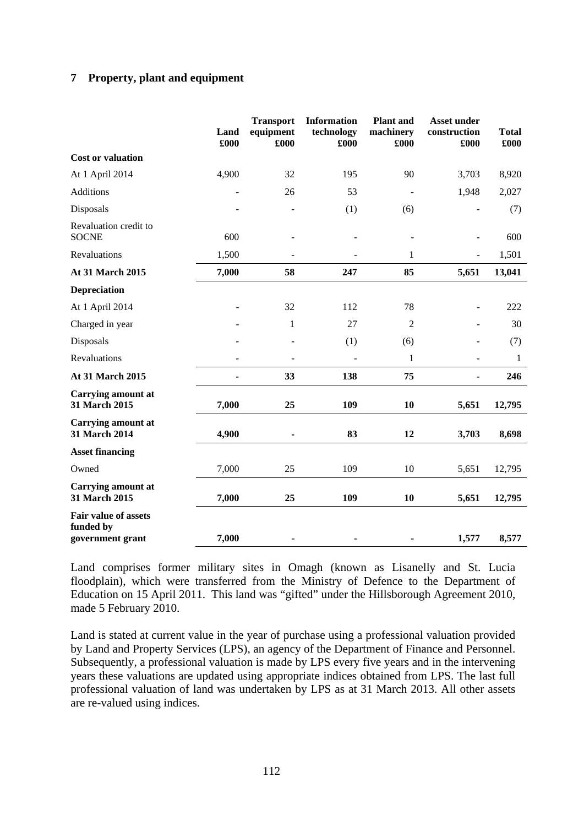## **7 Property, plant and equipment**

|                                                       | Land<br>£000 | <b>Transport</b><br>equipment<br>£000 | <b>Information</b><br>technology<br>£000 | <b>Plant</b> and<br>machinery<br>£000 | <b>Asset under</b><br>construction<br>£000 | <b>Total</b><br>£000 |
|-------------------------------------------------------|--------------|---------------------------------------|------------------------------------------|---------------------------------------|--------------------------------------------|----------------------|
| <b>Cost or valuation</b>                              |              |                                       |                                          |                                       |                                            |                      |
| At 1 April 2014                                       | 4,900        | 32                                    | 195                                      | 90                                    | 3,703                                      | 8,920                |
| <b>Additions</b>                                      |              | 26                                    | 53                                       |                                       | 1,948                                      | 2,027                |
| Disposals                                             |              | $\blacksquare$                        | (1)                                      | (6)                                   | $\overline{\phantom{a}}$                   | (7)                  |
| Revaluation credit to<br><b>SOCNE</b>                 | 600          |                                       |                                          |                                       | $\overline{\phantom{a}}$                   | 600                  |
| Revaluations                                          | 1,500        | $\overline{a}$                        | $\overline{\phantom{a}}$                 | 1                                     | $\overline{\phantom{a}}$                   | 1,501                |
| At 31 March 2015                                      | 7,000        | 58                                    | 247                                      | 85                                    | 5,651                                      | 13,041               |
| <b>Depreciation</b>                                   |              |                                       |                                          |                                       |                                            |                      |
| At 1 April 2014                                       |              | 32                                    | 112                                      | 78                                    | $\overline{\phantom{a}}$                   | 222                  |
| Charged in year                                       |              | $\mathbf{1}$                          | 27                                       | $\overline{2}$                        | $\blacksquare$                             | 30                   |
| Disposals                                             |              |                                       | (1)                                      | (6)                                   |                                            | (7)                  |
| Revaluations                                          | ÷.           | ٠                                     | $\sim$                                   | 1                                     | $\blacksquare$                             | 1                    |
| <b>At 31 March 2015</b>                               |              | 33                                    | 138                                      | 75                                    |                                            | 246                  |
| <b>Carrying amount at</b><br>31 March 2015            | 7,000        | 25                                    | 109                                      | 10                                    | 5,651                                      | 12,795               |
| <b>Carrying amount at</b><br><b>31 March 2014</b>     | 4,900        |                                       | 83                                       | 12                                    | 3,703                                      | 8,698                |
| <b>Asset financing</b>                                |              |                                       |                                          |                                       |                                            |                      |
| Owned                                                 | 7,000        | 25                                    | 109                                      | 10                                    | 5,651                                      | 12,795               |
| <b>Carrying amount at</b><br>31 March 2015            | 7,000        | 25                                    | 109                                      | 10                                    | 5,651                                      | 12,795               |
| Fair value of assets<br>funded by<br>government grant | 7,000        | ۰                                     |                                          |                                       | 1,577                                      | 8,577                |

Land comprises former military sites in Omagh (known as Lisanelly and St. Lucia floodplain), which were transferred from the Ministry of Defence to the Department of Education on 15 April 2011. This land was "gifted" under the Hillsborough Agreement 2010, made 5 February 2010.

Land is stated at current value in the year of purchase using a professional valuation provided by Land and Property Services (LPS), an agency of the Department of Finance and Personnel. Subsequently, a professional valuation is made by LPS every five years and in the intervening years these valuations are updated using appropriate indices obtained from LPS. The last full professional valuation of land was undertaken by LPS as at 31 March 2013. All other assets are re-valued using indices.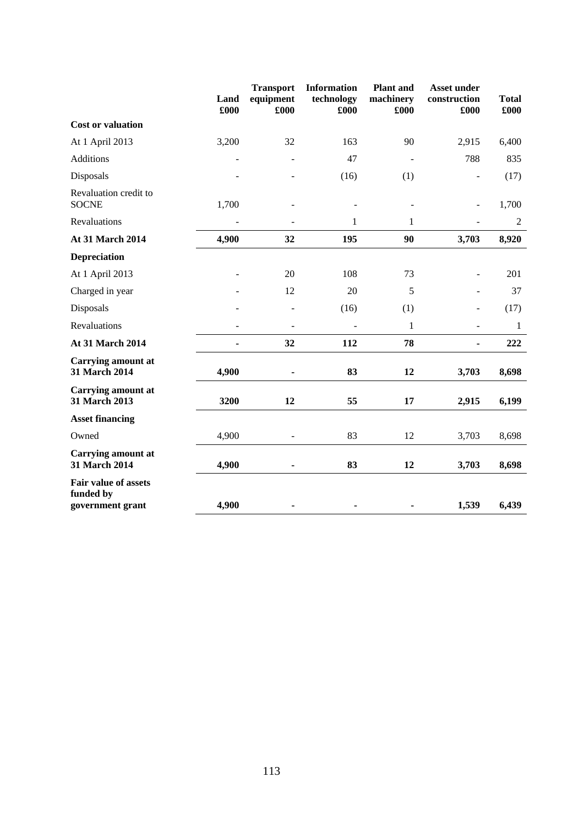|                                                              | Land<br>£000 | <b>Transport</b><br>equipment<br>£000 | <b>Information</b><br>technology<br>£000 | <b>Plant</b> and<br>machinery<br>£000 | <b>Asset under</b><br>construction<br>£000 | <b>Total</b><br>£000 |
|--------------------------------------------------------------|--------------|---------------------------------------|------------------------------------------|---------------------------------------|--------------------------------------------|----------------------|
| <b>Cost or valuation</b>                                     |              |                                       |                                          |                                       |                                            |                      |
| At 1 April 2013                                              | 3,200        | 32                                    | 163                                      | 90                                    | 2,915                                      | 6,400                |
| <b>Additions</b>                                             |              |                                       | 47                                       |                                       | 788                                        | 835                  |
| Disposals                                                    |              |                                       | (16)                                     | (1)                                   |                                            | (17)                 |
| Revaluation credit to<br><b>SOCNE</b>                        | 1,700        |                                       |                                          |                                       | $\overline{\phantom{a}}$                   | 1,700                |
| Revaluations                                                 |              |                                       | $\mathbf{1}$                             | 1                                     |                                            | $\boldsymbol{2}$     |
| <b>At 31 March 2014</b>                                      | 4,900        | 32                                    | 195                                      | 90                                    | 3,703                                      | 8,920                |
| <b>Depreciation</b>                                          |              |                                       |                                          |                                       |                                            |                      |
| At 1 April 2013                                              |              | 20                                    | 108                                      | 73                                    | $\ddot{\phantom{1}}$                       | 201                  |
| Charged in year                                              |              | 12                                    | 20                                       | 5                                     |                                            | 37                   |
| Disposals                                                    |              |                                       | (16)                                     | (1)                                   |                                            | (17)                 |
| Revaluations                                                 |              | $\overline{\phantom{a}}$              | ÷,                                       | 1                                     | $\overline{a}$                             | 1                    |
| At 31 March 2014                                             |              | 32                                    | 112                                      | 78                                    | $\blacksquare$                             | 222                  |
| <b>Carrying amount at</b><br>31 March 2014                   | 4,900        | $\blacksquare$                        | 83                                       | 12                                    | 3,703                                      | 8,698                |
| <b>Carrying amount at</b><br>31 March 2013                   | 3200         | 12                                    | 55                                       | 17                                    | 2,915                                      | 6,199                |
| <b>Asset financing</b>                                       |              |                                       |                                          |                                       |                                            |                      |
| Owned                                                        | 4,900        |                                       | 83                                       | 12                                    | 3,703                                      | 8,698                |
| <b>Carrying amount at</b><br>31 March 2014                   | 4,900        | ä,                                    | 83                                       | 12                                    | 3,703                                      | 8,698                |
| <b>Fair value of assets</b><br>funded by<br>government grant | 4,900        |                                       |                                          |                                       | 1,539                                      | 6,439                |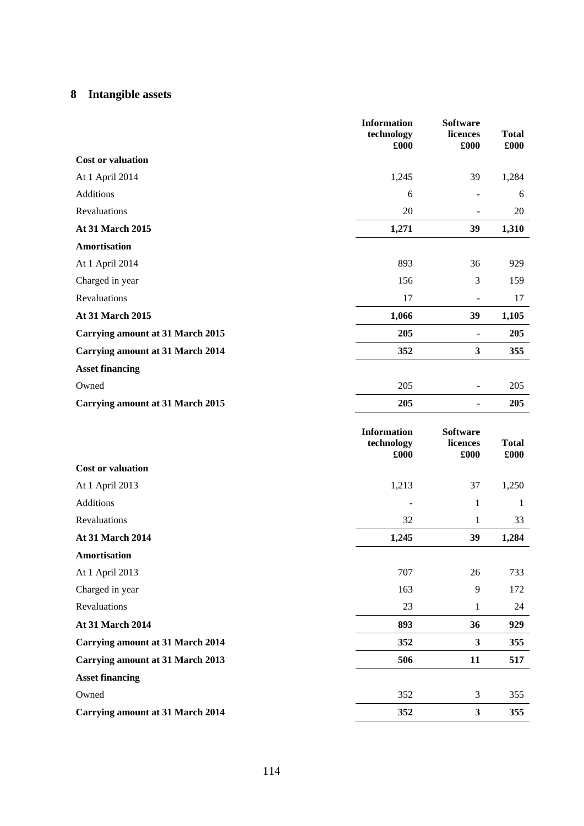# **8 Intangible assets**

|                                         | <b>Information</b><br>technology<br>£000 | <b>Software</b><br>licences<br>£000 | <b>Total</b><br>£000 |
|-----------------------------------------|------------------------------------------|-------------------------------------|----------------------|
| <b>Cost or valuation</b>                |                                          |                                     |                      |
| At 1 April 2014                         | 1,245                                    | 39                                  | 1,284                |
| <b>Additions</b>                        | 6                                        |                                     | 6                    |
| Revaluations                            | $20\,$                                   | $\qquad \qquad \blacksquare$        | 20                   |
| At 31 March 2015                        | 1,271                                    | 39                                  | 1,310                |
| <b>Amortisation</b>                     |                                          |                                     |                      |
| At 1 April 2014                         | 893                                      | 36                                  | 929                  |
| Charged in year                         | 156                                      | 3                                   | 159                  |
| Revaluations                            | 17                                       | $\overline{\phantom{a}}$            | 17                   |
| At 31 March 2015                        | 1,066                                    | 39                                  | 1,105                |
| <b>Carrying amount at 31 March 2015</b> | 205                                      | $\blacksquare$                      | 205                  |
| <b>Carrying amount at 31 March 2014</b> | 352                                      | 3                                   | 355                  |
| <b>Asset financing</b>                  |                                          |                                     |                      |
| Owned                                   | 205                                      |                                     | 205                  |
| <b>Carrying amount at 31 March 2015</b> | 205                                      | ٠                                   | 205                  |
|                                         |                                          |                                     |                      |
|                                         | <b>Information</b><br>technology<br>£000 | <b>Software</b><br>licences<br>£000 | <b>Total</b><br>£000 |
| <b>Cost or valuation</b>                |                                          |                                     |                      |
| At 1 April 2013                         | 1,213                                    | 37                                  | 1,250                |
| Additions                               |                                          | $\mathbf{1}$                        | $\mathbf{1}$         |
| Revaluations                            | 32                                       | $\mathbf{1}$                        | 33                   |
| At 31 March 2014                        | 1,245                                    | 39                                  | 1,284                |
| Amortisation                            |                                          |                                     |                      |
| At 1 April 2013                         | 707                                      | 26                                  | 733                  |
| Charged in year                         | 163                                      | $\mathbf{9}$                        | 172                  |
| Revaluations                            | 23                                       | $\mathbf{1}$                        | 24                   |
| At 31 March 2014                        | 893                                      | 36                                  | 929                  |
| <b>Carrying amount at 31 March 2014</b> | 352                                      | $\mathbf{3}$                        | 355                  |
| <b>Carrying amount at 31 March 2013</b> | 506                                      | 11                                  | 517                  |
| <b>Asset financing</b>                  |                                          |                                     |                      |
| Owned                                   | 352                                      | 3                                   | 355                  |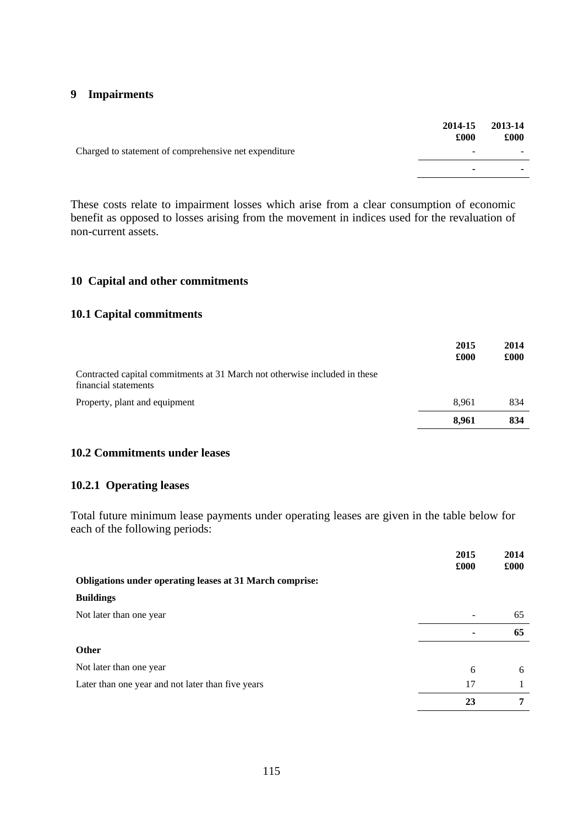### **9 Impairments**

|                                                       | 2014-15<br>£000 | 2013-14<br>£000 |
|-------------------------------------------------------|-----------------|-----------------|
| Charged to statement of comprehensive net expenditure | -               |                 |
|                                                       | -               |                 |
|                                                       |                 |                 |

These costs relate to impairment losses which arise from a clear consumption of economic benefit as opposed to losses arising from the movement in indices used for the revaluation of non-current assets.

### **10 Capital and other commitments**

#### **10.1 Capital commitments**

|                                                                                                    | 2015<br>£000 | 2014<br>£000 |
|----------------------------------------------------------------------------------------------------|--------------|--------------|
| Contracted capital commitments at 31 March not otherwise included in these<br>financial statements |              |              |
| Property, plant and equipment                                                                      | 8.961        | 834          |
|                                                                                                    | 8.961        | 834          |

### **10.2 Commitments under leases**

## **10.2.1 Operating leases**

Total future minimum lease payments under operating leases are given in the table below for each of the following periods:

|                                                                 | 2015<br>£000 | 2014<br>£000 |
|-----------------------------------------------------------------|--------------|--------------|
| <b>Obligations under operating leases at 31 March comprise:</b> |              |              |
| <b>Buildings</b>                                                |              |              |
| Not later than one year                                         |              | 65           |
|                                                                 |              | 65           |
| <b>Other</b>                                                    |              |              |
| Not later than one year                                         | 6            | 6            |
| Later than one year and not later than five years               | 17           |              |
|                                                                 | 23           | 7            |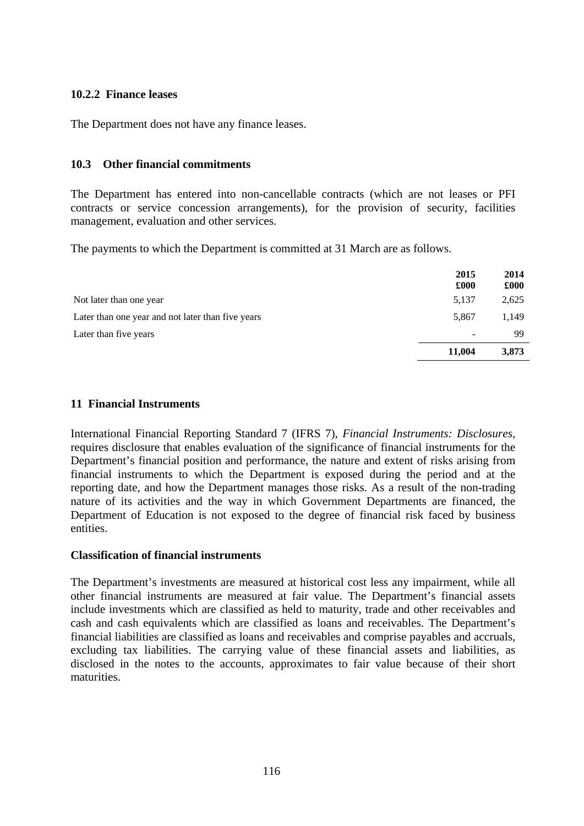### **10.2.2 Finance leases**

The Department does not have any finance leases.

### **10.3 Other financial commitments**

The Department has entered into non-cancellable contracts (which are not leases or PFI contracts or service concession arrangements), for the provision of security, facilities management, evaluation and other services.

The payments to which the Department is committed at 31 March are as follows.

|                                                   | 2015<br>£000 | 2014<br>£000 |
|---------------------------------------------------|--------------|--------------|
| Not later than one year                           | 5,137        | 2,625        |
| Later than one year and not later than five years | 5,867        | 1,149        |
| Later than five years                             |              | 99           |
|                                                   | 11,004       | 3,873        |

### **11 Financial Instruments**

International Financial Reporting Standard 7 (IFRS 7), *Financial Instruments: Disclosures*, requires disclosure that enables evaluation of the significance of financial instruments for the Department's financial position and performance, the nature and extent of risks arising from financial instruments to which the Department is exposed during the period and at the reporting date, and how the Department manages those risks. As a result of the non-trading nature of its activities and the way in which Government Departments are financed, the Department of Education is not exposed to the degree of financial risk faced by business entities.

### **Classification of financial instruments**

The Department's investments are measured at historical cost less any impairment, while all other financial instruments are measured at fair value. The Department's financial assets include investments which are classified as held to maturity, trade and other receivables and cash and cash equivalents which are classified as loans and receivables. The Department's financial liabilities are classified as loans and receivables and comprise payables and accruals, excluding tax liabilities. The carrying value of these financial assets and liabilities, as disclosed in the notes to the accounts, approximates to fair value because of their short maturities.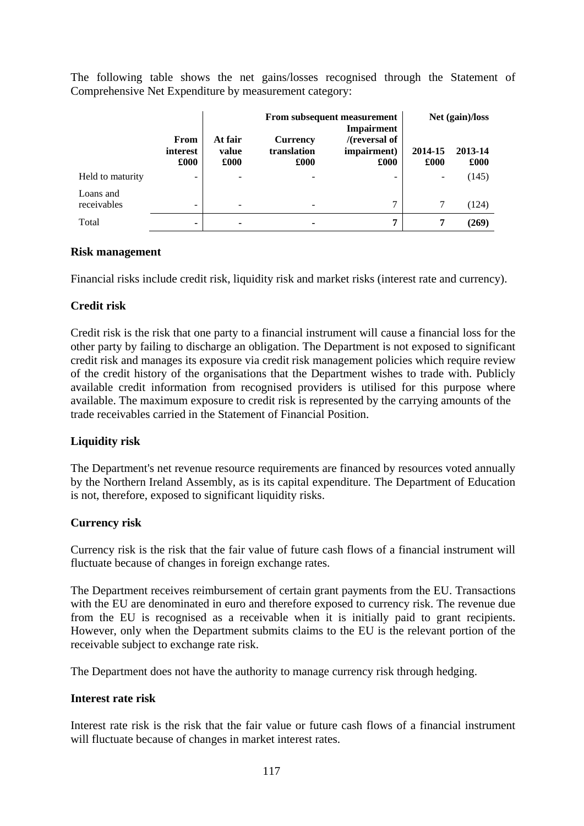The following table shows the net gains/losses recognised through the Statement of Comprehensive Net Expenditure by measurement category:

|                          |                          | From subsequent measurement<br>Impairment |                                        |                                         |                              | Net (gain)/loss |
|--------------------------|--------------------------|-------------------------------------------|----------------------------------------|-----------------------------------------|------------------------------|-----------------|
|                          | From<br>interest<br>£000 | At fair<br>value<br>£000                  | <b>Currency</b><br>translation<br>£000 | $/$ (reversal of<br>impairment)<br>£000 | 2014-15<br>£000              | 2013-14<br>£000 |
| Held to maturity         | ۰                        | $\overline{\phantom{0}}$                  |                                        | -                                       | $\qquad \qquad \blacksquare$ | (145)           |
| Loans and<br>receivables | -                        |                                           | -                                      | 7                                       |                              | (124)           |
| Total                    | ٠                        | ۰                                         | $\overline{\phantom{a}}$               | 7                                       | 7                            | (269)           |

### **Risk management**

Financial risks include credit risk, liquidity risk and market risks (interest rate and currency).

### **Credit risk**

Credit risk is the risk that one party to a financial instrument will cause a financial loss for the other party by failing to discharge an obligation. The Department is not exposed to significant credit risk and manages its exposure via credit risk management policies which require review of the credit history of the organisations that the Department wishes to trade with. Publicly available credit information from recognised providers is utilised for this purpose where available. The maximum exposure to credit risk is represented by the carrying amounts of the trade receivables carried in the Statement of Financial Position.

## **Liquidity risk**

The Department's net revenue resource requirements are financed by resources voted annually by the Northern Ireland Assembly, as is its capital expenditure. The Department of Education is not, therefore, exposed to significant liquidity risks.

### **Currency risk**

Currency risk is the risk that the fair value of future cash flows of a financial instrument will fluctuate because of changes in foreign exchange rates.

The Department receives reimbursement of certain grant payments from the EU. Transactions with the EU are denominated in euro and therefore exposed to currency risk. The revenue due from the EU is recognised as a receivable when it is initially paid to grant recipients. However, only when the Department submits claims to the EU is the relevant portion of the receivable subject to exchange rate risk.

The Department does not have the authority to manage currency risk through hedging.

### **Interest rate risk**

Interest rate risk is the risk that the fair value or future cash flows of a financial instrument will fluctuate because of changes in market interest rates.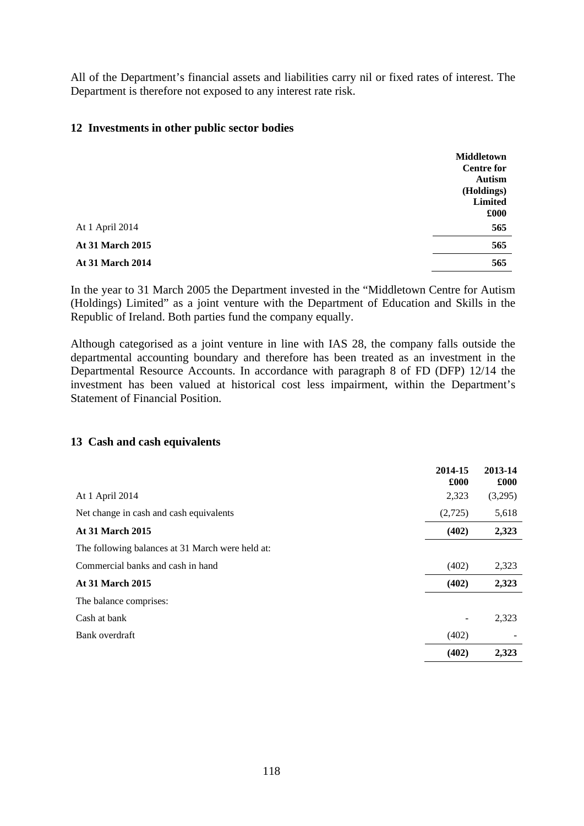All of the Department's financial assets and liabilities carry nil or fixed rates of interest. The Department is therefore not exposed to any interest rate risk.

### **12 Investments in other public sector bodies**

|                         | <b>Middletown</b><br><b>Centre for</b><br><b>Autism</b><br>(Holdings)<br><b>Limited</b><br>£000 |
|-------------------------|-------------------------------------------------------------------------------------------------|
| At 1 April 2014         | 565                                                                                             |
| <b>At 31 March 2015</b> | 565                                                                                             |
| <b>At 31 March 2014</b> | 565                                                                                             |

In the year to 31 March 2005 the Department invested in the "Middletown Centre for Autism (Holdings) Limited" as a joint venture with the Department of Education and Skills in the Republic of Ireland. Both parties fund the company equally.

Although categorised as a joint venture in line with IAS 28, the company falls outside the departmental accounting boundary and therefore has been treated as an investment in the Departmental Resource Accounts. In accordance with paragraph 8 of FD (DFP) 12/14 the investment has been valued at historical cost less impairment, within the Department's Statement of Financial Position.

### **13 Cash and cash equivalents**

|                                                  | 2014-15<br>£000 | 2013-14<br>£000 |
|--------------------------------------------------|-----------------|-----------------|
| At 1 April 2014                                  | 2,323           | (3,295)         |
| Net change in cash and cash equivalents          | (2,725)         | 5,618           |
| <b>At 31 March 2015</b>                          | (402)           | 2,323           |
| The following balances at 31 March were held at: |                 |                 |
| Commercial banks and cash in hand                | (402)           | 2,323           |
| <b>At 31 March 2015</b>                          | (402)           | 2,323           |
| The balance comprises:                           |                 |                 |
| Cash at bank                                     |                 | 2,323           |
| Bank overdraft                                   | (402)           |                 |
|                                                  | (402)           | 2,323           |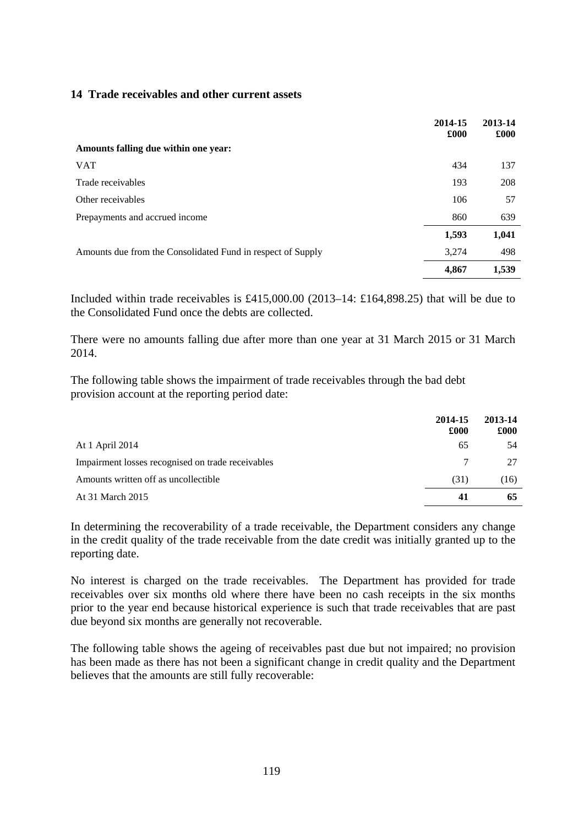### **14 Trade receivables and other current assets**

|                                                             | 2014-15<br>£000 | 2013-14<br>£000 |
|-------------------------------------------------------------|-----------------|-----------------|
| Amounts falling due within one year:                        |                 |                 |
| <b>VAT</b>                                                  | 434             | 137             |
| Trade receivables                                           | 193             | 208             |
| Other receivables                                           | 106             | 57              |
| Prepayments and accrued income                              | 860             | 639             |
|                                                             | 1,593           | 1,041           |
| Amounts due from the Consolidated Fund in respect of Supply | 3,274           | 498             |
|                                                             | 4,867           | 1,539           |

Included within trade receivables is £415,000.00 (2013–14: £164,898.25) that will be due to the Consolidated Fund once the debts are collected.

There were no amounts falling due after more than one year at 31 March 2015 or 31 March 2014.

The following table shows the impairment of trade receivables through the bad debt provision account at the reporting period date:

|                                                   | 2014-15<br>£000 | 2013-14<br>£000 |
|---------------------------------------------------|-----------------|-----------------|
| At 1 April 2014                                   | 65              | 54              |
| Impairment losses recognised on trade receivables | 7               | 27              |
| Amounts written off as uncollectible              | (31)            | (16)            |
| At 31 March 2015                                  | 41              | 65              |

In determining the recoverability of a trade receivable, the Department considers any change in the credit quality of the trade receivable from the date credit was initially granted up to the reporting date.

No interest is charged on the trade receivables. The Department has provided for trade receivables over six months old where there have been no cash receipts in the six months prior to the year end because historical experience is such that trade receivables that are past due beyond six months are generally not recoverable.

The following table shows the ageing of receivables past due but not impaired; no provision has been made as there has not been a significant change in credit quality and the Department believes that the amounts are still fully recoverable: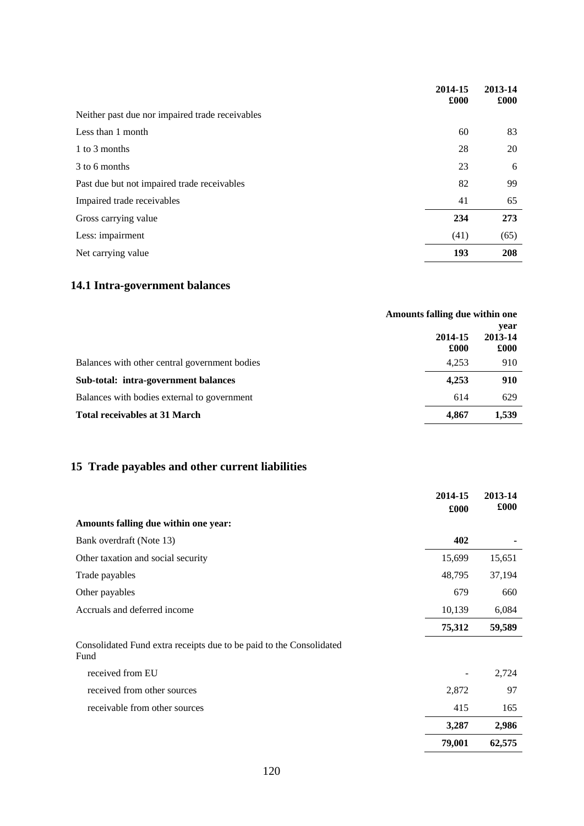|                                                 | 2014-15<br>£000 | 2013-14<br>£000 |
|-------------------------------------------------|-----------------|-----------------|
| Neither past due nor impaired trade receivables |                 |                 |
| Less than 1 month                               | 60              | 83              |
| 1 to 3 months                                   | 28              | 20              |
| 3 to 6 months                                   | 23              | 6               |
| Past due but not impaired trade receivables     | 82              | 99              |
| Impaired trade receivables                      | 41              | 65              |
| Gross carrying value                            | 234             | 273             |
| Less: impairment                                | (41)            | (65)            |
| Net carrying value                              | 193             | 208             |
|                                                 |                 |                 |

# **14.1 Intra-government balances**

|                                               | Amounts falling due within one |                         |
|-----------------------------------------------|--------------------------------|-------------------------|
|                                               | 2014-15<br>£000                | year<br>2013-14<br>£000 |
| Balances with other central government bodies | 4,253                          | 910                     |
| Sub-total: intra-government balances          | 4,253                          | 910                     |
| Balances with bodies external to government   | 614                            | 629                     |
| <b>Total receivables at 31 March</b>          | 4.867                          | 1,539                   |

# **15 Trade payables and other current liabilities**

|                                                                             | 2014-15<br>£000 | 2013-14<br>£000 |
|-----------------------------------------------------------------------------|-----------------|-----------------|
| Amounts falling due within one year:                                        |                 |                 |
| Bank overdraft (Note 13)                                                    | 402             |                 |
| Other taxation and social security                                          | 15,699          | 15,651          |
| Trade payables                                                              | 48,795          | 37,194          |
| Other payables                                                              | 679             | 660             |
| Accruals and deferred income                                                | 10,139          | 6,084           |
|                                                                             | 75,312          | 59,589          |
| Consolidated Fund extra receipts due to be paid to the Consolidated<br>Fund |                 |                 |
| received from EU                                                            | -               | 2,724           |
| received from other sources                                                 | 2,872           | 97              |
| receivable from other sources                                               | 415             | 165             |
|                                                                             | 3,287           | 2,986           |
|                                                                             | 79,001          | 62,575          |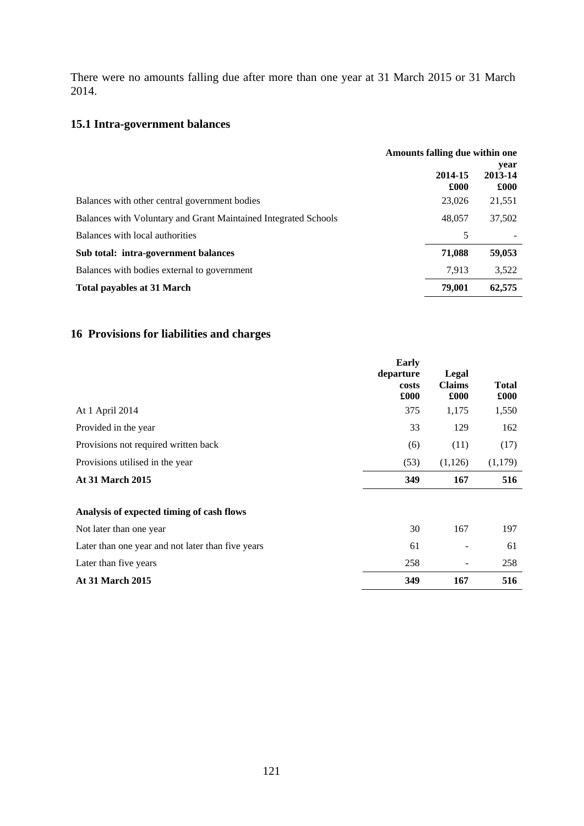There were no amounts falling due after more than one year at 31 March 2015 or 31 March 2014.

## **15.1 Intra-government balances**

|                                                                 | Amounts falling due within one |                         |
|-----------------------------------------------------------------|--------------------------------|-------------------------|
|                                                                 | 2014-15<br>£000                | year<br>2013-14<br>£000 |
| Balances with other central government bodies                   | 23,026                         | 21,551                  |
| Balances with Voluntary and Grant Maintained Integrated Schools | 48,057                         | 37,502                  |
| Balances with local authorities                                 | 5                              |                         |
| Sub total: intra-government balances                            | 71,088                         | 59,053                  |
| Balances with bodies external to government                     | 7.913                          | 3,522                   |
| <b>Total payables at 31 March</b>                               | 79,001                         | 62,575                  |

# **16 Provisions for liabilities and charges**

|                                                   | Early<br>departure<br>costs<br>£000 | Legal<br><b>Claims</b><br>£000 | <b>Total</b><br>£000 |
|---------------------------------------------------|-------------------------------------|--------------------------------|----------------------|
| At 1 April 2014                                   | 375                                 | 1,175                          | 1,550                |
| Provided in the year                              | 33                                  | 129                            | 162                  |
| Provisions not required written back              | (6)                                 | (11)                           | (17)                 |
| Provisions utilised in the year                   | (53)                                | (1,126)                        | (1,179)              |
| <b>At 31 March 2015</b>                           | 349                                 | 167                            | 516                  |
| Analysis of expected timing of cash flows         |                                     |                                |                      |
| Not later than one year                           | 30                                  | 167                            | 197                  |
| Later than one year and not later than five years | 61                                  |                                | 61                   |
| Later than five years                             | 258                                 | $\overline{a}$                 | 258                  |
| <b>At 31 March 2015</b>                           | 349                                 | 167                            | 516                  |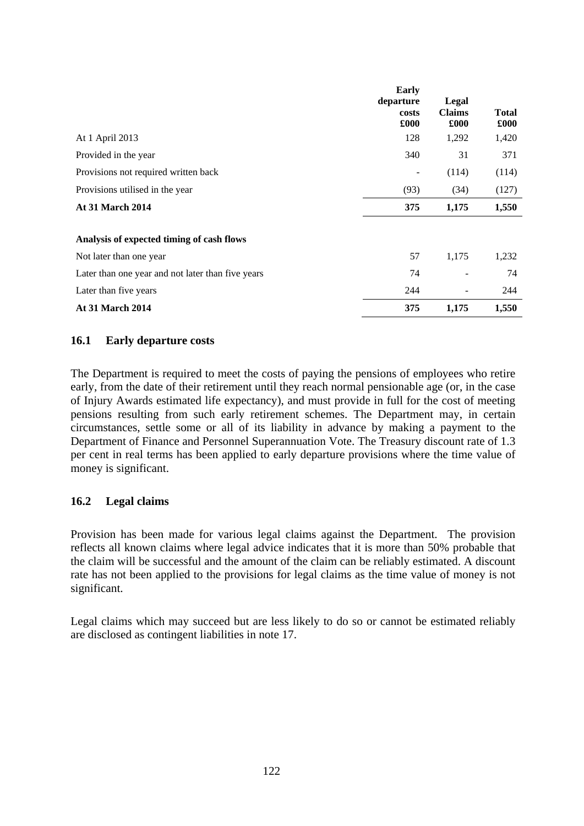|                                                   | Early<br>departure<br>costs<br>$\pmb{.}600$ | Legal<br><b>Claims</b><br>£000 | <b>Total</b><br>£000 |
|---------------------------------------------------|---------------------------------------------|--------------------------------|----------------------|
| At 1 April 2013                                   | 128                                         | 1,292                          | 1,420                |
| Provided in the year                              | 340                                         | 31                             | 371                  |
| Provisions not required written back              |                                             | (114)                          | (114)                |
| Provisions utilised in the year                   | (93)                                        | (34)                           | (127)                |
| <b>At 31 March 2014</b>                           | 375                                         | 1,175                          | 1,550                |
| Analysis of expected timing of cash flows         |                                             |                                |                      |
| Not later than one year                           | 57                                          | 1,175                          | 1,232                |
| Later than one year and not later than five years | 74                                          |                                | 74                   |
| Later than five years                             | 244                                         |                                | 244                  |
| <b>At 31 March 2014</b>                           | 375                                         | 1,175                          | 1,550                |

### **16.1 Early departure costs**

The Department is required to meet the costs of paying the pensions of employees who retire early, from the date of their retirement until they reach normal pensionable age (or, in the case of Injury Awards estimated life expectancy), and must provide in full for the cost of meeting pensions resulting from such early retirement schemes. The Department may, in certain circumstances, settle some or all of its liability in advance by making a payment to the Department of Finance and Personnel Superannuation Vote. The Treasury discount rate of 1.3 per cent in real terms has been applied to early departure provisions where the time value of money is significant.

## **16.2 Legal claims**

Provision has been made for various legal claims against the Department. The provision reflects all known claims where legal advice indicates that it is more than 50% probable that the claim will be successful and the amount of the claim can be reliably estimated. A discount rate has not been applied to the provisions for legal claims as the time value of money is not significant.

Legal claims which may succeed but are less likely to do so or cannot be estimated reliably are disclosed as contingent liabilities in note 17.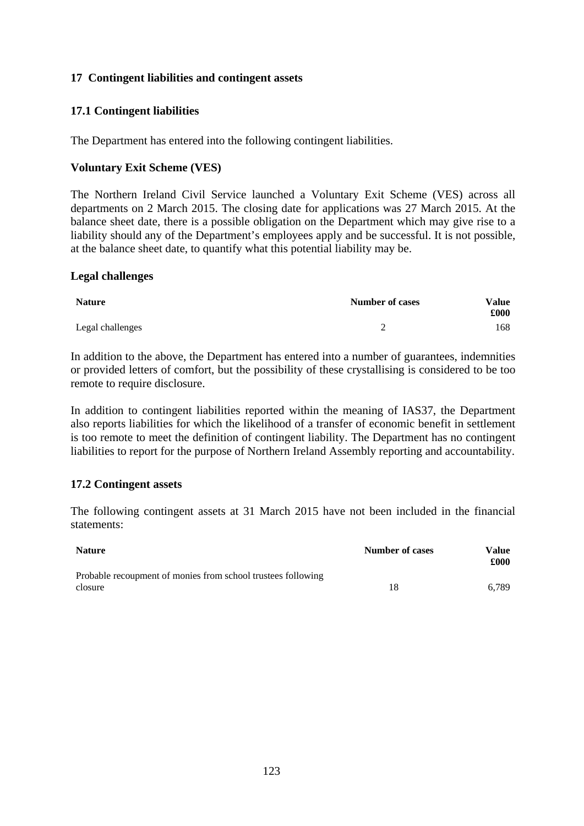### **17 Contingent liabilities and contingent assets**

## **17.1 Contingent liabilities**

The Department has entered into the following contingent liabilities.

### **Voluntary Exit Scheme (VES)**

The Northern Ireland Civil Service launched a Voluntary Exit Scheme (VES) across all departments on 2 March 2015. The closing date for applications was 27 March 2015. At the balance sheet date, there is a possible obligation on the Department which may give rise to a liability should any of the Department's employees apply and be successful. It is not possible, at the balance sheet date, to quantify what this potential liability may be.

### **Legal challenges**

| <b>Nature</b>    | <b>Number of cases</b> | Value<br>$\pmb{.}600\pmb{.}$ |
|------------------|------------------------|------------------------------|
| Legal challenges | -                      | 168                          |

In addition to the above, the Department has entered into a number of guarantees, indemnities or provided letters of comfort, but the possibility of these crystallising is considered to be too remote to require disclosure.

In addition to contingent liabilities reported within the meaning of IAS37, the Department also reports liabilities for which the likelihood of a transfer of economic benefit in settlement is too remote to meet the definition of contingent liability. The Department has no contingent liabilities to report for the purpose of Northern Ireland Assembly reporting and accountability.

### **17.2 Contingent assets**

The following contingent assets at 31 March 2015 have not been included in the financial statements:

| <b>Nature</b>                                                           | Number of cases | Value<br>£000 |
|-------------------------------------------------------------------------|-----------------|---------------|
| Probable recoupment of monies from school trustees following<br>closure | 18              | 6.789         |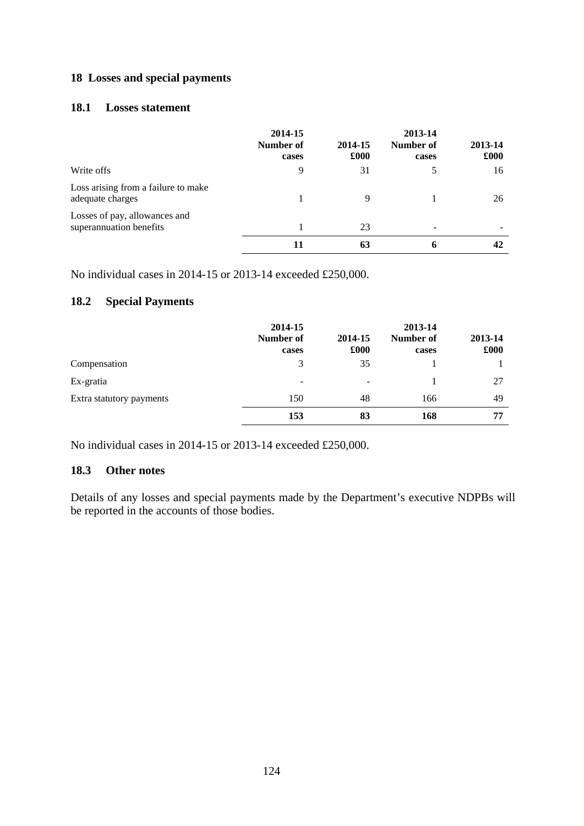## **18 Losses and special payments**

### **18.1 Losses statement**

|                                                          | 2014-15<br>Number of<br>cases | 2014-15<br>£000 | 2013-14<br>Number of<br>cases | 2013-14<br>£000 |
|----------------------------------------------------------|-------------------------------|-----------------|-------------------------------|-----------------|
| Write offs                                               | 9                             | 31              |                               | 16              |
| Loss arising from a failure to make<br>adequate charges  |                               | 9               |                               | 26              |
| Losses of pay, allowances and<br>superannuation benefits |                               | 23              |                               |                 |
|                                                          |                               | 63              | 6                             | 42              |

No individual cases in 2014-15 or 2013-14 exceeded £250,000.

## **18.2 Special Payments**

|                          | 2014-15<br>Number of<br>cases | 2014-15<br>£000 | 2013-14<br>Number of<br>cases | 2013-14<br>£000 |
|--------------------------|-------------------------------|-----------------|-------------------------------|-----------------|
| Compensation             | 3                             | 35              |                               |                 |
| Ex-gratia                | $\overline{\phantom{a}}$      |                 |                               | 27              |
| Extra statutory payments | 150                           | 48              | 166                           | 49              |
|                          | 153                           | 83              | 168                           | 77              |

No individual cases in 2014-15 or 2013-14 exceeded £250,000.

## **18.3 Other notes**

Details of any losses and special payments made by the Department's executive NDPBs will be reported in the accounts of those bodies.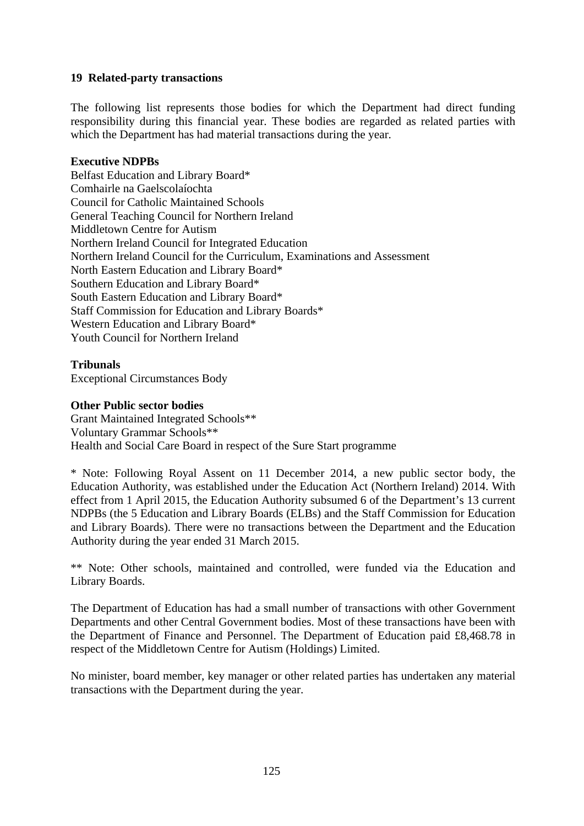## **19 Related-party transactions**

The following list represents those bodies for which the Department had direct funding responsibility during this financial year. These bodies are regarded as related parties with which the Department has had material transactions during the year*.*

### **Executive NDPBs**

Belfast Education and Library Board\* Comhairle na Gaelscolaíochta Council for Catholic Maintained Schools General Teaching Council for Northern Ireland Middletown Centre for Autism Northern Ireland Council for Integrated Education Northern Ireland Council for the Curriculum, Examinations and Assessment North Eastern Education and Library Board\* Southern Education and Library Board\* South Eastern Education and Library Board\* Staff Commission for Education and Library Boards\* Western Education and Library Board\* Youth Council for Northern Ireland

### **Tribunals**

Exceptional Circumstances Body

### **Other Public sector bodies**

Grant Maintained Integrated Schools\*\* Voluntary Grammar Schools\*\* Health and Social Care Board in respect of the Sure Start programme

\* Note: Following Royal Assent on 11 December 2014, a new public sector body, the Education Authority, was established under the Education Act (Northern Ireland) 2014. With effect from 1 April 2015, the Education Authority subsumed 6 of the Department's 13 current NDPBs (the 5 Education and Library Boards (ELBs) and the Staff Commission for Education and Library Boards). There were no transactions between the Department and the Education Authority during the year ended 31 March 2015.

\*\* Note: Other schools, maintained and controlled, were funded via the Education and Library Boards.

The Department of Education has had a small number of transactions with other Government Departments and other Central Government bodies. Most of these transactions have been with the Department of Finance and Personnel. The Department of Education paid £8,468.78 in respect of the Middletown Centre for Autism (Holdings) Limited.

No minister, board member, key manager or other related parties has undertaken any material transactions with the Department during the year.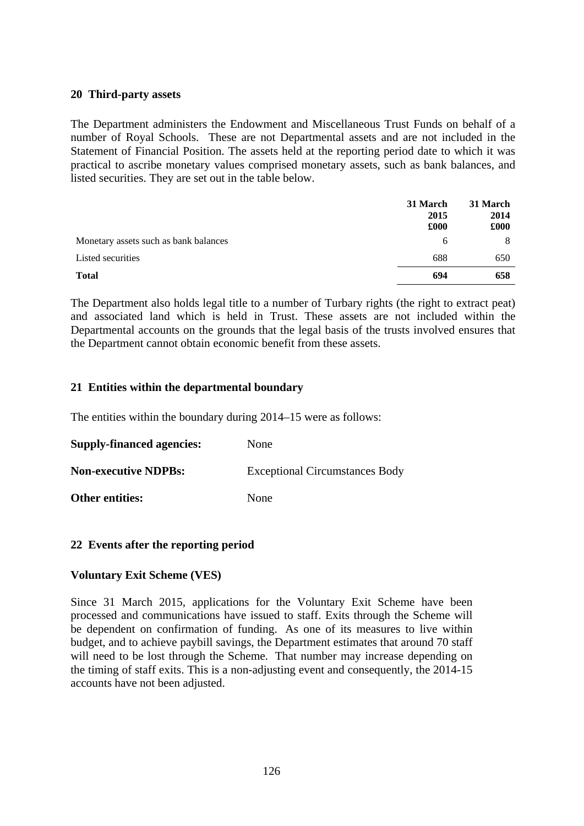### **20 Third-party assets**

The Department administers the Endowment and Miscellaneous Trust Funds on behalf of a number of Royal Schools. These are not Departmental assets and are not included in the Statement of Financial Position. The assets held at the reporting period date to which it was practical to ascribe monetary values comprised monetary assets, such as bank balances, and listed securities. They are set out in the table below.

|                                       | 31 March<br>2015<br>£000 | 31 March<br>2014<br>£000 |
|---------------------------------------|--------------------------|--------------------------|
| Monetary assets such as bank balances | 6                        |                          |
| Listed securities                     | 688                      | 650                      |
| <b>Total</b>                          | 694                      | 658                      |

The Department also holds legal title to a number of Turbary rights (the right to extract peat) and associated land which is held in Trust. These assets are not included within the Departmental accounts on the grounds that the legal basis of the trusts involved ensures that the Department cannot obtain economic benefit from these assets.

## **21 Entities within the departmental boundary**

The entities within the boundary during 2014–15 were as follows:

| <b>Supply-financed agencies:</b> | None                                  |
|----------------------------------|---------------------------------------|
| <b>Non-executive NDPBs:</b>      | <b>Exceptional Circumstances Body</b> |
| <b>Other entities:</b>           | None                                  |

## **22 Events after the reporting period**

## **Voluntary Exit Scheme (VES)**

Since 31 March 2015, applications for the Voluntary Exit Scheme have been processed and communications have issued to staff. Exits through the Scheme will be dependent on confirmation of funding. As one of its measures to live within budget, and to achieve paybill savings, the Department estimates that around 70 staff will need to be lost through the Scheme. That number may increase depending on the timing of staff exits. This is a non-adjusting event and consequently, the 2014-15 accounts have not been adjusted.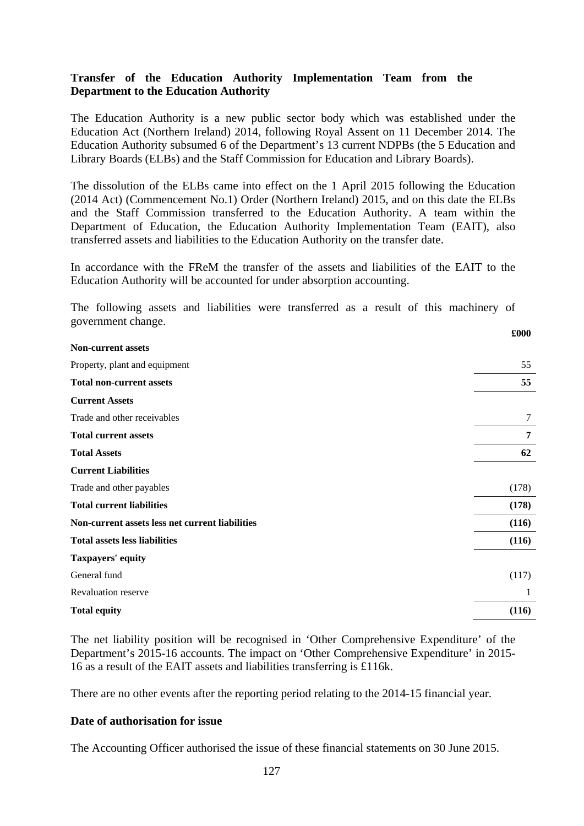### **Transfer of the Education Authority Implementation Team from the Department to the Education Authority**

The Education Authority is a new public sector body which was established under the Education Act (Northern Ireland) 2014, following Royal Assent on 11 December 2014. The Education Authority subsumed 6 of the Department's 13 current NDPBs (the 5 Education and Library Boards (ELBs) and the Staff Commission for Education and Library Boards).

The dissolution of the ELBs came into effect on the 1 April 2015 following the Education (2014 Act) (Commencement No.1) Order (Northern Ireland) 2015, and on this date the ELBs and the Staff Commission transferred to the Education Authority. A team within the Department of Education, the Education Authority Implementation Team (EAIT), also transferred assets and liabilities to the Education Authority on the transfer date.

In accordance with the FReM the transfer of the assets and liabilities of the EAIT to the Education Authority will be accounted for under absorption accounting.

The following assets and liabilities were transferred as a result of this machinery of government change. **£000** 

| <b>Non-current assets</b>                       |       |
|-------------------------------------------------|-------|
| Property, plant and equipment                   | 55    |
| <b>Total non-current assets</b>                 | 55    |
| <b>Current Assets</b>                           |       |
| Trade and other receivables                     | 7     |
| <b>Total current assets</b>                     | 7     |
| <b>Total Assets</b>                             | 62    |
| <b>Current Liabilities</b>                      |       |
| Trade and other payables                        | (178) |
| <b>Total current liabilities</b>                | (178) |
| Non-current assets less net current liabilities | (116) |
| <b>Total assets less liabilities</b>            | (116) |
| Taxpayers' equity                               |       |
| General fund                                    | (117) |
| <b>Revaluation reserve</b>                      | 1     |
| <b>Total equity</b>                             | (116) |

The net liability position will be recognised in 'Other Comprehensive Expenditure' of the Department's 2015-16 accounts. The impact on 'Other Comprehensive Expenditure' in 2015- 16 as a result of the EAIT assets and liabilities transferring is £116k.

There are no other events after the reporting period relating to the 2014-15 financial year.

### **Date of authorisation for issue**

The Accounting Officer authorised the issue of these financial statements on 30 June 2015.